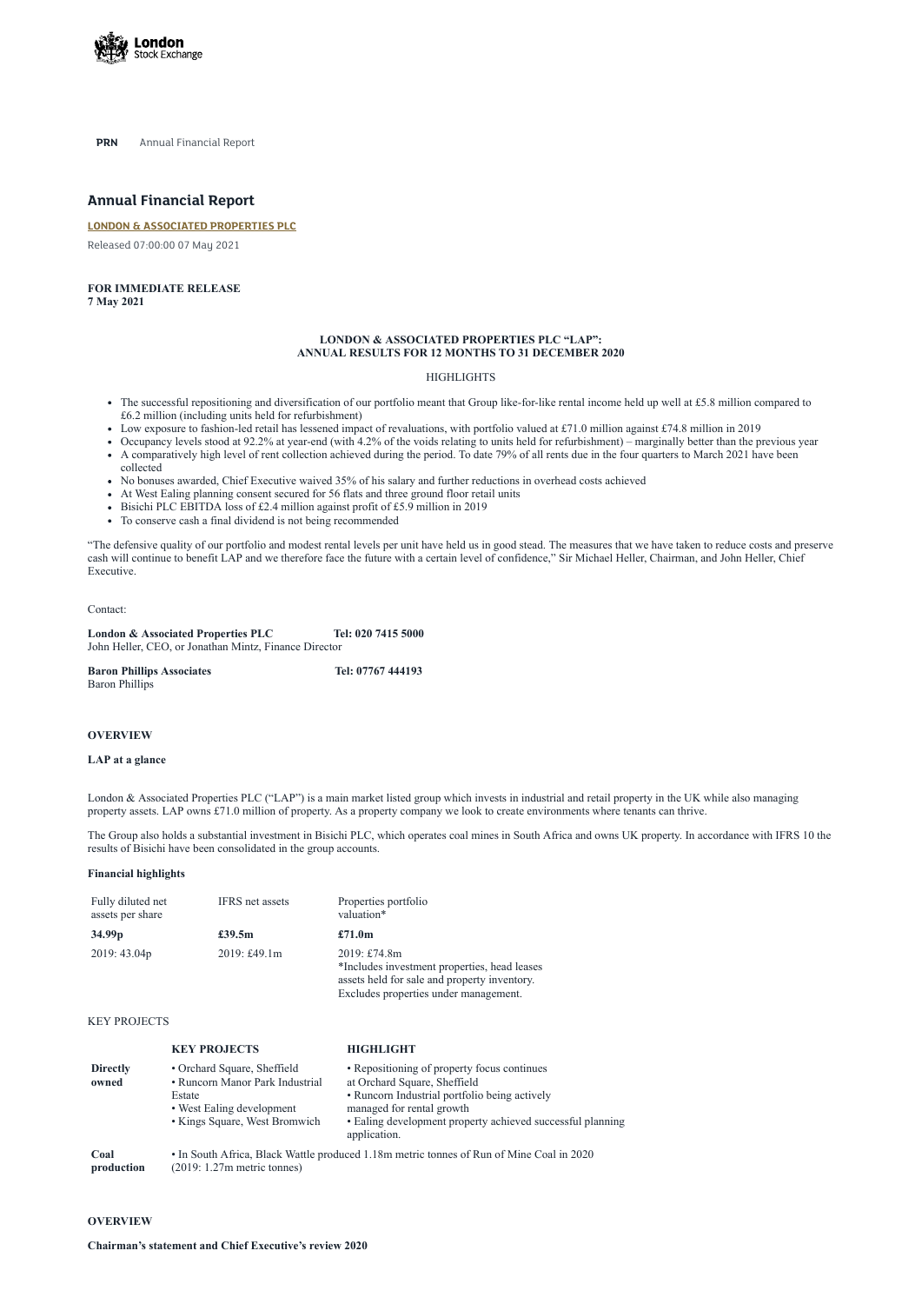

**PRN** Annual Financial Report

# **Annual Financial Report**

**LONDON & ASSOCIATED [PROPERTIES](https://www.londonstockexchange.com/stock/LAS/london-associated-properties-plc) PLC**

Released 07:00:00 07 May 2021

# **FOR IMMEDIATE RELEASE 7 May 2021**

## **LONDON & ASSOCIATED PROPERTIES PLC "LAP": ANNUAL RESULTS FOR 12 MONTHS TO 31 DECEMBER 2020**

#### **HIGHLIGHTS**

- The successful repositioning and diversification of our portfolio meant that Group like-for-like rental income held up well at £5.8 million compared to £6.2 million (including units held for refurbishment)
- Low exposure to fashion-led retail has lessened impact of revaluations, with portfolio valued at £71.0 million against £74.8 million in 2019
- Occupancy levels stood at 92.2% at year-end (with 4.2% of the voids relating to units held for refurbishment) marginally better than the previous year
- A comparatively high level of rent collection achieved during the period. To date 79% of all rents due in the four quarters to March 2021 have been collected
- No bonuses awarded, Chief Executive waived 35% of his salary and further reductions in overhead costs achieved
- At West Ealing planning consent secured for 56 flats and three ground floor retail units
- Bisichi PLC EBITDA loss of £2.4 million against profit of £5.9 million in 2019
- To conserve cash a final dividend is not being recommended

"The defensive quality of our portfolio and modest rental levels per unit have held us in good stead. The measures that we have taken to reduce costs and preserve cash will continue to benefit LAP and we therefore face the future with a certain level of confidence," Sir Michael Heller, Chairman, and John Heller, Chief Executive.

Contact:

**London & Associated Properties PLC Tel: 020 7415 5000** John Heller, CEO, or Jonathan Mintz, Finance Director

| <b>Baron Phillips Associates</b> | Tel: 07767 444193 |
|----------------------------------|-------------------|
| <b>Baron Phillips</b>            |                   |

#### **OVERVIEW**

#### **LAP at a glance**

London & Associated Properties PLC ("LAP") is a main market listed group which invests in industrial and retail property in the UK while also managing property assets. LAP owns £71.0 million of property. As a property company we look to create environments where tenants can thrive.

The Group also holds a substantial investment in Bisichi PLC, which operates coal mines in South Africa and owns UK property. In accordance with IFRS 10 the results of Bisichi have been consolidated in the group accounts.

# **Financial highlights**

| Fully diluted net<br>assets per share | <b>IFRS</b> net assets | Properties portfolio<br>valuation <sup>*</sup>               |
|---------------------------------------|------------------------|--------------------------------------------------------------|
| 34.99 <sub>p</sub>                    | £39.5m                 | £71.0m                                                       |
| 2019:43.04p                           | $2019: \pounds49.1m$   | 2019: £74.8m<br>*Includes investment properties, head leases |

## assets held for sale and property inventory. Excludes properties under management.

## KEY PROJECTS

#### **KEY PROJECTS HIGHLIGHT Directly owned** • Orchard Square, Sheffield • Runcorn Manor Park Industrial Estate • West Ealing development • Kings Square, West Bromwich • Repositioning of property focus continues at Orchard Square, Sheffield • Runcorn Industrial portfolio being actively managed for rental growth • Ealing development property achieved successful planning application.

**Coal production** • In South Africa, Black Wattle produced 1.18m metric tonnes of Run of Mine Coal in 2020 (2019: 1.27m metric tonnes)

## **OVERVIEW**

**Chairman's statement and Chief Executive's review 2020**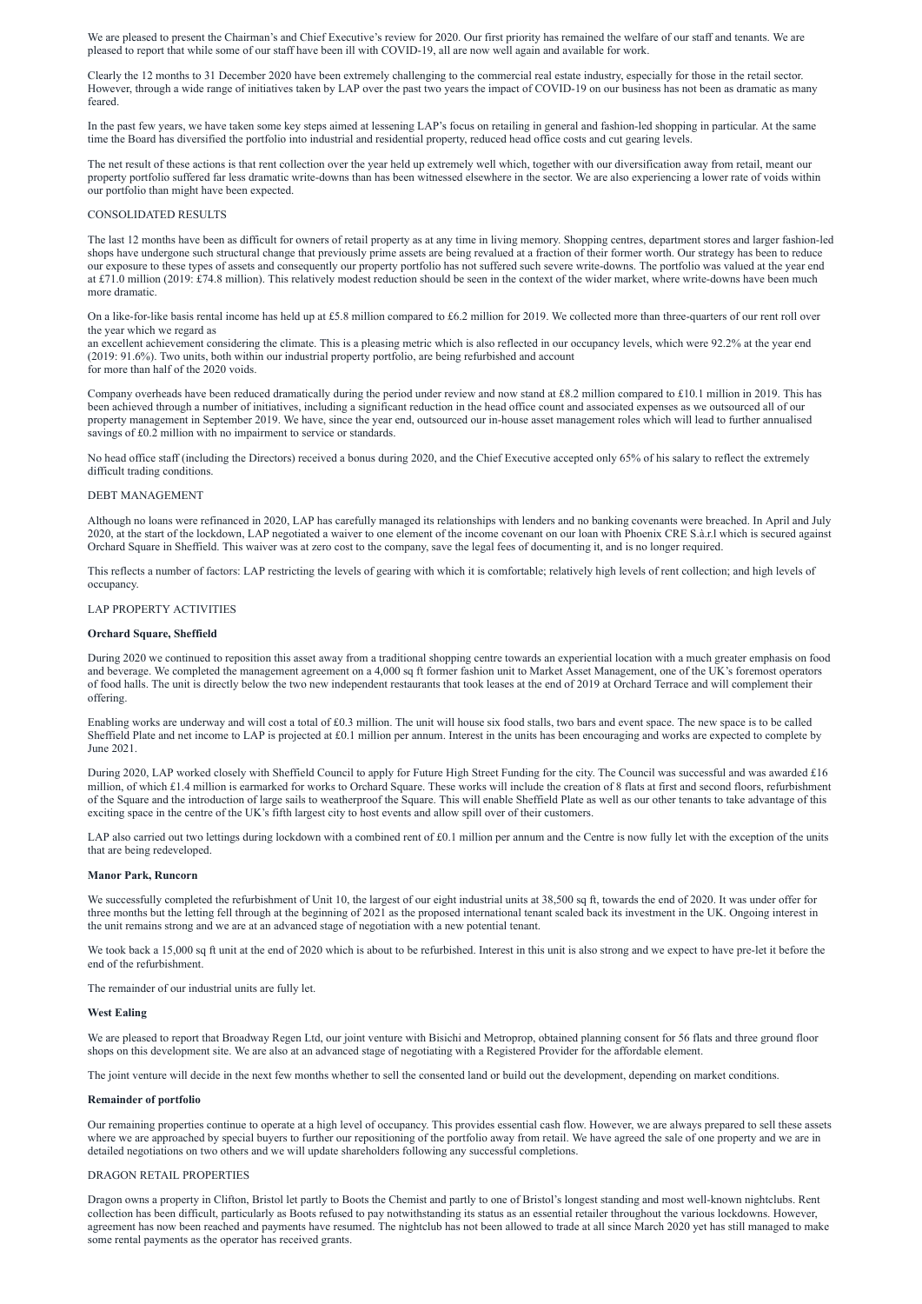We are pleased to present the Chairman's and Chief Executive's review for 2020. Our first priority has remained the welfare of our staff and tenants. We are pleased to report that while some of our staff have been ill with COVID-19, all are now well again and available for work.

Clearly the 12 months to 31 December 2020 have been extremely challenging to the commercial real estate industry, especially for those in the retail sector. However, through a wide range of initiatives taken by LAP over the past two years the impact of COVID-19 on our business has not been as dramatic as many feared.

In the past few years, we have taken some key steps aimed at lessening LAP's focus on retailing in general and fashion-led shopping in particular. At the same time the Board has diversified the portfolio into industrial and residential property, reduced head office costs and cut gearing levels.

On a like-for-like basis rental income has held up at £5.8 million compared to £6.2 million for 2019. We collected more than three-quarters of our rent roll over the year which we regard as

The net result of these actions is that rent collection over the year held up extremely well which, together with our diversification away from retail, meant our property portfolio suffered far less dramatic write-downs than has been witnessed elsewhere in the sector. We are also experiencing a lower rate of voids within our portfolio than might have been expected.

Company overheads have been reduced dramatically during the period under review and now stand at £8.2 million compared to £10.1 million in 2019. This has been achieved through a number of initiatives, including a significant reduction in the head office count and associated expenses as we outsourced all of our property management in September 2019. We have, since the year end, outsourced our in-house asset management roles which will lead to further annualised savings of £0.2 million with no impairment to service or standards.

#### CONSOLIDATED RESULTS

The last 12 months have been as difficult for owners of retail property as at any time in living memory. Shopping centres, department stores and larger fashion-led shops have undergone such structural change that previously prime assets are being revalued at a fraction of their former worth. Our strategy has been to reduce our exposure to these types of assets and consequently our property portfolio has not suffered such severe write-downs. The portfolio was valued at the year end at £71.0 million (2019: £74.8 million). This relatively modest reduction should be seen in the context of the wider market, where write-downs have been much more dramatic.

an excellent achievement considering the climate. This is a pleasing metric which is also reflected in our occupancy levels, which were 92.2% at the year end (2019: 91.6%). Two units, both within our industrial property portfolio, are being refurbished and account for more than half of the 2020 voids.

During 2020, LAP worked closely with Sheffield Council to apply for Future High Street Funding for the city. The Council was successful and was awarded £16 million, of which £1.4 million is earmarked for works to Orchard Square. These works will include the creation of 8 flats at first and second floors, refurbishment of the Square and the introduction of large sails to weatherproof the Square. This will enable Sheffield Plate as well as our other tenants to take advantage of this exciting space in the centre of the UK's fifth largest city to host events and allow spill over of their customers.

LAP also carried out two lettings during lockdown with a combined rent of £0.1 million per annum and the Centre is now fully let with the exception of the units that are being redeveloped.

We successfully completed the refurbishment of Unit 10, the largest of our eight industrial units at 38,500 sq ft, towards the end of 2020. It was under offer for three months but the letting fell through at the beginning of 2021 as the proposed international tenant scaled back its investment in the UK. Ongoing interest in the unit remains strong and we are at an advanced stage of negotiation with a new potential tenant.

We took back a 15,000 sq ft unit at the end of 2020 which is about to be refurbished. Interest in this unit is also strong and we expect to have pre-let it before the end of the refurbishment.

No head office staff (including the Directors) received a bonus during 2020, and the Chief Executive accepted only 65% of his salary to reflect the extremely difficult trading conditions.

# DEBT MANAGEMENT

We are pleased to report that Broadway Regen Ltd, our joint venture with Bisichi and Metroprop, obtained planning consent for 56 flats and three ground floor shops on this development site. We are also at an advanced stage of negotiating with a Registered Provider for the affordable element.

Although no loans were refinanced in 2020, LAP has carefully managed its relationships with lenders and no banking covenants were breached. In April and July 2020, at the start of the lockdown, LAP negotiated a waiver to one element of the income covenant on our loan with Phoenix CRE S.à.r.l which is secured against Orchard Square in Sheffield. This waiver was at zero cost to the company, save the legal fees of documenting it, and is no longer required.

This reflects a number of factors: LAP restricting the levels of gearing with which it is comfortable; relatively high levels of rent collection; and high levels of occupancy.

#### LAP PROPERTY ACTIVITIES

#### **Orchard Square, Sheffield**

During 2020 we continued to reposition this asset away from a traditional shopping centre towards an experiential location with a much greater emphasis on food and beverage. We completed the management agreement on a 4,000 sq ft former fashion unit to Market Asset Management, one of the UK's foremost operators of food halls. The unit is directly below the two new independent restaurants that took leases at the end of 2019 at Orchard Terrace and will complement their offering.

Enabling works are underway and will cost a total of £0.3 million. The unit will house six food stalls, two bars and event space. The new space is to be called Sheffield Plate and net income to LAP is projected at £0.1 million per annum. Interest in the units has been encouraging and works are expected to complete by June 2021.

#### **Manor Park, Runcorn**

# The remainder of our industrial units are fully let.

# **West Ealing**

The joint venture will decide in the next few months whether to sell the consented land or build out the development, depending on market conditions.

#### **Remainder of portfolio**

Our remaining properties continue to operate at a high level of occupancy. This provides essential cash flow. However, we are always prepared to sell these assets where we are approached by special buyers to further our repositioning of the portfolio away from retail. We have agreed the sale of one property and we are in detailed negotiations on two others and we will update shareholders following any successful completions.

# DRAGON RETAIL PROPERTIES

Dragon owns a property in Clifton, Bristol let partly to Boots the Chemist and partly to one of Bristol's longest standing and most well-known nightclubs. Rent collection has been difficult, particularly as Boots refused to pay notwithstanding its status as an essential retailer throughout the various lockdowns. However, agreement has now been reached and payments have resumed. The nightclub has not been allowed to trade at all since March 2020 yet has still managed to make some rental payments as the operator has received grants.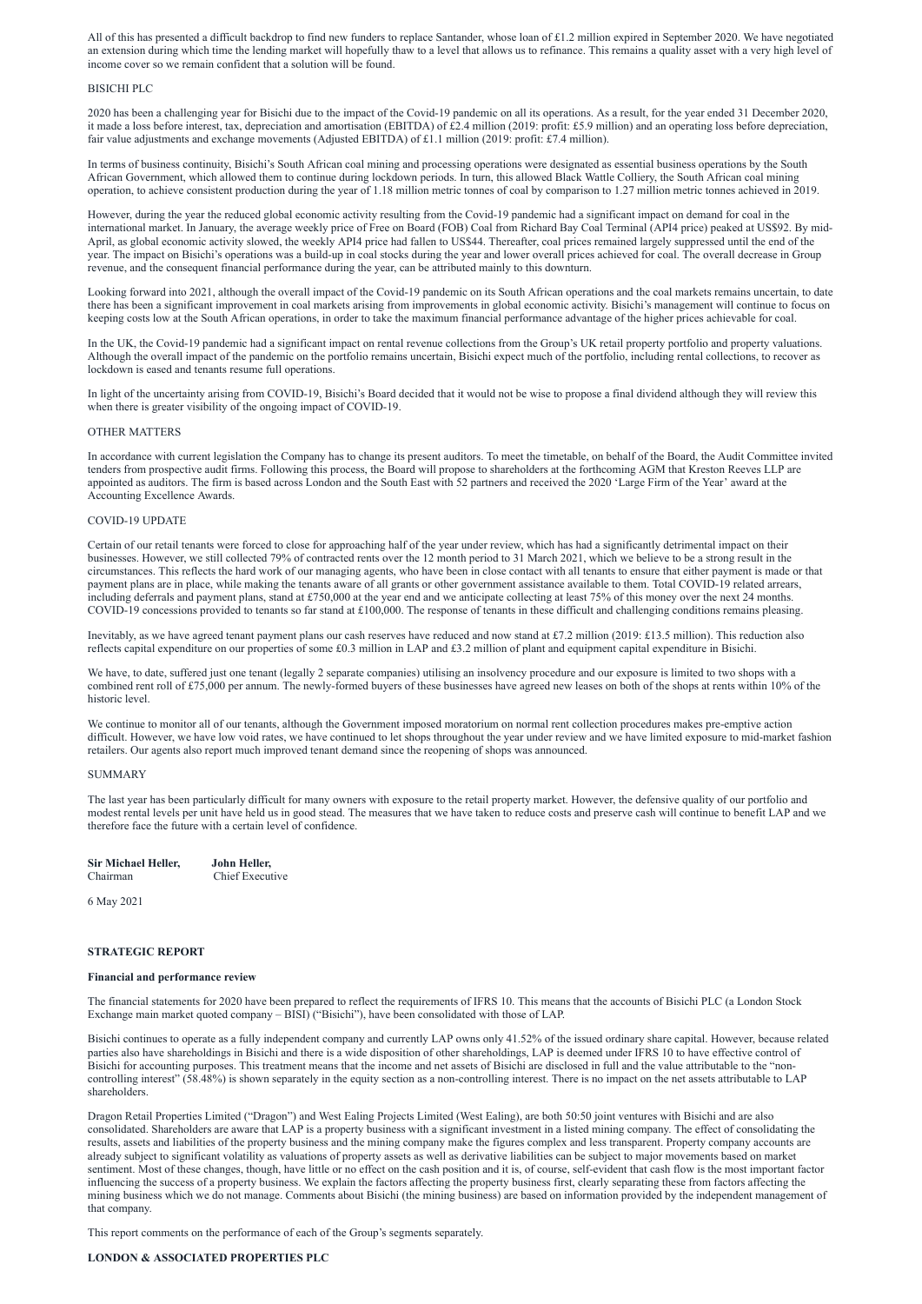All of this has presented a difficult backdrop to find new funders to replace Santander, whose loan of £1.2 million expired in September 2020. We have negotiated an extension during which time the lending market will hopefully thaw to a level that allows us to refinance. This remains a quality asset with a very high level of income cover so we remain confident that a solution will be found.

# BISICHI PLC

2020 has been a challenging year for Bisichi due to the impact of the Covid-19 pandemic on all its operations. As a result, for the year ended 31 December 2020, it made a loss before interest, tax, depreciation and amortisation (EBITDA) of £2.4 million (2019: profit: £5.9 million) and an operating loss before depreciation, fair value adjustments and exchange movements (Adjusted EBITDA) of £1.1 million (2019: profit: £7.4 million).

In terms of business continuity, Bisichi's South African coal mining and processing operations were designated as essential business operations by the South African Government, which allowed them to continue during lockdown periods. In turn, this allowed Black Wattle Colliery, the South African coal mining operation, to achieve consistent production during the year of 1.18 million metric tonnes of coal by comparison to 1.27 million metric tonnes achieved in 2019.

In the UK, the Covid-19 pandemic had a significant impact on rental revenue collections from the Group's UK retail property portfolio and property valuations. Although the overall impact of the pandemic on the portfolio remains uncertain, Bisichi expect much of the portfolio, including rental collections, to recover as lockdown is eased and tenants resume full operations.

However, during the year the reduced global economic activity resulting from the Covid-19 pandemic had a significant impact on demand for coal in the international market. In January, the average weekly price of Free on Board (FOB) Coal from Richard Bay Coal Terminal (API4 price) peaked at US\$92. By mid-April, as global economic activity slowed, the weekly API4 price had fallen to US\$44. Thereafter, coal prices remained largely suppressed until the end of the year. The impact on Bisichi's operations was a build-up in coal stocks during the year and lower overall prices achieved for coal. The overall decrease in Group revenue, and the consequent financial performance during the year, can be attributed mainly to this downturn.

Looking forward into 2021, although the overall impact of the Covid-19 pandemic on its South African operations and the coal markets remains uncertain, to date there has been a significant improvement in coal markets arising from improvements in global economic activity. Bisichi's management will continue to focus on keeping costs low at the South African operations, in order to take the maximum financial performance advantage of the higher prices achievable for coal.

We have, to date, suffered just one tenant (legally 2 separate companies) utilising an insolvency procedure and our exposure is limited to two shops with a combined rent roll of £75,000 per annum. The newly-formed buyers of these businesses have agreed new leases on both of the shops at rents within 10% of the historic level.

In light of the uncertainty arising from COVID-19, Bisichi's Board decided that it would not be wise to propose a final dividend although they will review this when there is greater visibility of the ongoing impact of COVID-19.

#### OTHER MATTERS

In accordance with current legislation the Company has to change its present auditors. To meet the timetable, on behalf of the Board, the Audit Committee invited tenders from prospective audit firms. Following this process, the Board will propose to shareholders at the forthcoming AGM that Kreston Reeves LLP are appointed as auditors. The firm is based across London and the South East with 52 partners and received the 2020 'Large Firm of the Year' award at the Accounting Excellence Awards.

#### COVID-19 UPDATE

Certain of our retail tenants were forced to close for approaching half of the year under review, which has had a significantly detrimental impact on their businesses. However, we still collected 79% of contracted rents over the 12 month period to 31 March 2021, which we believe to be a strong result in the circumstances. This reflects the hard work of our managing agents, who have been in close contact with all tenants to ensure that either payment is made or that payment plans are in place, while making the tenants aware of all grants or other government assistance available to them. Total COVID-19 related arrears, including deferrals and payment plans, stand at £750,000 at the year end and we anticipate collecting at least 75% of this money over the next 24 months. COVID-19 concessions provided to tenants so far stand at £100,000. The response of tenants in these difficult and challenging conditions remains pleasing.

Inevitably, as we have agreed tenant payment plans our cash reserves have reduced and now stand at £7.2 million (2019: £13.5 million). This reduction also reflects capital expenditure on our properties of some £0.3 million in LAP and £3.2 million of plant and equipment capital expenditure in Bisichi.

We continue to monitor all of our tenants, although the Government imposed moratorium on normal rent collection procedures makes pre-emptive action difficult. However, we have low void rates, we have continued to let shops throughout the year under review and we have limited exposure to mid-market fashion retailers. Our agents also report much improved tenant demand since the reopening of shops was announced.

#### SUMMARY

The last year has been particularly difficult for many owners with exposure to the retail property market. However, the defensive quality of our portfolio and modest rental levels per unit have held us in good stead. The measures that we have taken to reduce costs and preserve cash will continue to benefit LAP and we therefore face the future with a certain level of confidence.

**Sir Michael Heller, John Heller,** Chairman Chief Executive

6 May 2021

## **STRATEGIC REPORT**

#### **Financial and performance review**

The financial statements for 2020 have been prepared to reflect the requirements of IFRS 10. This means that the accounts of Bisichi PLC (a London Stock Exchange main market quoted company – BISI) ("Bisichi"), have been consolidated with those of LAP.

Bisichi continues to operate as a fully independent company and currently LAP owns only 41.52% of the issued ordinary share capital. However, because related parties also have shareholdings in Bisichi and there is a wide disposition of other shareholdings, LAP is deemed under IFRS 10 to have effective control of Bisichi for accounting purposes. This treatment means that the income and net assets of Bisichi are disclosed in full and the value attributable to the "noncontrolling interest" (58.48%) is shown separately in the equity section as a non-controlling interest. There is no impact on the net assets attributable to LAP shareholders.

Dragon Retail Properties Limited ("Dragon") and West Ealing Projects Limited (West Ealing), are both 50:50 joint ventures with Bisichi and are also consolidated. Shareholders are aware that LAP is a property business with a significant investment in a listed mining company. The effect of consolidating the results, assets and liabilities of the property business and the mining company make the figures complex and less transparent. Property company accounts are already subject to significant volatility as valuations of property assets as well as derivative liabilities can be subject to major movements based on market sentiment. Most of these changes, though, have little or no effect on the cash position and it is, of course, self-evident that cash flow is the most important factor influencing the success of a property business. We explain the factors affecting the property business first, clearly separating these from factors affecting the mining business which we do not manage. Comments about Bisichi (the mining business) are based on information provided by the independent management of that company.

This report comments on the performance of each of the Group's segments separately.

# **LONDON & ASSOCIATED PROPERTIES PLC**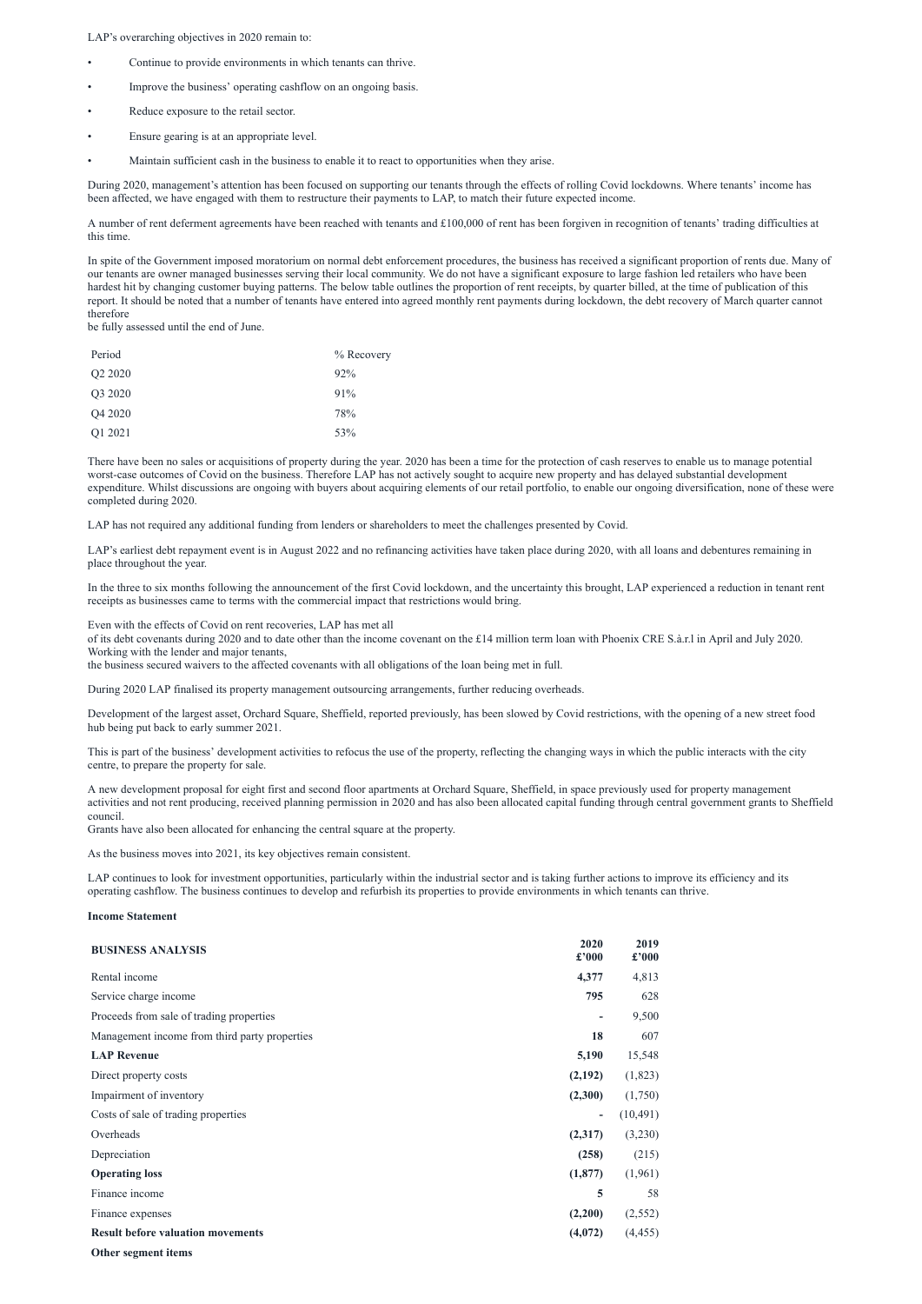LAP's overarching objectives in 2020 remain to:

- Continue to provide environments in which tenants can thrive.
- Improve the business' operating cashflow on an ongoing basis.
- Reduce exposure to the retail sector.
- Ensure gearing is at an appropriate level.
- Maintain sufficient cash in the business to enable it to react to opportunities when they arise.

A number of rent deferment agreements have been reached with tenants and  $\pounds100,000$  of rent has been forgiven in recognition of tenants' trading difficulties at this time.

During 2020, management's attention has been focused on supporting our tenants through the effects of rolling Covid lockdowns. Where tenants' income has been affected, we have engaged with them to restructure their payments to LAP, to match their future expected income.

In spite of the Government imposed moratorium on normal debt enforcement procedures, the business has received a significant proportion of rents due. Many of our tenants are owner managed businesses serving their local community. We do not have a significant exposure to large fashion led retailers who have been hardest hit by changing customer buying patterns. The below table outlines the proportion of rent receipts, by quarter billed, at the time of publication of this report. It should be noted that a number of tenants have entered into agreed monthly rent payments during lockdown, the debt recovery of March quarter cannot therefore

LAP's earliest debt repayment event is in August 2022 and no refinancing activities have taken place during 2020, with all loans and debentures remaining in place throughout the year.

be fully assessed until the end of June.

| Period  | % Recovery |
|---------|------------|
| Q2 2020 | 92%        |
| Q3 2020 | 91%        |
| Q4 2020 | 78%        |
| Q1 2021 | 53%        |

There have been no sales or acquisitions of property during the year. 2020 has been a time for the protection of cash reserves to enable us to manage potential worst-case outcomes of Covid on the business. Therefore LAP has not actively sought to acquire new property and has delayed substantial development expenditure. Whilst discussions are ongoing with buyers about acquiring elements of our retail portfolio, to enable our ongoing diversification, none of these were completed during 2020.

LAP has not required any additional funding from lenders or shareholders to meet the challenges presented by Covid.

LAP continues to look for investment opportunities, particularly within the industrial sector and is taking further actions to improve its efficiency and its operating cashflow. The business continues to develop and refurbish its properties to provide environments in which tenants can thrive.

| Service charge income                         | 795                      | 628      |
|-----------------------------------------------|--------------------------|----------|
| Proceeds from sale of trading properties      | -                        | 9,500    |
| Management income from third party properties | 18                       | 607      |
| <b>LAP Revenue</b>                            | 5,190                    | 15,548   |
| Direct property costs                         | (2,192)                  | (1,823)  |
| Impairment of inventory                       | (2,300)                  | (1,750)  |
| Costs of sale of trading properties           | $\overline{\phantom{a}}$ | (10,491) |
| Overheads                                     | (2,317)                  | (3,230)  |
| Depreciation                                  | (258)                    | (215)    |
| <b>Operating loss</b>                         | (1,877)                  | (1,961)  |
| Finance income                                | 5                        | 58       |
| Finance expenses                              | (2,200)                  | (2,552)  |
| <b>Result before valuation movements</b>      | (4,072)                  | (4, 455) |
| Other segment items                           |                          |          |

In the three to six months following the announcement of the first Covid lockdown, and the uncertainty this brought, LAP experienced a reduction in tenant rent receipts as businesses came to terms with the commercial impact that restrictions would bring.

Even with the effects of Covid on rent recoveries, LAP has met all

of its debt covenants during 2020 and to date other than the income covenant on the £14 million term loan with Phoenix CRE S.à.r.l in April and July 2020. Working with the lender and major tenants,

the business secured waivers to the affected covenants with all obligations of the loan being met in full.

During 2020 LAP finalised its property management outsourcing arrangements, further reducing overheads.

Development of the largest asset, Orchard Square, Sheffield, reported previously, has been slowed by Covid restrictions, with the opening of a new street food hub being put back to early summer 2021.

This is part of the business' development activities to refocus the use of the property, reflecting the changing ways in which the public interacts with the city centre, to prepare the property for sale.

A new development proposal for eight first and second floor apartments at Orchard Square, Sheffield, in space previously used for property management activities and not rent producing, received planning permission in 2020 and has also been allocated capital funding through central government grants to Sheffield council.

Grants have also been allocated for enhancing the central square at the property.

As the business moves into 2021, its key objectives remain consistent.

#### **Income Statement**

| <b>BUSINESS ANALYSIS</b> | 2020<br>£2000 | 2019<br>$\pounds$ '000 |
|--------------------------|---------------|------------------------|
| Rental income            | 4,377         | 4.813                  |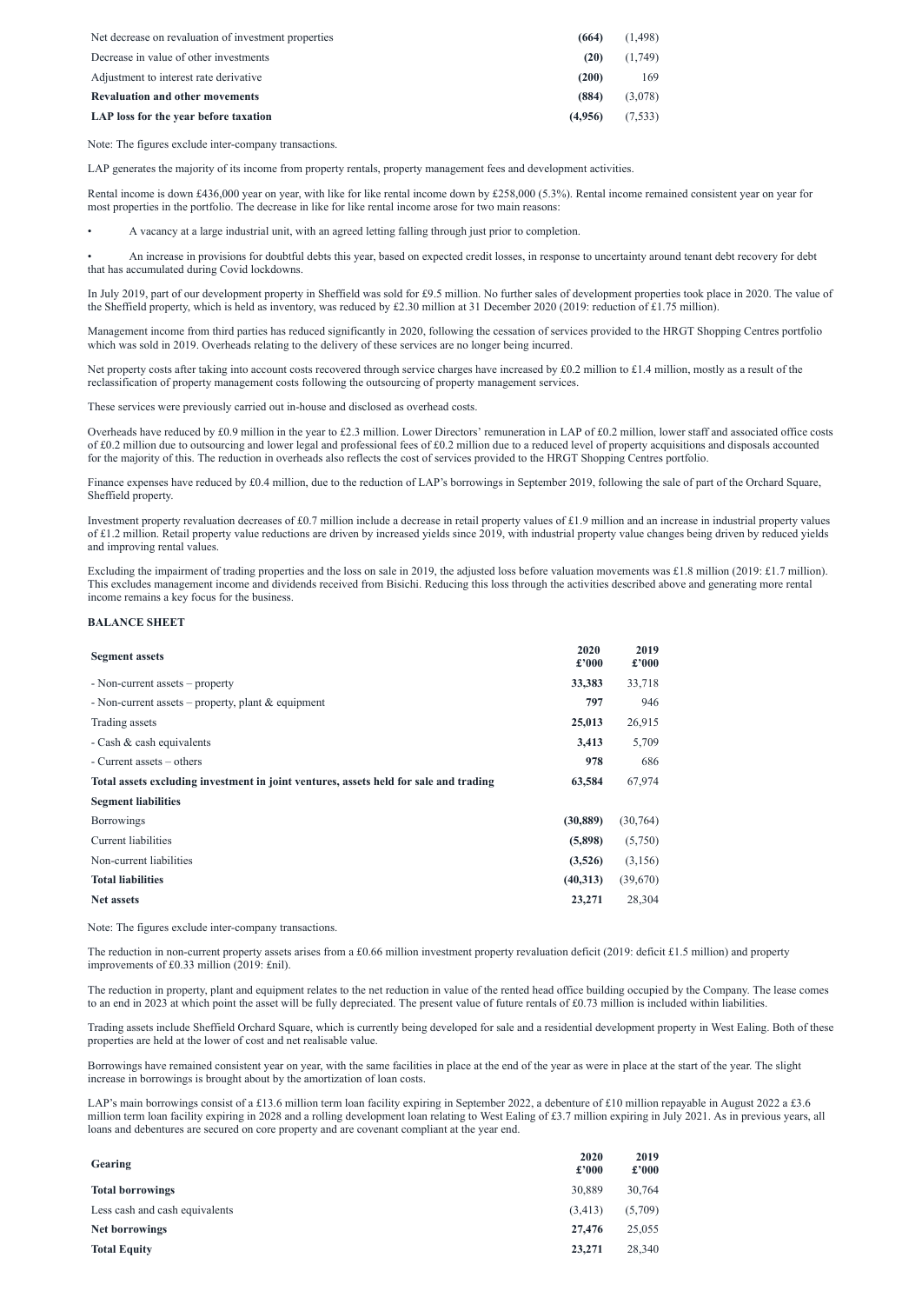| Net decrease on revaluation of investment properties | (664)   | (1, 498) |
|------------------------------------------------------|---------|----------|
| Decrease in value of other investments               | (20)    | (1,749)  |
| Adjustment to interest rate derivative               | (200)   | 169      |
| <b>Revaluation and other movements</b>               | (884)   | (3,078)  |
| LAP loss for the year before taxation                | (4.956) | (7,533)  |

Note: The figures exclude inter-company transactions.

LAP generates the majority of its income from property rentals, property management fees and development activities.

Rental income is down £436,000 year on year, with like for like rental income down by £258,000 (5.3%). Rental income remained consistent year on year for most properties in the portfolio. The decrease in like for like rental income arose for two main reasons:

Management income from third parties has reduced significantly in 2020, following the cessation of services provided to the HRGT Shopping Centres portfolio which was sold in 2019. Overheads relating to the delivery of these services are no longer being incurred.

• A vacancy at a large industrial unit, with an agreed letting falling through just prior to completion.

• An increase in provisions for doubtful debts this year, based on expected credit losses, in response to uncertainty around tenant debt recovery for debt that has accumulated during Covid lockdowns.

Net property costs after taking into account costs recovered through service charges have increased by  $\text{\pounds}0.2$  million to  $\text{\pounds}1.4$  million, mostly as a result of the reclassification of property management costs following the outsourcing of property management services.

In July 2019, part of our development property in Sheffield was sold for £9.5 million. No further sales of development properties took place in 2020. The value of the Sheffield property, which is held as inventory, was reduced by £2.30 million at 31 December 2020 (2019: reduction of £1.75 million).

Excluding the impairment of trading properties and the loss on sale in 2019, the adjusted loss before valuation movements was £1.8 million (2019: £1.7 million). This excludes management income and dividends received from Bisichi. Reducing this loss through the activities described above and generating more rental income remains a key focus for the business.

These services were previously carried out in-house and disclosed as overhead costs.

The reduction in non-current property assets arises from a £0.66 million investment property revaluation deficit  $(2019)$ : deficit £1.5 million) and property improvements of £0.33 million (2019: £nil).

Overheads have reduced by £0.9 million in the year to £2.3 million. Lower Directors' remuneration in LAP of £0.2 million, lower staff and associated office costs of £0.2 million due to outsourcing and lower legal and professional fees of £0.2 million due to a reduced level of property acquisitions and disposals accounted for the majority of this. The reduction in overheads also reflects the cost of services provided to the HRGT Shopping Centres portfolio.

Finance expenses have reduced by £0.4 million, due to the reduction of LAP's borrowings in September 2019, following the sale of part of the Orchard Square, Sheffield property.

LAP's main borrowings consist of a £13.6 million term loan facility expiring in September 2022, a debenture of £10 million repayable in August 2022 a £3.6 million term loan facility expiring in 2028 and a rolling development loan relating to West Ealing of £3.7 million expiring in July 2021. As in previous years, all loans and debentures are secured on core property and are covenant compliant at the year end.

Investment property revaluation decreases of £0.7 million include a decrease in retail property values of £1.9 million and an increase in industrial property values of £1.2 million. Retail property value reductions are driven by increased yields since 2019, with industrial property value changes being driven by reduced yields and improving rental values.

# **BALANCE SHEET**

| <b>Segment assets</b>                                                                 | 2020<br>$\pounds$ '000 | 2019<br>£'000 |
|---------------------------------------------------------------------------------------|------------------------|---------------|
| - Non-current assets – property                                                       | 33,383                 | 33,718        |
| - Non-current assets – property, plant $&$ equipment                                  | 797                    | 946           |
| Trading assets                                                                        | 25,013                 | 26,915        |
| - Cash & cash equivalents                                                             | 3,413                  | 5,709         |
| - Current assets – others                                                             | 978                    | 686           |
| Total assets excluding investment in joint ventures, assets held for sale and trading | 63,584                 | 67,974        |
| <b>Segment liabilities</b>                                                            |                        |               |
| <b>Borrowings</b>                                                                     | (30, 889)              | (30,764)      |
| Current liabilities                                                                   | (5,898)                | (5,750)       |
| Non-current liabilities                                                               | (3,526)                | (3,156)       |
| <b>Total liabilities</b>                                                              | (40,313)               | (39,670)      |
| <b>Net assets</b>                                                                     | 23,271                 | 28,304        |

Note: The figures exclude inter-company transactions.

The reduction in property, plant and equipment relates to the net reduction in value of the rented head office building occupied by the Company. The lease comes to an end in 2023 at which point the asset will be fully depreciated. The present value of future rentals of £0.73 million is included within liabilities.

Trading assets include Sheffield Orchard Square, which is currently being developed for sale and a residential development property in West Ealing. Both of these properties are held at the lower of cost and net realisable value.

Borrowings have remained consistent year on year, with the same facilities in place at the end of the year as were in place at the start of the year. The slight increase in borrowings is brought about by the amortization of loan costs.

| <b>Gearing</b>                 | 2020<br>$\pounds$ '000 | 2019<br>£'000 |
|--------------------------------|------------------------|---------------|
| <b>Total borrowings</b>        | 30,889                 | 30,764        |
| Less cash and cash equivalents | (3,413)                | (5,709)       |
| <b>Net borrowings</b>          | 27,476                 | 25,055        |
| <b>Total Equity</b>            | 23,271                 | 28,340        |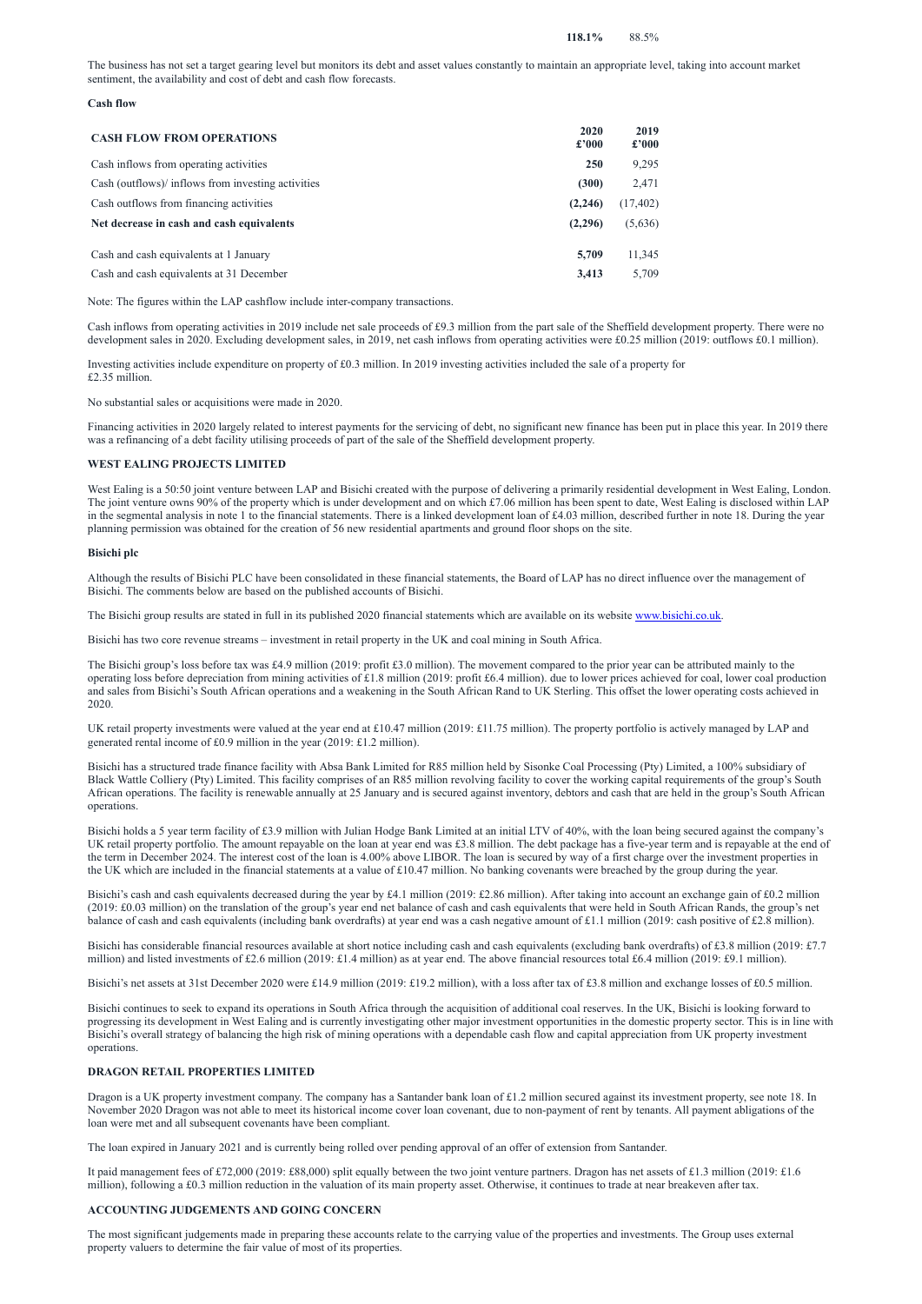The business has not set a target gearing level but monitors its debt and asset values constantly to maintain an appropriate level, taking into account market sentiment, the availability and cost of debt and cash flow forecasts.

#### **Cash flow**

Cash inflows from operating activities in 2019 include net sale proceeds of £9.3 million from the part sale of the Sheffield development property. There were no development sales in 2020. Excluding development sales, in 2019, net cash inflows from operating activities were £0.25 million (2019: outflows £0.1 million).

| <b>CASH FLOW FROM OPERATIONS</b>                   | 2020<br>$\pounds$ '000 | 2019<br>$\pounds$ '000 |
|----------------------------------------------------|------------------------|------------------------|
| Cash inflows from operating activities             | <b>250</b>             | 9,295                  |
| Cash (outflows)/ inflows from investing activities | (300)                  | 2,471                  |
| Cash outflows from financing activities            | (2,246)                | (17, 402)              |
| Net decrease in cash and cash equivalents          | (2,296)                | (5,636)                |
| Cash and cash equivalents at 1 January             | 5,709                  | 11,345                 |
| Cash and cash equivalents at 31 December           | 3,413                  | 5,709                  |

Note: The figures within the LAP cashflow include inter-company transactions.

West Ealing is a 50:50 joint venture between LAP and Bisichi created with the purpose of delivering a primarily residential development in West Ealing, London. The joint venture owns 90% of the property which is under development and on which £7.06 million has been spent to date, West Ealing is disclosed within LAP in the segmental analysis in note 1 to the financial statements. There is a linked development loan of £4.03 million, described further in note 18. During the year planning permission was obtained for the creation of 56 new residential apartments and ground floor shops on the site.

Investing activities include expenditure on property of £0.3 million. In 2019 investing activities included the sale of a property for £2.35 million.

No substantial sales or acquisitions were made in 2020.

Financing activities in 2020 largely related to interest payments for the servicing of debt, no significant new finance has been put in place this year. In 2019 there was a refinancing of a debt facility utilising proceeds of part of the sale of the Sheffield development property.

#### **WEST EALING PROJECTS LIMITED**

#### **Bisichi plc**

Although the results of Bisichi PLC have been consolidated in these financial statements, the Board of LAP has no direct influence over the management of Bisichi. The comments below are based on the published accounts of Bisichi.

The Bisichi group results are stated in full in its published 2020 financial statements which are available on its website [www.bisichi.co.uk](http://www.bisichi.co.uk/).

Bisichi's cash and cash equivalents decreased during the year by £4.1 million (2019: £2.86 million). After taking into account an exchange gain of £0.2 million (2019: £0.03 million) on the translation of the group's year end net balance of cash and cash equivalents that were held in South African Rands, the group's net balance of cash and cash equivalents (including bank overdrafts) at year end was a cash negative amount of £1.1 million (2019: cash positive of £2.8 million).

Bisichi has considerable financial resources available at short notice including cash and cash equivalents (excluding bank overdrafts) of £3.8 million (2019: £7.7 million) and listed investments of £2.6 million (2019: £1.4 million) as at year end. The above financial resources total £6.4 million (2019: £9.1 million).

Bisichi's net assets at 31st December 2020 were £14.9 million (2019: £19.2 million), with a loss after tax of £3.8 million and exchange losses of £0.5 million.

Bisichi has two core revenue streams – investment in retail property in the UK and coal mining in South Africa.

The Bisichi group's loss before tax was £4.9 million (2019: profit £3.0 million). The movement compared to the prior year can be attributed mainly to the operating loss before depreciation from mining activities of £1.8 million (2019: profit £6.4 million). due to lower prices achieved for coal, lower coal production and sales from Bisichi's South African operations and a weakening in the South African Rand to UK Sterling. This offset the lower operating costs achieved in 2020.

Dragon is a UK property investment company. The company has a Santander bank loan of £1.2 million secured against its investment property, see note 18. In November 2020 Dragon was not able to meet its historical income cover loan covenant, due to non-payment of rent by tenants. All payment abligations of the loan were met and all subsequent covenants have been compliant.

UK retail property investments were valued at the year end at £10.47 million (2019: £11.75 million). The property portfolio is actively managed by LAP and generated rental income of £0.9 million in the year (2019: £1.2 million).

Bisichi has a structured trade finance facility with Absa Bank Limited for R85 million held by Sisonke Coal Processing (Pty) Limited, a 100% subsidiary of Black Wattle Colliery (Pty) Limited. This facility comprises of an R85 million revolving facility to cover the working capital requirements of the group's South African operations. The facility is renewable annually at 25 January and is secured against inventory, debtors and cash that are held in the group's South African operations.

Bisichi holds a 5 year term facility of £3.9 million with Julian Hodge Bank Limited at an initial LTV of 40%, with the loan being secured against the company's UK retail property portfolio. The amount repayable on the loan at year end was £3.8 million. The debt package has a five-year term and is repayable at the end of the term in December 2024. The interest cost of the loan is 4.00% above LIBOR. The loan is secured by way of a first charge over the investment properties in the UK which are included in the financial statements at a value of £10.47 million. No banking covenants were breached by the group during the year.

Bisichi continues to seek to expand its operations in South Africa through the acquisition of additional coal reserves. In the UK, Bisichi is looking forward to progressing its development in West Ealing and is currently investigating other major investment opportunities in the domestic property sector. This is in line with Bisichi's overall strategy of balancing the high risk of mining operations with a dependable cash flow and capital appreciation from UK property investment operations.

#### **DRAGON RETAIL PROPERTIES LIMITED**

The loan expired in January 2021 and is currently being rolled over pending approval of an offer of extension from Santander.

It paid management fees of £72,000 (2019: £88,000) split equally between the two joint venture partners. Dragon has net assets of £1.3 million (2019: £1.6 million), following a £0.3 million reduction in the valuation of its main property asset. Otherwise, it continues to trade at near breakeven after tax.

## **ACCOUNTING JUDGEMENTS AND GOING CONCERN**

The most significant judgements made in preparing these accounts relate to the carrying value of the properties and investments. The Group uses external property valuers to determine the fair value of most of its properties.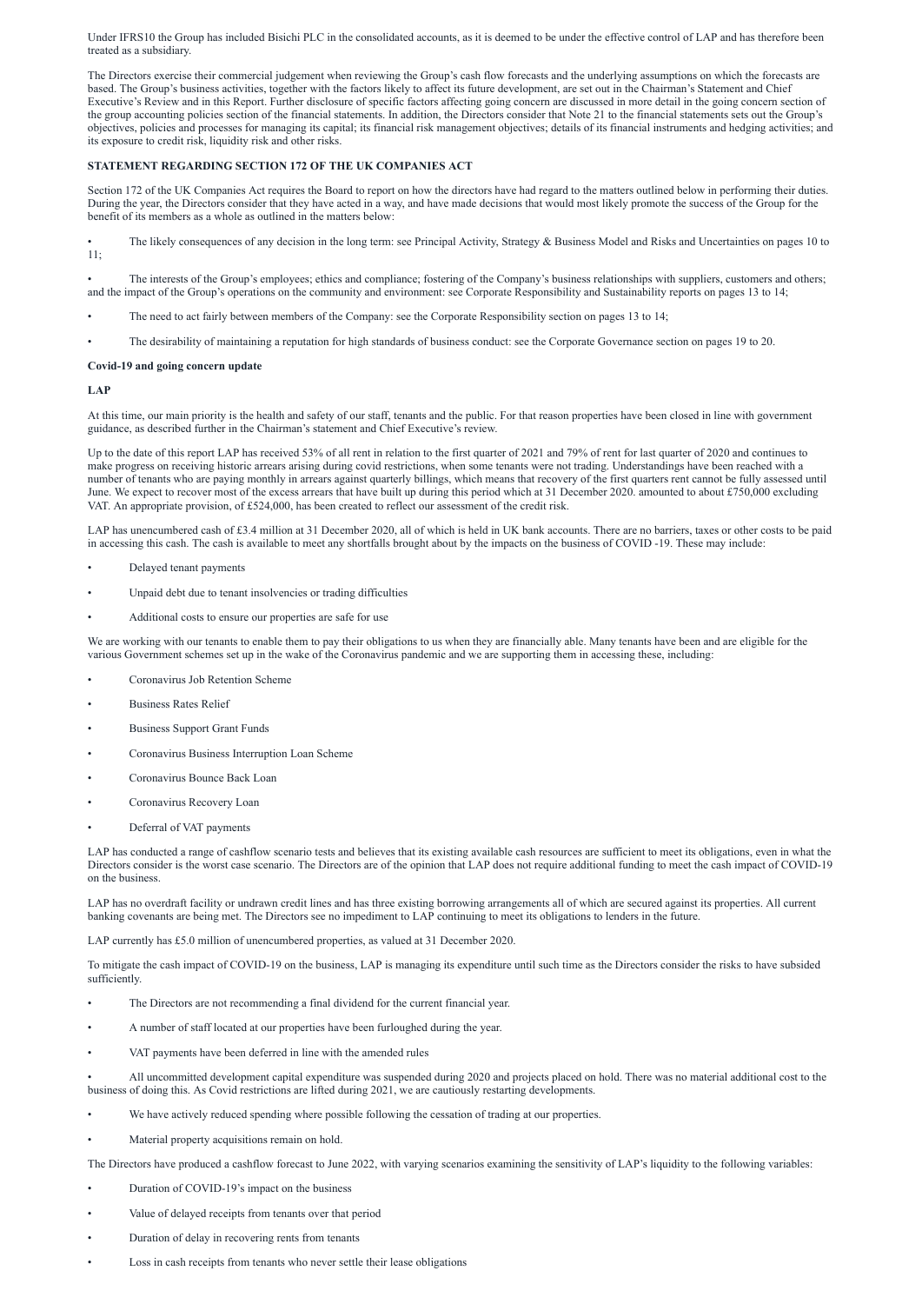Under IFRS10 the Group has included Bisichi PLC in the consolidated accounts, as it is deemed to be under the effective control of LAP and has therefore been treated as a subsidiary.

The Directors exercise their commercial judgement when reviewing the Group's cash flow forecasts and the underlying assumptions on which the forecasts are based. The Group's business activities, together with the factors likely to affect its future development, are set out in the Chairman's Statement and Chief Executive's Review and in this Report. Further disclosure of specific factors affecting going concern are discussed in more detail in the going concern section of the group accounting policies section of the financial statements. In addition, the Directors consider that Note 21 to the financial statements sets out the Group's objectives, policies and processes for managing its capital; its financial risk management objectives; details of its financial instruments and hedging activities; and its exposure to credit risk, liquidity risk and other risks.

Section 172 of the UK Companies Act requires the Board to report on how the directors have had regard to the matters outlined below in performing their duties. During the year, the Directors consider that they have acted in a way, and have made decisions that would most likely promote the success of the Group for the benefit of its members as a whole as outlined in the matters below:

• The likely consequences of any decision in the long term: see Principal Activity, Strategy & Business Model and Risks and Uncertainties on pages 10 to 11;

# **STATEMENT REGARDING SECTION 172 OF THE UK COMPANIES ACT**

Up to the date of this report LAP has received 53% of all rent in relation to the first quarter of 2021 and 79% of rent for last quarter of 2020 and continues to make progress on receiving historic arrears arising during covid restrictions, when some tenants were not trading. Understandings have been reached with a number of tenants who are paying monthly in arrears against quarterly billings, which means that recovery of the first quarters rent cannot be fully assessed until June. We expect to recover most of the excess arrears that have built up during this period which at 31 December 2020. amounted to about £750,000 excluding VAT. An appropriate provision, of £524,000, has been created to reflect our assessment of the credit risk.

LAP has unencumbered cash of £3.4 million at 31 December 2020, all of which is held in UK bank accounts. There are no barriers, taxes or other costs to be paid in accessing this cash. The cash is available to meet any shortfalls brought about by the impacts on the business of COVID -19. These may include:

• The interests of the Group's employees; ethics and compliance; fostering of the Company's business relationships with suppliers, customers and others; and the impact of the Group's operations on the community and environment: see Corporate Responsibility and Sustainability reports on pages 13 to 14;

- The need to act fairly between members of the Company: see the Corporate Responsibility section on pages 13 to 14;
- The desirability of maintaining a reputation for high standards of business conduct: see the Corporate Governance section on pages 19 to 20.

#### **Covid-19 and going concern update**

#### **LAP**

LAP has conducted a range of cashflow scenario tests and believes that its existing available cash resources are sufficient to meet its obligations, even in what the Directors consider is the worst case scenario. The Directors are of the opinion that LAP does not require additional funding to meet the cash impact of COVID-19 on the business.

At this time, our main priority is the health and safety of our staff, tenants and the public. For that reason properties have been closed in line with government guidance, as described further in the Chairman's statement and Chief Executive's review.

- Duration of COVID-19's impact on the business
- Value of delayed receipts from tenants over that period
- Duration of delay in recovering rents from tenants
- Loss in cash receipts from tenants who never settle their lease obligations
- Delayed tenant payments
- Unpaid debt due to tenant insolvencies or trading difficulties
- Additional costs to ensure our properties are safe for use

We are working with our tenants to enable them to pay their obligations to us when they are financially able. Many tenants have been and are eligible for the various Government schemes set up in the wake of the Coronavirus pandemic and we are supporting them in accessing these, including:

- Coronavirus Job Retention Scheme
- Business Rates Relief
- Business Support Grant Funds
- Coronavirus Business Interruption Loan Scheme
- Coronavirus Bounce Back Loan
- Coronavirus Recovery Loan
- Deferral of VAT payments

LAP has no overdraft facility or undrawn credit lines and has three existing borrowing arrangements all of which are secured against its properties. All current banking covenants are being met. The Directors see no impediment to LAP continuing to meet its obligations to lenders in the future.

LAP currently has £5.0 million of unencumbered properties, as valued at 31 December 2020.

To mitigate the cash impact of COVID-19 on the business, LAP is managing its expenditure until such time as the Directors consider the risks to have subsided sufficiently.

- The Directors are not recommending a final dividend for the current financial year.
- A number of staff located at our properties have been furloughed during the year.
- VAT payments have been deferred in line with the amended rules

• All uncommitted development capital expenditure was suspended during 2020 and projects placed on hold. There was no material additional cost to the business of doing this. As Covid restrictions are lifted during 2021, we are cautiously restarting developments.

- We have actively reduced spending where possible following the cessation of trading at our properties.
- Material property acquisitions remain on hold.

The Directors have produced a cashflow forecast to June 2022, with varying scenarios examining the sensitivity of LAP's liquidity to the following variables: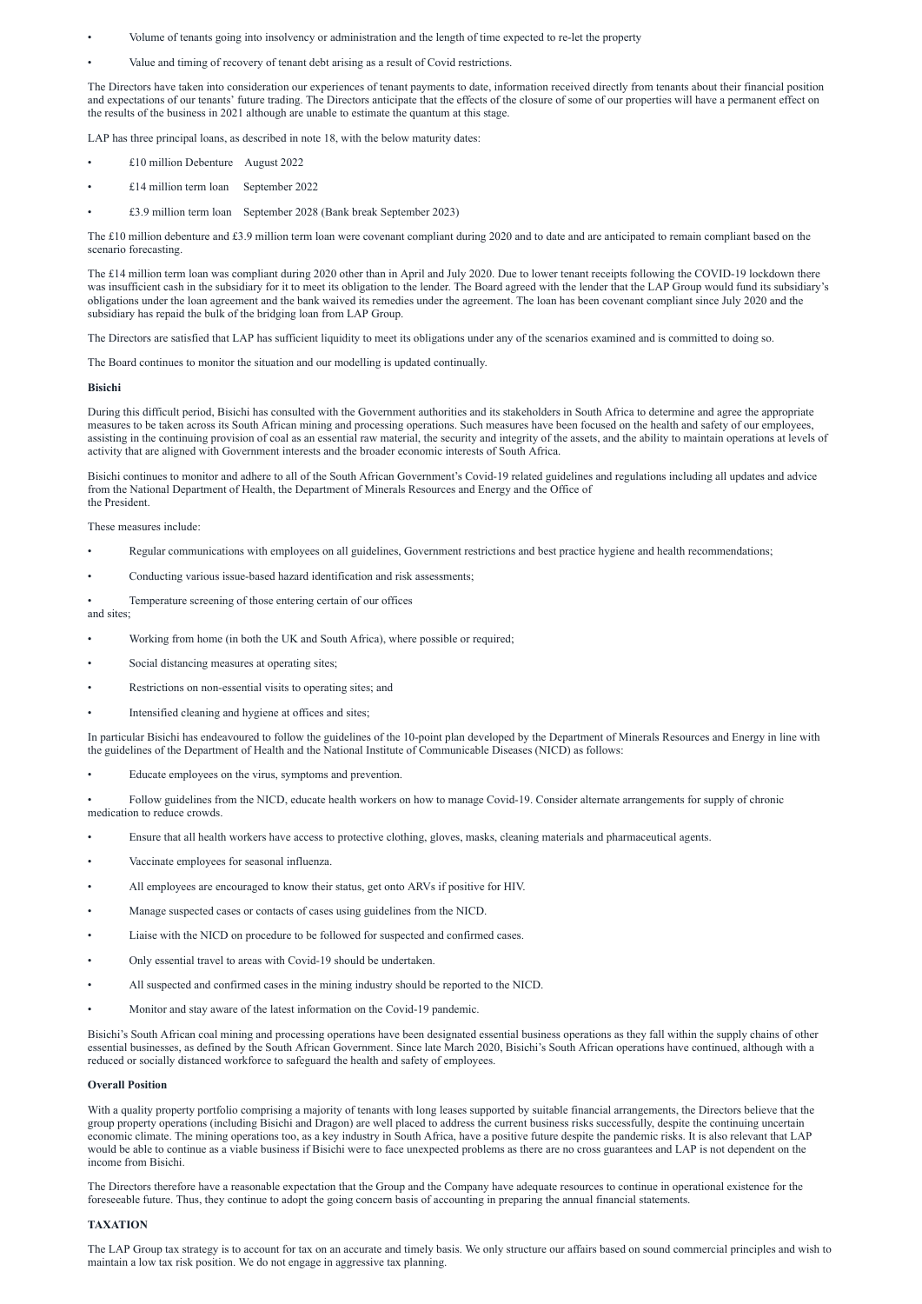- Volume of tenants going into insolvency or administration and the length of time expected to re-let the property
- Value and timing of recovery of tenant debt arising as a result of Covid restrictions.

The Directors have taken into consideration our experiences of tenant payments to date, information received directly from tenants about their financial position and expectations of our tenants' future trading. The Directors anticipate that the effects of the closure of some of our properties will have a permanent effect on the results of the business in 2021 although are unable to estimate the quantum at this stage.

LAP has three principal loans, as described in note 18, with the below maturity dates:

- £10 million Debenture August 2022
- £14 million term loan September 2022
- £3.9 million term loan September 2028 (Bank break September 2023)

The £10 million debenture and £3.9 million term loan were covenant compliant during 2020 and to date and are anticipated to remain compliant based on the scenario forecasting.

The £14 million term loan was compliant during 2020 other than in April and July 2020. Due to lower tenant receipts following the COVID-19 lockdown there was insufficient cash in the subsidiary for it to meet its obligation to the lender. The Board agreed with the lender that the LAP Group would fund its subsidiary's obligations under the loan agreement and the bank waived its remedies under the agreement. The loan has been covenant compliant since July 2020 and the subsidiary has repaid the bulk of the bridging loan from LAP Group.

- Regular communications with employees on all guidelines, Government restrictions and best practice hygiene and health recommendations;
- Conducting various issue-based hazard identification and risk assessments;
- Temperature screening of those entering certain of our offices

- Working from home (in both the UK and South Africa), where possible or required;
- Social distancing measures at operating sites;
- Restrictions on non-essential visits to operating sites; and
- Intensified cleaning and hygiene at offices and sites;

The Directors are satisfied that LAP has sufficient liquidity to meet its obligations under any of the scenarios examined and is committed to doing so.

The Board continues to monitor the situation and our modelling is updated continually.

#### **Bisichi**

During this difficult period, Bisichi has consulted with the Government authorities and its stakeholders in South Africa to determine and agree the appropriate measures to be taken across its South African mining and processing operations. Such measures have been focused on the health and safety of our employees, assisting in the continuing provision of coal as an essential raw material, the security and integrity of the assets, and the ability to maintain operations at levels of activity that are aligned with Government interests and the broader economic interests of South Africa.

Bisichi continues to monitor and adhere to all of the South African Government's Covid-19 related guidelines and regulations including all updates and advice from the National Department of Health, the Department of Minerals Resources and Energy and the Office of the President.

These measures include:

#### and sites;

In particular Bisichi has endeavoured to follow the guidelines of the 10-point plan developed by the Department of Minerals Resources and Energy in line with the guidelines of the Department of Health and the National Institute of Communicable Diseases (NICD) as follows:

Educate employees on the virus, symptoms and prevention.

• Follow guidelines from the NICD, educate health workers on how to manage Covid-19. Consider alternate arrangements for supply of chronic medication to reduce crowds.

- Ensure that all health workers have access to protective clothing, gloves, masks, cleaning materials and pharmaceutical agents.
- Vaccinate employees for seasonal influenza.
- All employees are encouraged to know their status, get onto ARVs if positive for HIV.
- Manage suspected cases or contacts of cases using guidelines from the NICD.
- Liaise with the NICD on procedure to be followed for suspected and confirmed cases.
- Only essential travel to areas with Covid-19 should be undertaken.
- 
- All suspected and confirmed cases in the mining industry should be reported to the NICD.
- Monitor and stay aware of the latest information on the Covid-19 pandemic.

Bisichi's South African coal mining and processing operations have been designated essential business operations as they fall within the supply chains of other essential businesses, as defined by the South African Government. Since late March 2020, Bisichi's South African operations have continued, although with a reduced or socially distanced workforce to safeguard the health and safety of employees.

#### **Overall Position**

With a quality property portfolio comprising a majority of tenants with long leases supported by suitable financial arrangements, the Directors believe that the group property operations (including Bisichi and Dragon) are well placed to address the current business risks successfully, despite the continuing uncertain economic climate. The mining operations too, as a key industry in South Africa, have a positive future despite the pandemic risks. It is also relevant that LAP would be able to continue as a viable business if Bisichi were to face unexpected problems as there are no cross guarantees and LAP is not dependent on the income from Bisichi.

The Directors therefore have a reasonable expectation that the Group and the Company have adequate resources to continue in operational existence for the foreseeable future. Thus, they continue to adopt the going concern basis of accounting in preparing the annual financial statements.

#### **TAXATION**

The LAP Group tax strategy is to account for tax on an accurate and timely basis. We only structure our affairs based on sound commercial principles and wish to maintain a low tax risk position. We do not engage in aggressive tax planning.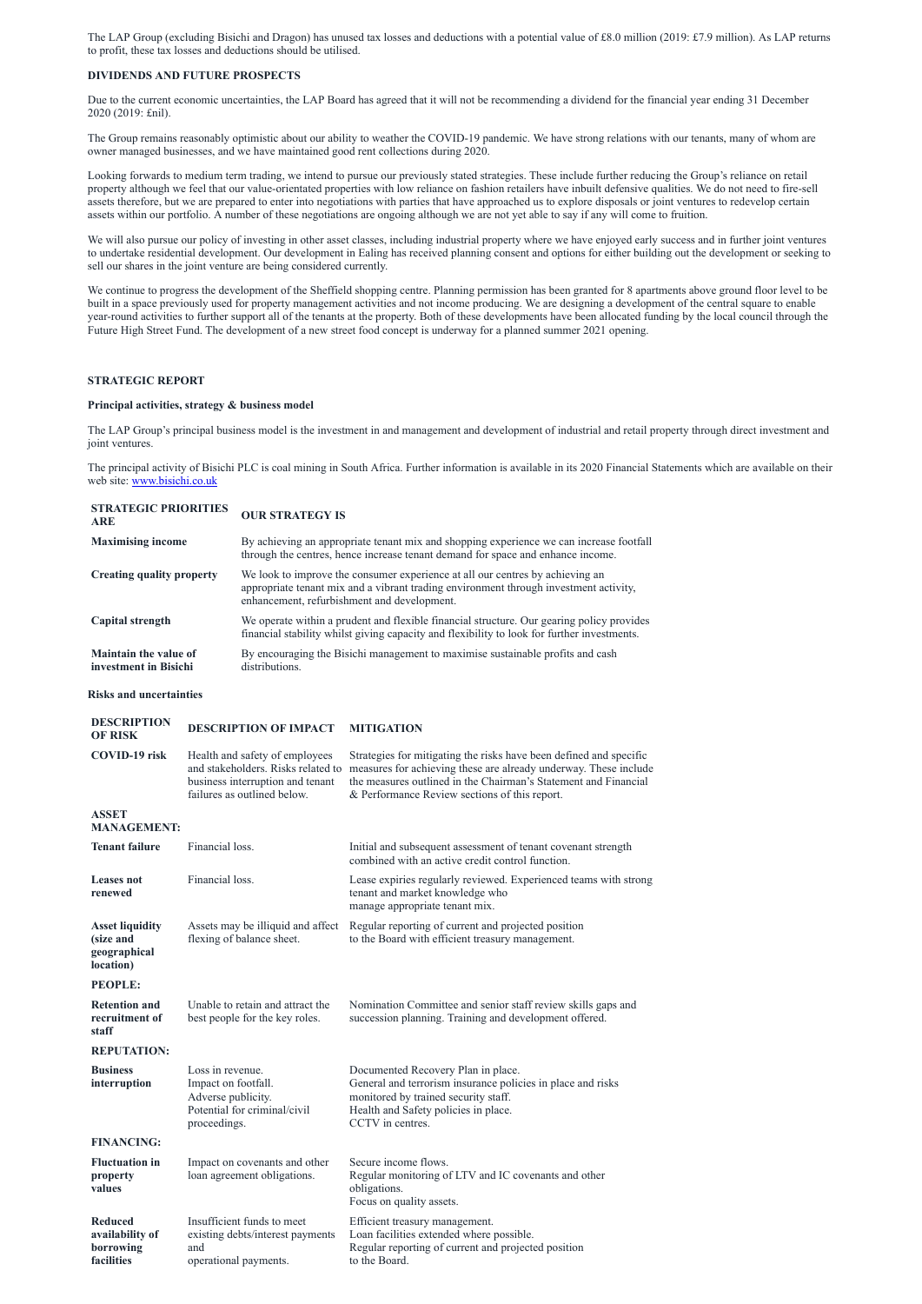The LAP Group (excluding Bisichi and Dragon) has unused tax losses and deductions with a potential value of £8.0 million (2019: £7.9 million). As LAP returns to profit, these tax losses and deductions should be utilised.

#### **DIVIDENDS AND FUTURE PROSPECTS**

Due to the current economic uncertainties, the LAP Board has agreed that it will not be recommending a dividend for the financial year ending 31 December 2020 (2019: £nil).

The Group remains reasonably optimistic about our ability to weather the COVID-19 pandemic. We have strong relations with our tenants, many of whom are owner managed businesses, and we have maintained good rent collections during 2020.

We will also pursue our policy of investing in other asset classes, including industrial property where we have enjoyed early success and in further joint ventures to undertake residential development. Our development in Ealing has received planning consent and options for either building out the development or seeking to sell our shares in the joint venture are being considered currently.

Looking forwards to medium term trading, we intend to pursue our previously stated strategies. These include further reducing the Group's reliance on retail property although we feel that our value-orientated properties with low reliance on fashion retailers have inbuilt defensive qualities. We do not need to fire-sell assets therefore, but we are prepared to enter into negotiations with parties that have approached us to explore disposals or joint ventures to redevelop certain assets within our portfolio. A number of these negotiations are ongoing although we are not yet able to say if any will come to fruition.

We continue to progress the development of the Sheffield shopping centre. Planning permission has been granted for 8 apartments above ground floor level to be built in a space previously used for property management activities and not income producing. We are designing a development of the central square to enable year-round activities to further support all of the tenants at the property. Both of these developments have been allocated funding by the local council through the Future High Street Fund. The development of a new street food concept is underway for a planned summer 2021 opening.

#### **STRATEGIC REPORT**

#### **Principal activities, strategy & business model**

The LAP Group's principal business model is the investment in and management and development of industrial and retail property through direct investment and joint ventures.

The principal activity of Bisichi PLC is coal mining in South Africa. Further information is available in its 2020 Financial Statements which are available on their web site: [www.bisichi.co.uk](http://www.bisichi.co.uk/)

| <b>STRATEGIC PRIORITIES</b><br><b>ARE</b>                                                                                          |                                                                                                                                                                                          | <b>OUR STRATEGY IS</b>                                                                                                                                                 |                                                                                                                                                                                                                                                            |
|------------------------------------------------------------------------------------------------------------------------------------|------------------------------------------------------------------------------------------------------------------------------------------------------------------------------------------|------------------------------------------------------------------------------------------------------------------------------------------------------------------------|------------------------------------------------------------------------------------------------------------------------------------------------------------------------------------------------------------------------------------------------------------|
| <b>Maximising income</b><br>through the centres, hence increase tenant demand for space and enhance income.                        |                                                                                                                                                                                          | By achieving an appropriate tenant mix and shopping experience we can increase footfall                                                                                |                                                                                                                                                                                                                                                            |
| <b>Creating quality property</b><br>enhancement, refurbishment and development.                                                    |                                                                                                                                                                                          | We look to improve the consumer experience at all our centres by achieving an<br>appropriate tenant mix and a vibrant trading environment through investment activity, |                                                                                                                                                                                                                                                            |
| <b>Capital strength</b>                                                                                                            | We operate within a prudent and flexible financial structure. Our gearing policy provides<br>financial stability whilst giving capacity and flexibility to look for further investments. |                                                                                                                                                                        |                                                                                                                                                                                                                                                            |
| <b>Maintain the value of</b><br>investment in Bisichi                                                                              |                                                                                                                                                                                          | distributions.                                                                                                                                                         | By encouraging the Bisichi management to maximise sustainable profits and cash                                                                                                                                                                             |
| <b>Risks and uncertainties</b>                                                                                                     |                                                                                                                                                                                          |                                                                                                                                                                        |                                                                                                                                                                                                                                                            |
| <b>DESCRIPTION</b><br><b>OF RISK</b>                                                                                               |                                                                                                                                                                                          | <b>DESCRIPTION OF IMPACT</b>                                                                                                                                           | <b>MITIGATION</b>                                                                                                                                                                                                                                          |
| COVID-19 risk                                                                                                                      | Health and safety of employees<br>and stakeholders. Risks related to<br>business interruption and tenant<br>failures as outlined below.                                                  |                                                                                                                                                                        | Strategies for mitigating the risks have been defined and specific<br>measures for achieving these are already underway. These include<br>the measures outlined in the Chairman's Statement and Financial<br>& Performance Review sections of this report. |
| <b>ASSET</b><br><b>MANAGEMENT:</b>                                                                                                 |                                                                                                                                                                                          |                                                                                                                                                                        |                                                                                                                                                                                                                                                            |
| <b>Tenant failure</b>                                                                                                              | Financial loss.                                                                                                                                                                          |                                                                                                                                                                        | Initial and subsequent assessment of tenant covenant strength<br>combined with an active credit control function.                                                                                                                                          |
| <b>Leases not</b><br>renewed                                                                                                       | Financial loss.                                                                                                                                                                          |                                                                                                                                                                        | Lease expiries regularly reviewed. Experienced teams with strong<br>tenant and market knowledge who<br>manage appropriate tenant mix.                                                                                                                      |
| Assets may be illiquid and affect<br><b>Asset liquidity</b><br>flexing of balance sheet.<br>(size and<br>geographical<br>location) |                                                                                                                                                                                          |                                                                                                                                                                        | Regular reporting of current and projected position<br>to the Board with efficient treasury management.                                                                                                                                                    |

**PEOPLE:**

| <b>Retention and</b><br>recruitment of<br>staff              | Unable to retain and attract the<br>best people for the key roles.                                            | Nomination Committee and senior staff review skills gaps and<br>succession planning. Training and development offered.                                                                                |
|--------------------------------------------------------------|---------------------------------------------------------------------------------------------------------------|-------------------------------------------------------------------------------------------------------------------------------------------------------------------------------------------------------|
| <b>REPUTATION:</b>                                           |                                                                                                               |                                                                                                                                                                                                       |
| <b>Business</b><br>interruption                              | Loss in revenue.<br>Impact on footfall.<br>Adverse publicity.<br>Potential for criminal/civil<br>proceedings. | Documented Recovery Plan in place.<br>General and terrorism insurance policies in place and risks<br>monitored by trained security staff.<br>Health and Safety policies in place.<br>CCTV in centres. |
| <b>FINANCING:</b>                                            |                                                                                                               |                                                                                                                                                                                                       |
| <b>Fluctuation</b> in<br>property<br>values                  | Impact on covenants and other<br>loan agreement obligations.                                                  | Secure income flows.<br>Regular monitoring of LTV and IC covenants and other<br>obligations.<br>Focus on quality assets.                                                                              |
| <b>Reduced</b><br>availability of<br>borrowing<br>facilities | Insufficient funds to meet<br>existing debts/interest payments<br>and<br>operational payments.                | Efficient treasury management.<br>Loan facilities extended where possible.<br>Regular reporting of current and projected position<br>to the Board.                                                    |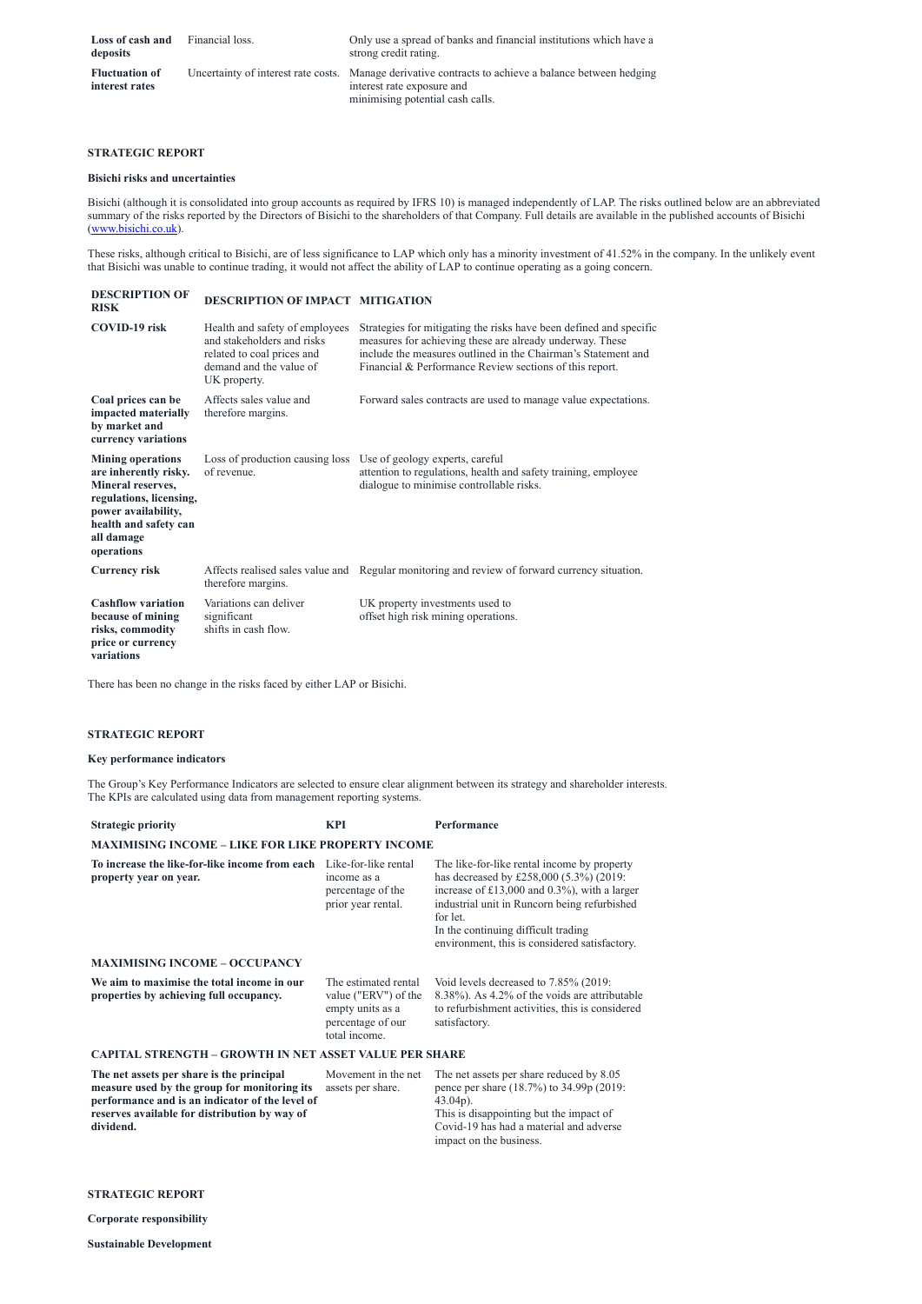| Loss of cash and<br>deposits            | Financial loss. | Only use a spread of banks and financial institutions which have a<br>strong credit rating.                                                                            |
|-----------------------------------------|-----------------|------------------------------------------------------------------------------------------------------------------------------------------------------------------------|
| <b>Fluctuation of</b><br>interest rates |                 | Uncertainty of interest rate costs. Manage derivative contracts to achieve a balance between hedging<br>interest rate exposure and<br>minimising potential cash calls. |

## **STRATEGIC REPORT**

#### **Bisichi risks and uncertainties**

Bisichi (although it is consolidated into group accounts as required by IFRS 10) is managed independently of LAP. The risks outlined below are an abbreviated summary of the risks reported by the Directors of Bisichi to the shareholders of that Company. Full details are available in the published accounts of Bisichi ([www.bisichi.co.uk](http://www.bisichi.co.uk/)).

These risks, although critical to Bisichi, are of less significance to LAP which only has a minority investment of 41.52% in the company. In the unlikely event that Bisichi was unable to continue trading, it would not affect the ability of LAP to continue operating as a going concern.

| <b>DESCRIPTION OF</b><br><b>RISK</b>                                                                                                                                          | <b>DESCRIPTION OF IMPACT MITIGATION</b>                                                                                               |                                                                                                                                                                                                                                                            |
|-------------------------------------------------------------------------------------------------------------------------------------------------------------------------------|---------------------------------------------------------------------------------------------------------------------------------------|------------------------------------------------------------------------------------------------------------------------------------------------------------------------------------------------------------------------------------------------------------|
| COVID-19 risk                                                                                                                                                                 | Health and safety of employees<br>and stakeholders and risks<br>related to coal prices and<br>demand and the value of<br>UK property. | Strategies for mitigating the risks have been defined and specific<br>measures for achieving these are already underway. These<br>include the measures outlined in the Chairman's Statement and<br>Financial & Performance Review sections of this report. |
| Coal prices can be<br>impacted materially<br>by market and<br>currency variations                                                                                             | Affects sales value and<br>therefore margins.                                                                                         | Forward sales contracts are used to manage value expectations.                                                                                                                                                                                             |
| <b>Mining operations</b><br>are inherently risky.<br>Mineral reserves,<br>regulations, licensing,<br>power availability,<br>health and safety can<br>all damage<br>operations | Loss of production causing loss Use of geology experts, careful<br>of revenue.                                                        | attention to regulations, health and safety training, employee<br>dialogue to minimise controllable risks.                                                                                                                                                 |
| <b>Currency risk</b>                                                                                                                                                          | therefore margins.                                                                                                                    | Affects realised sales value and Regular monitoring and review of forward currency situation.                                                                                                                                                              |
| <b>Cashflow variation</b><br>because of mining<br>risks, commodity<br>price or currency<br>variations                                                                         | Variations can deliver<br>significant<br>shifts in cash flow.                                                                         | UK property investments used to<br>offset high risk mining operations.                                                                                                                                                                                     |

There has been no change in the risks faced by either LAP or Bisichi.

#### **STRATEGIC REPORT**

#### **Key performance indicators**

The Group's Key Performance Indicators are selected to ensure clear alignment between its strategy and shareholder interests. The KPIs are calculated using data from management reporting systems.

| <b>Strategic priority</b>                                                | <b>KPI</b>                                                                     | Performance                                                                                                                                                                                                                                                                                    |
|--------------------------------------------------------------------------|--------------------------------------------------------------------------------|------------------------------------------------------------------------------------------------------------------------------------------------------------------------------------------------------------------------------------------------------------------------------------------------|
| <b>MAXIMISING INCOME – LIKE FOR LIKE PROPERTY INCOME</b>                 |                                                                                |                                                                                                                                                                                                                                                                                                |
| To increase the like-for-like income from each<br>property year on year. | Like-for-like rental<br>income as a<br>percentage of the<br>prior year rental. | The like-for-like rental income by property<br>has decreased by £258,000 (5.3%) (2019:<br>increase of £13,000 and $0.3\%$ ), with a larger<br>industrial unit in Runcorn being refurbished<br>for let.<br>In the continuing difficult trading<br>environment, this is considered satisfactory. |
| <b>MAXIMISING INCOME - OCCUPANCY</b>                                     |                                                                                |                                                                                                                                                                                                                                                                                                |

**We aim to maximise the total income in our properties by achieving full occupancy.**

The estimated rental Void levels decreased to 7.85% (2019: value ("ERV") of the 8.38%). As 4.2% of the voids are attributable empty units as a percentage of our total income. to refurbishment activities, this is considered satisfactory.

# **CAPITAL STRENGTH – GROWTH IN NET ASSET VALUE PER SHARE**

**The net assets per share is the principal measure used by the group for monitoring its performance and is an indicator of the level of reserves available for distribution by way of dividend.** assets per share.

Movement in the net The net assets per share reduced by 8.05 pence per share (18.7%) to 34.99p (2019: 43.04p). This is disappointing but the impact of Covid-19 has had a material and adverse impact on the business.

**STRATEGIC REPORT**

**Corporate responsibility**

**Sustainable Development**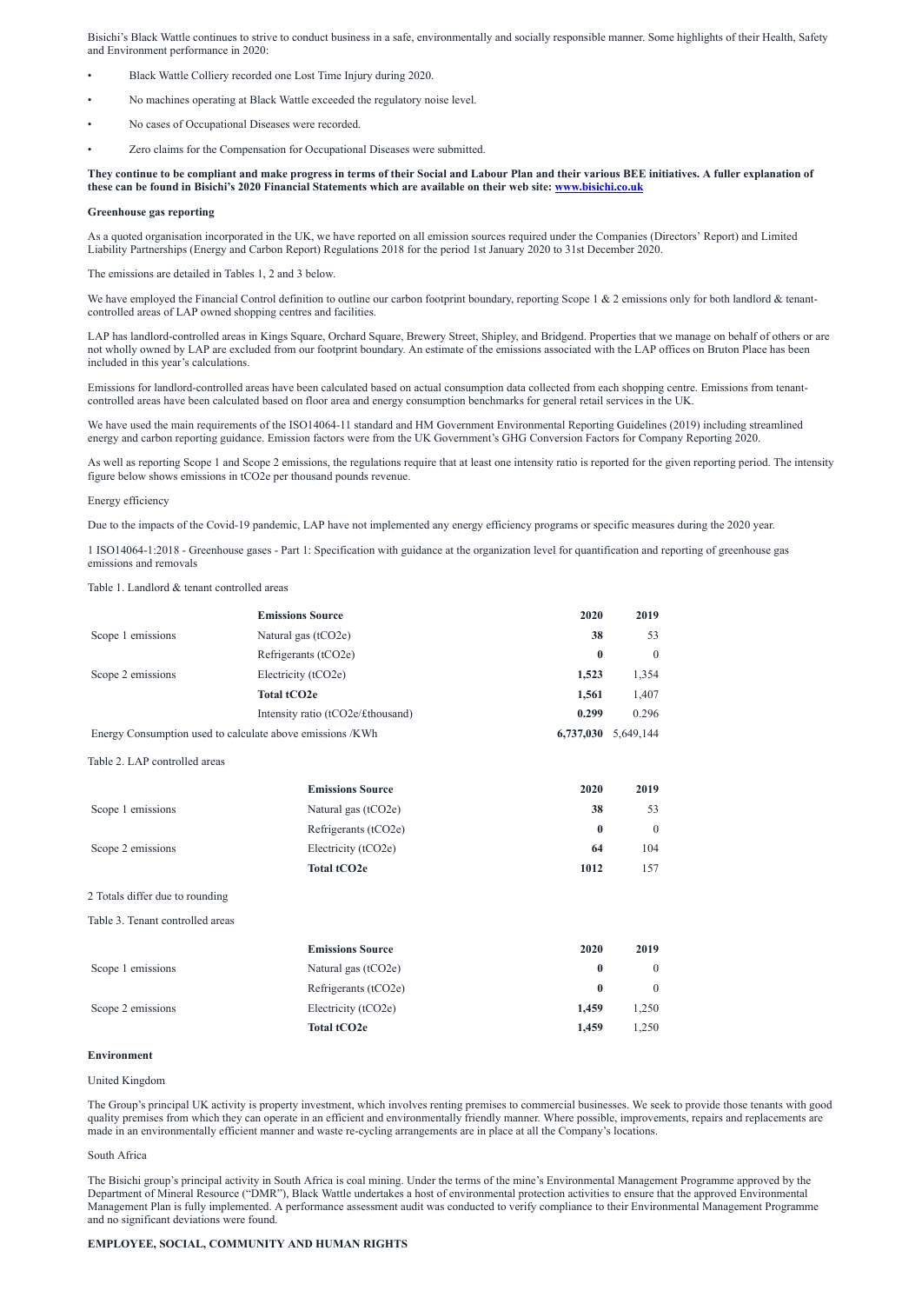Bisichi's Black Wattle continues to strive to conduct business in a safe, environmentally and socially responsible manner. Some highlights of their Health, Safety and Environment performance in 2020:

- Black Wattle Colliery recorded one Lost Time Injury during 2020.
- No machines operating at Black Wattle exceeded the regulatory noise level.
- No cases of Occupational Diseases were recorded.
- Zero claims for the Compensation for Occupational Diseases were submitted.

# **They continue to be compliant and make progress in terms of their Social and Labour Plan and their various BEE initiatives. A fuller explanation of these can be found in Bisichi's 2020 Financial Statements which are available on their web site: [www.bisichi.co.uk](http://www.bisichi.co.uk/)**

We have employed the Financial Control definition to outline our carbon footprint boundary, reporting Scope 1 & 2 emissions only for both landlord & tenantcontrolled areas of LAP owned shopping centres and facilities.

#### **Greenhouse gas reporting**

As a quoted organisation incorporated in the UK, we have reported on all emission sources required under the Companies (Directors' Report) and Limited Liability Partnerships (Energy and Carbon Report) Regulations 2018 for the period 1st January 2020 to 31st December 2020.

The emissions are detailed in Tables 1, 2 and 3 below.

We have used the main requirements of the ISO14064-11 standard and HM Government Environmental Reporting Guidelines (2019) including streamlined energy and carbon reporting guidance. Emission factors were from the UK Government's GHG Conversion Factors for Company Reporting 2020.

LAP has landlord-controlled areas in Kings Square, Orchard Square, Brewery Street, Shipley, and Bridgend. Properties that we manage on behalf of others or are not wholly owned by LAP are excluded from our footprint boundary. An estimate of the emissions associated with the LAP offices on Bruton Place has been included in this year's calculations.

Emissions for landlord-controlled areas have been calculated based on actual consumption data collected from each shopping centre. Emissions from tenantcontrolled areas have been calculated based on floor area and energy consumption benchmarks for general retail services in the UK.

As well as reporting Scope 1 and Scope 2 emissions, the regulations require that at least one intensity ratio is reported for the given reporting period. The intensity figure below shows emissions in tCO2e per thousand pounds revenue.

Energy efficiency

Due to the impacts of the Covid-19 pandemic, LAP have not implemented any energy efficiency programs or specific measures during the 2020 year.

1 ISO14064-1:2018 - Greenhouse gases - Part 1: Specification with guidance at the organization level for quantification and reporting of greenhouse gas emissions and removals

Table 1. Landlord & tenant controlled areas

| <b>Emissions Source</b>                                                | 2020     | 2019           |
|------------------------------------------------------------------------|----------|----------------|
| Natural gas (tCO2e)                                                    | 38       | 53             |
| Refrigerants (tCO2e)                                                   | $\bf{0}$ | $\overline{0}$ |
| Electricity (tCO2e)                                                    | 1,523    | 1,354          |
| <b>Total tCO2e</b>                                                     | 1,561    | 1,407          |
| Intensity ratio (tCO2e/£thousand)                                      | 0.299    | 0.296          |
| Energy Consumption used to calculate above emissions /KWh<br>6,737,030 |          | 5,649,144      |
|                                                                        |          |                |
| <b>Emissions Source</b>                                                | 2020     | 2019           |
| Natural gas (tCO2e)                                                    | 38       | 53             |
| Refrigerants (tCO2e)                                                   | $\bf{0}$ | $\theta$       |
| Electricity (tCO2e)                                                    | 64       | 104            |
| <b>Total tCO2e</b>                                                     | 1012     | 157            |
|                                                                        |          |                |

2 Totals differ due to rounding

Table 3. Tenant controlled areas

|                   | <b>Emissions Source</b> | 2020 | 2019 |
|-------------------|-------------------------|------|------|
| Scope 1 emissions | Natural gas (tCO2e)     |      |      |

|                   | <b>Total tCO2e</b>   | 1.459 | 1.250 |  |
|-------------------|----------------------|-------|-------|--|
| Scope 2 emissions | Electricity (tCO2e)  | 1.459 | 1,250 |  |
|                   | Refrigerants (tCO2e) |       |       |  |

#### **Environment**

#### United Kingdom

The Group's principal UK activity is property investment, which involves renting premises to commercial businesses. We seek to provide those tenants with good quality premises from which they can operate in an efficient and environmentally friendly manner. Where possible, improvements, repairs and replacements are made in an environmentally efficient manner and waste re-cycling arrangements are in place at all the Company's locations.

#### South Africa

The Bisichi group's principal activity in South Africa is coal mining. Under the terms of the mine's Environmental Management Programme approved by the Department of Mineral Resource ("DMR"), Black Wattle undertakes a host of environmental protection activities to ensure that the approved Environmental Management Plan is fully implemented. A performance assessment audit was conducted to verify compliance to their Environmental Management Programme and no significant deviations were found.

# **EMPLOYEE, SOCIAL, COMMUNITY AND HUMAN RIGHTS**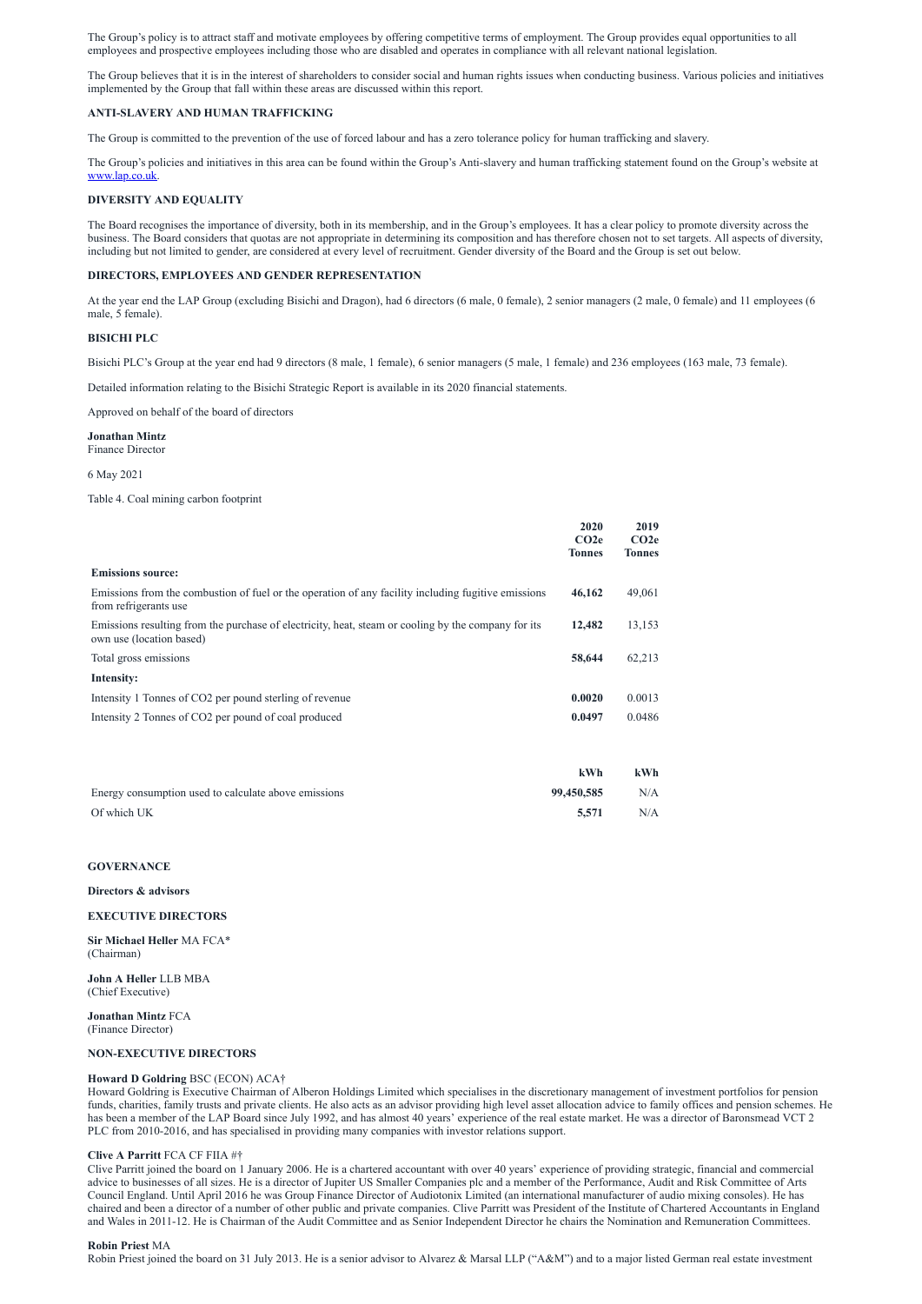The Group's policy is to attract staff and motivate employees by offering competitive terms of employment. The Group provides equal opportunities to all employees and prospective employees including those who are disabled and operates in compliance with all relevant national legislation.

The Group believes that it is in the interest of shareholders to consider social and human rights issues when conducting business. Various policies and initiatives implemented by the Group that fall within these areas are discussed within this report.

# **ANTI-SLAVERY AND HUMAN TRAFFICKING**

The Group is committed to the prevention of the use of forced labour and has a zero tolerance policy for human trafficking and slavery.

The Group's policies and initiatives in this area can be found within the Group's Anti-slavery and human trafficking statement found on the Group's website at [www.lap.co.uk.](http://www.lap.co.uk/)

# **DIVERSITY AND EQUALITY**

The Board recognises the importance of diversity, both in its membership, and in the Group's employees. It has a clear policy to promote diversity across the business. The Board considers that quotas are not appropriate in determining its composition and has therefore chosen not to set targets. All aspects of diversity, including but not limited to gender, are considered at every level of recruitment. Gender diversity of the Board and the Group is set out below.

# **DIRECTORS, EMPLOYEES AND GENDER REPRESENTATION**

At the year end the LAP Group (excluding Bisichi and Dragon), had 6 directors (6 male, 0 female), 2 senior managers (2 male, 0 female) and 11 employees (6 male, 5 female).

# **BISICHI PLC**

Bisichi PLC's Group at the year end had 9 directors (8 male, 1 female), 6 senior managers (5 male, 1 female) and 236 employees (163 male, 73 female).

Detailed information relating to the Bisichi Strategic Report is available in its 2020 financial statements.

Approved on behalf of the board of directors

# **Jonathan Mintz**

Finance Director

6 May 2021

Table 4. Coal mining carbon footprint

|                                                                                                                                 | 2020<br>CO <sub>2e</sub><br><b>Tonnes</b> | 2019<br>CO <sub>2e</sub><br><b>Tonnes</b> |
|---------------------------------------------------------------------------------------------------------------------------------|-------------------------------------------|-------------------------------------------|
| <b>Emissions source:</b>                                                                                                        |                                           |                                           |
| Emissions from the combustion of fuel or the operation of any facility including fugitive emissions<br>from refrigerants use    | 46,162                                    | 49,061                                    |
| Emissions resulting from the purchase of electricity, heat, steam or cooling by the company for its<br>own use (location based) | 12,482                                    | 13,153                                    |
| Total gross emissions                                                                                                           | 58,644                                    | 62,213                                    |
| <b>Intensity:</b>                                                                                                               |                                           |                                           |
| Intensity 1 Tonnes of CO2 per pound sterling of revenue                                                                         | 0.0020                                    | 0.0013                                    |
| Intensity 2 Tonnes of CO2 per pound of coal produced                                                                            | 0.0497                                    | 0.0486                                    |

|                                                      | <b>kWh</b> | kWh |
|------------------------------------------------------|------------|-----|
| Energy consumption used to calculate above emissions | 99,450,585 | N/A |
| Of which UK                                          | 5.571      | N/A |

#### **GOVERNANCE**

#### **Directors & advisors**

## **EXECUTIVE DIRECTORS**

**Sir Michael Heller** MA FCA\* (Chairman)

**John A Heller** LLB MBA

(Chief Executive)

**Jonathan Mintz** FCA (Finance Director)

# **NON-EXECUTIVE DIRECTORS**

# **Howard D Goldring** BSC (ECON) ACA†

Howard Goldring is Executive Chairman of Alberon Holdings Limited which specialises in the discretionary management of investment portfolios for pension funds, charities, family trusts and private clients. He also acts as an advisor providing high level asset allocation advice to family offices and pension schemes. He has been a member of the LAP Board since July 1992, and has almost 40 years' experience of the real estate market. He was a director of Baronsmead VCT 2 PLC from 2010-2016, and has specialised in providing many companies with investor relations support.

# **Clive A Parritt** FCA CF FIIA #†

Clive Parritt joined the board on 1 January 2006. He is a chartered accountant with over 40 years' experience of providing strategic, financial and commercial advice to businesses of all sizes. He is a director of Jupiter US Smaller Companies plc and a member of the Performance, Audit and Risk Committee of Arts Council England. Until April 2016 he was Group Finance Director of Audiotonix Limited (an international manufacturer of audio mixing consoles). He has chaired and been a director of a number of other public and private companies. Clive Parritt was President of the Institute of Chartered Accountants in England and Wales in 2011-12. He is Chairman of the Audit Committee and as Senior Independent Director he chairs the Nomination and Remuneration Committees.

#### **Robin Priest** MA

Robin Priest joined the board on 31 July 2013. He is a senior advisor to Alvarez & Marsal LLP ("A&M") and to a major listed German real estate investment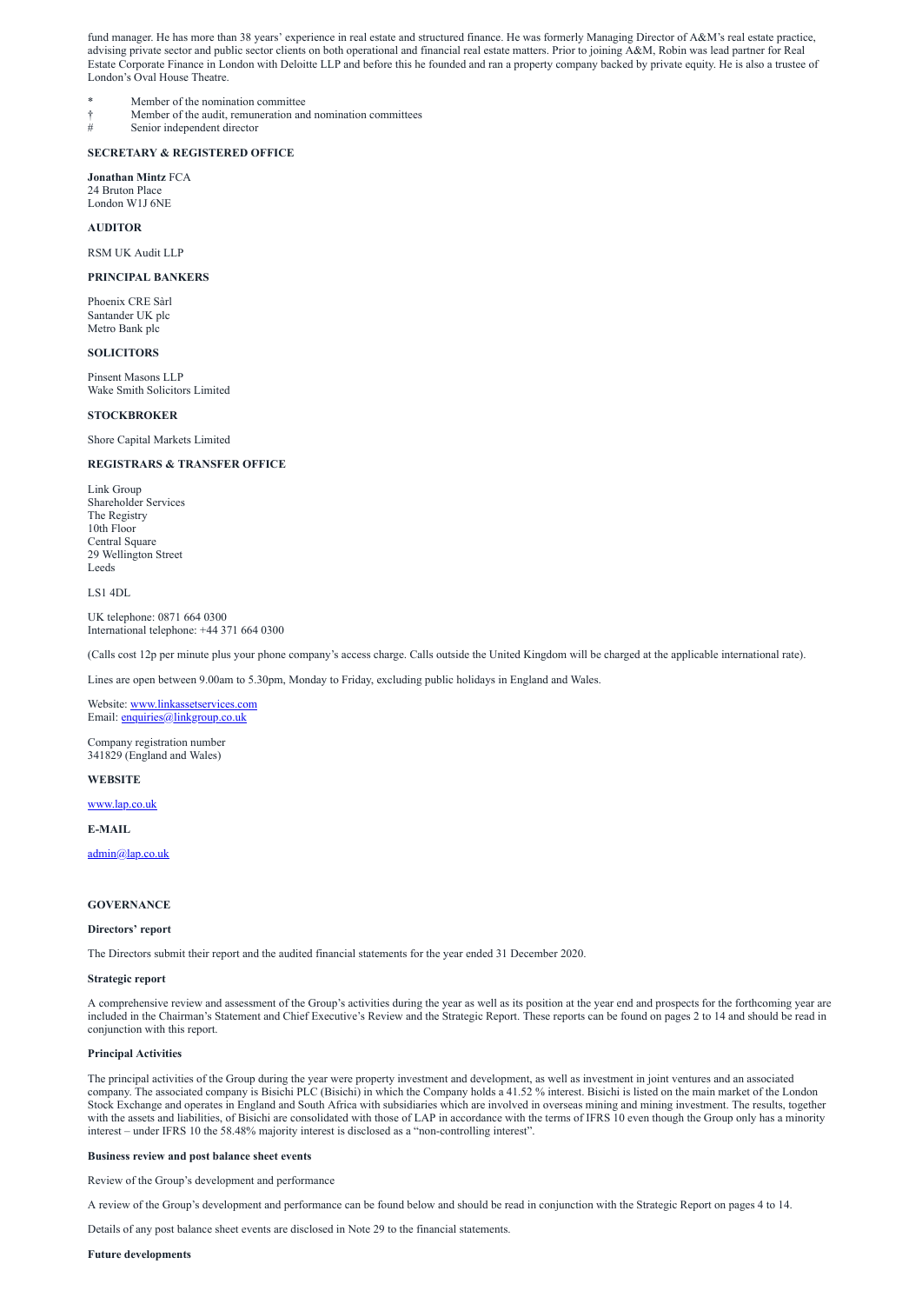fund manager. He has more than 38 years' experience in real estate and structured finance. He was formerly Managing Director of A&M's real estate practice, advising private sector and public sector clients on both operational and financial real estate matters. Prior to joining A&M, Robin was lead partner for Real Estate Corporate Finance in London with Deloitte LLP and before this he founded and ran a property company backed by private equity. He is also a trustee of London's Oval House Theatre.

- \* Member of the nomination committee
- † Member of the audit, remuneration and nomination committees
- # Senior independent director

## **SECRETARY & REGISTERED OFFICE**

**Jonathan Mintz** FCA 24 Bruton Place London W1J 6NE

Website: [www.linkassetservices.com](http://www.linkassetservices.com/) Email: [enquiries@linkgroup.co.uk](mailto:enquiries@linkgroup.co.uk)

# **AUDITOR**

RSM UK Audit LLP

# **PRINCIPAL BANKERS**

Phoenix CRE Sàrl Santander UK plc Metro Bank plc

# **SOLICITORS**

Pinsent Masons LLP Wake Smith Solicitors Limited

# **STOCKBROKER**

Shore Capital Markets Limited

# **REGISTRARS & TRANSFER OFFICE**

Link Group Shareholder Services The Registry 10th Floor Central Square 29 Wellington Street Leeds

LS1 4DL

UK telephone: 0871 664 0300 International telephone: +44 371 664 0300

(Calls cost 12p per minute plus your phone company's access charge. Calls outside the United Kingdom will be charged at the applicable international rate).

Lines are open between 9.00am to 5.30pm, Monday to Friday, excluding public holidays in England and Wales.

Company registration number 341829 (England and Wales)

#### **WEBSITE**

[www.lap.co.uk](http://www.lap.co.uk/)

**E-MAIL**

[admin@lap.co.uk](mailto:admin@lap.co.uk)

# **GOVERNANCE**

**Directors' report**

The Directors submit their report and the audited financial statements for the year ended 31 December 2020.

**Strategic report**

A comprehensive review and assessment of the Group's activities during the year as well as its position at the year end and prospects for the forthcoming year are included in the Chairman's Statement and Chief Executive's Review and the Strategic Report. These reports can be found on pages 2 to 14 and should be read in conjunction with this report.

#### **Principal Activities**

The principal activities of the Group during the year were property investment and development, as well as investment in joint ventures and an associated company. The associated company is Bisichi PLC (Bisichi) in which the Company holds a 41.52 % interest. Bisichi is listed on the main market of the London Stock Exchange and operates in England and South Africa with subsidiaries which are involved in overseas mining and mining investment. The results, together with the assets and liabilities, of Bisichi are consolidated with those of LAP in accordance with the terms of IFRS 10 even though the Group only has a minority interest – under IFRS 10 the 58.48% majority interest is disclosed as a "non-controlling interest".

#### **Business review and post balance sheet events**

Review of the Group's development and performance

A review of the Group's development and performance can be found below and should be read in conjunction with the Strategic Report on pages 4 to 14.

Details of any post balance sheet events are disclosed in Note 29 to the financial statements.

**Future developments**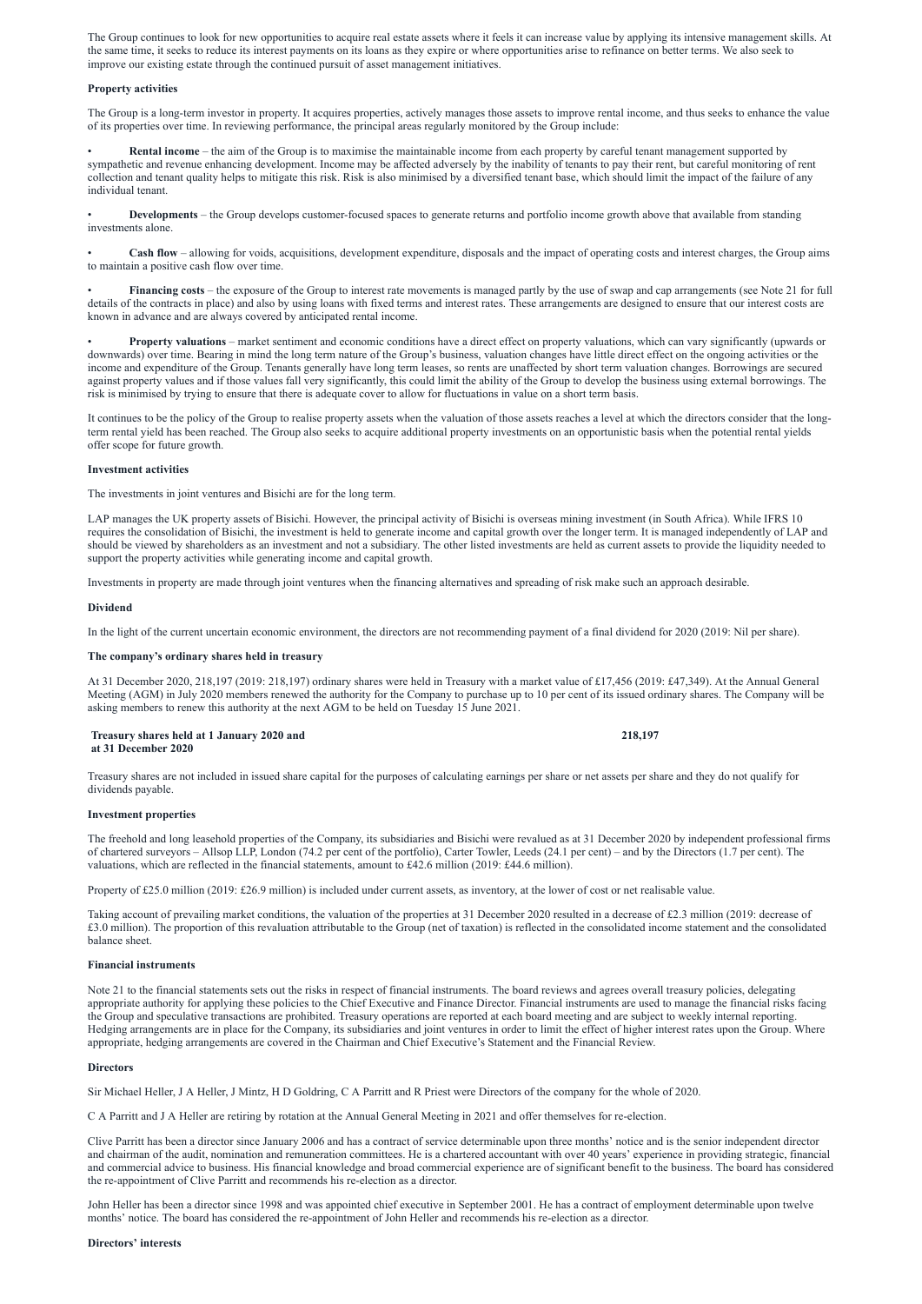The Group continues to look for new opportunities to acquire real estate assets where it feels it can increase value by applying its intensive management skills. At the same time, it seeks to reduce its interest payments on its loans as they expire or where opportunities arise to refinance on better terms. We also seek to improve our existing estate through the continued pursuit of asset management initiatives.

# **Property activities**

The Group is a long-term investor in property. It acquires properties, actively manages those assets to improve rental income, and thus seeks to enhance the value of its properties over time. In reviewing performance, the principal areas regularly monitored by the Group include:

• **Rental income** – the aim of the Group is to maximise the maintainable income from each property by careful tenant management supported by sympathetic and revenue enhancing development. Income may be affected adversely by the inability of tenants to pay their rent, but careful monitoring of rent collection and tenant quality helps to mitigate this risk. Risk is also minimised by a diversified tenant base, which should limit the impact of the failure of any individual tenant.

• **Developments** – the Group develops customer-focused spaces to generate returns and portfolio income growth above that available from standing investments alone.

• **Cash flow** – allowing for voids, acquisitions, development expenditure, disposals and the impact of operating costs and interest charges, the Group aims to maintain a positive cash flow over time.

• **Financing costs** – the exposure of the Group to interest rate movements is managed partly by the use of swap and cap arrangements (see Note 21 for full details of the contracts in place) and also by using loans with fixed terms and interest rates. These arrangements are designed to ensure that our interest costs are known in advance and are always covered by anticipated rental income.

• **Property valuations** – market sentiment and economic conditions have a direct effect on property valuations, which can vary significantly (upwards or downwards) over time. Bearing in mind the long term nature of the Group's business, valuation changes have little direct effect on the ongoing activities or the income and expenditure of the Group. Tenants generally have long term leases, so rents are unaffected by short term valuation changes. Borrowings are secured against property values and if those values fall very significantly, this could limit the ability of the Group to develop the business using external borrowings. The risk is minimised by trying to ensure that there is adequate cover to allow for fluctuations in value on a short term basis.

Taking account of prevailing market conditions, the valuation of the properties at 31 December 2020 resulted in a decrease of £2.3 million (2019: decrease of £3.0 million). The proportion of this revaluation attributable to the Group (net of taxation) is reflected in the consolidated income statement and the consolidated balance sheet.

It continues to be the policy of the Group to realise property assets when the valuation of those assets reaches a level at which the directors consider that the longterm rental yield has been reached. The Group also seeks to acquire additional property investments on an opportunistic basis when the potential rental yields offer scope for future growth.

#### **Investment activities**

The investments in joint ventures and Bisichi are for the long term.

LAP manages the UK property assets of Bisichi. However, the principal activity of Bisichi is overseas mining investment (in South Africa). While IFRS 10 requires the consolidation of Bisichi, the investment is held to generate income and capital growth over the longer term. It is managed independently of LAP and should be viewed by shareholders as an investment and not a subsidiary. The other listed investments are held as current assets to provide the liquidity needed to support the property activities while generating income and capital growth.

Investments in property are made through joint ventures when the financing alternatives and spreading of risk make such an approach desirable.

#### **Dividend**

In the light of the current uncertain economic environment, the directors are not recommending payment of a final dividend for 2020 (2019: Nil per share).

#### **The company's ordinary shares held in treasury**

At 31 December 2020, 218,197 (2019: 218,197) ordinary shares were held in Treasury with a market value of £17,456 (2019: £47,349). At the Annual General Meeting (AGM) in July 2020 members renewed the authority for the Company to purchase up to 10 per cent of its issued ordinary shares. The Company will be asking members to renew this authority at the next AGM to be held on Tuesday 15 June 2021.

# **Treasury shares held at 1 January 2020 and at 31 December 2020**

**218,197**

Treasury shares are not included in issued share capital for the purposes of calculating earnings per share or net assets per share and they do not qualify for dividends payable.

# **Investment properties**

The freehold and long leasehold properties of the Company, its subsidiaries and Bisichi were revalued as at 31 December 2020 by independent professional firms of chartered surveyors – Allsop LLP, London (74.2 per cent of the portfolio), Carter Towler, Leeds (24.1 per cent) – and by the Directors (1.7 per cent). The valuations, which are reflected in the financial statements, amount to £42.6 million (2019: £44.6 million).

Property of £25.0 million (2019: £26.9 million) is included under current assets, as inventory, at the lower of cost or net realisable value.

# **Financial instruments**

Note 21 to the financial statements sets out the risks in respect of financial instruments. The board reviews and agrees overall treasury policies, delegating appropriate authority for applying these policies to the Chief Executive and Finance Director. Financial instruments are used to manage the financial risks facing the Group and speculative transactions are prohibited. Treasury operations are reported at each board meeting and are subject to weekly internal reporting. Hedging arrangements are in place for the Company, its subsidiaries and joint ventures in order to limit the effect of higher interest rates upon the Group. Where appropriate, hedging arrangements are covered in the Chairman and Chief Executive's Statement and the Financial Review.

#### **Directors**

Sir Michael Heller, J A Heller, J Mintz, H D Goldring, C A Parritt and R Priest were Directors of the company for the whole of 2020.

C A Parritt and J A Heller are retiring by rotation at the Annual General Meeting in 2021 and offer themselves for re-election.

Clive Parritt has been a director since January 2006 and has a contract of service determinable upon three months' notice and is the senior independent director and chairman of the audit, nomination and remuneration committees. He is a chartered accountant with over 40 years' experience in providing strategic, financial and commercial advice to business. His financial knowledge and broad commercial experience are of significant benefit to the business. The board has considered the re-appointment of Clive Parritt and recommends his re-election as a director.

John Heller has been a director since 1998 and was appointed chief executive in September 2001. He has a contract of employment determinable upon twelve months' notice. The board has considered the re-appointment of John Heller and recommends his re-election as a director.

#### **Directors' interests**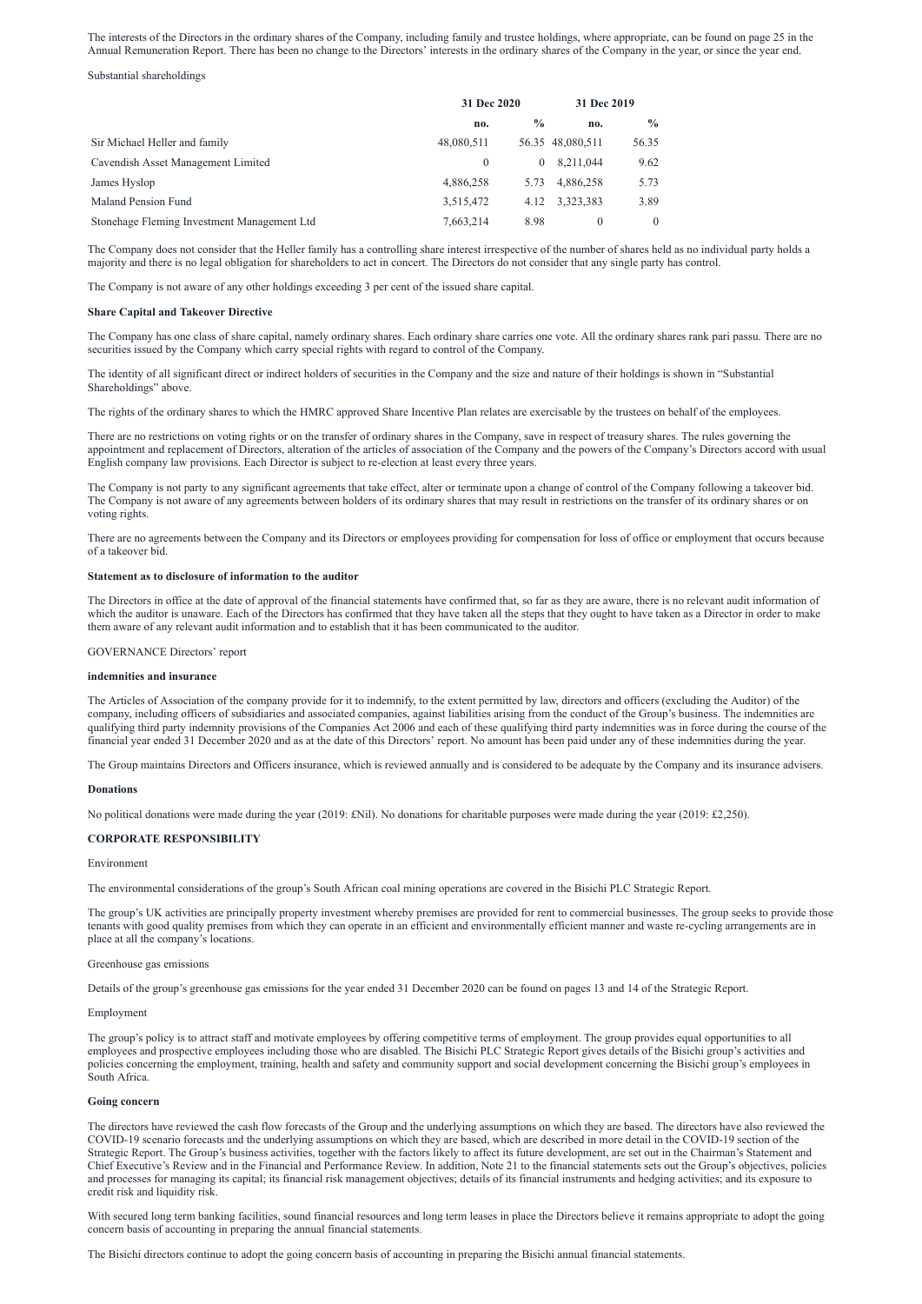The interests of the Directors in the ordinary shares of the Company, including family and trustee holdings, where appropriate, can be found on page 25 in the Annual Remuneration Report. There has been no change to the Directors' interests in the ordinary shares of the Company in the year, or since the year end.

#### Substantial shareholdings

|                                             |                | 31 Dec 2020   |                  | 31 Dec 2019   |
|---------------------------------------------|----------------|---------------|------------------|---------------|
|                                             | no.            | $\frac{6}{9}$ | no.              | $\frac{6}{9}$ |
| Sir Michael Heller and family               | 48,080,511     |               | 56.35 48,080,511 | 56.35         |
| Cavendish Asset Management Limited          | $\overline{0}$ | $\Omega$      | 8.211,044        | 9.62          |
| James Hyslop                                | 4,886,258      | 5.73          | 4,886,258        | 5.73          |
| Maland Pension Fund                         | 3,515,472      | 4.12          | 3,323,383        | 3.89          |
| Stonehage Fleming Investment Management Ltd | 7,663,214      | 8.98          | 0                | $\theta$      |

The Company does not consider that the Heller family has a controlling share interest irrespective of the number of shares held as no individual party holds a majority and there is no legal obligation for shareholders to act in concert. The Directors do not consider that any single party has control.

The Company is not aware of any other holdings exceeding 3 per cent of the issued share capital.

#### **Share Capital and Takeover Directive**

The Company has one class of share capital, namely ordinary shares. Each ordinary share carries one vote. All the ordinary shares rank pari passu. There are no securities issued by the Company which carry special rights with regard to control of the Company.

The identity of all significant direct or indirect holders of securities in the Company and the size and nature of their holdings is shown in "Substantial Shareholdings" above.

The rights of the ordinary shares to which the HMRC approved Share Incentive Plan relates are exercisable by the trustees on behalf of the employees.

There are no restrictions on voting rights or on the transfer of ordinary shares in the Company, save in respect of treasury shares. The rules governing the appointment and replacement of Directors, alteration of the articles of association of the Company and the powers of the Company's Directors accord with usual English company law provisions. Each Director is subject to re-election at least every three years.

The Company is not party to any significant agreements that take effect, alter or terminate upon a change of control of the Company following a takeover bid. The Company is not aware of any agreements between holders of its ordinary shares that may result in restrictions on the transfer of its ordinary shares or on voting rights.

There are no agreements between the Company and its Directors or employees providing for compensation for loss of office or employment that occurs because of a takeover bid.

#### **Statement as to disclosure of information to the auditor**

The Directors in office at the date of approval of the financial statements have confirmed that, so far as they are aware, there is no relevant audit information of which the auditor is unaware. Each of the Directors has confirmed that they have taken all the steps that they ought to have taken as a Director in order to make them aware of any relevant audit information and to establish that it has been communicated to the auditor.

#### GOVERNANCE Directors' report

#### **indemnities and insurance**

With secured long term banking facilities, sound financial resources and long term leases in place the Directors believe it remains appropriate to adopt the going concern basis of accounting in preparing the annual financial statements.

The Articles of Association of the company provide for it to indemnify, to the extent permitted by law, directors and officers (excluding the Auditor) of the company, including officers of subsidiaries and associated companies, against liabilities arising from the conduct of the Group's business. The indemnities are qualifying third party indemnity provisions of the Companies Act 2006 and each of these qualifying third party indemnities was in force during the course of the financial year ended 31 December 2020 and as at the date of this Directors' report. No amount has been paid under any of these indemnities during the year.

The Group maintains Directors and Officers insurance, which is reviewed annually and is considered to be adequate by the Company and its insurance advisers.

#### **Donations**

No political donations were made during the year (2019: £Nil). No donations for charitable purposes were made during the year (2019: £2,250).

#### **CORPORATE RESPONSIBILITY**

#### Environment

The environmental considerations of the group's South African coal mining operations are covered in the Bisichi PLC Strategic Report.

The group's UK activities are principally property investment whereby premises are provided for rent to commercial businesses. The group seeks to provide those tenants with good quality premises from which they can operate in an efficient and environmentally efficient manner and waste re-cycling arrangements are in place at all the company's locations.

Details of the group's greenhouse gas emissions for the year ended 31 December 2020 can be found on pages 13 and 14 of the Strategic Report.

## Employment

The group's policy is to attract staff and motivate employees by offering competitive terms of employment. The group provides equal opportunities to all employees and prospective employees including those who are disabled. The Bisichi PLC Strategic Report gives details of the Bisichi group's activities and policies concerning the employment, training, health and safety and community support and social development concerning the Bisichi group's employees in South Africa.

## **Going concern**

The directors have reviewed the cash flow forecasts of the Group and the underlying assumptions on which they are based. The directors have also reviewed the COVID-19 scenario forecasts and the underlying assumptions on which they are based, which are described in more detail in the COVID-19 section of the Strategic Report. The Group's business activities, together with the factors likely to affect its future development, are set out in the Chairman's Statement and Chief Executive's Review and in the Financial and Performance Review. In addition, Note 21 to the financial statements sets out the Group's objectives, policies and processes for managing its capital; its financial risk management objectives; details of its financial instruments and hedging activities; and its exposure to credit risk and liquidity risk.

The Bisichi directors continue to adopt the going concern basis of accounting in preparing the Bisichi annual financial statements.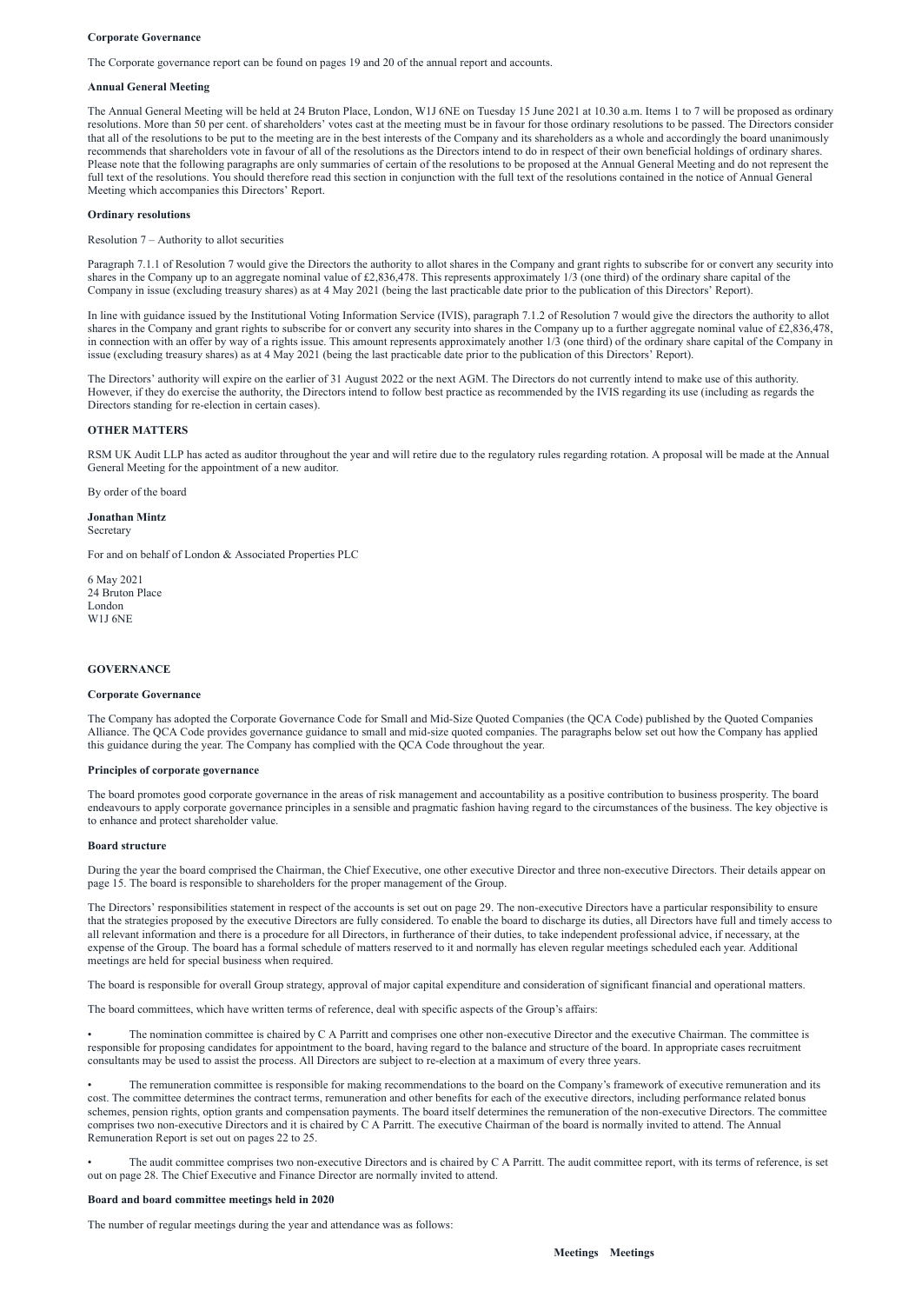## **Corporate Governance**

The Corporate governance report can be found on pages 19 and 20 of the annual report and accounts.

# **Annual General Meeting**

The Annual General Meeting will be held at 24 Bruton Place, London, W1J 6NE on Tuesday 15 June 2021 at 10.30 a.m. Items 1 to 7 will be proposed as ordinary resolutions. More than 50 per cent. of shareholders' votes cast at the meeting must be in favour for those ordinary resolutions to be passed. The Directors consider that all of the resolutions to be put to the meeting are in the best interests of the Company and its shareholders as a whole and accordingly the board unanimously recommends that shareholders vote in favour of all of the resolutions as the Directors intend to do in respect of their own beneficial holdings of ordinary shares. Please note that the following paragraphs are only summaries of certain of the resolutions to be proposed at the Annual General Meeting and do not represent the full text of the resolutions. You should therefore read this section in conjunction with the full text of the resolutions contained in the notice of Annual General Meeting which accompanies this Directors' Report.

Paragraph 7.1.1 of Resolution 7 would give the Directors the authority to allot shares in the Company and grant rights to subscribe for or convert any security into shares in the Company up to an aggregate nominal value of £2,836,478. This represents approximately 1/3 (one third) of the ordinary share capital of the Company in issue (excluding treasury shares) as at 4 May 2021 (being the last practicable date prior to the publication of this Directors' Report).

# **Ordinary resolutions**

Resolution 7 – Authority to allot securities

In line with guidance issued by the Institutional Voting Information Service (IVIS), paragraph 7.1.2 of Resolution 7 would give the directors the authority to allot shares in the Company and grant rights to subscribe for or convert any security into shares in the Company up to a further aggregate nominal value of £2,836,478, in connection with an offer by way of a rights issue. This amount represents approximately another 1/3 (one third) of the ordinary share capital of the Company in issue (excluding treasury shares) as at 4 May 2021 (being the last practicable date prior to the publication of this Directors' Report).

The Directors' authority will expire on the earlier of 31 August 2022 or the next AGM. The Directors do not currently intend to make use of this authority. However, if they do exercise the authority, the Directors intend to follow best practice as recommended by the IVIS regarding its use (including as regards the Directors standing for re-election in certain cases).

# **OTHER MATTERS**

The nomination committee is chaired by C A Parritt and comprises one other non-executive Director and the executive Chairman. The committee is responsible for proposing candidates for appointment to the board, having regard to the balance and structure of the board. In appropriate cases recruitment consultants may be used to assist the process. All Directors are subject to re-election at a maximum of every three years.

RSM UK Audit LLP has acted as auditor throughout the year and will retire due to the regulatory rules regarding rotation. A proposal will be made at the Annual General Meeting for the appointment of a new auditor.

By order of the board

# **Jonathan Mintz**

Secretary

For and on behalf of London & Associated Properties PLC

6 May 2021 24 Bruton Place London W1J 6NE

#### **GOVERNANCE**

#### **Corporate Governance**

The audit committee comprises two non-executive Directors and is chaired by C A Parritt. The audit committee report, with its terms of reference, is set out on page 28. The Chief Executive and Finance Director are normally invited to attend.

The Company has adopted the Corporate Governance Code for Small and Mid-Size Quoted Companies (the QCA Code) published by the Quoted Companies Alliance. The QCA Code provides governance guidance to small and mid-size quoted companies. The paragraphs below set out how the Company has applied this guidance during the year. The Company has complied with the QCA Code throughout the year.

#### **Principles of corporate governance**

The board promotes good corporate governance in the areas of risk management and accountability as a positive contribution to business prosperity. The board endeavours to apply corporate governance principles in a sensible and pragmatic fashion having regard to the circumstances of the business. The key objective is to enhance and protect shareholder value.

#### **Board structure**

During the year the board comprised the Chairman, the Chief Executive, one other executive Director and three non-executive Directors. Their details appear on page 15. The board is responsible to shareholders for the proper management of the Group.

The Directors' responsibilities statement in respect of the accounts is set out on page 29. The non-executive Directors have a particular responsibility to ensure that the strategies proposed by the executive Directors are fully considered. To enable the board to discharge its duties, all Directors have full and timely access to all relevant information and there is a procedure for all Directors, in furtherance of their duties, to take independent professional advice, if necessary, at the expense of the Group. The board has a formal schedule of matters reserved to it and normally has eleven regular meetings scheduled each year. Additional meetings are held for special business when required.

The board is responsible for overall Group strategy, approval of major capital expenditure and consideration of significant financial and operational matters.

The board committees, which have written terms of reference, deal with specific aspects of the Group's affairs:

• The remuneration committee is responsible for making recommendations to the board on the Company's framework of executive remuneration and its cost. The committee determines the contract terms, remuneration and other benefits for each of the executive directors, including performance related bonus schemes, pension rights, option grants and compensation payments. The board itself determines the remuneration of the non-executive Directors. The committee comprises two non-executive Directors and it is chaired by C A Parritt. The executive Chairman of the board is normally invited to attend. The Annual Remuneration Report is set out on pages 22 to 25.

#### **Board and board committee meetings held in 2020**

The number of regular meetings during the year and attendance was as follows:

**Meetings Meetings**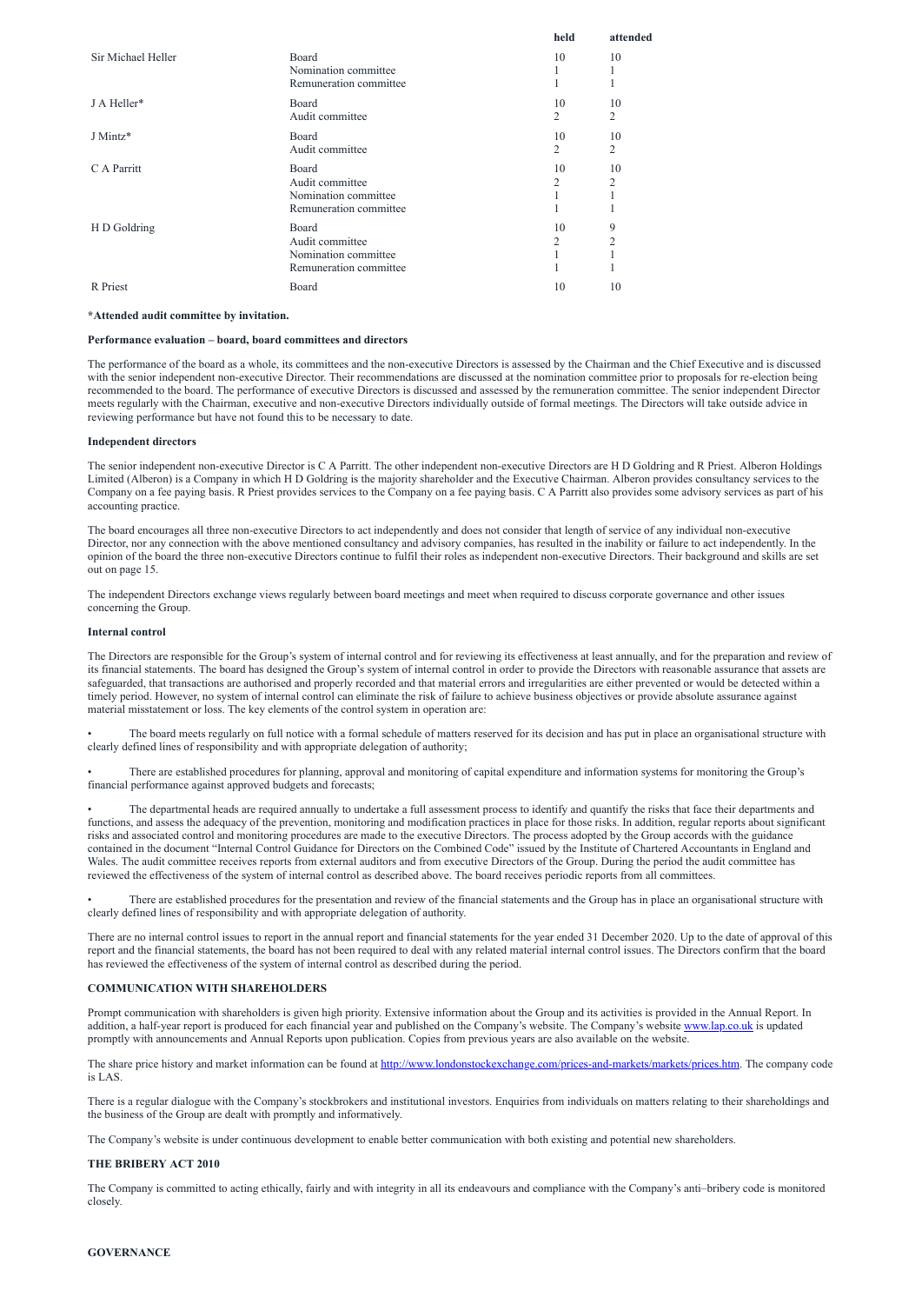|                    |                                                                                   | held    | attended |
|--------------------|-----------------------------------------------------------------------------------|---------|----------|
| Sir Michael Heller | Board<br>Nomination committee<br>Remuneration committee                           | 10      | 10       |
| J A Heller*        | Board<br>Audit committee                                                          | 10<br>2 | 10<br>2  |
| J Mintz*           | Board<br>Audit committee                                                          | 10<br>2 | 10<br>2  |
| C A Parritt        | Board<br>Audit committee<br>Nomination committee<br>Remuneration committee        | 10<br>2 | 10<br>2  |
| H D Goldring       | <b>Board</b><br>Audit committee<br>Nomination committee<br>Remuneration committee | 10<br>2 | 9<br>2   |
| R Priest           | Board                                                                             | 10      | 10       |

#### **\*Attended audit committee by invitation.**

#### **Performance evaluation – board, board committees and directors**

The performance of the board as a whole, its committees and the non-executive Directors is assessed by the Chairman and the Chief Executive and is discussed with the senior independent non-executive Director. Their recommendations are discussed at the nomination committee prior to proposals for re-election being recommended to the board. The performance of executive Directors is discussed and assessed by the remuneration committee. The senior independent Director meets regularly with the Chairman, executive and non-executive Directors individually outside of formal meetings. The Directors will take outside advice in reviewing performance but have not found this to be necessary to date.

#### **Independent directors**

The senior independent non-executive Director is C A Parritt. The other independent non-executive Directors are H D Goldring and R Priest. Alberon Holdings Limited (Alberon) is a Company in which H D Goldring is the majority shareholder and the Executive Chairman. Alberon provides consultancy services to the Company on a fee paying basis. R Priest provides services to the Company on a fee paying basis. C A Parritt also provides some advisory services as part of his accounting practice.

The board encourages all three non-executive Directors to act independently and does not consider that length of service of any individual non-executive Director, nor any connection with the above mentioned consultancy and advisory companies, has resulted in the inability or failure to act independently. In the opinion of the board the three non-executive Directors continue to fulfil their roles as independent non-executive Directors. Their background and skills are set out on page 15.

The independent Directors exchange views regularly between board meetings and meet when required to discuss corporate governance and other issues concerning the Group.

There are established procedures for the presentation and review of the financial statements and the Group has in place an organisational structure with clearly defined lines of responsibility and with appropriate delegation of authority.

#### **Internal control**

The Directors are responsible for the Group's system of internal control and for reviewing its effectiveness at least annually, and for the preparation and review of its financial statements. The board has designed the Group's system of internal control in order to provide the Directors with reasonable assurance that assets are safeguarded, that transactions are authorised and properly recorded and that material errors and irregularities are either prevented or would be detected within a timely period. However, no system of internal control can eliminate the risk of failure to achieve business objectives or provide absolute assurance against material misstatement or loss. The key elements of the control system in operation are:

The share price history and market information can be found at [http://www.londonstockexchange.com/prices-and-markets/markets/prices.htm.](http://www.londonstockexchange.com/prices-and-markets/markets/prices.htm) The company code is LAS.

• The board meets regularly on full notice with a formal schedule of matters reserved for its decision and has put in place an organisational structure with clearly defined lines of responsibility and with appropriate delegation of authority;

• There are established procedures for planning, approval and monitoring of capital expenditure and information systems for monitoring the Group's financial performance against approved budgets and forecasts;

• The departmental heads are required annually to undertake a full assessment process to identify and quantify the risks that face their departments and functions, and assess the adequacy of the prevention, monitoring and modification practices in place for those risks. In addition, regular reports about significant risks and associated control and monitoring procedures are made to the executive Directors. The process adopted by the Group accords with the guidance contained in the document "Internal Control Guidance for Directors on the Combined Code" issued by the Institute of Chartered Accountants in England and Wales. The audit committee receives reports from external auditors and from executive Directors of the Group. During the period the audit committee has reviewed the effectiveness of the system of internal control as described above. The board receives periodic reports from all committees.

There are no internal control issues to report in the annual report and financial statements for the year ended 31 December 2020. Up to the date of approval of this report and the financial statements, the board has not been required to deal with any related material internal control issues. The Directors confirm that the board has reviewed the effectiveness of the system of internal control as described during the period.

#### **COMMUNICATION WITH SHAREHOLDERS**

Prompt communication with shareholders is given high priority. Extensive information about the Group and its activities is provided in the Annual Report. In addition, a half-year report is produced for each financial year and published on the Company's website. The Company's website [www.lap.co.uk](http://www.lap.co.uk/) is updated promptly with announcements and Annual Reports upon publication. Copies from previous years are also available on the website.

There is a regular dialogue with the Company's stockbrokers and institutional investors. Enquiries from individuals on matters relating to their shareholdings and the business of the Group are dealt with promptly and informatively.

The Company's website is under continuous development to enable better communication with both existing and potential new shareholders.

#### **THE BRIBERY ACT 2010**

The Company is committed to acting ethically, fairly and with integrity in all its endeavours and compliance with the Company's anti–bribery code is monitored closely.

## **GOVERNANCE**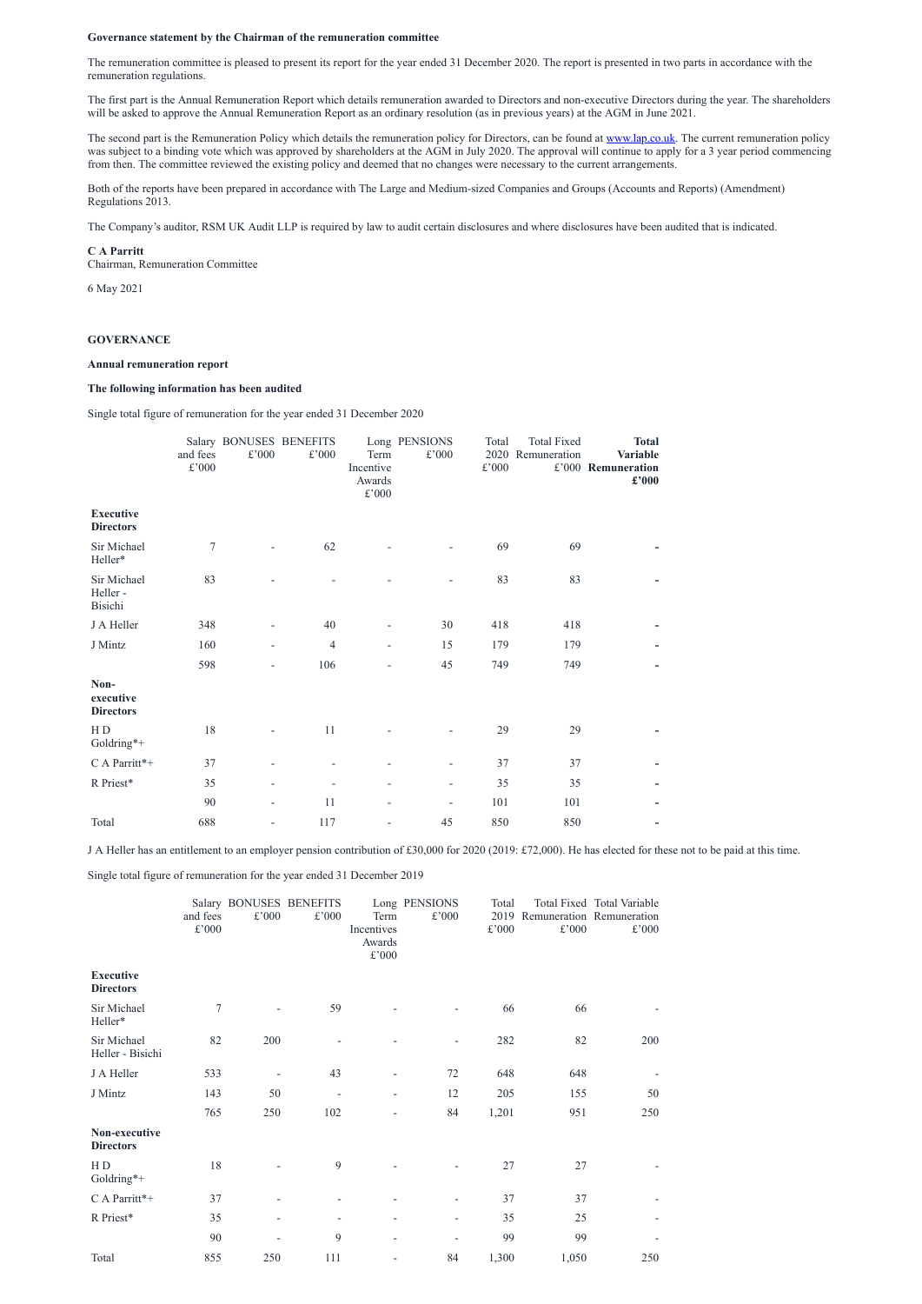#### **Governance statement by the Chairman of the remuneration committee**

The remuneration committee is pleased to present its report for the year ended 31 December 2020. The report is presented in two parts in accordance with the remuneration regulations.

The first part is the Annual Remuneration Report which details remuneration awarded to Directors and non-executive Directors during the year. The shareholders will be asked to approve the Annual Remuneration Report as an ordinary resolution (as in previous years) at the AGM in June 2021.

The second part is the Remuneration Policy which details the remuneration policy for Directors, can be found at [www.lap.co.uk](http://www.lap.co.uk/). The current remuneration policy was subject to a binding vote which was approved by shareholders at the AGM in July 2020. The approval will continue to apply for a 3 year period commencing from then. The committee reviewed the existing policy and deemed that no changes were necessary to the current arrangements.

Both of the reports have been prepared in accordance with The Large and Medium-sized Companies and Groups (Accounts and Reports) (Amendment) Regulations 2013.

The Company's auditor, RSM UK Audit LLP is required by law to audit certain disclosures and where disclosures have been audited that is indicated.

#### **C A Parritt**

Chairman, Remuneration Committee

6 May 2021

# **GOVERNANCE**

#### **Annual remuneration report**

#### **The following information has been audited**

Single total figure of remuneration for the year ended 31 December 2020

|                                       | and fees<br>$\pounds$ '000 | $\pounds$ '000 | Salary BONUSES BENEFITS<br>$\pounds$ '000 | Term<br>Incentive<br>Awards<br>$\pounds$ '000 | Long PENSIONS<br>$\pounds$ '000 | Total<br>$\pounds$ '000 | <b>Total Fixed</b><br>2020 Remuneration | <b>Total</b><br><b>Variable</b><br>£'000 Remuneration<br>£'000 |
|---------------------------------------|----------------------------|----------------|-------------------------------------------|-----------------------------------------------|---------------------------------|-------------------------|-----------------------------------------|----------------------------------------------------------------|
| <b>Executive</b><br><b>Directors</b>  |                            |                |                                           |                                               |                                 |                         |                                         |                                                                |
| Sir Michael<br>Heller*                | 7                          |                | 62                                        |                                               |                                 | 69                      | 69                                      |                                                                |
| Sir Michael<br>Heller-<br>Bisichi     | 83                         |                |                                           |                                               |                                 | 83                      | 83                                      |                                                                |
| J A Heller                            | 348                        |                | 40                                        |                                               | 30                              | 418                     | 418                                     |                                                                |
| J Mintz                               | 160                        |                | $\overline{4}$                            |                                               | 15                              | 179                     | 179                                     |                                                                |
|                                       | 598                        |                | 106                                       |                                               | 45                              | 749                     | 749                                     |                                                                |
| Non-<br>executive<br><b>Directors</b> |                            |                |                                           |                                               |                                 |                         |                                         |                                                                |
| ${\rm H\,D}$<br>Goldring*+            | 18                         |                | 11                                        |                                               |                                 | 29                      | 29                                      |                                                                |
| $\mathrm C$ A Parritt*+               | 37                         |                |                                           |                                               |                                 | 37                      | 37                                      |                                                                |
| R Priest*                             | 35                         |                | $\overline{\phantom{a}}$                  |                                               | ٠                               | 35                      | 35                                      |                                                                |
|                                       | 90                         |                | 11                                        |                                               |                                 | 101                     | 101                                     |                                                                |
| Total                                 | 688                        |                | 117                                       |                                               | 45                              | 850                     | 850                                     |                                                                |

J A Heller has an entitlement to an employer pension contribution of £30,000 for 2020 (2019: £72,000). He has elected for these not to be paid at this time.

Single total figure of remuneration for the year ended 31 December 2019

|          |       | Salary BONUSES BENEFITS |            | Long PENSIONS |          | Total Total Fixed Total Variable |       |
|----------|-------|-------------------------|------------|---------------|----------|----------------------------------|-------|
| and fees | f'000 | £'000                   | Term       | £'000         |          | 2019 Remuneration Remuneration   |       |
| $£$ '000 |       |                         | Incentives |               | $£$ '000 | f'000                            | £'000 |
|          |       |                         | Awards     |               |          |                                  |       |
|          |       |                         | $£$ '000   |               |          |                                  |       |

**Executive**

| <b>Directors</b>                  |        |                          |                          |                          |                          |       |        |     |
|-----------------------------------|--------|--------------------------|--------------------------|--------------------------|--------------------------|-------|--------|-----|
| Sir Michael<br>Heller*            | $\tau$ | ٠                        | 59                       |                          |                          | 66    | 66     |     |
| Sir Michael<br>Heller - Bisichi   | 82     | 200                      | -                        |                          | $\overline{\phantom{a}}$ | 282   | 82     | 200 |
| J A Heller                        | 533    | $\overline{a}$           | 43                       | -                        | 72                       | 648   | 648    |     |
| J Mintz                           | 143    | 50                       | $\overline{\phantom{a}}$ | $\overline{\phantom{a}}$ | 12                       | 205   | 155    | 50  |
|                                   | 765    | 250                      | 102                      | -                        | 84                       | 1,201 | 951    | 250 |
| Non-executive<br><b>Directors</b> |        |                          |                          |                          |                          |       |        |     |
| H D<br>Goldring*+                 | 18     | ٠                        | 9                        |                          |                          | 27    | $27\,$ |     |
| C A Parritt*+                     | 37     | ٠                        | -                        |                          | ٠                        | 37    | 37     |     |
| R Priest*                         | 35     | $\overline{\phantom{a}}$ | $\overline{\phantom{a}}$ |                          | ۰                        | 35    | 25     |     |
|                                   | 90     | ۰                        | 9                        | ٠                        | ٠                        | 99    | 99     |     |
| Total                             | 855    | 250                      | 111                      |                          | 84                       | 1,300 | 1,050  | 250 |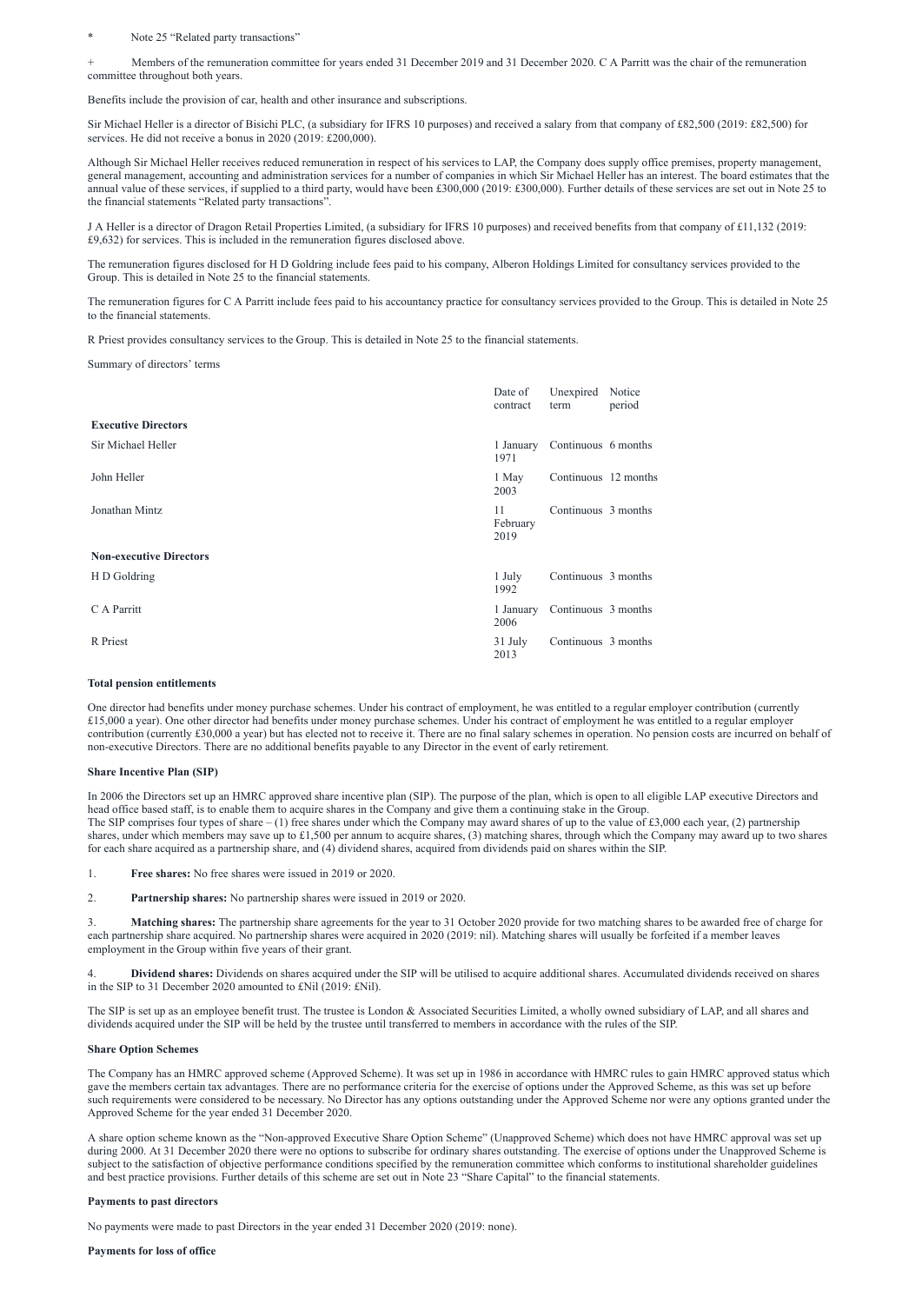\* Note 25 "Related party transactions"

+ Members of the remuneration committee for years ended 31 December 2019 and 31 December 2020. C A Parritt was the chair of the remuneration committee throughout both years.

Benefits include the provision of car, health and other insurance and subscriptions.

Sir Michael Heller is a director of Bisichi PLC, (a subsidiary for IFRS 10 purposes) and received a salary from that company of £82,500 (2019: £82,500) for services. He did not receive a bonus in 2020 (2019: £200,000).

Although Sir Michael Heller receives reduced remuneration in respect of his services to LAP, the Company does supply office premises, property management, general management, accounting and administration services for a number of companies in which Sir Michael Heller has an interest. The board estimates that the annual value of these services, if supplied to a third party, would have been £300,000 (2019: £300,000). Further details of these services are set out in Note 25 to the financial statements "Related party transactions".

J A Heller is a director of Dragon Retail Properties Limited, (a subsidiary for IFRS 10 purposes) and received benefits from that company of £11,132 (2019: £9,632) for services. This is included in the remuneration figures disclosed above.

The remuneration figures disclosed for H D Goldring include fees paid to his company, Alberon Holdings Limited for consultancy services provided to the Group. This is detailed in Note 25 to the financial statements.

The remuneration figures for C A Parritt include fees paid to his accountancy practice for consultancy services provided to the Group. This is detailed in Note 25 to the financial statements.

R Priest provides consultancy services to the Group. This is detailed in Note 25 to the financial statements.

Summary of directors' terms

|                                | Date of<br>contract    | Unexpired<br>term    | Notice<br>period |
|--------------------------------|------------------------|----------------------|------------------|
| <b>Executive Directors</b>     |                        |                      |                  |
| Sir Michael Heller             | 1 January<br>1971      | Continuous 6 months  |                  |
| John Heller                    | 1 May<br>2003          | Continuous 12 months |                  |
| Jonathan Mintz                 | 11<br>February<br>2019 | Continuous 3 months  |                  |
| <b>Non-executive Directors</b> |                        |                      |                  |
| H D Goldring                   | 1 July<br>1992         | Continuous 3 months  |                  |
| C A Parritt                    | 1 January<br>2006      | Continuous 3 months  |                  |
| R Priest                       | $31$ July<br>2013      | Continuous 3 months  |                  |

#### **Total pension entitlements**

The SIP is set up as an employee benefit trust. The trustee is London & Associated Securities Limited, a wholly owned subsidiary of LAP, and all shares and dividends acquired under the SIP will be held by the trustee until transferred to members in accordance with the rules of the SIP.

One director had benefits under money purchase schemes. Under his contract of employment, he was entitled to a regular employer contribution (currently £15,000 a year). One other director had benefits under money purchase schemes. Under his contract of employment he was entitled to a regular employer contribution (currently £30,000 a year) but has elected not to receive it. There are no final salary schemes in operation. No pension costs are incurred on behalf of non-executive Directors. There are no additional benefits payable to any Director in the event of early retirement.

#### **Share Incentive Plan (SIP)**

In 2006 the Directors set up an HMRC approved share incentive plan (SIP). The purpose of the plan, which is open to all eligible LAP executive Directors and head office based staff, is to enable them to acquire shares in the Company and give them a continuing stake in the Group. The SIP comprises four types of share  $- (1)$  free shares under which the Company may award shares of up to the value of £3,000 each year, (2) partnership shares, under which members may save up to £1,500 per annum to acquire shares, (3) matching shares, through which the Company may award up to two shares for each share acquired as a partnership share, and (4) dividend shares, acquired from dividends paid on shares within the SIP.

- 1. **Free shares:** No free shares were issued in 2019 or 2020.
- 2. **Partnership shares:** No partnership shares were issued in 2019 or 2020.

3. **Matching shares:** The partnership share agreements for the year to 31 October 2020 provide for two matching shares to be awarded free of charge for each partnership share acquired. No partnership shares were acquired in 2020 (2019: nil). Matching shares will usually be forfeited if a member leaves employment in the Group within five years of their grant.

4. **Dividend shares:** Dividends on shares acquired under the SIP will be utilised to acquire additional shares. Accumulated dividends received on shares

#### in the SIP to 31 December 2020 amounted to £Nil (2019: £Nil).

#### **Share Option Schemes**

The Company has an HMRC approved scheme (Approved Scheme). It was set up in 1986 in accordance with HMRC rules to gain HMRC approved status which gave the members certain tax advantages. There are no performance criteria for the exercise of options under the Approved Scheme, as this was set up before such requirements were considered to be necessary. No Director has any options outstanding under the Approved Scheme nor were any options granted under the Approved Scheme for the year ended 31 December 2020.

A share option scheme known as the "Non-approved Executive Share Option Scheme" (Unapproved Scheme) which does not have HMRC approval was set up during 2000. At 31 December 2020 there were no options to subscribe for ordinary shares outstanding. The exercise of options under the Unapproved Scheme is subject to the satisfaction of objective performance conditions specified by the remuneration committee which conforms to institutional shareholder guidelines and best practice provisions. Further details of this scheme are set out in Note 23 "Share Capital" to the financial statements.

#### **Payments to past directors**

No payments were made to past Directors in the year ended 31 December 2020 (2019: none).

**Payments for loss of office**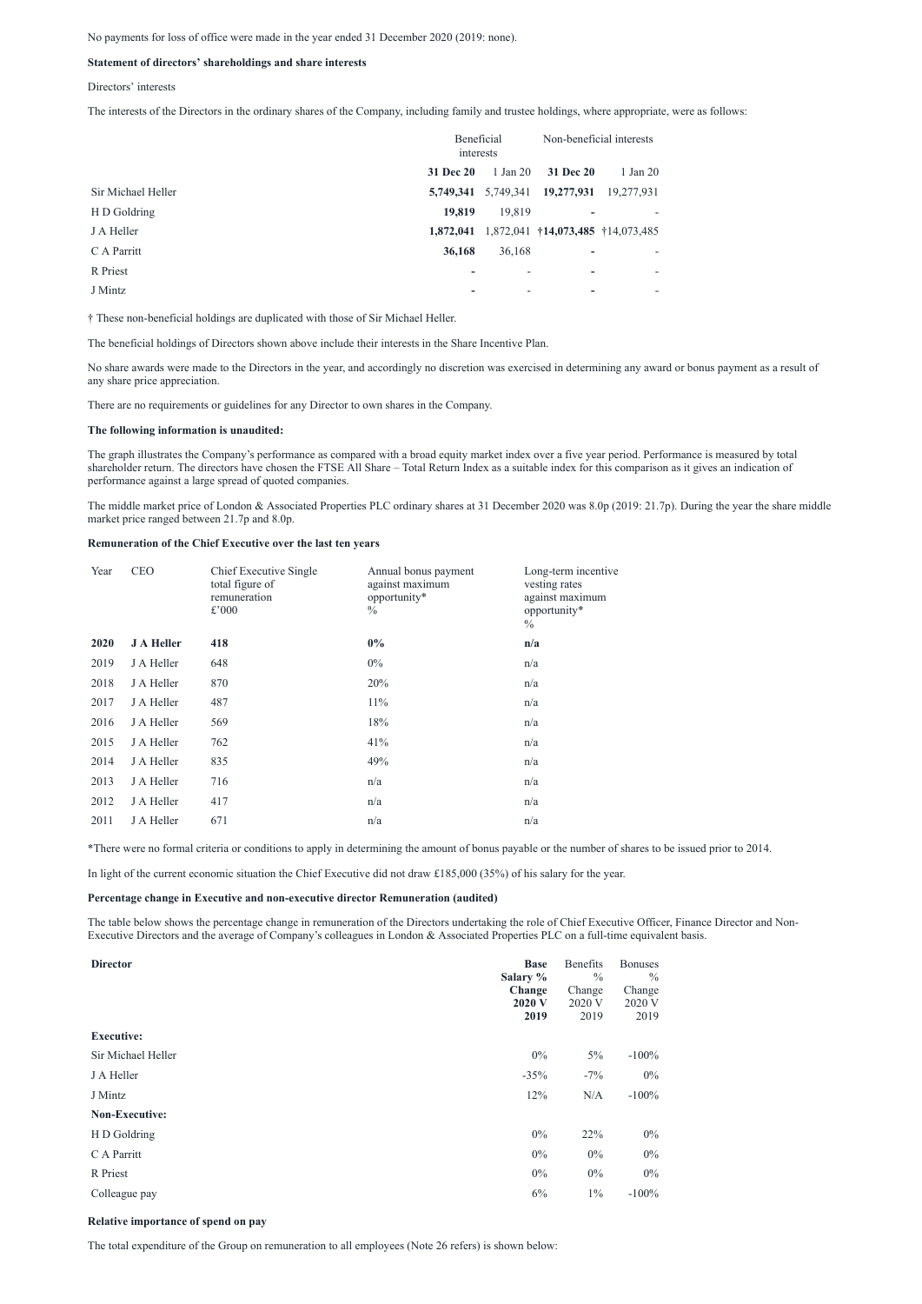No payments for loss of office were made in the year ended 31 December 2020 (2019: none).

# **Statement of directors' shareholdings and share interests**

Directors' interests

The interests of the Directors in the ordinary shares of the Company, including family and trustee holdings, where appropriate, were as follows:

|                    | Beneficial<br>interests |                          |                                           | Non-beneficial interests |  |
|--------------------|-------------------------|--------------------------|-------------------------------------------|--------------------------|--|
|                    | 31 Dec 20               | 1 Jan 20                 | 31 Dec 20                                 | 1 Jan 20                 |  |
| Sir Michael Heller | 5,749,341               | 5,749,341                | 19,277,931                                | 19,277,931               |  |
| H D Goldring       | 19,819                  | 19,819                   |                                           |                          |  |
| J A Heller         | 1,872,041               |                          | 1,872,041 <b>†14,073,485 †</b> 14,073,485 |                          |  |
| C A Parritt        | 36,168                  | 36,168                   |                                           |                          |  |
| R Priest           |                         |                          | -                                         |                          |  |
| J Mintz            |                         | $\overline{\phantom{0}}$ | -                                         | $\overline{\phantom{a}}$ |  |

† These non-beneficial holdings are duplicated with those of Sir Michael Heller.

The beneficial holdings of Directors shown above include their interests in the Share Incentive Plan.

No share awards were made to the Directors in the year, and accordingly no discretion was exercised in determining any award or bonus payment as a result of any share price appreciation.

There are no requirements or guidelines for any Director to own shares in the Company.

#### **The following information is unaudited:**

The graph illustrates the Company's performance as compared with a broad equity market index over a five year period. Performance is measured by total shareholder return. The directors have chosen the FTSE All Share – Total Return Index as a suitable index for this comparison as it gives an indication of performance against a large spread of quoted companies.

The middle market price of London & Associated Properties PLC ordinary shares at 31 December 2020 was 8.0p (2019: 21.7p). During the year the share middle market price ranged between 21.7p and 8.0p.

## **Remuneration of the Chief Executive over the last ten years**

| Year | <b>CEO</b>        | Chief Executive Single<br>total figure of<br>remuneration<br>£'000 | Annual bonus payment<br>against maximum<br>opportunity*<br>$\frac{0}{0}$ | Long-term incentive<br>vesting rates<br>against maximum<br>opportunity*<br>$\frac{0}{0}$ |
|------|-------------------|--------------------------------------------------------------------|--------------------------------------------------------------------------|------------------------------------------------------------------------------------------|
| 2020 | <b>J A Heller</b> | 418                                                                | $0\%$                                                                    | n/a                                                                                      |
| 2019 | J A Heller        | 648                                                                | $0\%$                                                                    | n/a                                                                                      |
| 2018 | J A Heller        | 870                                                                | 20%                                                                      | n/a                                                                                      |
| 2017 | J A Heller        | 487                                                                | $11\%$                                                                   | n/a                                                                                      |
| 2016 | J A Heller        | 569                                                                | 18%                                                                      | n/a                                                                                      |
| 2015 | J A Heller        | 762                                                                | 41%                                                                      | n/a                                                                                      |
| 2014 | J A Heller        | 835                                                                | 49%                                                                      | n/a                                                                                      |
| 2013 | J A Heller        | 716                                                                | n/a                                                                      | n/a                                                                                      |
| 2012 | J A Heller        | 417                                                                | n/a                                                                      | n/a                                                                                      |
| 2011 | J A Heller        | 671                                                                | n/a                                                                      | n/a                                                                                      |

\*There were no formal criteria or conditions to apply in determining the amount of bonus payable or the number of shares to be issued prior to 2014.

In light of the current economic situation the Chief Executive did not draw £185,000 (35%) of his salary for the year.

## **Percentage change in Executive and non-executive director Remuneration (audited)**

The table below shows the percentage change in remuneration of the Directors undertaking the role of Chief Executive Officer, Finance Director and Non-Executive Directors and the average of Company's colleagues in London & Associated Properties PLC on a full-time equivalent basis.

| <b>Director</b> | <b>Base</b> | Benefits $\mathbf{L}$ | <b>Bonuses</b> |
|-----------------|-------------|-----------------------|----------------|
|                 | Salary %    | $\%$                  | $\%$           |

|                       | Change<br>2020 V<br>2019 | Change<br>2020 V<br>2019 | Change<br>2020 V<br>2019 |
|-----------------------|--------------------------|--------------------------|--------------------------|
| <b>Executive:</b>     |                          |                          |                          |
| Sir Michael Heller    | $0\%$                    | 5%                       | $-100%$                  |
| J A Heller            | $-35%$                   | $-7\%$                   | $0\%$                    |
| J Mintz               | 12%                      | N/A                      | $-100%$                  |
| <b>Non-Executive:</b> |                          |                          |                          |
| H D Goldring          | $0\%$                    | 22%                      | $0\%$                    |
| C A Parritt           | $0\%$                    | $0\%$                    | $0\%$                    |
| R Priest              | $0\%$                    | $0\%$                    | $0\%$                    |
| Colleague pay         | 6%                       | $1\%$                    | $-100%$                  |

# **Relative importance of spend on pay**

The total expenditure of the Group on remuneration to all employees (Note 26 refers) is shown below: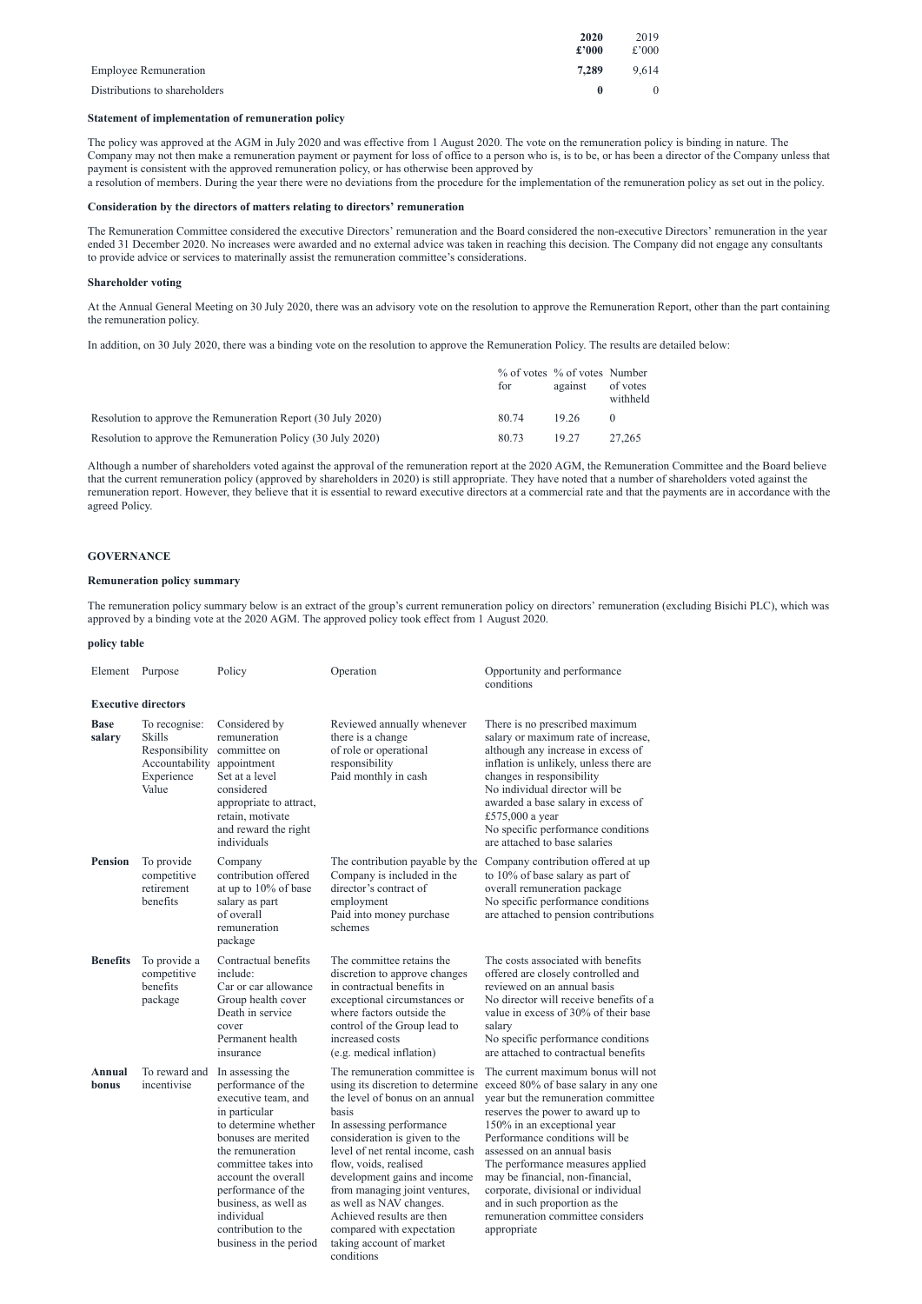|                               | <b>2020</b><br>$\pounds$ '000 | 2019<br>£'000 |
|-------------------------------|-------------------------------|---------------|
| <b>Employee Remuneration</b>  | 7,289                         | 9,614         |
| Distributions to shareholders |                               | $\theta$      |

# **Statement of implementation of remuneration policy**

The policy was approved at the AGM in July 2020 and was effective from 1 August 2020. The vote on the remuneration policy is binding in nature. The Company may not then make a remuneration payment or payment for loss of office to a person who is, is to be, or has been a director of the Company unless that payment is consistent with the approved remuneration policy, or has otherwise been approved by

a resolution of members. During the year there were no deviations from the procedure for the implementation of the remuneration policy as set out in the policy.

## **Consideration by the directors of matters relating to directors' remuneration**

The Remuneration Committee considered the executive Directors' remuneration and the Board considered the non-executive Directors' remuneration in the year ended 31 December 2020. No increases were awarded and no external advice was taken in reaching this decision. The Company did not engage any consultants to provide advice or services to materinally assist the remuneration committee's considerations.

# **Shareholder voting**

At the Annual General Meeting on 30 July 2020, there was an advisory vote on the resolution to approve the Remuneration Report, other than the part containing the remuneration policy.

In addition, on 30 July 2020, there was a binding vote on the resolution to approve the Remuneration Policy. The results are detailed below:

|                                                              | $\%$ of votes $\%$ of votes Number<br>for | against | of votes<br>withheld |
|--------------------------------------------------------------|-------------------------------------------|---------|----------------------|
| Resolution to approve the Remuneration Report (30 July 2020) | 80.74                                     | 19.26   | $\left( \right)$     |
| Resolution to approve the Remuneration Policy (30 July 2020) | 80.73                                     | 19.27   | 27.265               |

Although a number of shareholders voted against the approval of the remuneration report at the 2020 AGM, the Remuneration Committee and the Board believe that the current remuneration policy (approved by shareholders in 2020) is still appropriate. They have noted that a number of shareholders voted against the remuneration report. However, they believe that it is essential to reward executive directors at a commercial rate and that the payments are in accordance with the agreed Policy.

#### **GOVERNANCE**

#### **Remuneration policy summary**

The remuneration policy summary below is an extract of the group's current remuneration policy on directors' remuneration (excluding Bisichi PLC), which was approved by a binding vote at the 2020 AGM. The approved policy took effect from 1 August 2020.

#### **policy table**

| Element               | Purpose                                                                                   | Policy                                                                                                                                                                             | Operation                                                                                                                                    | Opportunity and performance<br>conditions                                                                                                                                                                                                                                                                                                             |
|-----------------------|-------------------------------------------------------------------------------------------|------------------------------------------------------------------------------------------------------------------------------------------------------------------------------------|----------------------------------------------------------------------------------------------------------------------------------------------|-------------------------------------------------------------------------------------------------------------------------------------------------------------------------------------------------------------------------------------------------------------------------------------------------------------------------------------------------------|
|                       | <b>Executive directors</b>                                                                |                                                                                                                                                                                    |                                                                                                                                              |                                                                                                                                                                                                                                                                                                                                                       |
| <b>Base</b><br>salary | To recognise:<br><b>Skills</b><br>Responsibility<br>Accountability<br>Experience<br>Value | Considered by<br>remuneration<br>committee on<br>appointment<br>Set at a level<br>considered<br>appropriate to attract,<br>retain, motivate<br>and reward the right<br>individuals | Reviewed annually whenever<br>there is a change<br>of role or operational<br>responsibility<br>Paid monthly in cash                          | There is no prescribed maximum<br>salary or maximum rate of increase,<br>although any increase in excess of<br>inflation is unlikely, unless there are<br>changes in responsibility<br>No individual director will be<br>awarded a base salary in excess of<br>£575,000 a year<br>No specific performance conditions<br>are attached to base salaries |
| <b>Pension</b>        | To provide<br>competitive<br>retirement<br>benefits                                       | Company<br>contribution offered<br>at up to 10% of base<br>salary as part<br>of overall<br>remuneration<br>package                                                                 | The contribution payable by the<br>Company is included in the<br>director's contract of<br>employment<br>Paid into money purchase<br>schemes | Company contribution offered at up<br>to 10% of base salary as part of<br>overall remuneration package<br>No specific performance conditions<br>are attached to pension contributions                                                                                                                                                                 |
| <b>Benefits</b>       | To provide a<br>competitive                                                               | Contractual benefits<br>include:                                                                                                                                                   | The committee retains the<br>discretion to approve changes                                                                                   | The costs associated with benefits<br>offered are closely controlled and                                                                                                                                                                                                                                                                              |

benefits package

# Car or car allowance Group health cover Death in service cover Permanent health insurance

in contractual benefits in exceptional circumstances or where factors outside the control of the Group lead to increased costs (e.g. medical inflation)

reviewed on an annual basis No director will receive benefits of a value in excess of 30% of their base salary

No specific performance conditions are attached to contractual benefits

**Annual bonus** incentivise

To reward and In assessing the performance of the

executive team, and in particular to determine whether bonuses are merited the remuneration committee takes into account the overall performance of the business, as well as individual

contribution to the business in the period

the level of bonus on an annual basis

In assessing performance consideration is given to the level of net rental income, cash flow, voids, realised development gains and income from managing joint ventures, as well as NAV changes. Achieved results are then compared with expectation taking account of market conditions

The remuneration committee is The current maximum bonus will not using its discretion to determine exceed 80% of base salary in any one year but the remuneration committee reserves the power to award up to 150% in an exceptional year Performance conditions will be assessed on an annual basis The performance measures applied may be financial, non-financial, corporate, divisional or individual and in such proportion as the remuneration committee considers appropriate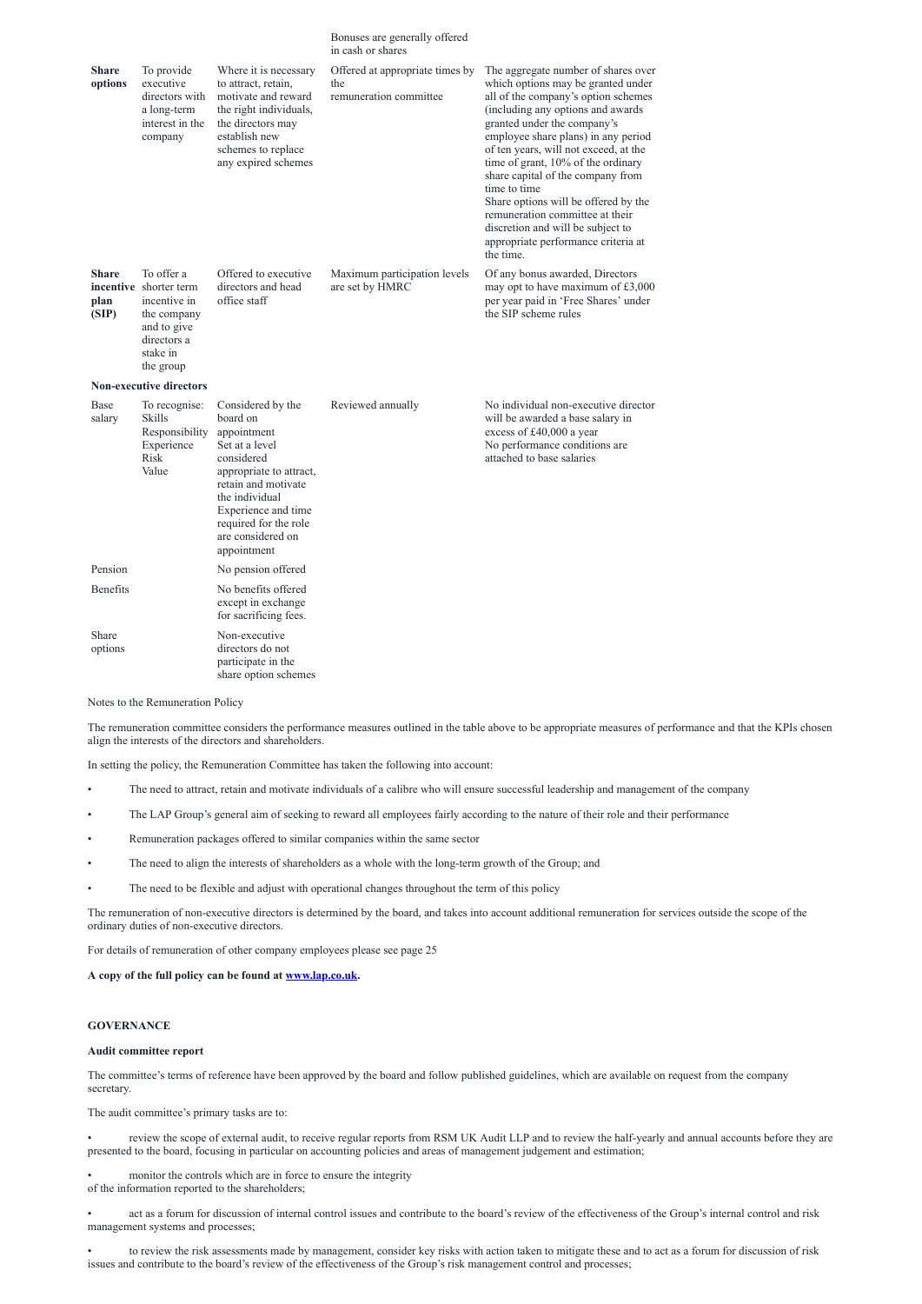#### Bonuses are generally offered in cash or shares

| <b>Share</b><br>options                    | To provide<br>executive<br>directors with<br>a long-term<br>interest in the<br>company                           | Where it is necessary<br>to attract, retain,<br>motivate and reward<br>the right individuals,<br>the directors may<br>establish new<br>schemes to replace<br>any expired schemes                                                     | Offered at appropriate times by<br>the<br>remuneration committee | The aggregate number of shares over<br>which options may be granted under<br>all of the company's option schemes<br>(including any options and awards<br>granted under the company's<br>employee share plans) in any period<br>of ten years, will not exceed, at the<br>time of grant, 10% of the ordinary<br>share capital of the company from<br>time to time<br>Share options will be offered by the<br>remuneration committee at their<br>discretion and will be subject to<br>appropriate performance criteria at<br>the time. |
|--------------------------------------------|------------------------------------------------------------------------------------------------------------------|--------------------------------------------------------------------------------------------------------------------------------------------------------------------------------------------------------------------------------------|------------------------------------------------------------------|-------------------------------------------------------------------------------------------------------------------------------------------------------------------------------------------------------------------------------------------------------------------------------------------------------------------------------------------------------------------------------------------------------------------------------------------------------------------------------------------------------------------------------------|
| <b>Share</b><br>incentive<br>plan<br>(SIP) | To offer a<br>shorter term<br>incentive in<br>the company<br>and to give<br>directors a<br>stake in<br>the group | Offered to executive<br>directors and head<br>office staff                                                                                                                                                                           | Maximum participation levels<br>are set by HMRC                  | Of any bonus awarded, Directors<br>may opt to have maximum of £3,000<br>per year paid in 'Free Shares' under<br>the SIP scheme rules                                                                                                                                                                                                                                                                                                                                                                                                |
|                                            | <b>Non-executive directors</b>                                                                                   |                                                                                                                                                                                                                                      |                                                                  |                                                                                                                                                                                                                                                                                                                                                                                                                                                                                                                                     |
| Base<br>salary                             | To recognise:<br><b>Skills</b><br>Responsibility<br>Experience<br><b>Risk</b><br>Value                           | Considered by the<br>board on<br>appointment<br>Set at a level<br>considered<br>appropriate to attract,<br>retain and motivate<br>the individual<br>Experience and time<br>required for the role<br>are considered on<br>appointment | Reviewed annually                                                | No individual non-executive director<br>will be awarded a base salary in<br>excess of £40,000 a year<br>No performance conditions are<br>attached to base salaries                                                                                                                                                                                                                                                                                                                                                                  |
| Pension                                    |                                                                                                                  | No pension offered                                                                                                                                                                                                                   |                                                                  |                                                                                                                                                                                                                                                                                                                                                                                                                                                                                                                                     |
| <b>Benefits</b>                            |                                                                                                                  | No benefits offered<br>except in exchange<br>for sacrificing fees.                                                                                                                                                                   |                                                                  |                                                                                                                                                                                                                                                                                                                                                                                                                                                                                                                                     |
| Share<br>options                           |                                                                                                                  | Non-executive<br>directors do not<br>participate in the<br>share option schemes                                                                                                                                                      |                                                                  |                                                                                                                                                                                                                                                                                                                                                                                                                                                                                                                                     |

- The need to attract, retain and motivate individuals of a calibre who will ensure successful leadership and management of the company
- The LAP Group's general aim of seeking to reward all employees fairly according to the nature of their role and their performance
- Remuneration packages offered to similar companies within the same sector
- The need to align the interests of shareholders as a whole with the long-term growth of the Group; and
- The need to be flexible and adjust with operational changes throughout the term of this policy

Notes to the Remuneration Policy

The remuneration committee considers the performance measures outlined in the table above to be appropriate measures of performance and that the KPIs chosen align the interests of the directors and shareholders.

In setting the policy, the Remuneration Committee has taken the following into account:

The remuneration of non-executive directors is determined by the board, and takes into account additional remuneration for services outside the scope of the ordinary duties of non-executive directors.

For details of remuneration of other company employees please see page 25

**A copy of the full policy can be found at [www.lap.co.uk.](http://www.lap.co.uk/)**

#### **GOVERNANCE**

# **Audit committee report**

The committee's terms of reference have been approved by the board and follow published guidelines, which are available on request from the company secretary.

The audit committee's primary tasks are to:

• review the scope of external audit, to receive regular reports from RSM UK Audit LLP and to review the half-yearly and annual accounts before they are presented to the board, focusing in particular on accounting policies and areas of management judgement and estimation;

• monitor the controls which are in force to ensure the integrity of the information reported to the shareholders;

• act as a forum for discussion of internal control issues and contribute to the board's review of the effectiveness of the Group's internal control and risk management systems and processes;

• to review the risk assessments made by management, consider key risks with action taken to mitigate these and to act as a forum for discussion of risk issues and contribute to the board's review of the effectiveness of the Group's risk management control and processes;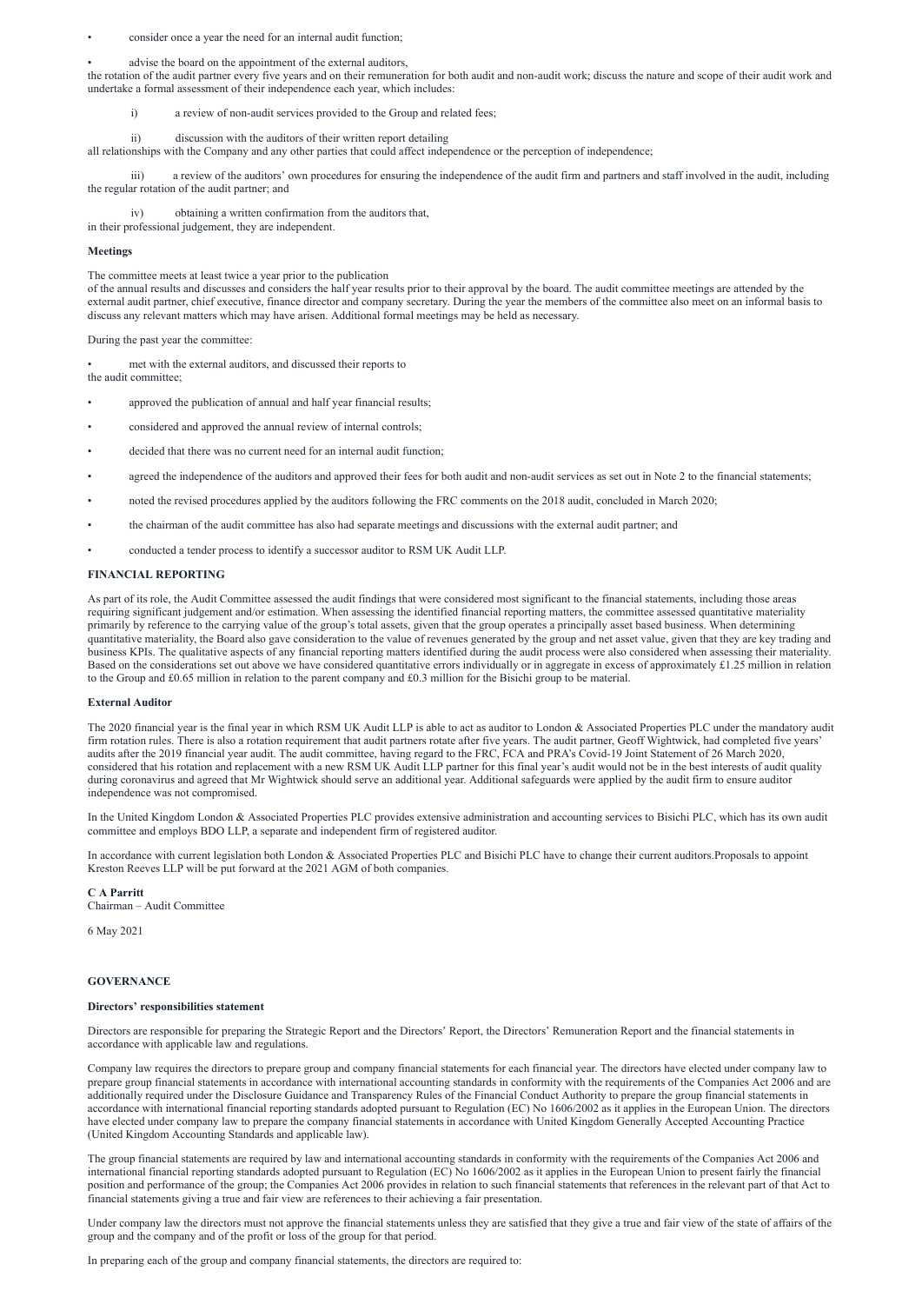- consider once a year the need for an internal audit function;
- advise the board on the appointment of the external auditors,

the rotation of the audit partner every five years and on their remuneration for both audit and non-audit work; discuss the nature and scope of their audit work and undertake a formal assessment of their independence each year, which includes:

a review of the auditors' own procedures for ensuring the independence of the audit firm and partners and staff involved in the audit, including the regular rotation of the audit partner; and

- i) a review of non-audit services provided to the Group and related fees;
- ii) discussion with the auditors of their written report detailing

all relationships with the Company and any other parties that could affect independence or the perception of independence;

 iv) obtaining a written confirmation from the auditors that, in their professional judgement, they are independent.

# **Meetings**

The committee meets at least twice a year prior to the publication

- met with the external auditors, and discussed their reports to the audit committee;
- approved the publication of annual and half year financial results;
- considered and approved the annual review of internal controls;
- decided that there was no current need for an internal audit function;
- agreed the independence of the auditors and approved their fees for both audit and non-audit services as set out in Note 2 to the financial statements;
- noted the revised procedures applied by the auditors following the FRC comments on the 2018 audit, concluded in March 2020;
- the chairman of the audit committee has also had separate meetings and discussions with the external audit partner; and
- conducted a tender process to identify a successor auditor to RSM UK Audit LLP.

of the annual results and discusses and considers the half year results prior to their approval by the board. The audit committee meetings are attended by the external audit partner, chief executive, finance director and company secretary. During the year the members of the committee also meet on an informal basis to discuss any relevant matters which may have arisen. Additional formal meetings may be held as necessary.

During the past year the committee:

## **FINANCIAL REPORTING**

As part of its role, the Audit Committee assessed the audit findings that were considered most significant to the financial statements, including those areas requiring significant judgement and/or estimation. When assessing the identified financial reporting matters, the committee assessed quantitative materiality primarily by reference to the carrying value of the group's total assets, given that the group operates a principally asset based business. When determining quantitative materiality, the Board also gave consideration to the value of revenues generated by the group and net asset value, given that they are key trading and business KPIs. The qualitative aspects of any financial reporting matters identified during the audit process were also considered when assessing their materiality. Based on the considerations set out above we have considered quantitative errors individually or in aggregate in excess of approximately £1.25 million in relation to the Group and £0.65 million in relation to the parent company and £0.3 million for the Bisichi group to be material.

#### **External Auditor**

The 2020 financial year is the final year in which RSM UK Audit LLP is able to act as auditor to London & Associated Properties PLC under the mandatory audit firm rotation rules. There is also a rotation requirement that audit partners rotate after five years. The audit partner, Geoff Wightwick, had completed five years' audits after the 2019 financial year audit. The audit committee, having regard to the FRC, FCA and PRA's Covid-19 Joint Statement of 26 March 2020, considered that his rotation and replacement with a new RSM UK Audit LLP partner for this final year's audit would not be in the best interests of audit quality during coronavirus and agreed that Mr Wightwick should serve an additional year. Additional safeguards were applied by the audit firm to ensure auditor independence was not compromised.

In the United Kingdom London & Associated Properties PLC provides extensive administration and accounting services to Bisichi PLC, which has its own audit committee and employs BDO LLP, a separate and independent firm of registered auditor.

In accordance with current legislation both London & Associated Properties PLC and Bisichi PLC have to change their current auditors.Proposals to appoint Kreston Reeves LLP will be put forward at the 2021 AGM of both companies.

**C A Parritt** Chairman – Audit Committee

6 May 2021

#### **GOVERNANCE**

#### **Directors' responsibilities statement**

Directors are responsible for preparing the Strategic Report and the Directors' Report, the Directors' Remuneration Report and the financial statements in accordance with applicable law and regulations.

Company law requires the directors to prepare group and company financial statements for each financial year. The directors have elected under company law to prepare group financial statements in accordance with international accounting standards in conformity with the requirements of the Companies Act 2006 and are additionally required under the Disclosure Guidance and Transparency Rules of the Financial Conduct Authority to prepare the group financial statements in accordance with international financial reporting standards adopted pursuant to Regulation (EC) No 1606/2002 as it applies in the European Union. The directors have elected under company law to prepare the company financial statements in accordance with United Kingdom Generally Accepted Accounting Practice (United Kingdom Accounting Standards and applicable law).

The group financial statements are required by law and international accounting standards in conformity with the requirements of the Companies Act 2006 and international financial reporting standards adopted pursuant to Regulation (EC) No 1606/2002 as it applies in the European Union to present fairly the financial position and performance of the group; the Companies Act 2006 provides in relation to such financial statements that references in the relevant part of that Act to financial statements giving a true and fair view are references to their achieving a fair presentation.

Under company law the directors must not approve the financial statements unless they are satisfied that they give a true and fair view of the state of affairs of the group and the company and of the profit or loss of the group for that period.

In preparing each of the group and company financial statements, the directors are required to: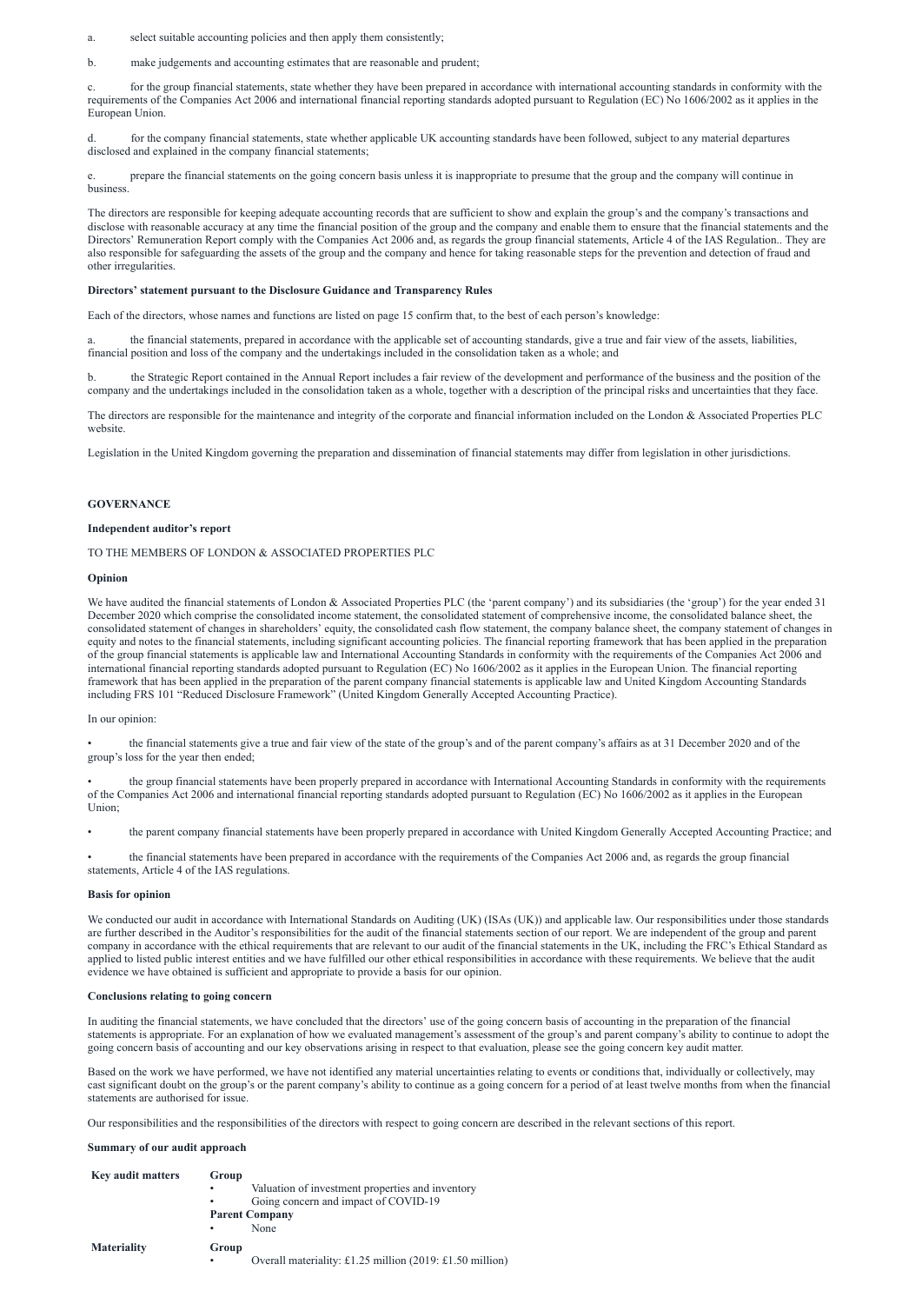a. select suitable accounting policies and then apply them consistently;

b. make judgements and accounting estimates that are reasonable and prudent;

c. for the group financial statements, state whether they have been prepared in accordance with international accounting standards in conformity with the requirements of the Companies Act 2006 and international financial reporting standards adopted pursuant to Regulation (EC) No 1606/2002 as it applies in the European Union.

d. for the company financial statements, state whether applicable UK accounting standards have been followed, subject to any material departures disclosed and explained in the company financial statements;

e. prepare the financial statements on the going concern basis unless it is inappropriate to presume that the group and the company will continue in business.

The directors are responsible for keeping adequate accounting records that are sufficient to show and explain the group's and the company's transactions and disclose with reasonable accuracy at any time the financial position of the group and the company and enable them to ensure that the financial statements and the Directors' Remuneration Report comply with the Companies Act 2006 and, as regards the group financial statements, Article 4 of the IAS Regulation.. They are also responsible for safeguarding the assets of the group and the company and hence for taking reasonable steps for the prevention and detection of fraud and other irregularities.

#### **Directors' statement pursuant to the Disclosure Guidance and Transparency Rules**

Each of the directors, whose names and functions are listed on page 15 confirm that, to the best of each person's knowledge:

a. the financial statements, prepared in accordance with the applicable set of accounting standards, give a true and fair view of the assets, liabilities, financial position and loss of the company and the undertakings included in the consolidation taken as a whole; and

We have audited the financial statements of London & Associated Properties PLC (the 'parent company') and its subsidiaries (the 'group') for the year ended 31 December 2020 which comprise the consolidated income statement, the consolidated statement of comprehensive income, the consolidated balance sheet, the consolidated statement of changes in shareholders' equity, the consolidated cash flow statement, the company balance sheet, the company statement of changes in equity and notes to the financial statements, including significant accounting policies. The financial reporting framework that has been applied in the preparation of the group financial statements is applicable law and International Accounting Standards in conformity with the requirements of the Companies Act 2006 and international financial reporting standards adopted pursuant to Regulation (EC) No 1606/2002 as it applies in the European Union. The financial reporting framework that has been applied in the preparation of the parent company financial statements is applicable law and United Kingdom Accounting Standards including FRS 101 "Reduced Disclosure Framework" (United Kingdom Generally Accepted Accounting Practice).

b. the Strategic Report contained in the Annual Report includes a fair review of the development and performance of the business and the position of the company and the undertakings included in the consolidation taken as a whole, together with a description of the principal risks and uncertainties that they face.

The directors are responsible for the maintenance and integrity of the corporate and financial information included on the London & Associated Properties PLC website.

Legislation in the United Kingdom governing the preparation and dissemination of financial statements may differ from legislation in other jurisdictions.

# **GOVERNANCE**

#### **Independent auditor's report**

# TO THE MEMBERS OF LONDON & ASSOCIATED PROPERTIES PLC

#### **Opinion**

We conducted our audit in accordance with International Standards on Auditing (UK) (ISAs (UK)) and applicable law. Our responsibilities under those standards are further described in the Auditor's responsibilities for the audit of the financial statements section of our report. We are independent of the group and parent company in accordance with the ethical requirements that are relevant to our audit of the financial statements in the UK, including the FRC's Ethical Standard as applied to listed public interest entities and we have fulfilled our other ethical responsibilities in accordance with these requirements. We believe that the audit evidence we have obtained is sufficient and appropriate to provide a basis for our opinion.

- - Valuation of investment properties and inventory
- Going concern and impact of COVID-19
- **Parent Company**
- None

#### In our opinion:

• the financial statements give a true and fair view of the state of the group's and of the parent company's affairs as at 31 December 2020 and of the group's loss for the year then ended;

• the group financial statements have been properly prepared in accordance with International Accounting Standards in conformity with the requirements of the Companies Act 2006 and international financial reporting standards adopted pursuant to Regulation (EC) No 1606/2002 as it applies in the European Union;

• the parent company financial statements have been properly prepared in accordance with United Kingdom Generally Accepted Accounting Practice; and

• the financial statements have been prepared in accordance with the requirements of the Companies Act 2006 and, as regards the group financial statements, Article 4 of the IAS regulations.

#### **Basis for opinion**

# **Conclusions relating to going concern**

In auditing the financial statements, we have concluded that the directors' use of the going concern basis of accounting in the preparation of the financial statements is appropriate. For an explanation of how we evaluated management's assessment of the group's and parent company's ability to continue to adopt the going concern basis of accounting and our key observations arising in respect to that evaluation, please see the going concern key audit matter.

Based on the work we have performed, we have not identified any material uncertainties relating to events or conditions that, individually or collectively, may cast significant doubt on the group's or the parent company's ability to continue as a going concern for a period of at least twelve months from when the financial statements are authorised for issue.

Our responsibilities and the responsibilities of the directors with respect to going concern are described in the relevant sections of this report.

# **Summary of our audit approach**

# **Key audit matters Group**

# **Materiality Group**

- - Overall materiality: £1.25 million (2019: £1.50 million)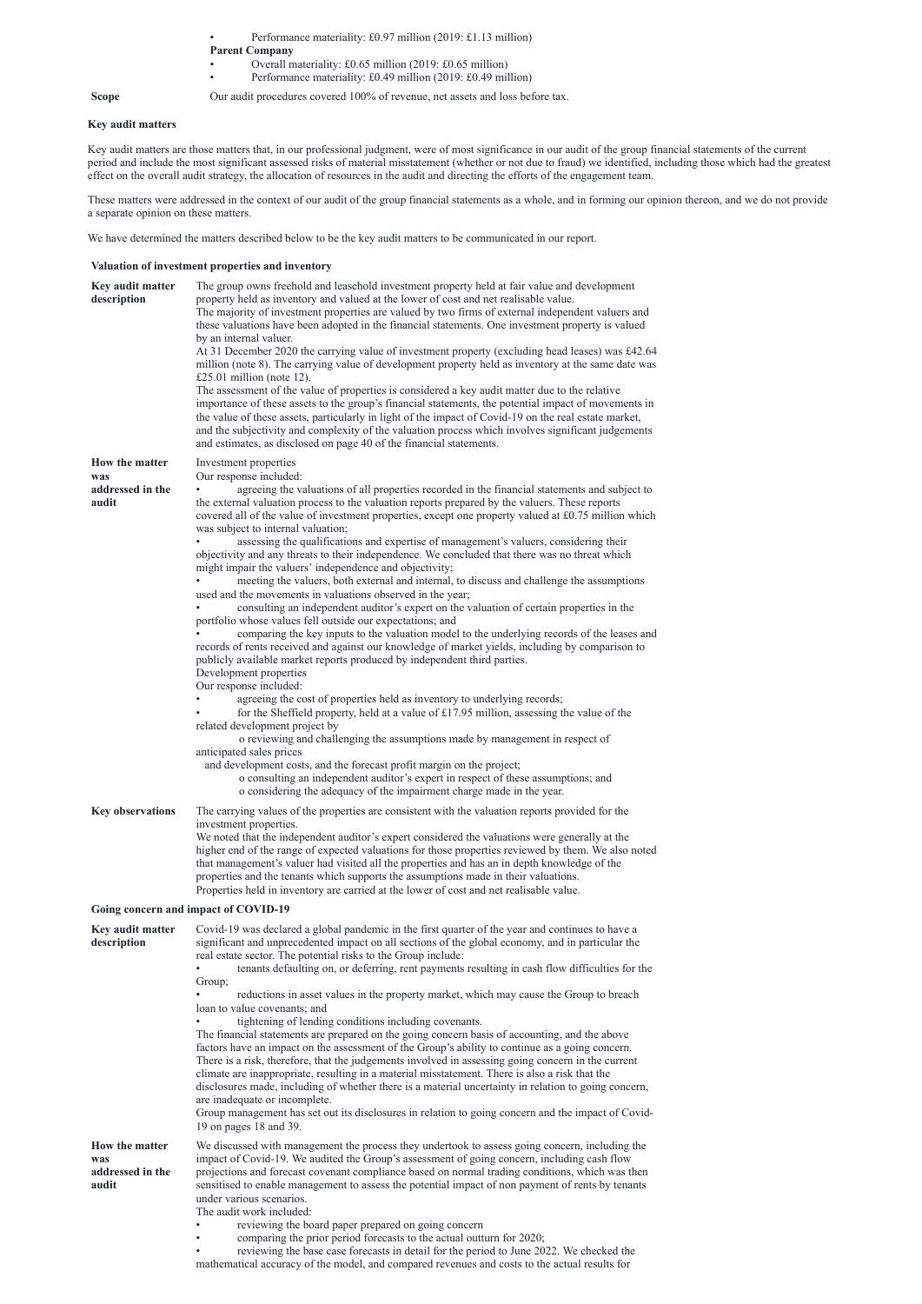• Performance materiality: £0.97 million (2019: £1.13 million)

- Overall materiality: £0.65 million (2019: £0.65 million)
	- Performance materiality: £0.49 million (2019: £0.49 million)

**Scope** Our audit procedures covered 100% of revenue, net assets and loss before tax.

**Parent Company**

# **Key audit matters**

Key audit matters are those matters that, in our professional judgment, were of most significance in our audit of the group financial statements of the current period and include the most significant assessed risks of material misstatement (whether or not due to fraud) we identified, including those which had the greatest effect on the overall audit strategy, the allocation of resources in the audit and directing the efforts of the engagement team.

These matters were addressed in the context of our audit of the group financial statements as a whole, and in forming our opinion thereon, and we do not provide a separate opinion on these matters.

We have determined the matters described below to be the key audit matters to be communicated in our report.

# **Valuation of investment properties and inventory**

| Key audit matter<br>description                    | The group owns freehold and leasehold investment property held at fair value and development<br>property held as inventory and valued at the lower of cost and net realisable value.<br>The majority of investment properties are valued by two firms of external independent valuers and<br>these valuations have been adopted in the financial statements. One investment property is valued<br>by an internal valuer.<br>At 31 December 2020 the carrying value of investment property (excluding head leases) was £42.64<br>million (note 8). The carrying value of development property held as inventory at the same date was<br>£25.01 million (note 12).<br>The assessment of the value of properties is considered a key audit matter due to the relative<br>importance of these assets to the group's financial statements, the potential impact of movements in<br>the value of these assets, particularly in light of the impact of Covid-19 on the real estate market,<br>and the subjectivity and complexity of the valuation process which involves significant judgements<br>and estimates, as disclosed on page 40 of the financial statements.                                                                                                                                                                                                                                                                                                                                                                                                                                                                                                                                                                                                                                                                                                              |
|----------------------------------------------------|-------------------------------------------------------------------------------------------------------------------------------------------------------------------------------------------------------------------------------------------------------------------------------------------------------------------------------------------------------------------------------------------------------------------------------------------------------------------------------------------------------------------------------------------------------------------------------------------------------------------------------------------------------------------------------------------------------------------------------------------------------------------------------------------------------------------------------------------------------------------------------------------------------------------------------------------------------------------------------------------------------------------------------------------------------------------------------------------------------------------------------------------------------------------------------------------------------------------------------------------------------------------------------------------------------------------------------------------------------------------------------------------------------------------------------------------------------------------------------------------------------------------------------------------------------------------------------------------------------------------------------------------------------------------------------------------------------------------------------------------------------------------------------------------------------------------------------------------------------------------------------|
| How the matter<br>was<br>addressed in the<br>audit | Investment properties<br>Our response included:<br>agreeing the valuations of all properties recorded in the financial statements and subject to<br>the external valuation process to the valuation reports prepared by the valuers. These reports<br>covered all of the value of investment properties, except one property valued at £0.75 million which<br>was subject to internal valuation;<br>assessing the qualifications and expertise of management's valuers, considering their<br>objectivity and any threats to their independence. We concluded that there was no threat which<br>might impair the valuers' independence and objectivity;<br>meeting the valuers, both external and internal, to discuss and challenge the assumptions<br>used and the movements in valuations observed in the year;<br>consulting an independent auditor's expert on the valuation of certain properties in the<br>portfolio whose values fell outside our expectations; and<br>comparing the key inputs to the valuation model to the underlying records of the leases and<br>records of rents received and against our knowledge of market yields, including by comparison to<br>publicly available market reports produced by independent third parties.<br>Development properties<br>Our response included:<br>agreeing the cost of properties held as inventory to underlying records;<br>for the Sheffield property, held at a value of $£17.95$ million, assessing the value of the<br>related development project by<br>o reviewing and challenging the assumptions made by management in respect of<br>anticipated sales prices<br>and development costs, and the forecast profit margin on the project;<br>o consulting an independent auditor's expert in respect of these assumptions; and<br>o considering the adequacy of the impairment charge made in the year. |
| <b>Key observations</b>                            | The carrying values of the properties are consistent with the valuation reports provided for the<br>investment properties.<br>We noted that the independent auditor's expert considered the valuations were generally at the<br>higher end of the range of expected valuations for those properties reviewed by them. We also noted<br>that management's valuer had visited all the properties and has an in depth knowledge of the<br>properties and the tenants which supports the assumptions made in their valuations.<br>Properties held in inventory are carried at the lower of cost and net realisable value.                                                                                                                                                                                                                                                                                                                                                                                                                                                                                                                                                                                                                                                                                                                                                                                                                                                                                                                                                                                                                                                                                                                                                                                                                                                         |
| Going concern and impact of COVID-19               |                                                                                                                                                                                                                                                                                                                                                                                                                                                                                                                                                                                                                                                                                                                                                                                                                                                                                                                                                                                                                                                                                                                                                                                                                                                                                                                                                                                                                                                                                                                                                                                                                                                                                                                                                                                                                                                                               |

- reviewing the board paper prepared on going concern
- comparing the prior period forecasts to the actual outturn for 2020;
- reviewing the base case forecasts in detail for the period to June 2022. We checked the mathematical accuracy of the model, and compared revenues and costs to the actual results for

| Key audit matter | Covid-19 was declared a global pandemic in the first quarter of the year and continues to have a  |
|------------------|---------------------------------------------------------------------------------------------------|
| description      | significant and unprecedented impact on all sections of the global economy, and in particular the |
|                  | real estate sector. The potential risks to the Group include:                                     |
|                  | tenants defaulting on, or deferring, rent payments resulting in cash flow difficulties for the    |
|                  |                                                                                                   |

Group;

• reductions in asset values in the property market, which may cause the Group to breach loan to value covenants; and

tightening of lending conditions including covenants.

The financial statements are prepared on the going concern basis of accounting, and the above factors have an impact on the assessment of the Group's ability to continue as a going concern. There is a risk, therefore, that the judgements involved in assessing going concern in the current climate are inappropriate, resulting in a material misstatement. There is also a risk that the disclosures made, including of whether there is a material uncertainty in relation to going concern, are inadequate or incomplete.

Group management has set out its disclosures in relation to going concern and the impact of Covid-19 on pages 18 and 39.

**How the matter was addressed in the audit** We discussed with management the process they undertook to assess going concern, including the impact of Covid-19. We audited the Group's assessment of going concern, including cash flow projections and forecast covenant compliance based on normal trading conditions, which was then sensitised to enable management to assess the potential impact of non payment of rents by tenants under various scenarios.

The audit work included: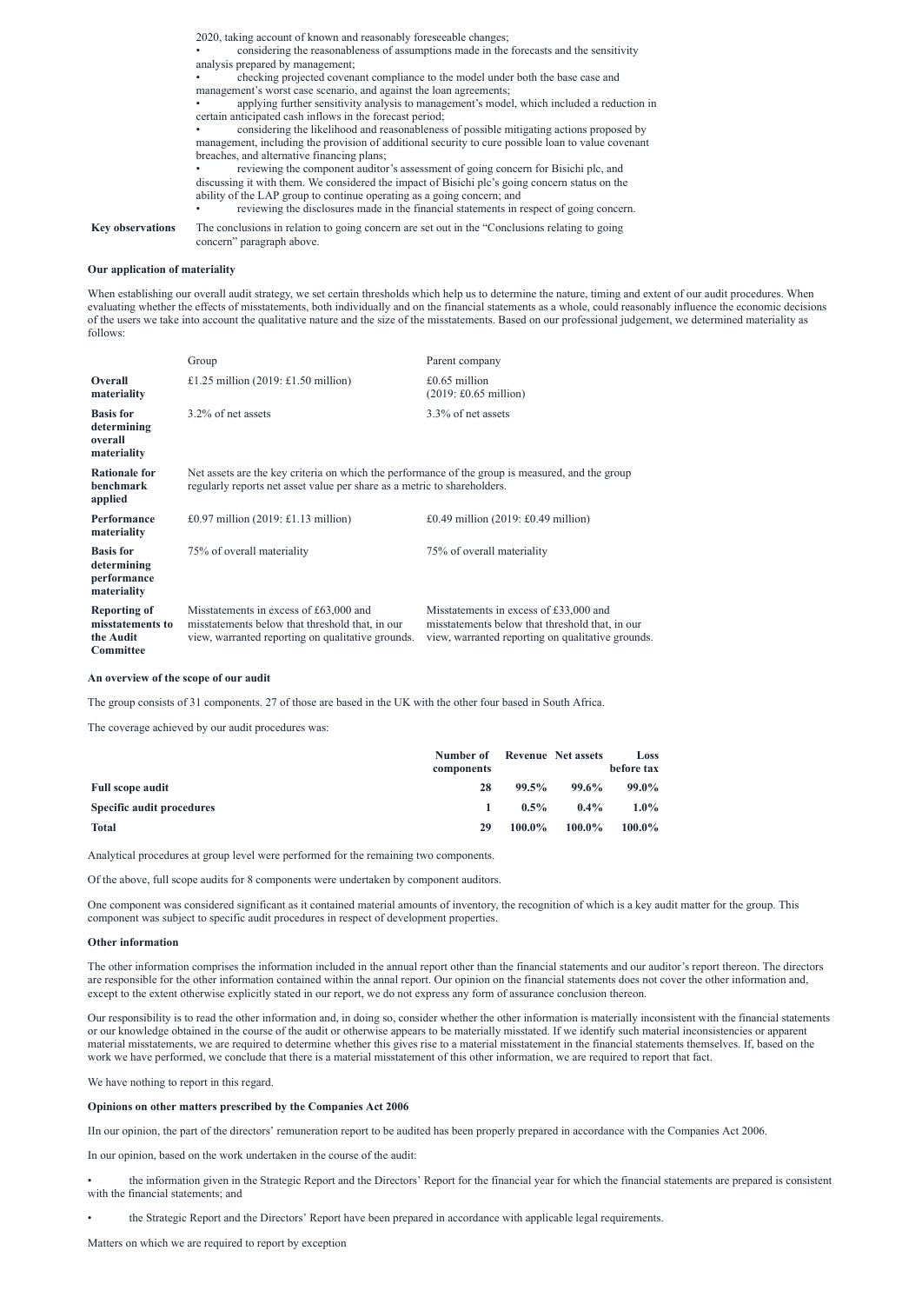2020, taking account of known and reasonably foreseeable changes; • considering the reasonableness of assumptions made in the forecasts and the sensitivity analysis prepared by management; • checking projected covenant compliance to the model under both the base case and management's worst case scenario, and against the loan agreements; • applying further sensitivity analysis to management's model, which included a reduction in certain anticipated cash inflows in the forecast period; • considering the likelihood and reasonableness of possible mitigating actions proposed by management, including the provision of additional security to cure possible loan to value covenant breaches, and alternative financing plans; • reviewing the component auditor's assessment of going concern for Bisichi plc, and discussing it with them. We considered the impact of Bisichi plc's going concern status on the ability of the LAP group to continue operating as a going concern; and reviewing the disclosures made in the financial statements in respect of going concern. **Key observations** The conclusions in relation to going concern are set out in the "Conclusions relating to going

concern" paragraph above.

#### **Our application of materiality**

When establishing our overall audit strategy, we set certain thresholds which help us to determine the nature, timing and extent of our audit procedures. When evaluating whether the effects of misstatements, both individually and on the financial statements as a whole, could reasonably influence the economic decisions of the users we take into account the qualitative nature and the size of the misstatements. Based on our professional judgement, we determined materiality as follows:

|                                                                   | Group                                                                                                                                          | Parent company                                                                                                                                                               |  |  |
|-------------------------------------------------------------------|------------------------------------------------------------------------------------------------------------------------------------------------|------------------------------------------------------------------------------------------------------------------------------------------------------------------------------|--|--|
| <b>Overall</b><br>materiality                                     | £1.25 million (2019: £1.50 million)                                                                                                            | $£0.65$ million<br>$(2019: \text{\pounds}0.65 \text{ million})$                                                                                                              |  |  |
| <b>Basis for</b><br>determining<br>overall<br>materiality         | 3.2% of net assets                                                                                                                             | 3.3% of net assets                                                                                                                                                           |  |  |
| <b>Rationale for</b><br>benchmark<br>applied                      |                                                                                                                                                | Net assets are the key criteria on which the performance of the group is measured, and the group<br>regularly reports net asset value per share as a metric to shareholders. |  |  |
| Performance<br>materiality                                        | £0.97 million $(2019: \text{\textsterling}1.13$ million)                                                                                       | £0.49 million $(2019: \text{\pounds}0.49 \text{ million})$                                                                                                                   |  |  |
| <b>Basis for</b><br>determining<br>performance<br>materiality     | 75% of overall materiality                                                                                                                     | 75% of overall materiality                                                                                                                                                   |  |  |
| <b>Reporting of</b><br>misstatements to<br>the Audit<br>Committee | Misstatements in excess of £63,000 and<br>misstatements below that threshold that, in our<br>view, warranted reporting on qualitative grounds. | Misstatements in excess of £33,000 and<br>misstatements below that threshold that, in our<br>view, warranted reporting on qualitative grounds.                               |  |  |

#### **An overview of the scope of our audit**

The group consists of 31 components. 27 of those are based in the UK with the other four based in South Africa.

The coverage achieved by our audit procedures was:

|                                  | <b>Number of</b> Revenue Net assets |           |           | <b>Loss</b> |
|----------------------------------|-------------------------------------|-----------|-----------|-------------|
|                                  | components                          |           |           | before tax  |
| <b>Full scope audit</b>          | 28                                  | $99.5\%$  | 99.6%     | 99.0%       |
| <b>Specific audit procedures</b> |                                     | $0.5\%$   | $0.4\%$   | $1.0\%$     |
| <b>Total</b>                     | 29                                  | $100.0\%$ | $100.0\%$ | $100.0\%$   |

Analytical procedures at group level were performed for the remaining two components.

Of the above, full scope audits for 8 components were undertaken by component auditors.

One component was considered significant as it contained material amounts of inventory, the recognition of which is a key audit matter for the group. This component was subject to specific audit procedures in respect of development properties.

#### **Other information**

The other information comprises the information included in the annual report other than the financial statements and our auditor's report thereon. The directors are responsible for the other information contained within the annal report. Our opinion on the financial statements does not cover the other information and,

except to the extent otherwise explicitly stated in our report, we do not express any form of assurance conclusion thereon.

Our responsibility is to read the other information and, in doing so, consider whether the other information is materially inconsistent with the financial statements or our knowledge obtained in the course of the audit or otherwise appears to be materially misstated. If we identify such material inconsistencies or apparent material misstatements, we are required to determine whether this gives rise to a material misstatement in the financial statements themselves. If, based on the work we have performed, we conclude that there is a material misstatement of this other information, we are required to report that fact.

We have nothing to report in this regard.

#### **Opinions on other matters prescribed by the Companies Act 2006**

IIn our opinion, the part of the directors' remuneration report to be audited has been properly prepared in accordance with the Companies Act 2006.

In our opinion, based on the work undertaken in the course of the audit:

• the information given in the Strategic Report and the Directors' Report for the financial year for which the financial statements are prepared is consistent with the financial statements; and

• the Strategic Report and the Directors' Report have been prepared in accordance with applicable legal requirements.

Matters on which we are required to report by exception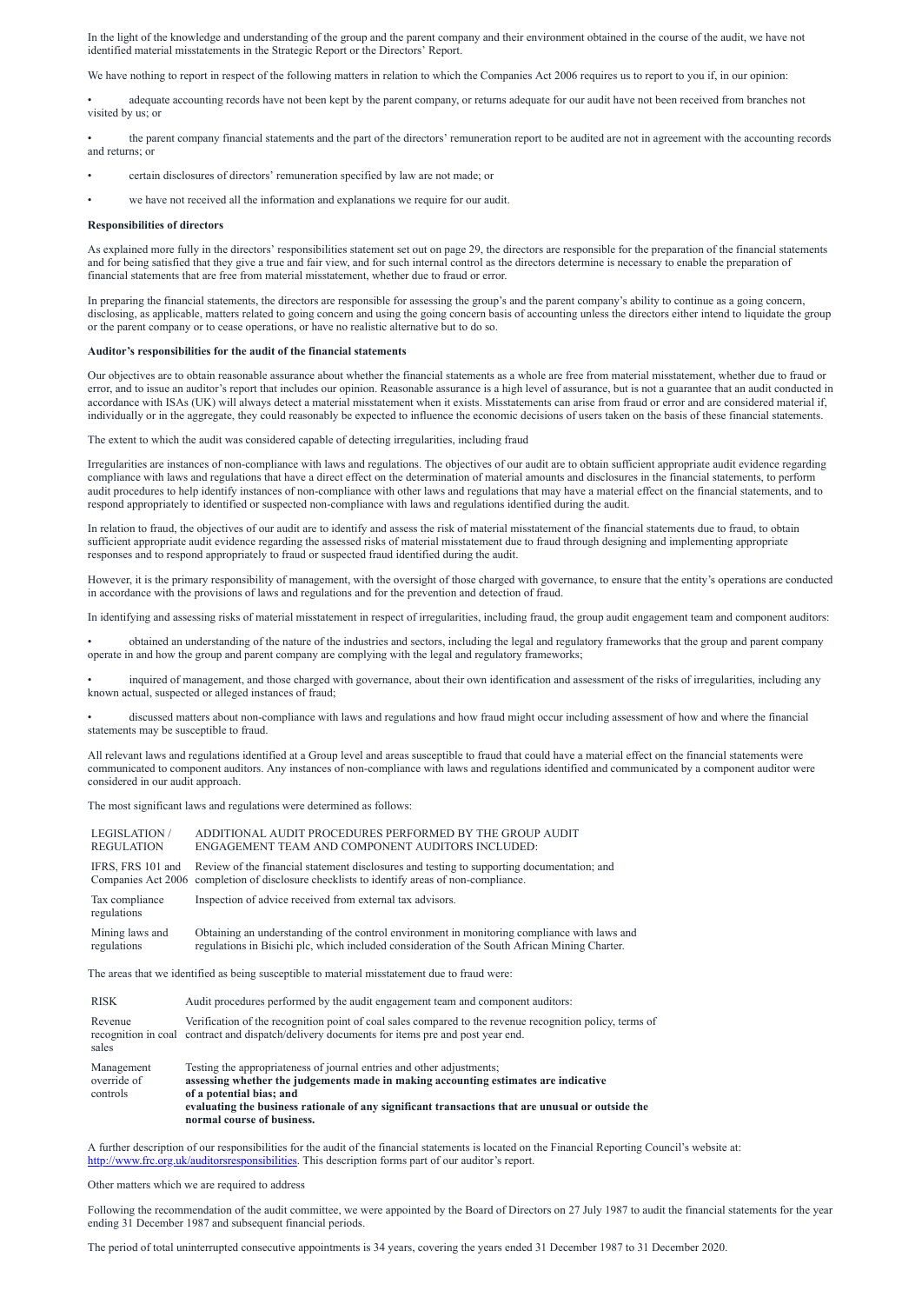In the light of the knowledge and understanding of the group and the parent company and their environment obtained in the course of the audit, we have not identified material misstatements in the Strategic Report or the Directors' Report.

We have nothing to report in respect of the following matters in relation to which the Companies Act 2006 requires us to report to you if, in our opinion:

- certain disclosures of directors' remuneration specified by law are not made; or
- we have not received all the information and explanations we require for our audit.

• adequate accounting records have not been kept by the parent company, or returns adequate for our audit have not been received from branches not visited by us; or

• the parent company financial statements and the part of the directors' remuneration report to be audited are not in agreement with the accounting records and returns; or

#### **Responsibilities of directors**

As explained more fully in the directors' responsibilities statement set out on page 29, the directors are responsible for the preparation of the financial statements and for being satisfied that they give a true and fair view, and for such internal control as the directors determine is necessary to enable the preparation of financial statements that are free from material misstatement, whether due to fraud or error.

In preparing the financial statements, the directors are responsible for assessing the group's and the parent company's ability to continue as a going concern, disclosing, as applicable, matters related to going concern and using the going concern basis of accounting unless the directors either intend to liquidate the group or the parent company or to cease operations, or have no realistic alternative but to do so.

#### **Auditor's responsibilities for the audit of the financial statements**

Our objectives are to obtain reasonable assurance about whether the financial statements as a whole are free from material misstatement, whether due to fraud or error, and to issue an auditor's report that includes our opinion. Reasonable assurance is a high level of assurance, but is not a guarantee that an audit conducted in accordance with ISAs (UK) will always detect a material misstatement when it exists. Misstatements can arise from fraud or error and are considered material if, individually or in the aggregate, they could reasonably be expected to influence the economic decisions of users taken on the basis of these financial statements.

inquired of management, and those charged with governance, about their own identification and assessment of the risks of irregularities, including any known actual, suspected or alleged instances of fraud;

The extent to which the audit was considered capable of detecting irregularities, including fraud

Irregularities are instances of non-compliance with laws and regulations. The objectives of our audit are to obtain sufficient appropriate audit evidence regarding compliance with laws and regulations that have a direct effect on the determination of material amounts and disclosures in the financial statements, to perform audit procedures to help identify instances of non-compliance with other laws and regulations that may have a material effect on the financial statements, and to respond appropriately to identified or suspected non-compliance with laws and regulations identified during the audit.

A further description of our responsibilities for the audit of the financial statements is located on the Financial Reporting Council's website at: <http://www.frc.org.uk/auditorsresponsibilities>. This description forms part of our auditor's report.

In relation to fraud, the objectives of our audit are to identify and assess the risk of material misstatement of the financial statements due to fraud, to obtain sufficient appropriate audit evidence regarding the assessed risks of material misstatement due to fraud through designing and implementing appropriate responses and to respond appropriately to fraud or suspected fraud identified during the audit.

Following the recommendation of the audit committee, we were appointed by the Board of Directors on 27 July 1987 to audit the financial statements for the year ending 31 December 1987 and subsequent financial periods.

However, it is the primary responsibility of management, with the oversight of those charged with governance, to ensure that the entity's operations are conducted in accordance with the provisions of laws and regulations and for the prevention and detection of fraud.

In identifying and assessing risks of material misstatement in respect of irregularities, including fraud, the group audit engagement team and component auditors:

• obtained an understanding of the nature of the industries and sectors, including the legal and regulatory frameworks that the group and parent company operate in and how the group and parent company are complying with the legal and regulatory frameworks;

• discussed matters about non-compliance with laws and regulations and how fraud might occur including assessment of how and where the financial statements may be susceptible to fraud.

All relevant laws and regulations identified at a Group level and areas susceptible to fraud that could have a material effect on the financial statements were communicated to component auditors. Any instances of non-compliance with laws and regulations identified and communicated by a component auditor were considered in our audit approach.

The most significant laws and regulations were determined as follows:

| <b>LEGISLATION/</b>           | ADDITIONAL AUDIT PROCEDURES PERFORMED BY THE GROUP AUDIT                                                                                                                                                    |
|-------------------------------|-------------------------------------------------------------------------------------------------------------------------------------------------------------------------------------------------------------|
| <b>REGULATION</b>             | ENGAGEMENT TEAM AND COMPONENT AUDITORS INCLUDED:                                                                                                                                                            |
|                               | IFRS, FRS 101 and Review of the financial statement disclosures and testing to supporting documentation; and<br>Companies Act 2006 completion of disclosure checklists to identify areas of non-compliance. |
| Tax compliance<br>regulations | Inspection of advice received from external tax advisors.                                                                                                                                                   |
| Mining laws and               | Obtaining an understanding of the control environment in monitoring compliance with laws and                                                                                                                |
| regulations                   | regulations in Bisichi plc, which included consideration of the South African Mining Charter.                                                                                                               |

The areas that we identified as being susceptible to material misstatement due to fraud were:

RISK Audit procedures performed by the audit engagement team and component auditors: Revenue recognition in coal contract and dispatch/delivery documents for items pre and post year end. sales Verification of the recognition point of coal sales compared to the revenue recognition policy, terms of Management override of controls Testing the appropriateness of journal entries and other adjustments; **assessing whether the judgements made in making accounting estimates are indicative of a potential bias; and evaluating the business rationale of any significant transactions that are unusual or outside the normal course of business.**

Other matters which we are required to address

The period of total uninterrupted consecutive appointments is 34 years, covering the years ended 31 December 1987 to 31 December 2020.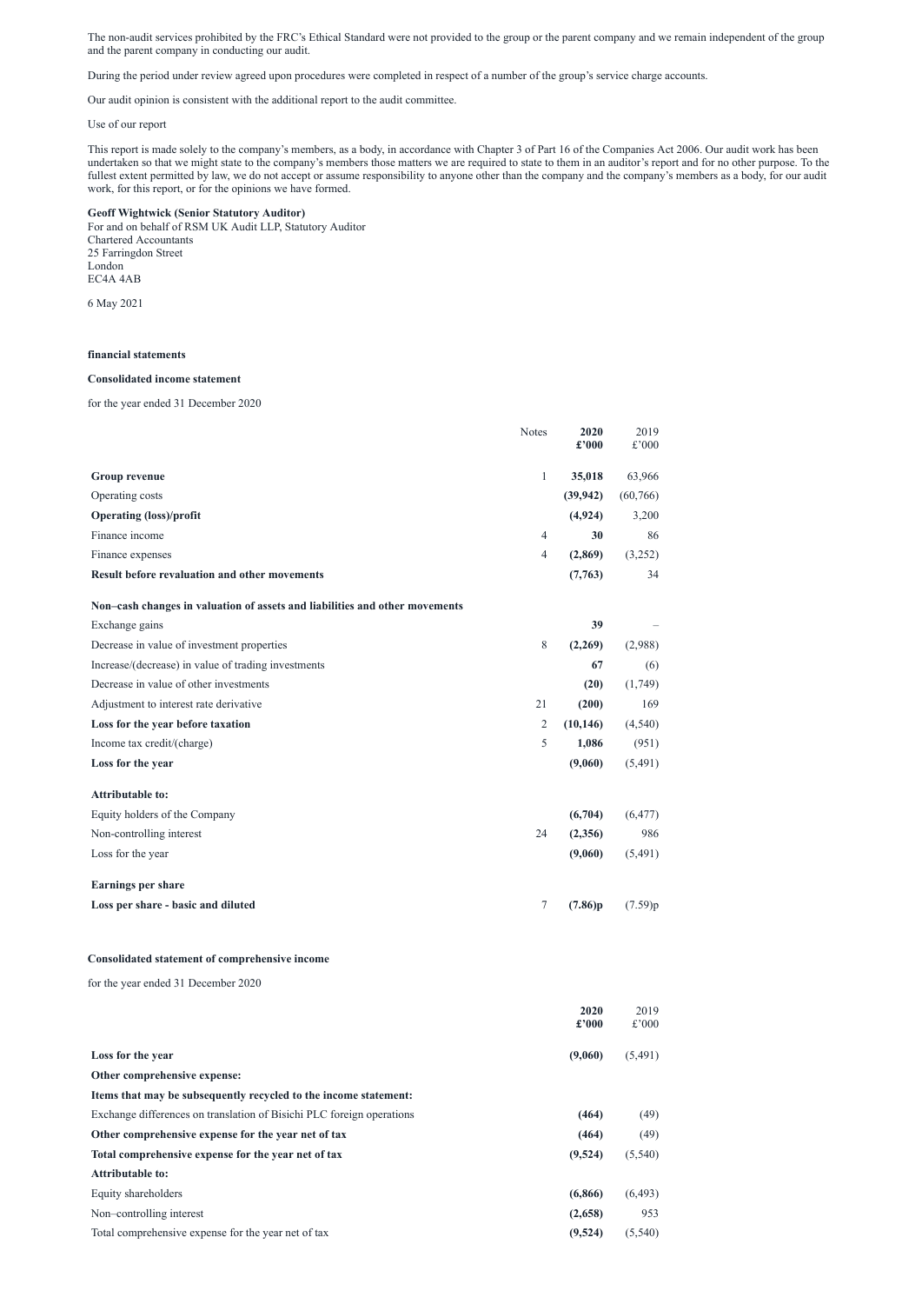The non-audit services prohibited by the FRC's Ethical Standard were not provided to the group or the parent company and we remain independent of the group and the parent company in conducting our audit.

During the period under review agreed upon procedures were completed in respect of a number of the group's service charge accounts.

Our audit opinion is consistent with the additional report to the audit committee.

Use of our report

This report is made solely to the company's members, as a body, in accordance with Chapter 3 of Part 16 of the Companies Act 2006. Our audit work has been undertaken so that we might state to the company's members those matters we are required to state to them in an auditor's report and for no other purpose. To the fullest extent permitted by law, we do not accept or assume responsibility to anyone other than the company and the company's members as a body, for our audit work, for this report, or for the opinions we have formed.

## **Geoff Wightwick (Senior Statutory Auditor)**

For and on behalf of RSM UK Audit LLP, Statutory Auditor Chartered Accountants 25 Farringdon Street London EC4A 4AB

|                                                                       | 2020<br>£'000 | 2019<br>£'000 |
|-----------------------------------------------------------------------|---------------|---------------|
| Loss for the year                                                     | (9,060)       | (5,491)       |
| Other comprehensive expense:                                          |               |               |
| Items that may be subsequently recycled to the income statement:      |               |               |
| Exchange differences on translation of Bisichi PLC foreign operations | (464)         | (49)          |
| Other comprehensive expense for the year net of tax                   | (464)         | (49)          |
| Total comprehensive expense for the year net of tax                   | (9,524)       | (5,540)       |
| <b>Attributable to:</b>                                               |               |               |
| Equity shareholders                                                   | (6,866)       | (6, 493)      |
| Non-controlling interest                                              | (2,658)       | 953           |
| Total comprehensive expense for the year net of tax                   | (9,524)       | (5,540)       |

6 May 2021

#### **financial statements**

# **Consolidated income statement**

for the year ended 31 December 2020

|                                                                             | <b>Notes</b>   | 2020<br>£'000 | 2019<br>£'000 |
|-----------------------------------------------------------------------------|----------------|---------------|---------------|
| <b>Group revenue</b>                                                        | $\mathbf{1}$   | 35,018        | 63,966        |
| Operating costs                                                             |                | (39, 942)     | (60, 766)     |
| <b>Operating (loss)/profit</b>                                              |                | (4, 924)      | 3,200         |
| Finance income                                                              | 4              | 30            | 86            |
| Finance expenses                                                            | 4              | (2,869)       | (3,252)       |
| Result before revaluation and other movements                               |                | (7,763)       | 34            |
| Non-cash changes in valuation of assets and liabilities and other movements |                |               |               |
| Exchange gains                                                              |                | 39            |               |
| Decrease in value of investment properties                                  | 8              | (2,269)       | (2,988)       |
| Increase/(decrease) in value of trading investments                         |                | 67            | (6)           |
| Decrease in value of other investments                                      |                | (20)          | (1,749)       |
| Adjustment to interest rate derivative                                      | 21             | (200)         | 169           |
| Loss for the year before taxation                                           | $\overline{2}$ | (10, 146)     | (4,540)       |
| Income tax credit/(charge)                                                  | 5              | 1,086         | (951)         |
| Loss for the year                                                           |                | (9,060)       | (5,491)       |
| <b>Attributable to:</b>                                                     |                |               |               |
| Equity holders of the Company                                               |                | (6,704)       | (6, 477)      |
| Non-controlling interest                                                    | 24             | (2,356)       | 986           |
| Loss for the year                                                           |                | (9,060)       | (5,491)       |
| <b>Earnings per share</b>                                                   |                |               |               |
| Loss per share - basic and diluted                                          | 7              | (7.86)p       | (7.59)p       |

#### **Consolidated statement of comprehensive income**

for the year ended 31 December 2020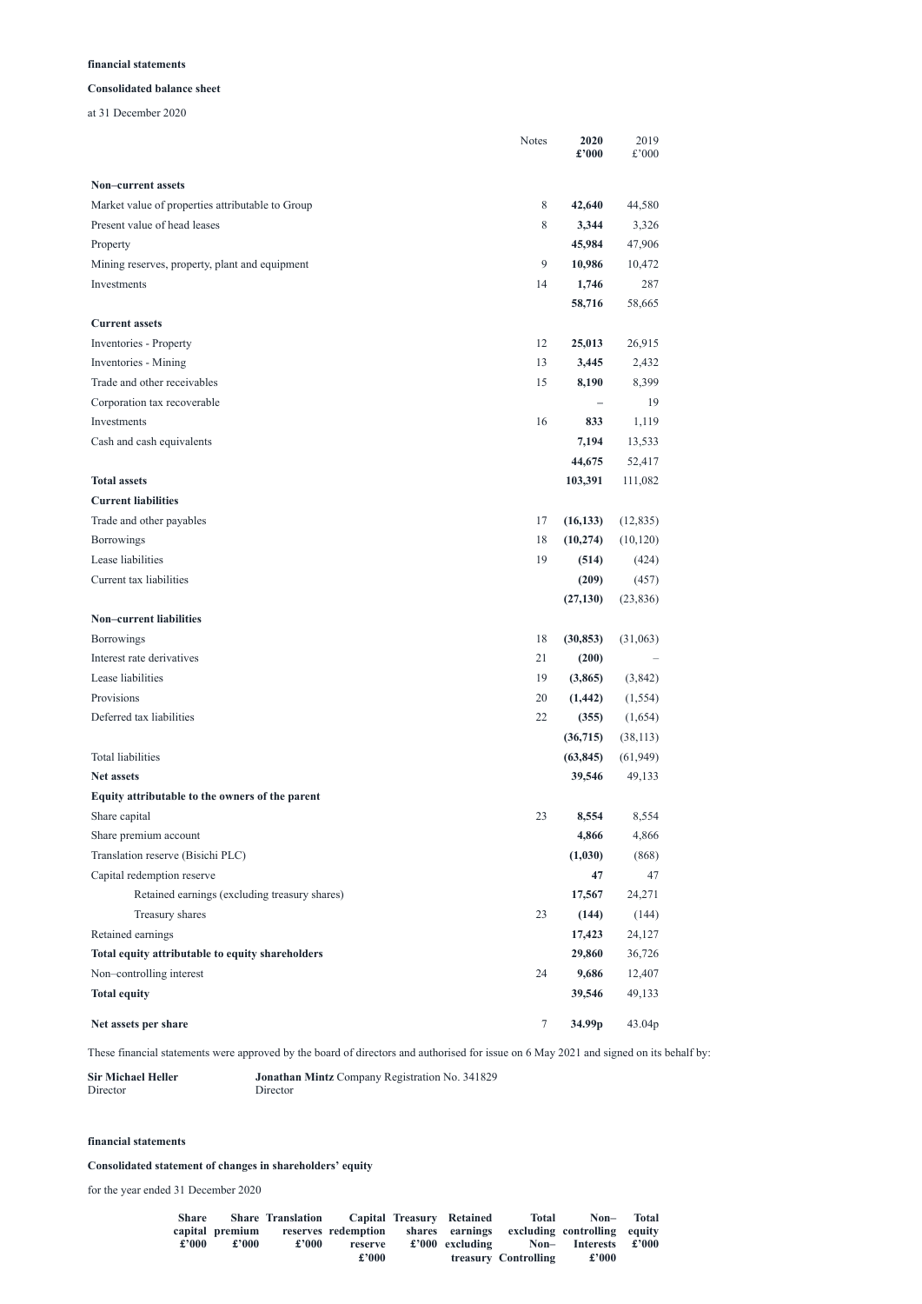#### **financial statements**

#### **Consolidated balance sheet**

at 31 December 2020

|                                                  | <b>Notes</b> | 2020<br>£'000 | 2019<br>$\pounds$ '000 |
|--------------------------------------------------|--------------|---------------|------------------------|
| Non-current assets                               |              |               |                        |
| Market value of properties attributable to Group | $\,$ 8 $\,$  | 42,640        | 44,580                 |
| Present value of head leases                     | 8            | 3,344         | 3,326                  |
| Property                                         |              | 45,984        | 47,906                 |
| Mining reserves, property, plant and equipment   | 9            | 10,986        | 10,472                 |
| Investments                                      | 14           | 1,746         | 287                    |
|                                                  |              | 58,716        | 58,665                 |
| <b>Current assets</b>                            |              |               |                        |
| Inventories - Property                           | 12           | 25,013        | 26,915                 |
| Inventories - Mining                             | 13           | 3,445         | 2,432                  |
| Trade and other receivables                      | 15           | 8,190         | 8,399                  |
| Corporation tax recoverable                      |              |               | 19                     |
| Investments                                      | 16           | 833           | 1,119                  |
| Cash and cash equivalents                        |              | 7,194         | 13,533                 |
|                                                  |              | 44,675        | 52,417                 |
| <b>Total assets</b>                              |              | 103,391       | 111,082                |
| <b>Current liabilities</b>                       |              |               |                        |
| Trade and other payables                         | 17           | (16, 133)     | (12, 835)              |
| Borrowings                                       | 18           | (10, 274)     | (10, 120)              |
| Lease liabilities                                | 19           | (514)         | (424)                  |
| Current tax liabilities                          |              | (209)         | (457)                  |
|                                                  |              | (27, 130)     | (23, 836)              |
| <b>Non-current liabilities</b>                   |              |               |                        |
| Borrowings                                       | 18           | (30, 853)     | (31,063)               |
| Interest rate derivatives                        | 21           | (200)         |                        |
| Lease liabilities                                | 19           | (3,865)       | (3,842)                |
| Provisions                                       | 20           | (1, 442)      | (1, 554)               |
| Deferred tax liabilities                         | 22           | (355)         | (1,654)                |
|                                                  |              | (36,715)      | (38, 113)              |
| Total liabilities                                |              | (63, 845)     | (61, 949)              |
| <b>Net assets</b>                                |              | 39,546        | 49,133                 |
| Equity attributable to the owners of the parent  |              |               |                        |
| Share capital                                    | 23           | 8,554         | 8,554                  |
| Share premium account                            |              | 4,866         | 4,866                  |
| Translation reserve (Bisichi PLC)                |              | (1,030)       | (868)                  |
| Capital redemption reserve                       |              | 47            | 47                     |
| Retained earnings (excluding treasury shares)    |              | 17,567        | 24,271                 |
| Treasury shares                                  | 23           | (144)         | (144)                  |
| Retained earnings                                |              | 17,423        | 24,127                 |
| Total equity attributable to equity shareholders |              | 29,860        | 36,726                 |
| Non-controlling interest                         | 24           | 9,686         | 12,407                 |

| <b>Total equity</b> |
|---------------------|
|                     |

**Sir Michael Heller Jonathan Mintz** Company Registration No. 341829 Director Director

#### **Total equity 39,546** 49,133

**Net assets per share** 7 **34.99p** 43.04p

These financial statements were approved by the board of directors and authorised for issue on 6 May 2021 and signed on its behalf by:

#### **financial statements**

**Consolidated statement of changes in shareholders' equity**

for the year ended 31 December 2020

**Share capital premium £'000 Share Translation £'000 reserves redemption £'000 Capital Treasury Retained reserve £'000 shares £'000 excluding earnings treasury Controlling Total excluding controlling Non– Non– Interests £'000 Total equity £'000**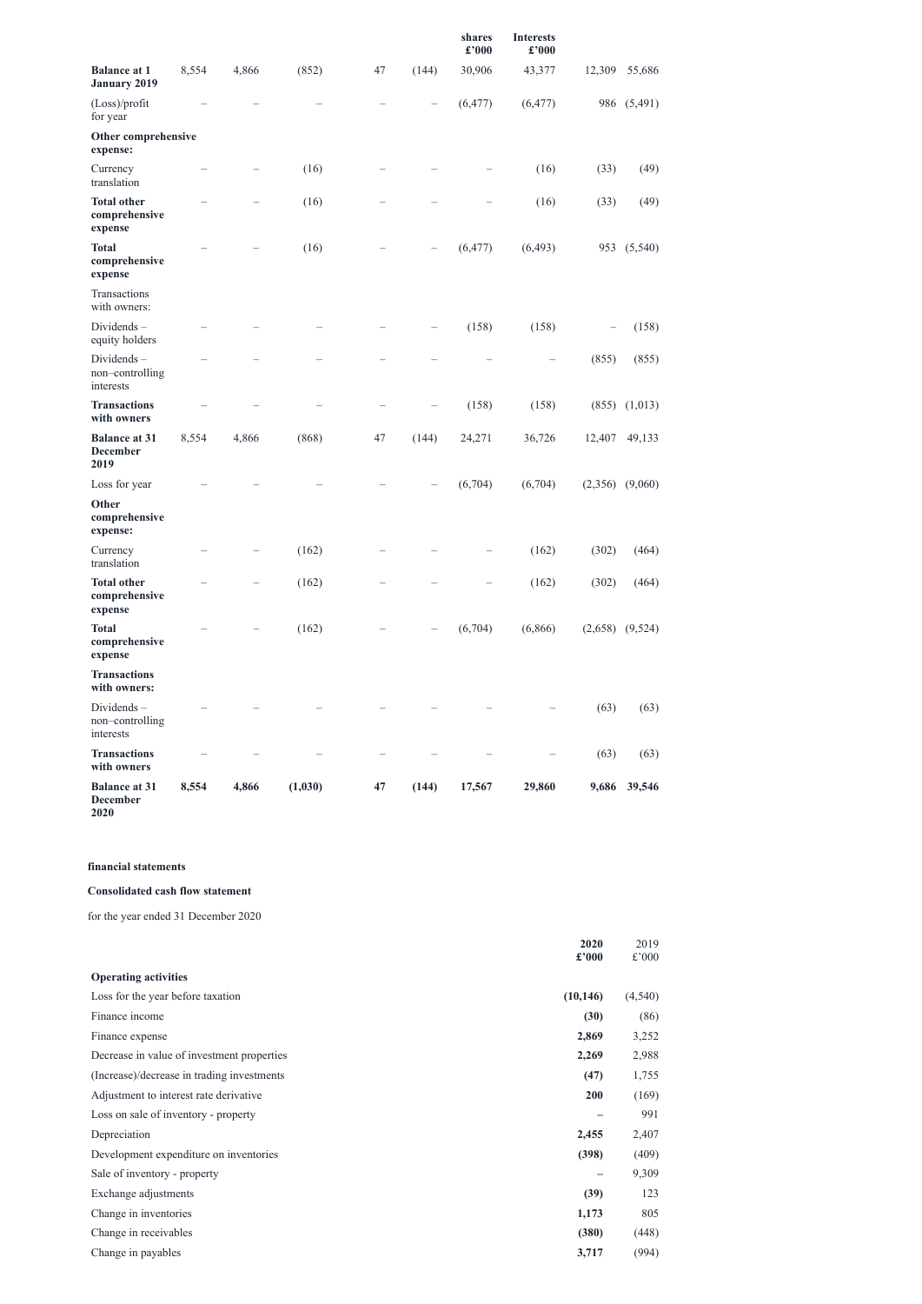|                                                 |       |       |         |    |       | shares<br>£'000 | <b>Interests</b><br>£'000 |         |                     |
|-------------------------------------------------|-------|-------|---------|----|-------|-----------------|---------------------------|---------|---------------------|
| <b>Balance at 1</b><br><b>January 2019</b>      | 8,554 | 4,866 | (852)   | 47 | (144) | 30,906          | 43,377                    | 12,309  | 55,686              |
| (Loss)/profit<br>for year                       |       |       |         |    |       | (6, 477)        | (6, 477)                  |         | 986 (5,491)         |
| Other comprehensive<br>expense:                 |       |       |         |    |       |                 |                           |         |                     |
| Currency<br>translation                         |       |       | (16)    |    |       |                 | (16)                      | (33)    | (49)                |
| <b>Total other</b><br>comprehensive<br>expense  |       |       | (16)    |    |       |                 | (16)                      | (33)    | (49)                |
| <b>Total</b><br>comprehensive<br>expense        |       |       | (16)    |    |       | (6, 477)        | (6, 493)                  | 953     | (5,540)             |
| Transactions<br>with owners:                    |       |       |         |    |       |                 |                           |         |                     |
| Dividends-<br>equity holders                    |       |       |         |    |       | (158)           | (158)                     |         | (158)               |
| Dividends-<br>non-controlling<br>interests      |       |       |         |    |       |                 |                           | (855)   | (855)               |
| <b>Transactions</b><br>with owners              |       |       |         |    |       | (158)           | (158)                     | (855)   | (1,013)             |
| <b>Balance at 31</b><br><b>December</b><br>2019 | 8,554 | 4,866 | (868)   | 47 | (144) | 24,271          | 36,726                    | 12,407  | 49,133              |
| Loss for year                                   |       |       |         |    |       | (6,704)         | (6,704)                   | (2,356) | (9,060)             |
| <b>Other</b><br>comprehensive<br>expense:       |       |       |         |    |       |                 |                           |         |                     |
| Currency<br>translation                         |       |       | (162)   |    |       |                 | (162)                     | (302)   | (464)               |
| <b>Total other</b><br>comprehensive<br>expense  |       |       | (162)   |    |       |                 | (162)                     | (302)   | (464)               |
| <b>Total</b><br>comprehensive<br>expense        |       |       | (162)   |    |       | (6,704)         | (6,866)                   |         | $(2,658)$ $(9,524)$ |
| <b>Transactions</b><br>with owners:             |       |       |         |    |       |                 |                           |         |                     |
| Dividends-<br>non-controlling<br>interests      |       |       |         |    |       |                 |                           | (63)    | (63)                |
| <b>Transactions</b><br>with owners              |       |       |         |    |       |                 |                           | (63)    | (63)                |
| <b>Balance at 31</b><br><b>December</b><br>2020 | 8,554 | 4,866 | (1,030) | 47 | (144) | 17,567          | 29,860                    | 9,686   | 39,546              |

# **financial statements**

# **Consolidated cash flow statement**

for the year ended 31 December 2020

| 2020  | 2019  |
|-------|-------|
| £'000 | £'000 |

| Loss for the year before taxation          | (10, 146) | (4,540) |
|--------------------------------------------|-----------|---------|
| Finance income                             | (30)      | (86)    |
| Finance expense                            | 2,869     | 3,252   |
| Decrease in value of investment properties | 2,269     | 2,988   |
| (Increase)/decrease in trading investments | (47)      | 1,755   |
| Adjustment to interest rate derivative     | 200       | (169)   |
| Loss on sale of inventory - property       |           | 991     |
| Depreciation                               | 2,455     | 2,407   |
| Development expenditure on inventories     | (398)     | (409)   |
| Sale of inventory - property               |           | 9,309   |
| Exchange adjustments                       | (39)      | 123     |
| Change in inventories                      | 1,173     | 805     |
| Change in receivables                      | (380)     | (448)   |
| Change in payables                         | 3,717     | (994)   |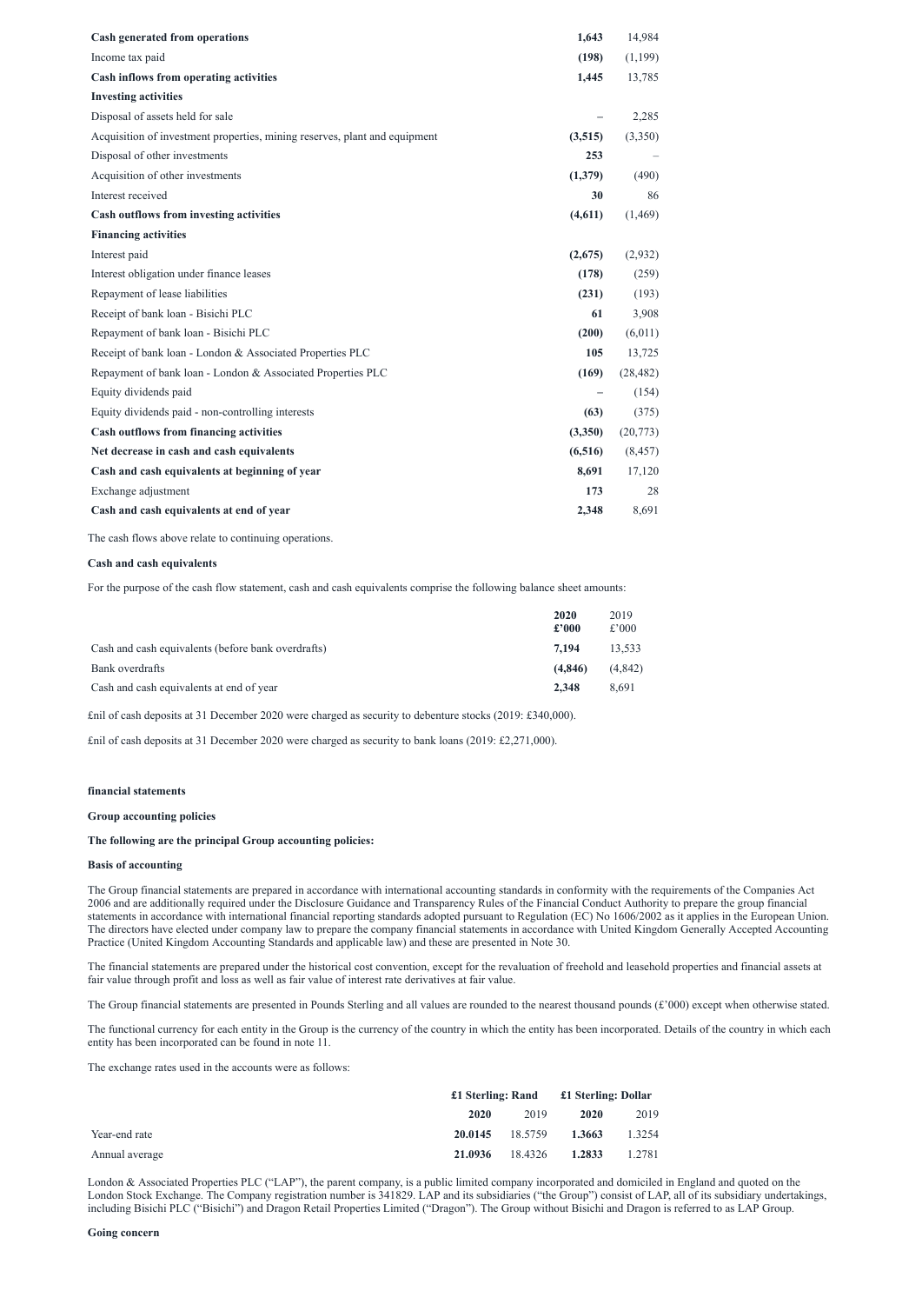| <b>Cash generated from operations</b>                                      | 1,643             | 14,984    |
|----------------------------------------------------------------------------|-------------------|-----------|
| Income tax paid                                                            | (198)             | (1,199)   |
| Cash inflows from operating activities                                     | 1,445             | 13,785    |
| <b>Investing activities</b>                                                |                   |           |
| Disposal of assets held for sale                                           | $\qquad \qquad -$ | 2,285     |
| Acquisition of investment properties, mining reserves, plant and equipment | (3,515)           | (3,350)   |
| Disposal of other investments                                              | 253               |           |
| Acquisition of other investments                                           | (1,379)           | (490)     |
| Interest received                                                          | 30                | 86        |
| <b>Cash outflows from investing activities</b>                             | (4,611)           | (1,469)   |
| <b>Financing activities</b>                                                |                   |           |
| Interest paid                                                              | (2,675)           | (2,932)   |
| Interest obligation under finance leases                                   | (178)             | (259)     |
| Repayment of lease liabilities                                             | (231)             | (193)     |
| Receipt of bank loan - Bisichi PLC                                         | 61                | 3,908     |
| Repayment of bank loan - Bisichi PLC                                       | (200)             | (6,011)   |
| Receipt of bank loan - London & Associated Properties PLC                  | 105               | 13,725    |
| Repayment of bank loan - London & Associated Properties PLC                | (169)             | (28, 482) |
| Equity dividends paid                                                      |                   | (154)     |
| Equity dividends paid - non-controlling interests                          | (63)              | (375)     |
| <b>Cash outflows from financing activities</b>                             | (3,350)           | (20, 773) |
| Net decrease in cash and cash equivalents                                  | (6, 516)          | (8, 457)  |
| Cash and cash equivalents at beginning of year                             | 8,691             | 17,120    |
| Exchange adjustment                                                        | 173               | 28        |
| Cash and cash equivalents at end of year                                   | 2,348             | 8,691     |

The cash flows above relate to continuing operations.

# **Cash and cash equivalents**

For the purpose of the cash flow statement, cash and cash equivalents comprise the following balance sheet amounts:

|                                                    | 2020<br>£'000 | 2019<br>£'000 |
|----------------------------------------------------|---------------|---------------|
| Cash and cash equivalents (before bank overdrafts) | 7.194         | 13,533        |
| Bank overdrafts                                    | (4,846)       | (4,842)       |
| Cash and cash equivalents at end of year           | 2.348         | 8.691         |

£nil of cash deposits at 31 December 2020 were charged as security to debenture stocks (2019: £340,000).

£nil of cash deposits at 31 December 2020 were charged as security to bank loans (2019: £2,271,000).

#### **financial statements**

#### **Group accounting policies**

## **The following are the principal Group accounting policies:**

#### **Basis of accounting**

The Group financial statements are prepared in accordance with international accounting standards in conformity with the requirements of the Companies Act 2006 and are additionally required under the Disclosure Guidance and Transparency Rules of the Financial Conduct Authority to prepare the group financial statements in accordance with international financial reporting standards adopted pursuant to Regulation (EC) No 1606/2002 as it applies in the European Union. The directors have elected under company law to prepare the company financial statements in accordance with United Kingdom Generally Accepted Accounting Practice (United Kingdom Accounting Standards and applicable law) and these are presented in Note 30.

The financial statements are prepared under the historical cost convention, except for the revaluation of freehold and leasehold properties and financial assets at fair value through profit and loss as well as fair value of interest rate derivatives at fair value.

The Group financial statements are presented in Pounds Sterling and all values are rounded to the nearest thousand pounds (£'000) except when otherwise stated.

The functional currency for each entity in the Group is the currency of the country in which the entity has been incorporated. Details of the country in which each entity has been incorporated can be found in note 11.

The exchange rates used in the accounts were as follows:

|                | £1 Sterling: Rand £1 Sterling: Dollar |         |        |        |
|----------------|---------------------------------------|---------|--------|--------|
|                | <b>2020</b>                           | 2019    | 2020   | 2019   |
| Year-end rate  | 20.0145                               | 18.5759 | 1.3663 | 1.3254 |
| Annual average | 21.0936                               | 18.4326 | 1.2833 | 1.2781 |

London & Associated Properties PLC ("LAP"), the parent company, is a public limited company incorporated and domiciled in England and quoted on the London Stock Exchange. The Company registration number is 341829. LAP and its subsidiaries ("the Group") consist of LAP, all of its subsidiary undertakings, including Bisichi PLC ("Bisichi") and Dragon Retail Properties Limited ("Dragon"). The Group without Bisichi and Dragon is referred to as LAP Group.

**Going concern**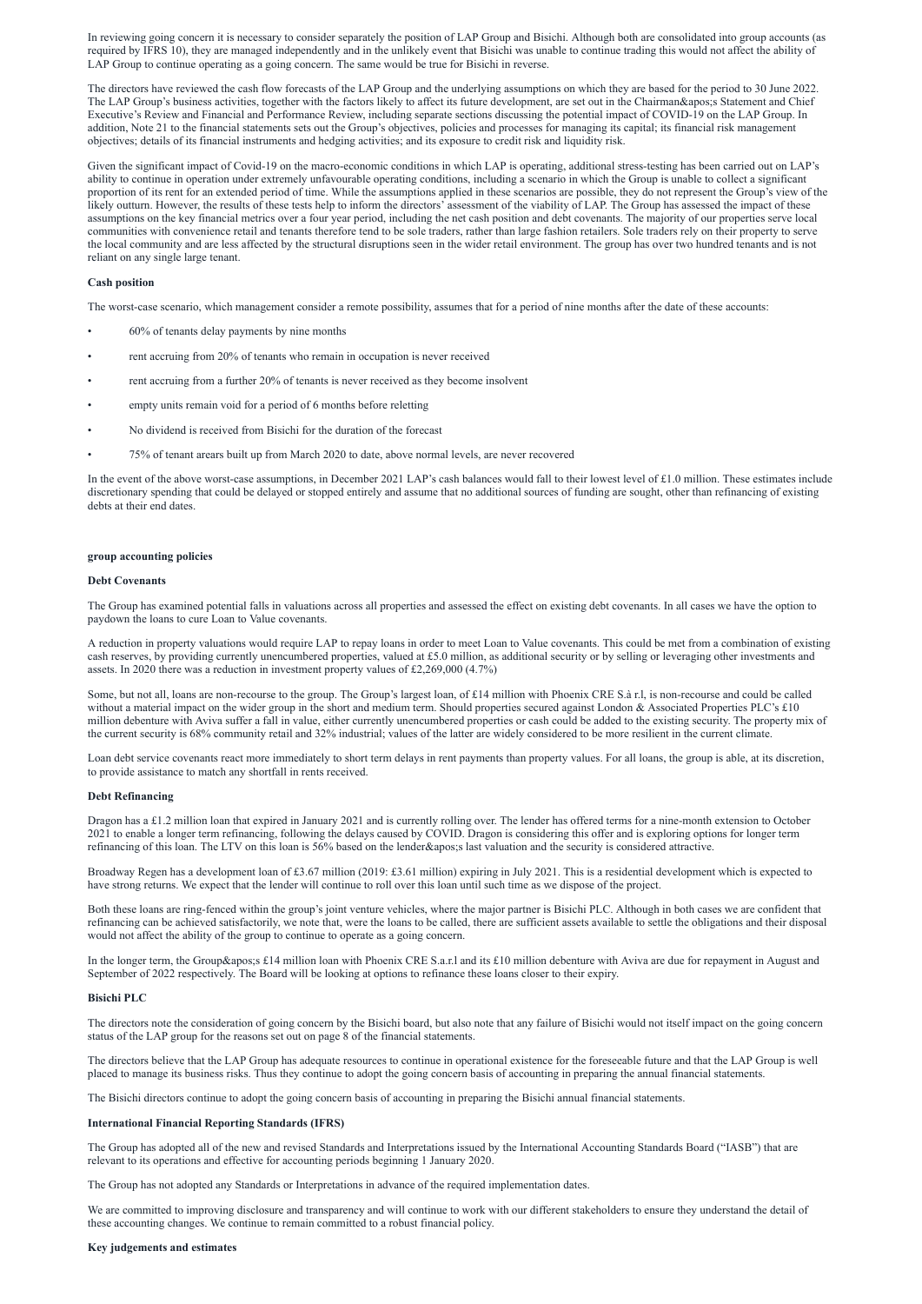In reviewing going concern it is necessary to consider separately the position of LAP Group and Bisichi. Although both are consolidated into group accounts (as required by IFRS 10), they are managed independently and in the unlikely event that Bisichi was unable to continue trading this would not affect the ability of LAP Group to continue operating as a going concern. The same would be true for Bisichi in reverse.

The directors have reviewed the cash flow forecasts of the LAP Group and the underlying assumptions on which they are based for the period to 30 June 2022. The LAP Group's business activities, together with the factors likely to affect its future development, are set out in the Chairman' Statement and Chief Executive's Review and Financial and Performance Review, including separate sections discussing the potential impact of COVID-19 on the LAP Group. In addition, Note 21 to the financial statements sets out the Group's objectives, policies and processes for managing its capital; its financial risk management objectives; details of its financial instruments and hedging activities; and its exposure to credit risk and liquidity risk.

Given the significant impact of Covid-19 on the macro-economic conditions in which LAP is operating, additional stress-testing has been carried out on LAP's ability to continue in operation under extremely unfavourable operating conditions, including a scenario in which the Group is unable to collect a significant proportion of its rent for an extended period of time. While the assumptions applied in these scenarios are possible, they do not represent the Group's view of the likely outturn. However, the results of these tests help to inform the directors' assessment of the viability of LAP. The Group has assessed the impact of these assumptions on the key financial metrics over a four year period, including the net cash position and debt covenants. The majority of our properties serve local communities with convenience retail and tenants therefore tend to be sole traders, rather than large fashion retailers. Sole traders rely on their property to serve the local community and are less affected by the structural disruptions seen in the wider retail environment. The group has over two hundred tenants and is not reliant on any single large tenant.

In the event of the above worst-case assumptions, in December 2021 LAP's cash balances would fall to their lowest level of £1.0 million. These estimates include discretionary spending that could be delayed or stopped entirely and assume that no additional sources of funding are sought, other than refinancing of existing debts at their end dates.

# **Cash position**

The worst-case scenario, which management consider a remote possibility, assumes that for a period of nine months after the date of these accounts:

- 60% of tenants delay payments by nine months
- rent accruing from 20% of tenants who remain in occupation is never received
- rent accruing from a further 20% of tenants is never received as they become insolvent
- empty units remain void for a period of 6 months before reletting
- No dividend is received from Bisichi for the duration of the forecast
- 75% of tenant arears built up from March 2020 to date, above normal levels, are never recovered

Broadway Regen has a development loan of £3.67 million (2019: £3.61 million) expiring in July 2021. This is a residential development which is expected to have strong returns. We expect that the lender will continue to roll over this loan until such time as we dispose of the project.

In the longer term, the Group' £14 million loan with Phoenix CRE S.a.r.l and its £10 million debenture with Aviva are due for repayment in August and September of 2022 respectively. The Board will be looking at options to refinance these loans closer to their expiry.

#### **group accounting policies**

#### **Debt Covenants**

The Group has examined potential falls in valuations across all properties and assessed the effect on existing debt covenants. In all cases we have the option to paydown the loans to cure Loan to Value covenants.

A reduction in property valuations would require LAP to repay loans in order to meet Loan to Value covenants. This could be met from a combination of existing cash reserves, by providing currently unencumbered properties, valued at £5.0 million, as additional security or by selling or leveraging other investments and assets. In 2020 there was a reduction in investment property values of £2,269,000 (4.7%)

We are committed to improving disclosure and transparency and will continue to work with our different stakeholders to ensure they understand the detail of these accounting changes. We continue to remain committed to a robust financial policy.

Some, but not all, loans are non-recourse to the group. The Group's largest loan, of £14 million with Phoenix CRE S.à r.l, is non-recourse and could be called without a material impact on the wider group in the short and medium term. Should properties secured against London & Associated Properties PLC's £10 million debenture with Aviva suffer a fall in value, either currently unencumbered properties or cash could be added to the existing security. The property mix of the current security is 68% community retail and 32% industrial; values of the latter are widely considered to be more resilient in the current climate.

Loan debt service covenants react more immediately to short term delays in rent payments than property values. For all loans, the group is able, at its discretion, to provide assistance to match any shortfall in rents received.

#### **Debt Refinancing**

Dragon has a £1.2 million loan that expired in January 2021 and is currently rolling over. The lender has offered terms for a nine-month extension to October 2021 to enable a longer term refinancing, following the delays caused by COVID. Dragon is considering this offer and is exploring options for longer term refinancing of this loan. The LTV on this loan is 56% based on the lender & apos; last valuation and the security is considered attractive.

Both these loans are ring-fenced within the group's joint venture vehicles, where the major partner is Bisichi PLC. Although in both cases we are confident that refinancing can be achieved satisfactorily, we note that, were the loans to be called, there are sufficient assets available to settle the obligations and their disposal would not affect the ability of the group to continue to operate as a going concern.

## **Bisichi PLC**

The directors note the consideration of going concern by the Bisichi board, but also note that any failure of Bisichi would not itself impact on the going concern status of the LAP group for the reasons set out on page 8 of the financial statements.

The directors believe that the LAP Group has adequate resources to continue in operational existence for the foreseeable future and that the LAP Group is well placed to manage its business risks. Thus they continue to adopt the going concern basis of accounting in preparing the annual financial statements.

The Bisichi directors continue to adopt the going concern basis of accounting in preparing the Bisichi annual financial statements.

# **International Financial Reporting Standards (IFRS)**

The Group has adopted all of the new and revised Standards and Interpretations issued by the International Accounting Standards Board ("IASB") that are relevant to its operations and effective for accounting periods beginning 1 January 2020.

The Group has not adopted any Standards or Interpretations in advance of the required implementation dates.

**Key judgements and estimates**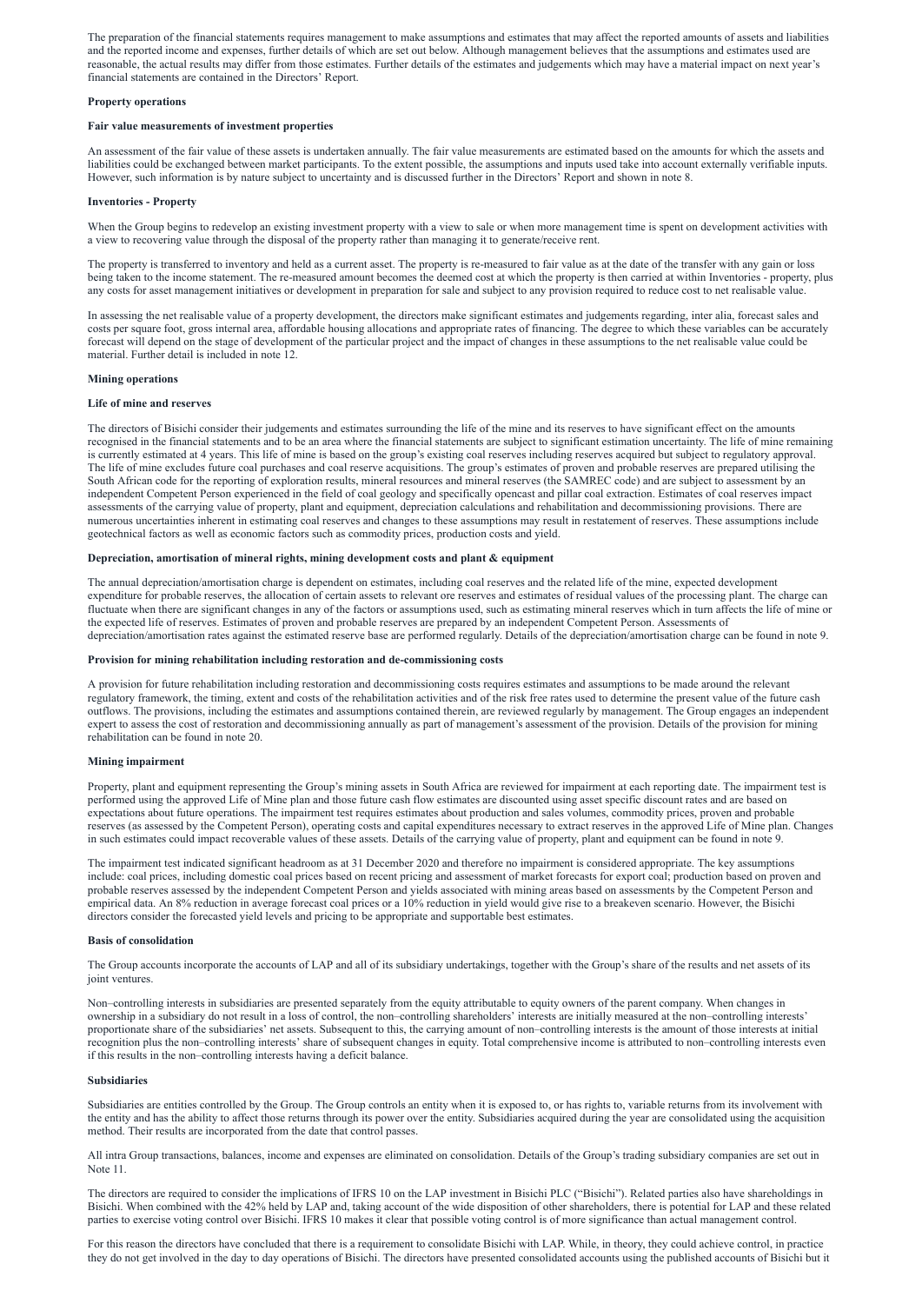The preparation of the financial statements requires management to make assumptions and estimates that may affect the reported amounts of assets and liabilities and the reported income and expenses, further details of which are set out below. Although management believes that the assumptions and estimates used are reasonable, the actual results may differ from those estimates. Further details of the estimates and judgements which may have a material impact on next year's financial statements are contained in the Directors' Report.

# **Property operations**

# **Fair value measurements of investment properties**

When the Group begins to redevelop an existing investment property with a view to sale or when more management time is spent on development activities with a view to recovering value through the disposal of the property rather than managing it to generate/receive rent.

An assessment of the fair value of these assets is undertaken annually. The fair value measurements are estimated based on the amounts for which the assets and liabilities could be exchanged between market participants. To the extent possible, the assumptions and inputs used take into account externally verifiable inputs. However, such information is by nature subject to uncertainty and is discussed further in the Directors' Report and shown in note 8.

# **Inventories - Property**

The property is transferred to inventory and held as a current asset. The property is re-measured to fair value as at the date of the transfer with any gain or loss being taken to the income statement. The re-measured amount becomes the deemed cost at which the property is then carried at within Inventories - property, plus any costs for asset management initiatives or development in preparation for sale and subject to any provision required to reduce cost to net realisable value.

In assessing the net realisable value of a property development, the directors make significant estimates and judgements regarding, inter alia, forecast sales and costs per square foot, gross internal area, affordable housing allocations and appropriate rates of financing. The degree to which these variables can be accurately forecast will depend on the stage of development of the particular project and the impact of changes in these assumptions to the net realisable value could be material. Further detail is included in note 12.

# **Mining operations**

# **Life of mine and reserves**

The directors of Bisichi consider their judgements and estimates surrounding the life of the mine and its reserves to have significant effect on the amounts recognised in the financial statements and to be an area where the financial statements are subject to significant estimation uncertainty. The life of mine remaining is currently estimated at 4 years. This life of mine is based on the group's existing coal reserves including reserves acquired but subject to regulatory approval. The life of mine excludes future coal purchases and coal reserve acquisitions. The group's estimates of proven and probable reserves are prepared utilising the South African code for the reporting of exploration results, mineral resources and mineral reserves (the SAMREC code) and are subject to assessment by an independent Competent Person experienced in the field of coal geology and specifically opencast and pillar coal extraction. Estimates of coal reserves impact assessments of the carrying value of property, plant and equipment, depreciation calculations and rehabilitation and decommissioning provisions. There are numerous uncertainties inherent in estimating coal reserves and changes to these assumptions may result in restatement of reserves. These assumptions include geotechnical factors as well as economic factors such as commodity prices, production costs and yield.

## **Depreciation, amortisation of mineral rights, mining development costs and plant & equipment**

The annual depreciation/amortisation charge is dependent on estimates, including coal reserves and the related life of the mine, expected development expenditure for probable reserves, the allocation of certain assets to relevant ore reserves and estimates of residual values of the processing plant. The charge can fluctuate when there are significant changes in any of the factors or assumptions used, such as estimating mineral reserves which in turn affects the life of mine or the expected life of reserves. Estimates of proven and probable reserves are prepared by an independent Competent Person. Assessments of depreciation/amortisation rates against the estimated reserve base are performed regularly. Details of the depreciation/amortisation charge can be found in note 9.

#### **Provision for mining rehabilitation including restoration and de-commissioning costs**

A provision for future rehabilitation including restoration and decommissioning costs requires estimates and assumptions to be made around the relevant regulatory framework, the timing, extent and costs of the rehabilitation activities and of the risk free rates used to determine the present value of the future cash outflows. The provisions, including the estimates and assumptions contained therein, are reviewed regularly by management. The Group engages an independent expert to assess the cost of restoration and decommissioning annually as part of management's assessment of the provision. Details of the provision for mining rehabilitation can be found in note 20.

# **Mining impairment**

Property, plant and equipment representing the Group's mining assets in South Africa are reviewed for impairment at each reporting date. The impairment test is performed using the approved Life of Mine plan and those future cash flow estimates are discounted using asset specific discount rates and are based on expectations about future operations. The impairment test requires estimates about production and sales volumes, commodity prices, proven and probable reserves (as assessed by the Competent Person), operating costs and capital expenditures necessary to extract reserves in the approved Life of Mine plan. Changes in such estimates could impact recoverable values of these assets. Details of the carrying value of property, plant and equipment can be found in note 9.

The impairment test indicated significant headroom as at 31 December 2020 and therefore no impairment is considered appropriate. The key assumptions include: coal prices, including domestic coal prices based on recent pricing and assessment of market forecasts for export coal; production based on proven and probable reserves assessed by the independent Competent Person and yields associated with mining areas based on assessments by the Competent Person and empirical data. An 8% reduction in average forecast coal prices or a 10% reduction in yield would give rise to a breakeven scenario. However, the Bisichi directors consider the forecasted yield levels and pricing to be appropriate and supportable best estimates.

#### **Basis of consolidation**

The Group accounts incorporate the accounts of LAP and all of its subsidiary undertakings, together with the Group's share of the results and net assets of its joint ventures.

Non–controlling interests in subsidiaries are presented separately from the equity attributable to equity owners of the parent company. When changes in ownership in a subsidiary do not result in a loss of control, the non–controlling shareholders' interests are initially measured at the non–controlling interests' proportionate share of the subsidiaries' net assets. Subsequent to this, the carrying amount of non–controlling interests is the amount of those interests at initial recognition plus the non–controlling interests' share of subsequent changes in equity. Total comprehensive income is attributed to non–controlling interests even if this results in the non–controlling interests having a deficit balance.

#### **Subsidiaries**

Subsidiaries are entities controlled by the Group. The Group controls an entity when it is exposed to, or has rights to, variable returns from its involvement with the entity and has the ability to affect those returns through its power over the entity. Subsidiaries acquired during the year are consolidated using the acquisition method. Their results are incorporated from the date that control passes.

All intra Group transactions, balances, income and expenses are eliminated on consolidation. Details of the Group's trading subsidiary companies are set out in Note 11.

The directors are required to consider the implications of IFRS 10 on the LAP investment in Bisichi PLC ("Bisichi"). Related parties also have shareholdings in Bisichi. When combined with the 42% held by LAP and, taking account of the wide disposition of other shareholders, there is potential for LAP and these related parties to exercise voting control over Bisichi. IFRS 10 makes it clear that possible voting control is of more significance than actual management control.

For this reason the directors have concluded that there is a requirement to consolidate Bisichi with LAP. While, in theory, they could achieve control, in practice they do not get involved in the day to day operations of Bisichi. The directors have presented consolidated accounts using the published accounts of Bisichi but it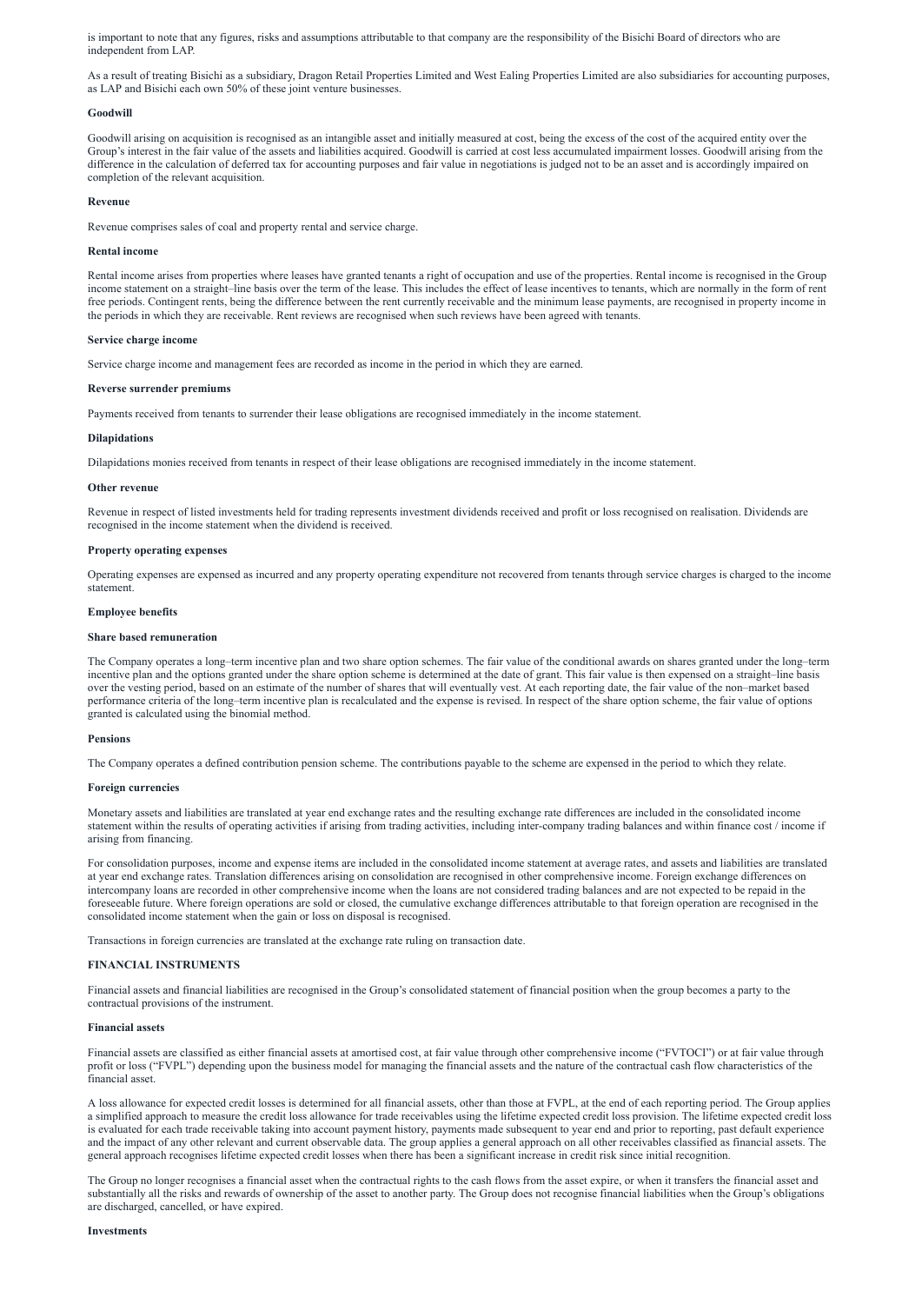is important to note that any figures, risks and assumptions attributable to that company are the responsibility of the Bisichi Board of directors who are independent from LAP.

As a result of treating Bisichi as a subsidiary, Dragon Retail Properties Limited and West Ealing Properties Limited are also subsidiaries for accounting purposes, as LAP and Bisichi each own 50% of these joint venture businesses.

#### **Goodwill**

Goodwill arising on acquisition is recognised as an intangible asset and initially measured at cost, being the excess of the cost of the acquired entity over the Group's interest in the fair value of the assets and liabilities acquired. Goodwill is carried at cost less accumulated impairment losses. Goodwill arising from the difference in the calculation of deferred tax for accounting purposes and fair value in negotiations is judged not to be an asset and is accordingly impaired on completion of the relevant acquisition.

#### **Revenue**

Revenue comprises sales of coal and property rental and service charge.

#### **Rental income**

Rental income arises from properties where leases have granted tenants a right of occupation and use of the properties. Rental income is recognised in the Group income statement on a straight–line basis over the term of the lease. This includes the effect of lease incentives to tenants, which are normally in the form of rent free periods. Contingent rents, being the difference between the rent currently receivable and the minimum lease payments, are recognised in property income in the periods in which they are receivable. Rent reviews are recognised when such reviews have been agreed with tenants.

#### **Service charge income**

Service charge income and management fees are recorded as income in the period in which they are earned.

#### **Reverse surrender premiums**

Payments received from tenants to surrender their lease obligations are recognised immediately in the income statement.

#### **Dilapidations**

Dilapidations monies received from tenants in respect of their lease obligations are recognised immediately in the income statement.

#### **Other revenue**

Revenue in respect of listed investments held for trading represents investment dividends received and profit or loss recognised on realisation. Dividends are recognised in the income statement when the dividend is received.

#### **Property operating expenses**

Operating expenses are expensed as incurred and any property operating expenditure not recovered from tenants through service charges is charged to the income statement.

#### **Employee benefits**

#### **Share based remuneration**

The Company operates a long–term incentive plan and two share option schemes. The fair value of the conditional awards on shares granted under the long–term incentive plan and the options granted under the share option scheme is determined at the date of grant. This fair value is then expensed on a straight–line basis over the vesting period, based on an estimate of the number of shares that will eventually vest. At each reporting date, the fair value of the non–market based performance criteria of the long–term incentive plan is recalculated and the expense is revised. In respect of the share option scheme, the fair value of options granted is calculated using the binomial method.

#### **Pensions**

The Company operates a defined contribution pension scheme. The contributions payable to the scheme are expensed in the period to which they relate.

#### **Foreign currencies**

Monetary assets and liabilities are translated at year end exchange rates and the resulting exchange rate differences are included in the consolidated income statement within the results of operating activities if arising from trading activities, including inter-company trading balances and within finance cost / income if arising from financing.

For consolidation purposes, income and expense items are included in the consolidated income statement at average rates, and assets and liabilities are translated at year end exchange rates. Translation differences arising on consolidation are recognised in other comprehensive income. Foreign exchange differences on intercompany loans are recorded in other comprehensive income when the loans are not considered trading balances and are not expected to be repaid in the foreseeable future. Where foreign operations are sold or closed, the cumulative exchange differences attributable to that foreign operation are recognised in the consolidated income statement when the gain or loss on disposal is recognised.

Transactions in foreign currencies are translated at the exchange rate ruling on transaction date.

# **FINANCIAL INSTRUMENTS**

Financial assets and financial liabilities are recognised in the Group's consolidated statement of financial position when the group becomes a party to the contractual provisions of the instrument.

# **Financial assets**

Financial assets are classified as either financial assets at amortised cost, at fair value through other comprehensive income ("FVTOCI") or at fair value through profit or loss ("FVPL") depending upon the business model for managing the financial assets and the nature of the contractual cash flow characteristics of the financial asset.

A loss allowance for expected credit losses is determined for all financial assets, other than those at FVPL, at the end of each reporting period. The Group applies a simplified approach to measure the credit loss allowance for trade receivables using the lifetime expected credit loss provision. The lifetime expected credit loss is evaluated for each trade receivable taking into account payment history, payments made subsequent to year end and prior to reporting, past default experience and the impact of any other relevant and current observable data. The group applies a general approach on all other receivables classified as financial assets. The general approach recognises lifetime expected credit losses when there has been a significant increase in credit risk since initial recognition.

The Group no longer recognises a financial asset when the contractual rights to the cash flows from the asset expire, or when it transfers the financial asset and substantially all the risks and rewards of ownership of the asset to another party. The Group does not recognise financial liabilities when the Group's obligations are discharged, cancelled, or have expired.

#### **Investments**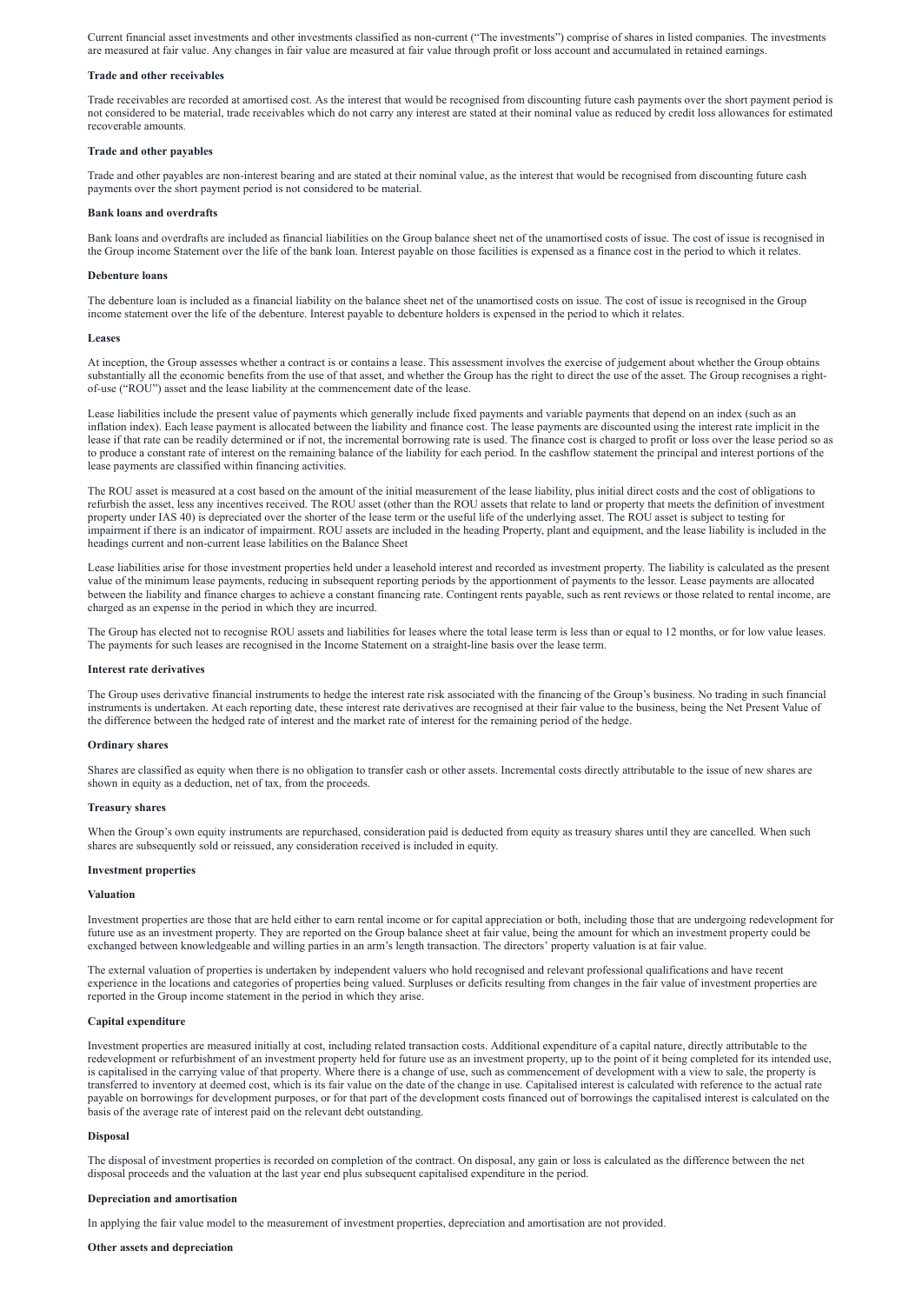Current financial asset investments and other investments classified as non-current ("The investments") comprise of shares in listed companies. The investments are measured at fair value. Any changes in fair value are measured at fair value through profit or loss account and accumulated in retained earnings.

#### **Trade and other receivables**

Trade receivables are recorded at amortised cost. As the interest that would be recognised from discounting future cash payments over the short payment period is not considered to be material, trade receivables which do not carry any interest are stated at their nominal value as reduced by credit loss allowances for estimated recoverable amounts.

#### **Trade and other payables**

Trade and other payables are non-interest bearing and are stated at their nominal value, as the interest that would be recognised from discounting future cash payments over the short payment period is not considered to be material.

#### **Bank loans and overdrafts**

Bank loans and overdrafts are included as financial liabilities on the Group balance sheet net of the unamortised costs of issue. The cost of issue is recognised in the Group income Statement over the life of the bank loan. Interest payable on those facilities is expensed as a finance cost in the period to which it relates.

#### **Debenture loans**

The debenture loan is included as a financial liability on the balance sheet net of the unamortised costs on issue. The cost of issue is recognised in the Group income statement over the life of the debenture. Interest payable to debenture holders is expensed in the period to which it relates.

#### **Leases**

At inception, the Group assesses whether a contract is or contains a lease. This assessment involves the exercise of judgement about whether the Group obtains substantially all the economic benefits from the use of that asset, and whether the Group has the right to direct the use of the asset. The Group recognises a rightof-use ("ROU") asset and the lease liability at the commencement date of the lease.

Lease liabilities include the present value of payments which generally include fixed payments and variable payments that depend on an index (such as an inflation index). Each lease payment is allocated between the liability and finance cost. The lease payments are discounted using the interest rate implicit in the lease if that rate can be readily determined or if not, the incremental borrowing rate is used. The finance cost is charged to profit or loss over the lease period so as to produce a constant rate of interest on the remaining balance of the liability for each period. In the cashflow statement the principal and interest portions of the lease payments are classified within financing activities.

The ROU asset is measured at a cost based on the amount of the initial measurement of the lease liability, plus initial direct costs and the cost of obligations to refurbish the asset, less any incentives received. The ROU asset (other than the ROU assets that relate to land or property that meets the definition of investment property under IAS 40) is depreciated over the shorter of the lease term or the useful life of the underlying asset. The ROU asset is subject to testing for impairment if there is an indicator of impairment. ROU assets are included in the heading Property, plant and equipment, and the lease liability is included in the headings current and non-current lease labilities on the Balance Sheet

Lease liabilities arise for those investment properties held under a leasehold interest and recorded as investment property. The liability is calculated as the present value of the minimum lease payments, reducing in subsequent reporting periods by the apportionment of payments to the lessor. Lease payments are allocated between the liability and finance charges to achieve a constant financing rate. Contingent rents payable, such as rent reviews or those related to rental income, are charged as an expense in the period in which they are incurred.

The Group has elected not to recognise ROU assets and liabilities for leases where the total lease term is less than or equal to 12 months, or for low value leases. The payments for such leases are recognised in the Income Statement on a straight-line basis over the lease term.

#### **Interest rate derivatives**

The Group uses derivative financial instruments to hedge the interest rate risk associated with the financing of the Group's business. No trading in such financial instruments is undertaken. At each reporting date, these interest rate derivatives are recognised at their fair value to the business, being the Net Present Value of the difference between the hedged rate of interest and the market rate of interest for the remaining period of the hedge.

#### **Ordinary shares**

Shares are classified as equity when there is no obligation to transfer cash or other assets. Incremental costs directly attributable to the issue of new shares are shown in equity as a deduction, net of tax, from the proceeds.

#### **Treasury shares**

When the Group's own equity instruments are repurchased, consideration paid is deducted from equity as treasury shares until they are cancelled. When such shares are subsequently sold or reissued, any consideration received is included in equity.

#### **Investment properties**

#### **Valuation**

Investment properties are those that are held either to earn rental income or for capital appreciation or both, including those that are undergoing redevelopment for future use as an investment property. They are reported on the Group balance sheet at fair value, being the amount for which an investment property could be exchanged between knowledgeable and willing parties in an arm's length transaction. The directors' property valuation is at fair value.

The external valuation of properties is undertaken by independent valuers who hold recognised and relevant professional qualifications and have recent experience in the locations and categories of properties being valued. Surpluses or deficits resulting from changes in the fair value of investment properties are reported in the Group income statement in the period in which they arise.

# **Capital expenditure**

Investment properties are measured initially at cost, including related transaction costs. Additional expenditure of a capital nature, directly attributable to the redevelopment or refurbishment of an investment property held for future use as an investment property, up to the point of it being completed for its intended use, is capitalised in the carrying value of that property. Where there is a change of use, such as commencement of development with a view to sale, the property is transferred to inventory at deemed cost, which is its fair value on the date of the change in use. Capitalised interest is calculated with reference to the actual rate payable on borrowings for development purposes, or for that part of the development costs financed out of borrowings the capitalised interest is calculated on the basis of the average rate of interest paid on the relevant debt outstanding.

# **Disposal**

The disposal of investment properties is recorded on completion of the contract. On disposal, any gain or loss is calculated as the difference between the net disposal proceeds and the valuation at the last year end plus subsequent capitalised expenditure in the period.

# **Depreciation and amortisation**

In applying the fair value model to the measurement of investment properties, depreciation and amortisation are not provided.

**Other assets and depreciation**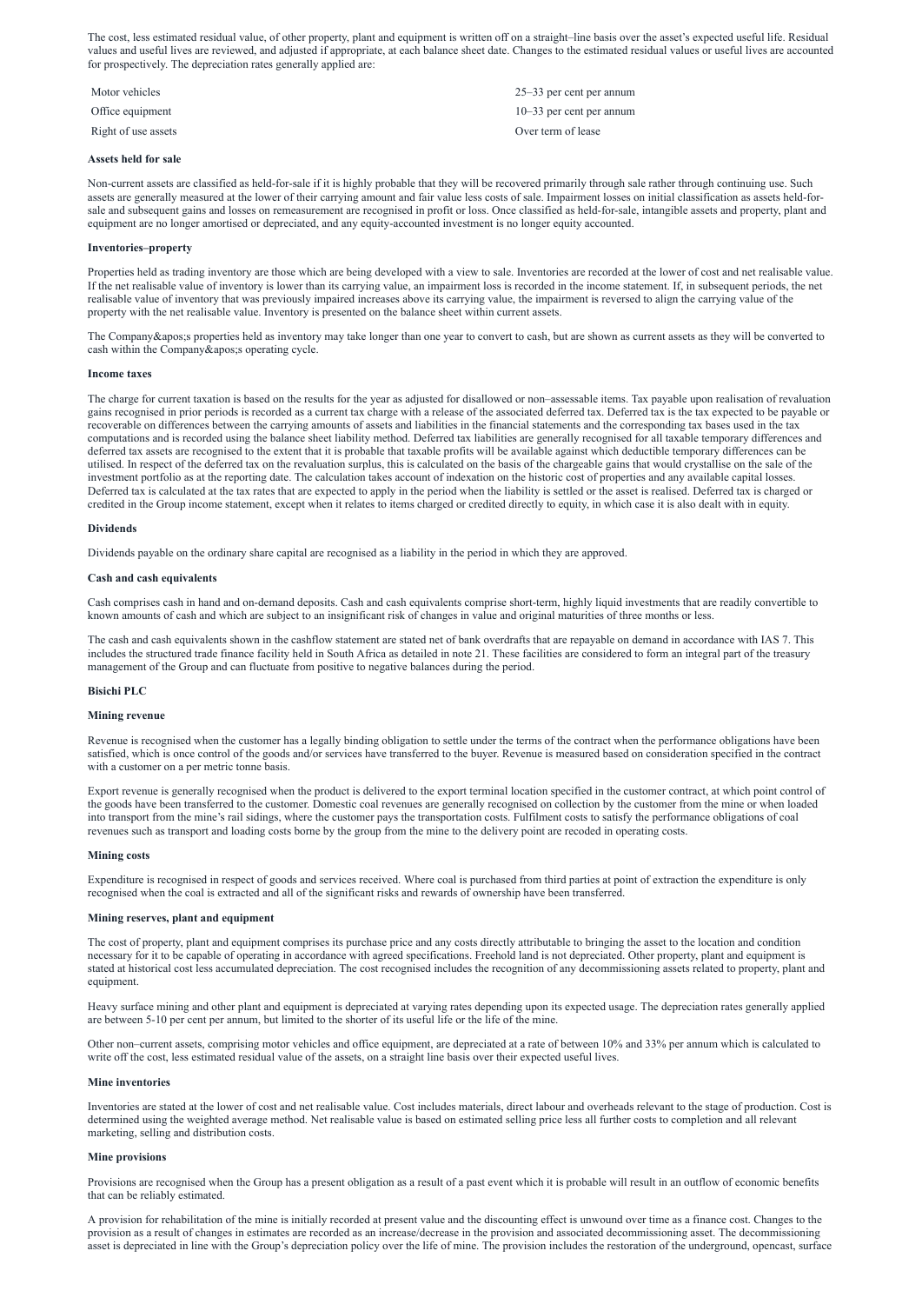The cost, less estimated residual value, of other property, plant and equipment is written off on a straight–line basis over the asset's expected useful life. Residual values and useful lives are reviewed, and adjusted if appropriate, at each balance sheet date. Changes to the estimated residual values or useful lives are accounted for prospectively. The depreciation rates generally applied are:

| Motor vehicles      | $25-33$ per cent per annum |
|---------------------|----------------------------|
| Office equipment    | $10-33$ per cent per annum |
| Right of use assets | Over term of lease         |

#### **Assets held for sale**

Non-current assets are classified as held-for-sale if it is highly probable that they will be recovered primarily through sale rather through continuing use. Such assets are generally measured at the lower of their carrying amount and fair value less costs of sale. Impairment losses on initial classification as assets held-forsale and subsequent gains and losses on remeasurement are recognised in profit or loss. Once classified as held-for-sale, intangible assets and property, plant and equipment are no longer amortised or depreciated, and any equity-accounted investment is no longer equity accounted.

# **Inventories–property**

Properties held as trading inventory are those which are being developed with a view to sale. Inventories are recorded at the lower of cost and net realisable value. If the net realisable value of inventory is lower than its carrying value, an impairment loss is recorded in the income statement. If, in subsequent periods, the net realisable value of inventory that was previously impaired increases above its carrying value, the impairment is reversed to align the carrying value of the property with the net realisable value. Inventory is presented on the balance sheet within current assets.

The Company's properties held as inventory may take longer than one year to convert to cash, but are shown as current assets as they will be converted to cash within the Company' soperating cycle.

#### **Income taxes**

The charge for current taxation is based on the results for the year as adjusted for disallowed or non–assessable items. Tax payable upon realisation of revaluation gains recognised in prior periods is recorded as a current tax charge with a release of the associated deferred tax. Deferred tax is the tax expected to be payable or recoverable on differences between the carrying amounts of assets and liabilities in the financial statements and the corresponding tax bases used in the tax computations and is recorded using the balance sheet liability method. Deferred tax liabilities are generally recognised for all taxable temporary differences and deferred tax assets are recognised to the extent that it is probable that taxable profits will be available against which deductible temporary differences can be utilised. In respect of the deferred tax on the revaluation surplus, this is calculated on the basis of the chargeable gains that would crystallise on the sale of the investment portfolio as at the reporting date. The calculation takes account of indexation on the historic cost of properties and any available capital losses. Deferred tax is calculated at the tax rates that are expected to apply in the period when the liability is settled or the asset is realised. Deferred tax is charged or credited in the Group income statement, except when it relates to items charged or credited directly to equity, in which case it is also dealt with in equity.

#### **Dividends**

Dividends payable on the ordinary share capital are recognised as a liability in the period in which they are approved.

#### **Cash and cash equivalents**

Cash comprises cash in hand and on-demand deposits. Cash and cash equivalents comprise short-term, highly liquid investments that are readily convertible to known amounts of cash and which are subject to an insignificant risk of changes in value and original maturities of three months or less.

The cash and cash equivalents shown in the cashflow statement are stated net of bank overdrafts that are repayable on demand in accordance with IAS 7. This includes the structured trade finance facility held in South Africa as detailed in note 21. These facilities are considered to form an integral part of the treasury management of the Group and can fluctuate from positive to negative balances during the period.

#### **Bisichi PLC**

#### **Mining revenue**

Revenue is recognised when the customer has a legally binding obligation to settle under the terms of the contract when the performance obligations have been satisfied, which is once control of the goods and/or services have transferred to the buyer. Revenue is measured based on consideration specified in the contract with a customer on a per metric tonne basis.

Export revenue is generally recognised when the product is delivered to the export terminal location specified in the customer contract, at which point control of the goods have been transferred to the customer. Domestic coal revenues are generally recognised on collection by the customer from the mine or when loaded into transport from the mine's rail sidings, where the customer pays the transportation costs. Fulfilment costs to satisfy the performance obligations of coal revenues such as transport and loading costs borne by the group from the mine to the delivery point are recoded in operating costs.

# **Mining costs**

Expenditure is recognised in respect of goods and services received. Where coal is purchased from third parties at point of extraction the expenditure is only recognised when the coal is extracted and all of the significant risks and rewards of ownership have been transferred.

## **Mining reserves, plant and equipment**

The cost of property, plant and equipment comprises its purchase price and any costs directly attributable to bringing the asset to the location and condition necessary for it to be capable of operating in accordance with agreed specifications. Freehold land is not depreciated. Other property, plant and equipment is stated at historical cost less accumulated depreciation. The cost recognised includes the recognition of any decommissioning assets related to property, plant and equipment.

Heavy surface mining and other plant and equipment is depreciated at varying rates depending upon its expected usage. The depreciation rates generally applied are between 5-10 per cent per annum, but limited to the shorter of its useful life or the life of the mine.

Other non–current assets, comprising motor vehicles and office equipment, are depreciated at a rate of between 10% and 33% per annum which is calculated to write off the cost, less estimated residual value of the assets, on a straight line basis over their expected useful lives.

#### **Mine inventories**

Inventories are stated at the lower of cost and net realisable value. Cost includes materials, direct labour and overheads relevant to the stage of production. Cost is determined using the weighted average method. Net realisable value is based on estimated selling price less all further costs to completion and all relevant marketing, selling and distribution costs.

#### **Mine provisions**

Provisions are recognised when the Group has a present obligation as a result of a past event which it is probable will result in an outflow of economic benefits that can be reliably estimated.

A provision for rehabilitation of the mine is initially recorded at present value and the discounting effect is unwound over time as a finance cost. Changes to the provision as a result of changes in estimates are recorded as an increase/decrease in the provision and associated decommissioning asset. The decommissioning asset is depreciated in line with the Group's depreciation policy over the life of mine. The provision includes the restoration of the underground, opencast, surface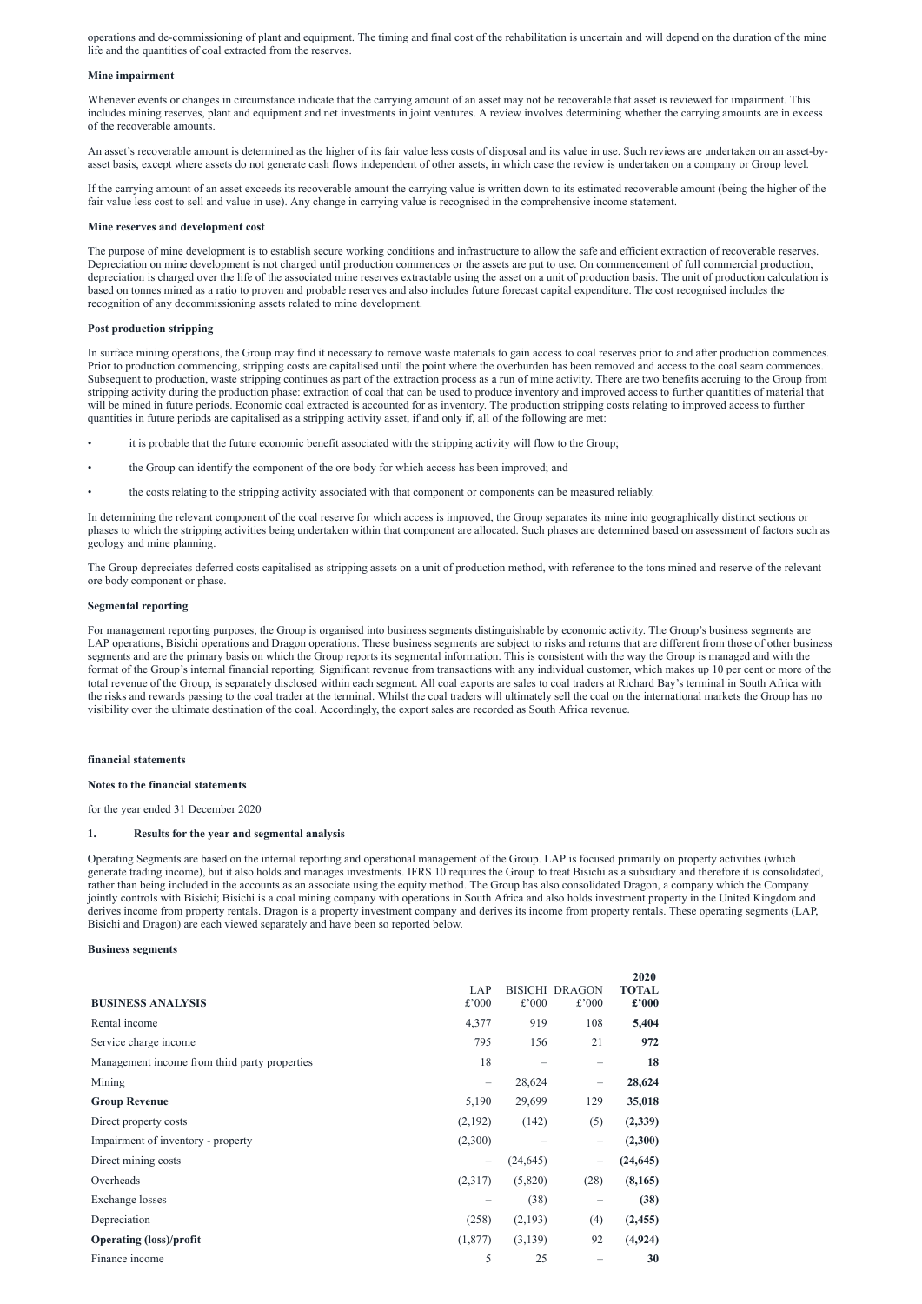operations and de-commissioning of plant and equipment. The timing and final cost of the rehabilitation is uncertain and will depend on the duration of the mine life and the quantities of coal extracted from the reserves.

## **Mine impairment**

Whenever events or changes in circumstance indicate that the carrying amount of an asset may not be recoverable that asset is reviewed for impairment. This includes mining reserves, plant and equipment and net investments in joint ventures. A review involves determining whether the carrying amounts are in excess of the recoverable amounts.

An asset's recoverable amount is determined as the higher of its fair value less costs of disposal and its value in use. Such reviews are undertaken on an asset-byasset basis, except where assets do not generate cash flows independent of other assets, in which case the review is undertaken on a company or Group level.

If the carrying amount of an asset exceeds its recoverable amount the carrying value is written down to its estimated recoverable amount (being the higher of the fair value less cost to sell and value in use). Any change in carrying value is recognised in the comprehensive income statement.

## **Mine reserves and development cost**

The purpose of mine development is to establish secure working conditions and infrastructure to allow the safe and efficient extraction of recoverable reserves. Depreciation on mine development is not charged until production commences or the assets are put to use. On commencement of full commercial production, depreciation is charged over the life of the associated mine reserves extractable using the asset on a unit of production basis. The unit of production calculation is based on tonnes mined as a ratio to proven and probable reserves and also includes future forecast capital expenditure. The cost recognised includes the recognition of any decommissioning assets related to mine development.

- it is probable that the future economic benefit associated with the stripping activity will flow to the Group;
- the Group can identify the component of the ore body for which access has been improved; and
- the costs relating to the stripping activity associated with that component or components can be measured reliably.

# **Post production stripping**

In surface mining operations, the Group may find it necessary to remove waste materials to gain access to coal reserves prior to and after production commences. Prior to production commencing, stripping costs are capitalised until the point where the overburden has been removed and access to the coal seam commences. Subsequent to production, waste stripping continues as part of the extraction process as a run of mine activity. There are two benefits accruing to the Group from stripping activity during the production phase: extraction of coal that can be used to produce inventory and improved access to further quantities of material that will be mined in future periods. Economic coal extracted is accounted for as inventory. The production stripping costs relating to improved access to further quantities in future periods are capitalised as a stripping activity asset, if and only if, all of the following are met:

In determining the relevant component of the coal reserve for which access is improved, the Group separates its mine into geographically distinct sections or phases to which the stripping activities being undertaken within that component are allocated. Such phases are determined based on assessment of factors such as geology and mine planning.

The Group depreciates deferred costs capitalised as stripping assets on a unit of production method, with reference to the tons mined and reserve of the relevant ore body component or phase.

# **Segmental reporting**

For management reporting purposes, the Group is organised into business segments distinguishable by economic activity. The Group's business segments are LAP operations, Bisichi operations and Dragon operations. These business segments are subject to risks and returns that are different from those of other business segments and are the primary basis on which the Group reports its segmental information. This is consistent with the way the Group is managed and with the format of the Group's internal financial reporting. Significant revenue from transactions with any individual customer, which makes up 10 per cent or more of the total revenue of the Group, is separately disclosed within each segment. All coal exports are sales to coal traders at Richard Bay's terminal in South Africa with the risks and rewards passing to the coal trader at the terminal. Whilst the coal traders will ultimately sell the coal on the international markets the Group has no visibility over the ultimate destination of the coal. Accordingly, the export sales are recorded as South Africa revenue.

#### **financial statements**

#### **Notes to the financial statements**

for the year ended 31 December 2020

## **1. Results for the year and segmental analysis**

Operating Segments are based on the internal reporting and operational management of the Group. LAP is focused primarily on property activities (which generate trading income), but it also holds and manages investments. IFRS 10 requires the Group to treat Bisichi as a subsidiary and therefore it is consolidated, rather than being included in the accounts as an associate using the equity method. The Group has also consolidated Dragon, a company which the Company jointly controls with Bisichi; Bisichi is a coal mining company with operations in South Africa and also holds investment property in the United Kingdom and derives income from property rentals. Dragon is a property investment company and derives its income from property rentals. These operating segments (LAP, Bisichi and Dragon) are each viewed separately and have been so reported below.

#### **Business segments**

| <b>BUSINESS ANALYSIS</b>                      | LAP<br>£'000                   | £'000     | <b>BISICHI DRAGON</b><br>£'000  | <b>TOTAL</b><br>$\pounds$ '000 |
|-----------------------------------------------|--------------------------------|-----------|---------------------------------|--------------------------------|
| Rental income                                 | 4,377                          | 919       | 108                             | 5,404                          |
| Service charge income                         | 795                            | 156       | 21                              | 972                            |
| Management income from third party properties | 18                             |           |                                 | 18                             |
| Mining                                        | $\qquad \qquad$                | 28,624    | $\qquad \qquad -$               | 28,624                         |
| <b>Group Revenue</b>                          | 5,190                          | 29,699    | 129                             | 35,018                         |
| Direct property costs                         | (2,192)                        | (142)     | (5)                             | (2,339)                        |
| Impairment of inventory - property            | (2,300)                        |           | $\qquad \qquad -$               | (2,300)                        |
| Direct mining costs                           | $\qquad \qquad \longleftarrow$ | (24, 645) | $\qquad \qquad -$               | (24, 645)                      |
| Overheads                                     | (2,317)                        | (5,820)   | (28)                            | (8,165)                        |
| <b>Exchange</b> losses                        |                                | (38)      | $\hspace{0.1mm}-\hspace{0.1mm}$ | (38)                           |
| Depreciation                                  | (258)                          | (2,193)   | (4)                             | (2, 455)                       |
| <b>Operating (loss)/profit</b>                | (1,877)                        | (3,139)   | 92                              | (4, 924)                       |
| Finance income                                | 5                              | 25        |                                 | 30                             |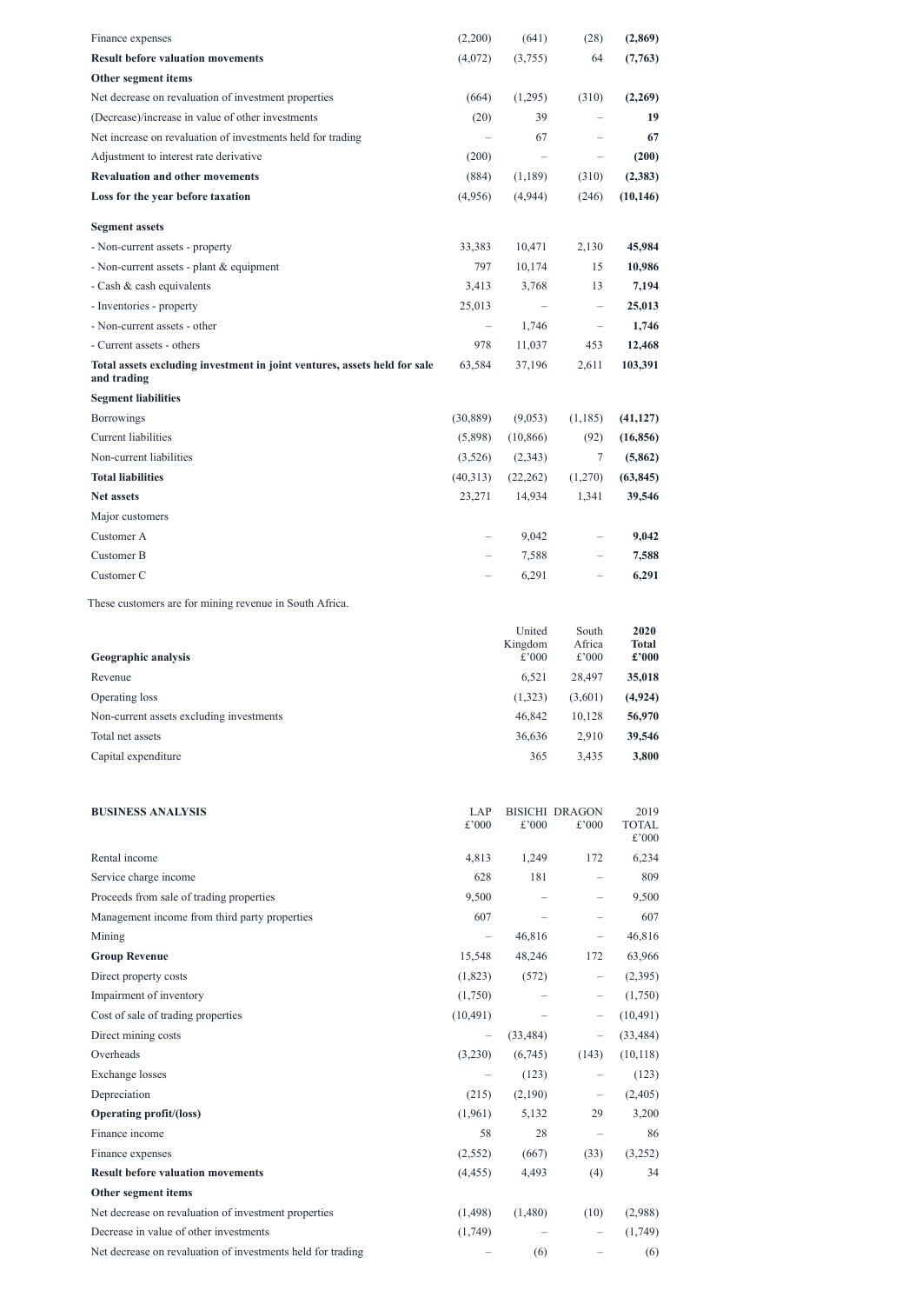| Finance expenses                                                                         | (2,200)           | (641)                      | (28)                     | (2,869)                                |
|------------------------------------------------------------------------------------------|-------------------|----------------------------|--------------------------|----------------------------------------|
| <b>Result before valuation movements</b>                                                 | (4,072)           | (3,755)                    | 64                       | (7,763)                                |
| Other segment items                                                                      |                   |                            |                          |                                        |
| Net decrease on revaluation of investment properties                                     | (664)             | (1,295)                    | (310)                    | (2,269)                                |
| (Decrease)/increase in value of other investments                                        | (20)              | 39                         | $\equiv$                 | 19                                     |
| Net increase on revaluation of investments held for trading                              |                   | 67                         | $\overline{\phantom{0}}$ | 67                                     |
| Adjustment to interest rate derivative                                                   | (200)             | $\overline{\phantom{0}}$   | —                        | (200)                                  |
| <b>Revaluation and other movements</b>                                                   | (884)             | (1,189)                    | (310)                    | (2,383)                                |
| Loss for the year before taxation                                                        | (4,956)           | (4,944)                    | (246)                    | (10, 146)                              |
| <b>Segment assets</b>                                                                    |                   |                            |                          |                                        |
| - Non-current assets - property                                                          | 33,383            | 10,471                     | 2,130                    | 45,984                                 |
| - Non-current assets - plant & equipment                                                 | 797               | 10,174                     | 15                       | 10,986                                 |
| - Cash & cash equivalents                                                                | 3,413             | 3,768                      | 13                       | 7,194                                  |
| - Inventories - property                                                                 | 25,013            | $\qquad \qquad -$          | $\equiv$                 | 25,013                                 |
| - Non-current assets - other                                                             | $\qquad \qquad -$ | 1,746                      | $\qquad \qquad -$        | 1,746                                  |
| - Current assets - others                                                                | 978               | 11,037                     | 453                      | 12,468                                 |
| Total assets excluding investment in joint ventures, assets held for sale<br>and trading | 63,584            | 37,196                     | 2,611                    | 103,391                                |
| <b>Segment liabilities</b>                                                               |                   |                            |                          |                                        |
| Borrowings                                                                               | (30, 889)         | (9,053)                    | (1,185)                  | (41, 127)                              |
| <b>Current liabilities</b>                                                               | (5,898)           | (10, 866)                  | (92)                     | (16, 856)                              |
| Non-current liabilities                                                                  | (3,526)           | (2,343)                    | 7                        | (5,862)                                |
| <b>Total liabilities</b>                                                                 | (40,313)          | (22, 262)                  | (1,270)                  | (63, 845)                              |
| <b>Net assets</b>                                                                        | 23,271            | 14,934                     | 1,341                    | 39,546                                 |
| Major customers                                                                          |                   |                            |                          |                                        |
| Customer A                                                                               |                   | 9,042                      |                          | 9,042                                  |
| Customer B                                                                               |                   | 7,588                      |                          | 7,588                                  |
| Customer C                                                                               |                   | 6,291                      |                          | 6,291                                  |
| These customers are for mining revenue in South Africa.                                  |                   |                            |                          |                                        |
| Geographic analysis                                                                      |                   | United<br>Kingdom<br>£'000 | South<br>Africa<br>£'000 | 2020<br><b>Total</b><br>$\pounds$ '000 |
| Revenue                                                                                  |                   | 6,521                      | 28,497                   | 35,018                                 |
| Operating loss                                                                           |                   | (1,323)                    | (3,601)                  | (4, 924)                               |

|        | $(3,001)$ $(4,924)$ |        |
|--------|---------------------|--------|
| 46.842 | 10.128              | 56,970 |
| 36.636 | 2.910               | 39,546 |
| 365    | 3.435               | 3,800  |
|        | (1,323)             |        |

| <b>BUSINESS ANALYSIS</b>                                    | <b>LAP</b><br>£'000 | £'000     | <b>BISICHI DRAGON</b><br>£'000 | 2019<br><b>TOTAL</b><br>£'000 |
|-------------------------------------------------------------|---------------------|-----------|--------------------------------|-------------------------------|
| Rental income                                               | 4,813               | 1,249     | 172                            | 6,234                         |
| Service charge income                                       | 628                 | 181       | $\overline{\phantom{0}}$       | 809                           |
| Proceeds from sale of trading properties                    | 9,500               |           |                                | 9,500                         |
| Management income from third party properties               | 607                 | $\equiv$  | $\qquad \qquad$                | 607                           |
| Mining                                                      | $\equiv$            | 46,816    | $\equiv$                       | 46,816                        |
| <b>Group Revenue</b>                                        | 15,548              | 48,246    | 172                            | 63,966                        |
| Direct property costs                                       | (1,823)             | (572)     | -                              | (2,395)                       |
| Impairment of inventory                                     | (1,750)             |           | $\overline{\phantom{0}}$       | (1,750)                       |
| Cost of sale of trading properties                          | (10, 491)           |           |                                | (10, 491)                     |
| Direct mining costs                                         | -                   | (33, 484) | $\qquad \qquad -$              | (33, 484)                     |
| Overheads                                                   | (3,230)             | (6,745)   | (143)                          | (10, 118)                     |
| <b>Exchange</b> losses                                      |                     | (123)     | -                              | (123)                         |
| Depreciation                                                | (215)               | (2,190)   | $\qquad \qquad -$              | (2,405)                       |
| <b>Operating profit/(loss)</b>                              | (1,961)             | 5,132     | 29                             | 3,200                         |
| Finance income                                              | 58                  | 28        | $\equiv$                       | 86                            |
| Finance expenses                                            | (2,552)             | (667)     | (33)                           | (3,252)                       |
| <b>Result before valuation movements</b>                    | (4, 455)            | 4,493     | (4)                            | 34                            |
| Other segment items                                         |                     |           |                                |                               |
| Net decrease on revaluation of investment properties        | (1, 498)            | (1,480)   | (10)                           | (2,988)                       |
| Decrease in value of other investments                      | (1,749)             |           | —                              | (1,749)                       |
| Net decrease on revaluation of investments held for trading |                     | (6)       | $\overline{\phantom{0}}$       | (6)                           |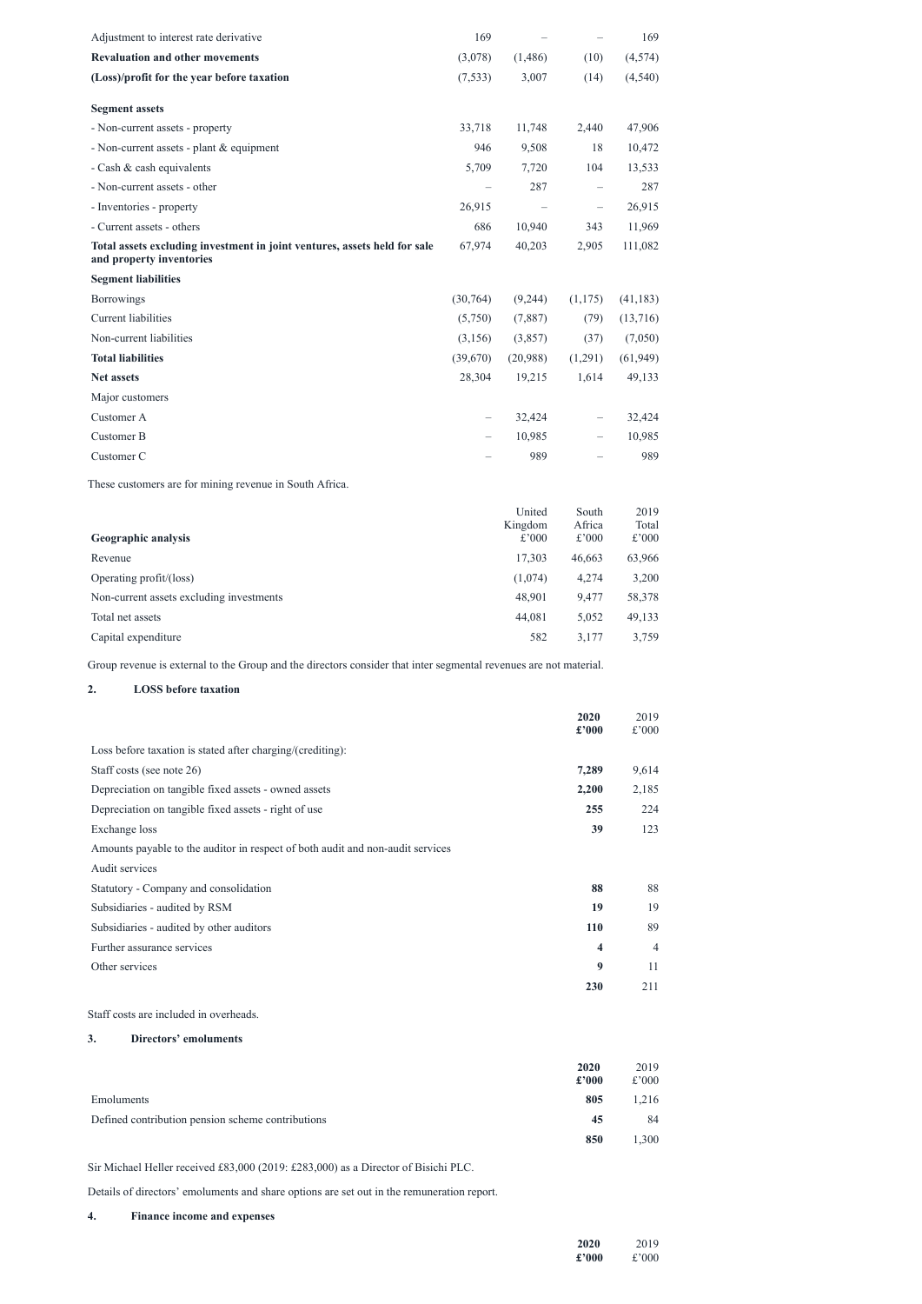| Adjustment to interest rate derivative                                                                | 169                      |                   |                          | 169           |
|-------------------------------------------------------------------------------------------------------|--------------------------|-------------------|--------------------------|---------------|
| <b>Revaluation and other movements</b>                                                                | (3,078)                  | (1,486)           | (10)                     | (4,574)       |
| (Loss)/profit for the year before taxation                                                            | (7,533)                  | 3,007             | (14)                     | (4,540)       |
| <b>Segment assets</b>                                                                                 |                          |                   |                          |               |
| - Non-current assets - property                                                                       | 33,718                   | 11,748            | 2,440                    | 47,906        |
| - Non-current assets - plant & equipment                                                              | 946                      | 9,508             | 18                       | 10,472        |
| - Cash & cash equivalents                                                                             | 5,709                    | 7,720             | 104                      | 13,533        |
| - Non-current assets - other                                                                          |                          | 287               | $\equiv$                 | 287           |
| - Inventories - property                                                                              | 26,915                   |                   | $\overline{\phantom{0}}$ | 26,915        |
| - Current assets - others                                                                             | 686                      | 10,940            | 343                      | 11,969        |
| Total assets excluding investment in joint ventures, assets held for sale<br>and property inventories | 67,974                   | 40,203            | 2,905                    | 111,082       |
| <b>Segment liabilities</b>                                                                            |                          |                   |                          |               |
| Borrowings                                                                                            | (30,764)                 | (9,244)           | (1,175)                  | (41, 183)     |
| <b>Current liabilities</b>                                                                            | (5,750)                  | (7,887)           | (79)                     | (13,716)      |
| Non-current liabilities                                                                               | (3,156)                  | (3,857)           | (37)                     | (7,050)       |
| <b>Total liabilities</b>                                                                              | (39,670)                 | (20,988)          | (1,291)                  | (61, 949)     |
| <b>Net assets</b>                                                                                     | 28,304                   | 19,215            | 1,614                    | 49,133        |
| Major customers                                                                                       |                          |                   |                          |               |
| Customer A                                                                                            |                          | 32,424            |                          | 32,424        |
| Customer B                                                                                            | $\overline{\phantom{0}}$ | 10,985            |                          | 10,985        |
| Customer C                                                                                            |                          | 989               |                          | 989           |
| These customers are for mining revenue in South Africa.                                               |                          |                   |                          |               |
|                                                                                                       |                          | United<br>Kingdom | South<br>Africa          | 2019<br>Total |

| Geographic analysis                      | £'000   | £'000  | £'000  |
|------------------------------------------|---------|--------|--------|
| Revenue                                  | 17,303  | 46,663 | 63,966 |
| Operating profit/(loss)                  | (1,074) | 4,274  | 3,200  |
| Non-current assets excluding investments | 48,901  | 9,477  | 58,378 |
| Total net assets                         | 44,081  | 5,052  | 49,133 |
| Capital expenditure                      | 582     | 3,177  | 3,759  |

Group revenue is external to the Group and the directors consider that inter segmental revenues are not material.

# **2. LOSS before taxation**

|                                                                                | 2020                    | 2019           |
|--------------------------------------------------------------------------------|-------------------------|----------------|
|                                                                                | £'000                   | £'000          |
| Loss before taxation is stated after charging/(crediting):                     |                         |                |
| Staff costs (see note 26)                                                      | 7,289                   | 9,614          |
| Depreciation on tangible fixed assets - owned assets                           | 2,200                   | 2,185          |
| Depreciation on tangible fixed assets - right of use                           | 255                     | 224            |
| Exchange loss                                                                  | 39                      | 123            |
| Amounts payable to the auditor in respect of both audit and non-audit services |                         |                |
| Audit services                                                                 |                         |                |
| Statutory - Company and consolidation                                          | 88                      | 88             |
| Subsidiaries - audited by RSM                                                  | 19                      | 19             |
| Subsidiaries - audited by other auditors                                       | <b>110</b>              | 89             |
| Further assurance services                                                     | $\overline{\mathbf{4}}$ | $\overline{4}$ |
| Other services                                                                 | 9                       | 11             |
|                                                                                |                         |                |

**230** 211

# Staff costs are included in overheads.

# **3. Directors' emoluments**

|                                                   | 2020           | 2019  |
|---------------------------------------------------|----------------|-------|
|                                                   | $\pounds$ '000 | £'000 |
| Emoluments                                        | 805            | 1.216 |
| Defined contribution pension scheme contributions | 45             | 84    |
|                                                   | 850            | ,300  |

# Sir Michael Heller received £83,000 (2019: £283,000) as a Director of Bisichi PLC.

Details of directors' emoluments and share options are set out in the remuneration report.

# **4. Finance income and expenses**

| 2020  | 2019  |
|-------|-------|
| £2000 | £'000 |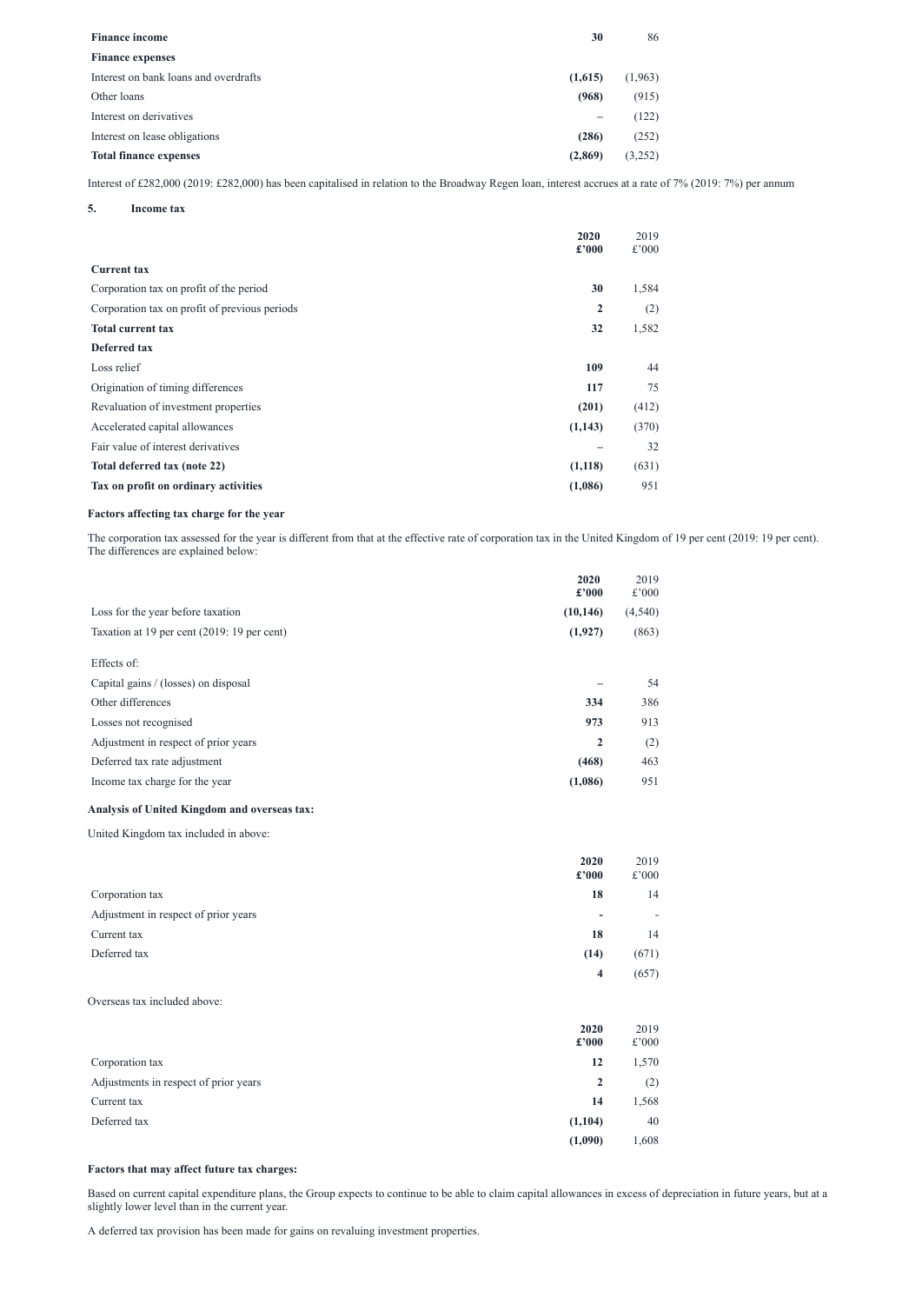| <b>Finance income</b>                 | 30              | 86      |
|---------------------------------------|-----------------|---------|
| <b>Finance expenses</b>               |                 |         |
| Interest on bank loans and overdrafts | (1,615)         | (1,963) |
| Other loans                           | (968)           | (915)   |
| Interest on derivatives               | $\qquad \qquad$ | (122)   |
| Interest on lease obligations         | (286)           | (252)   |
| <b>Total finance expenses</b>         | (2,869)         | (3,252) |

Interest of £282,000 (2019: £282,000) has been capitalised in relation to the Broadway Regen loan, interest accrues at a rate of 7% (2019: 7%) per annum

# **5. Income tax**

|                                               | 2020<br>£'000 | 2019<br>£'000 |
|-----------------------------------------------|---------------|---------------|
| <b>Current tax</b>                            |               |               |
| Corporation tax on profit of the period       | 30            | 1,584         |
| Corporation tax on profit of previous periods | $\mathbf{2}$  | (2)           |
| <b>Total current tax</b>                      | 32            | 1,582         |
| Deferred tax                                  |               |               |
| Loss relief                                   | 109           | 44            |
| Origination of timing differences             | 117           | 75            |
| Revaluation of investment properties          | (201)         | (412)         |
| Accelerated capital allowances                | (1,143)       | (370)         |
| Fair value of interest derivatives            |               | 32            |
| Total deferred tax (note 22)                  | (1,118)       | (631)         |
| Tax on profit on ordinary activities          | (1,086)       | 951           |

# **Factors affecting tax charge for the year**

The corporation tax assessed for the year is different from that at the effective rate of corporation tax in the United Kingdom of 19 per cent (2019: 19 per cent). The differences are explained below:

|                                              | 2020<br>£'000 | 2019<br>£'000 |
|----------------------------------------------|---------------|---------------|
| Loss for the year before taxation            | (10, 146)     | (4, 540)      |
| Taxation at 19 per cent (2019: 19 per cent)  | (1,927)       | (863)         |
| Effects of:                                  |               |               |
| Capital gains / (losses) on disposal         |               | 54            |
| Other differences                            | 334           | 386           |
| Losses not recognised                        | 973           | 913           |
| Adjustment in respect of prior years         | $\mathbf{2}$  | (2)           |
| Deferred tax rate adjustment                 | (468)         | 463           |
| Income tax charge for the year               | (1,086)       | 951           |
| Analysis of United Kingdom and overseas tax. |               |               |

# **Analysis of United Kingdom and overseas tax:**

United Kingdom tax included in above:

|                                      | 2020<br>£'000 | 2019<br>£'000 |
|--------------------------------------|---------------|---------------|
| Corporation tax                      | 18            | 14            |
| Adjustment in respect of prior years | -             | ۰             |
| Current tax                          | 18            | 14            |
| Deferred tax                         | (14)          | (671)         |
|                                      | 4             | (657)         |

# Overseas tax included above:

|                                       | 2020<br>£'000  | 2019<br>£'000 |
|---------------------------------------|----------------|---------------|
| Corporation tax                       | 12             | 1,570         |
| Adjustments in respect of prior years | $\overline{2}$ | (2)           |
| Current tax                           | 14             | 1,568         |
| Deferred tax                          | (1,104)        | 40            |
|                                       | (1,090)        | 1,608         |

# **Factors that may affect future tax charges:**

Based on current capital expenditure plans, the Group expects to continue to be able to claim capital allowances in excess of depreciation in future years, but at a slightly lower level than in the current year.

A deferred tax provision has been made for gains on revaluing investment properties.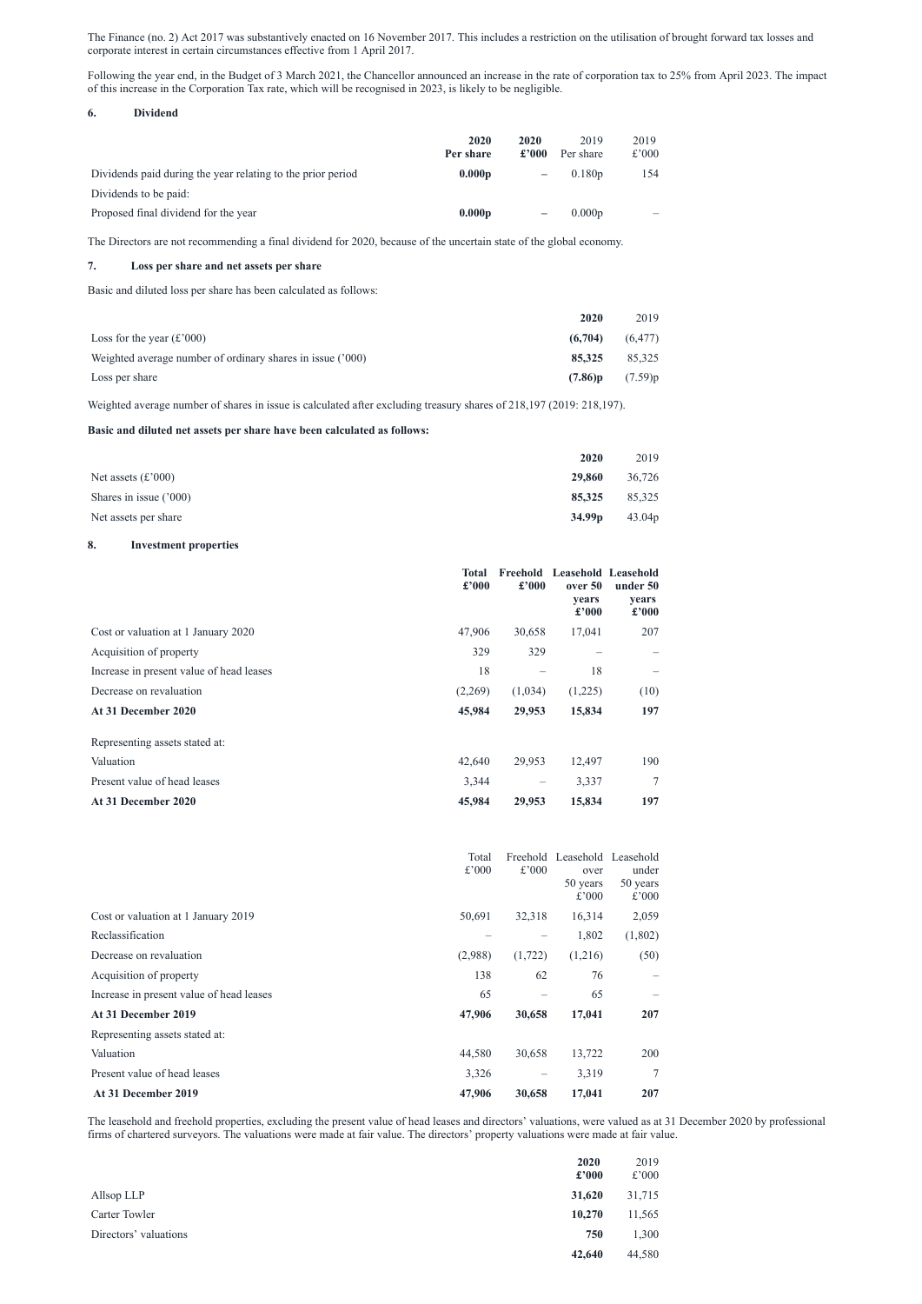The Finance (no. 2) Act 2017 was substantively enacted on 16 November 2017. This includes a restriction on the utilisation of brought forward tax losses and corporate interest in certain circumstances effective from 1 April 2017.

Following the year end, in the Budget of 3 March 2021, the Chancellor announced an increase in the rate of corporation tax to 25% from April 2023. The impact of this increase in the Corporation Tax rate, which will be recognised in 2023, is likely to be negligible.

# **6. Dividend**

|                                                             | 2020<br>Per share  | 2020<br>£2000 | 2019<br>Per share  | 2019<br>£'000 |
|-------------------------------------------------------------|--------------------|---------------|--------------------|---------------|
| Dividends paid during the year relating to the prior period | 0.000 <sub>p</sub> |               | 0.180p             | 154           |
| Dividends to be paid:                                       |                    |               |                    |               |
| Proposed final dividend for the year                        | 0.000 <sub>p</sub> |               | 0.000 <sub>p</sub> |               |

The Directors are not recommending a final dividend for 2020, because of the uncertain state of the global economy.

# **7. Loss per share and net assets per share**

Basic and diluted loss per share has been calculated as follows:

|                                                            | 2020    | 2019     |
|------------------------------------------------------------|---------|----------|
| Loss for the year $(\pounds 000)$                          | (6,704) | (6, 477) |
| Weighted average number of ordinary shares in issue ('000) | 85.325  | 85,325   |
| Loss per share                                             | (7.86)p | (7.59)p  |

Weighted average number of shares in issue is calculated after excluding treasury shares of 218,197 (2019: 218,197).

# **Basic and diluted net assets per share have been calculated as follows:**

|                            | 2020               | 2019               |
|----------------------------|--------------------|--------------------|
| Net assets $(\pounds 000)$ | 29,860             | 36,726             |
| Shares in issue $('000)$   | 85,325             | 85,325             |
| Net assets per share       | 34.99 <sub>p</sub> | 43.04 <sub>p</sub> |

## **8. Investment properties**

|                                          | <b>Total</b><br>£'000 | Freehold<br>£'000 | Leasehold<br>over 50<br><b>vears</b><br>£'000 | Leasehold<br>under 50<br><b>vears</b><br>£'000 |
|------------------------------------------|-----------------------|-------------------|-----------------------------------------------|------------------------------------------------|
| Cost or valuation at 1 January 2020      | 47,906                | 30,658            | 17,041                                        | 207                                            |
| Acquisition of property                  | 329                   | 329               |                                               | —                                              |
| Increase in present value of head leases | 18                    |                   | 18                                            | —                                              |
| Decrease on revaluation                  | (2,269)               | (1,034)           | (1,225)                                       | (10)                                           |
| At 31 December 2020                      | 45,984                | 29,953            | 15,834                                        | 197                                            |
| Representing assets stated at:           |                       |                   |                                               |                                                |
| Valuation                                | 42,640                | 29,953            | 12,497                                        | 190                                            |
| Present value of head leases             | 3,344                 | $\qquad \qquad$   | 3,337                                         | 7                                              |
| At 31 December 2020                      | 45,984                | 29,953            | 15,834                                        | 197                                            |

|                                          | Total   | Freehold                 | Leasehold | Leasehold |
|------------------------------------------|---------|--------------------------|-----------|-----------|
|                                          | £'000   | £'000                    | over      | under     |
|                                          |         |                          | 50 years  | 50 years  |
|                                          |         |                          | £'000     | £'000     |
| Cost or valuation at 1 January 2019      | 50,691  | 32,318                   | 16,314    | 2,059     |
| Reclassification                         |         | $\qquad \qquad$          | 1,802     | (1,802)   |
| Decrease on revaluation                  | (2,988) | (1,722)                  | (1,216)   | (50)      |
| Acquisition of property                  | 138     | 62                       | 76        |           |
| Increase in present value of head leases | 65      | $\overline{\phantom{m}}$ | 65        |           |
| At 31 December 2019                      | 47,906  | 30,658                   | 17,041    | 207       |
| Representing assets stated at:           |         |                          |           |           |
| Valuation                                | 44,580  | 30,658                   | 13,722    | 200       |
| Present value of head leases             | 3,326   | $\qquad \qquad$          | 3,319     | 7         |
| At 31 December 2019                      | 47,906  | 30,658                   | 17,041    | 207       |

The leasehold and freehold properties, excluding the present value of head leases and directors' valuations, were valued as at 31 December 2020 by professional firms of chartered surveyors. The valuations were made at fair value. The directors' property valuations were made at fair value.

|                       | 2020<br>£'000 | 2019<br>£'000 |
|-----------------------|---------------|---------------|
| Allsop LLP            | 31,620        | 31,715        |
| Carter Towler         | 10,270        | 11,565        |
| Directors' valuations | 750           | 1,300         |
|                       | 42,640        | 44,580        |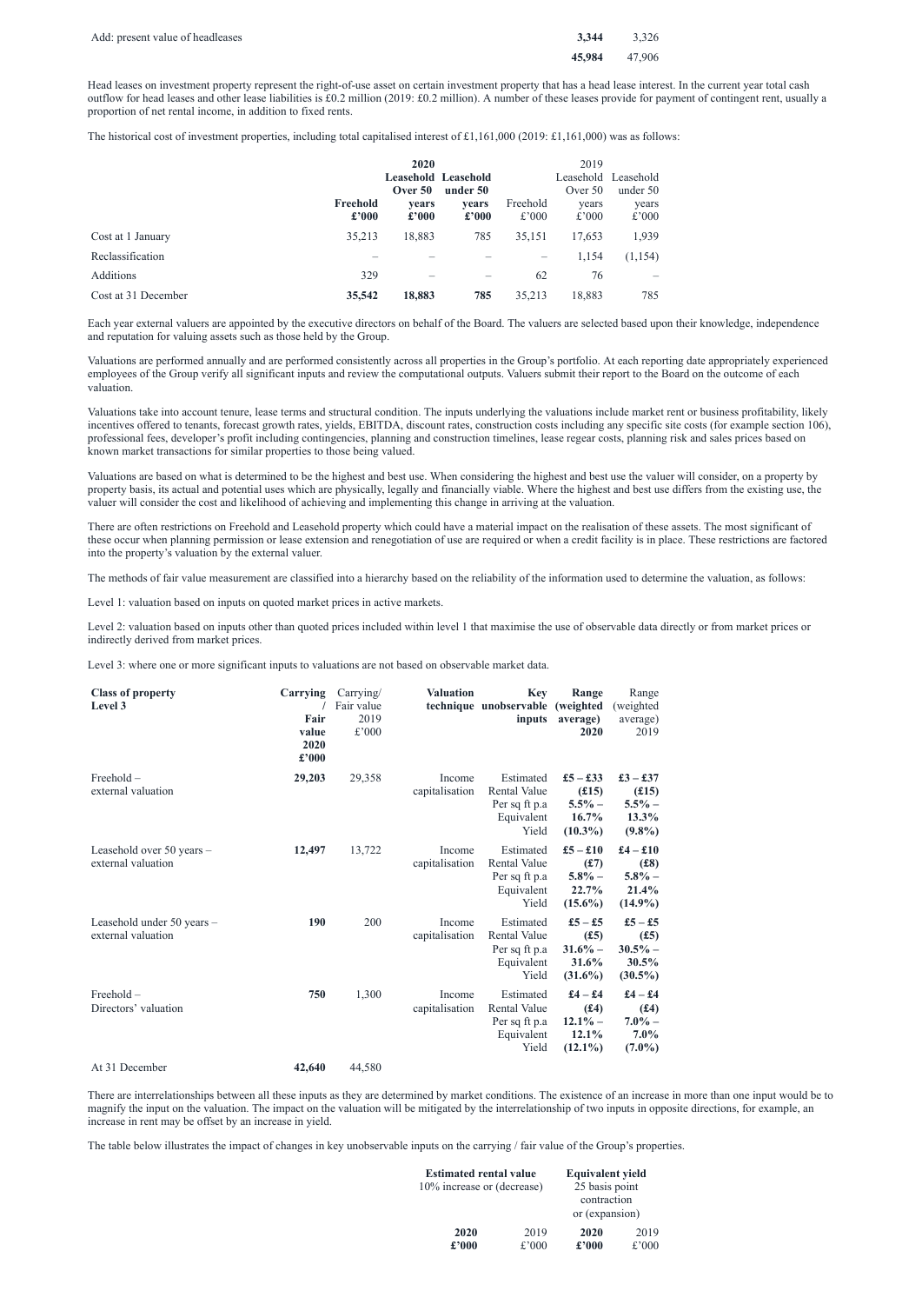| Add: present value of headleases | 3,344 3,326   |
|----------------------------------|---------------|
|                                  | 45,984 47,906 |

Head leases on investment property represent the right-of-use asset on certain investment property that has a head lease interest. In the current year total cash outflow for head leases and other lease liabilities is £0.2 million (2019: £0.2 million). A number of these leases provide for payment of contingent rent, usually a proportion of net rental income, in addition to fixed rents.

The historical cost of investment properties, including total capitalised interest of £1,161,000 (2019: £1,161,000) was as follows:

|                     | Freehold<br>$\pounds$ '000 | 2020<br>Over 50<br><b>vears</b><br>$\pounds$ '000 | <b>Leasehold Leasehold</b><br>under 50<br><b>vears</b><br>$\pounds$ '000 | Freehold<br>£'000 | 2019<br>Leasehold<br>Over 50<br>years<br>£'000 | Leasehold<br>under 50<br>years<br>£'000 |
|---------------------|----------------------------|---------------------------------------------------|--------------------------------------------------------------------------|-------------------|------------------------------------------------|-----------------------------------------|
| Cost at 1 January   | 35,213                     | 18,883                                            | 785                                                                      | 35,151            | 17,653                                         | 1,939                                   |
| Reclassification    |                            |                                                   |                                                                          |                   | 1,154                                          | (1, 154)                                |
| Additions           | 329                        | $\hspace{0.05cm}$                                 | -                                                                        | 62                | 76                                             |                                         |
| Cost at 31 December | 35,542                     | 18,883                                            | 785                                                                      | 35,213            | 18,883                                         | 785                                     |

Each year external valuers are appointed by the executive directors on behalf of the Board. The valuers are selected based upon their knowledge, independence and reputation for valuing assets such as those held by the Group.

Valuations are performed annually and are performed consistently across all properties in the Group's portfolio. At each reporting date appropriately experienced employees of the Group verify all significant inputs and review the computational outputs. Valuers submit their report to the Board on the outcome of each valuation.

Level 2: valuation based on inputs other than quoted prices included within level 1 that maximise the use of observable data directly or from market prices or indirectly derived from market prices.

Level 3: where one or more significant inputs to valuations are not based on observable market data.

Valuations take into account tenure, lease terms and structural condition. The inputs underlying the valuations include market rent or business profitability, likely incentives offered to tenants, forecast growth rates, yields, EBITDA, discount rates, construction costs including any specific site costs (for example section 106), professional fees, developer's profit including contingencies, planning and construction timelines, lease regear costs, planning risk and sales prices based on known market transactions for similar properties to those being valued.

| $Freehold -$         | 750 | 1.300 | Income | Estimated $\pounds 4 - \pounds 4$ $\pounds 4 - \pounds 4$ |                  |           |
|----------------------|-----|-------|--------|-----------------------------------------------------------|------------------|-----------|
| Directors' valuation |     |       |        | capitalisation Rental Value $(f.4)$                       |                  | (£4)      |
|                      |     |       |        | Per sq ft p.a $12.1\% - 7.0\% - 1$                        |                  |           |
|                      |     |       |        | Equivalent $12.1\%$                                       |                  | $7.0\%$   |
|                      |     |       |        |                                                           | Yield $(12.1\%)$ | $(7.0\%)$ |

At 31 December **42,640** 44,580

Valuations are based on what is determined to be the highest and best use. When considering the highest and best use the valuer will consider, on a property by property basis, its actual and potential uses which are physically, legally and financially viable. Where the highest and best use differs from the existing use, the valuer will consider the cost and likelihood of achieving and implementing this change in arriving at the valuation.

There are often restrictions on Freehold and Leasehold property which could have a material impact on the realisation of these assets. The most significant of these occur when planning permission or lease extension and renegotiation of use are required or when a credit facility is in place. These restrictions are factored into the property's valuation by the external valuer.

The methods of fair value measurement are classified into a hierarchy based on the reliability of the information used to determine the valuation, as follows:

Level 1: valuation based on inputs on quoted market prices in active markets.

| <b>Class of property</b><br>Level 3              | Carrying<br>Fair<br>value<br>2020<br>$\pounds$ '000 | Carrying/<br>Fair value<br>2019<br>£'000 | <b>Valuation</b>         | <b>Key</b><br>technique unobservable<br>inputs                    | Range<br>(weighted)<br>average)<br>2020                    | Range<br>(weighted<br>average)<br>2019                             |
|--------------------------------------------------|-----------------------------------------------------|------------------------------------------|--------------------------|-------------------------------------------------------------------|------------------------------------------------------------|--------------------------------------------------------------------|
| $Freehold -$<br>external valuation               | 29,203                                              | 29,358                                   | Income<br>capitalisation | Estimated<br>Rental Value<br>Per sq ft p.a<br>Equivalent<br>Yield | £5 $-$ £33<br>(£15)<br>$5.5\%$ –<br>$16.7\%$<br>$(10.3\%)$ | $£3 - £37$<br>(f15)<br>$5.5\%$ -<br>13.3%<br>$(9.8\%)$             |
| Leasehold over 50 years -<br>external valuation  | 12,497                                              | 13,722                                   | Income<br>capitalisation | Estimated<br>Rental Value<br>Per sq ft p.a<br>Equivalent<br>Yield | $£5 - £10$<br>(f.7)<br>$5.8\%$ -<br>22.7%<br>$(15.6\%)$    | $\pounds4 - \pounds10$<br>(f8)<br>$5.8\%$ -<br>21.4%<br>$(14.9\%)$ |
| Leasehold under 50 years -<br>external valuation | 190                                                 | 200                                      | Income<br>capitalisation | Estimated<br>Rental Value<br>Per sq ft p.a<br>Equivalent<br>Yield | $£5 - £5$<br>(f5)<br>$31.6\%$ –<br>$31.6\%$<br>$(31.6\%)$  | $£5 - £5$<br>(f5)<br>$30.5%$ -<br>30.5%<br>$(30.5\%)$              |

There are interrelationships between all these inputs as they are determined by market conditions. The existence of an increase in more than one input would be to

magnify the input on the valuation. The impact on the valuation will be mitigated by the interrelationship of two inputs in opposite directions, for example, an increase in rent may be offset by an increase in yield.

The table below illustrates the impact of changes in key unobservable inputs on the carrying / fair value of the Group's properties.

| <b>Estimated rental value</b> |       | <b>Equivalent yield</b> |       |
|-------------------------------|-------|-------------------------|-------|
| 10% increase or (decrease)    |       | 25 basis point          |       |
|                               |       | contraction             |       |
|                               |       | or (expansion)          |       |
| 2020                          | 2019  | 2020                    | 2019  |
| £'000                         | £'000 | £'000                   | £'000 |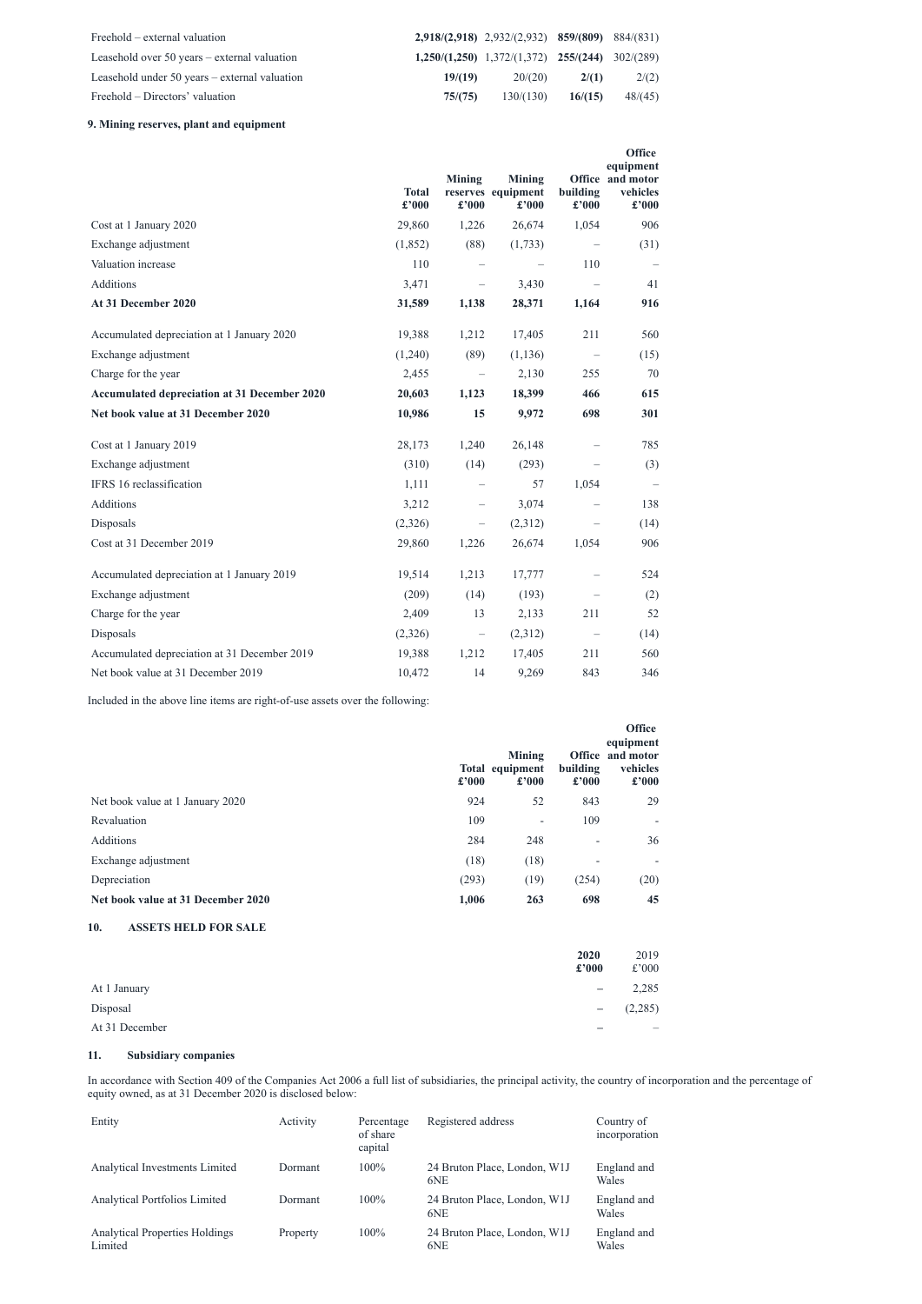| Freehold – external valuation                 |         | <b>2,918/(2,918)</b> 2,932/(2,932) <b>859/(809)</b> 884/(831) |         |         |
|-----------------------------------------------|---------|---------------------------------------------------------------|---------|---------|
| Leasehold over 50 years – external valuation  |         | $1,250/(1,250)$ $1,372/(1,372)$ $255/(244)$ $302/(289)$       |         |         |
| Leasehold under 50 years – external valuation | 19/(19) | 20/(20)                                                       | 2/(1)   | 2/(2)   |
| Freehold – Directors' valuation               | 75/(75) | 130/(130)                                                     | 16/(15) | 48/(45) |

# **9. Mining reserves, plant and equipment**

|                                                     | <b>Total</b><br>£'000 | <b>Mining</b><br>£'000 | <b>Mining</b><br>reserves equipment<br>£'000 | building<br>$\pounds$ '000 | <b>Office</b><br>equipment<br>Office and motor<br>vehicles<br>$\pounds$ '000 |
|-----------------------------------------------------|-----------------------|------------------------|----------------------------------------------|----------------------------|------------------------------------------------------------------------------|
| Cost at 1 January 2020                              | 29,860                | 1,226                  | 26,674                                       | 1,054                      | 906                                                                          |
| Exchange adjustment                                 | (1,852)               | (88)                   | (1,733)                                      |                            | (31)                                                                         |
| Valuation increase                                  | 110                   |                        |                                              | 110                        |                                                                              |
| Additions                                           | 3,471                 | $\equiv$               | 3,430                                        | $\overline{\phantom{m}}$   | 41                                                                           |
| At 31 December 2020                                 | 31,589                | 1,138                  | 28,371                                       | 1,164                      | 916                                                                          |
| Accumulated depreciation at 1 January 2020          | 19,388                | 1,212                  | 17,405                                       | 211                        | 560                                                                          |
| Exchange adjustment                                 | (1,240)               | (89)                   | (1, 136)                                     |                            | (15)                                                                         |
| Charge for the year                                 | 2,455                 | $\equiv$               | 2,130                                        | 255                        | 70                                                                           |
| <b>Accumulated depreciation at 31 December 2020</b> | 20,603                | 1,123                  | 18,399                                       | 466                        | 615                                                                          |
| Net book value at 31 December 2020                  | 10,986                | 15                     | 9,972                                        | 698                        | 301                                                                          |
| Cost at 1 January 2019                              | 28,173                | 1,240                  | 26,148                                       |                            | 785                                                                          |
| Exchange adjustment                                 | (310)                 | (14)                   | (293)                                        |                            | (3)                                                                          |
| IFRS 16 reclassification                            | 1,111                 |                        | 57                                           | 1,054                      |                                                                              |
| Additions                                           | 3,212                 | $\qquad \qquad -$      | 3,074                                        |                            | 138                                                                          |
| Disposals                                           | (2,326)               | $\qquad \qquad -$      | (2,312)                                      |                            | (14)                                                                         |
| Cost at 31 December 2019                            | 29,860                | 1,226                  | 26,674                                       | 1,054                      | 906                                                                          |
| Accumulated depreciation at 1 January 2019          | 19,514                | 1,213                  | 17,777                                       |                            | 524                                                                          |
| Exchange adjustment                                 | (209)                 | (14)                   | (193)                                        |                            | (2)                                                                          |
| Charge for the year                                 | 2,409                 | 13                     | 2,133                                        | 211                        | 52                                                                           |
| Disposals                                           | (2,326)               | $\equiv$               | (2,312)                                      | $\overline{\phantom{m}}$   | (14)                                                                         |
| Accumulated depreciation at 31 December 2019        | 19,388                | 1,212                  | 17,405                                       | 211                        | 560                                                                          |
| Net book value at 31 December 2019                  | 10,472                | 14                     | 9,269                                        | 843                        | 346                                                                          |

Included in the above line items are right-of-use assets over the following:

|                                    | <b>Total</b><br>$\pounds$ '000 | <b>Mining</b><br>equipment<br>$\pounds$ '000 | <b>Office</b><br>building<br>£'000 | <b>Office</b><br>equipment<br>and motor<br>vehicles<br>$\pounds$ '000 |
|------------------------------------|--------------------------------|----------------------------------------------|------------------------------------|-----------------------------------------------------------------------|
| Net book value at 1 January 2020   | 924                            | 52                                           | 843                                | 29                                                                    |
| Revaluation                        | 109                            | ٠                                            | 109                                | $\overline{\phantom{a}}$                                              |
| Additions                          | 284                            | 248                                          | $\overline{\phantom{a}}$           | 36                                                                    |
| Exchange adjustment                | (18)                           | (18)                                         |                                    |                                                                       |
| Depreciation                       | (293)                          | (19)                                         | (254)                              | (20)                                                                  |
| Net book value at 31 December 2020 | 1,006                          | 263                                          | 698                                | 45                                                                    |

# **10. ASSETS HELD FOR SALE**

| 2020  | 2019     |
|-------|----------|
| £2000 | $£$ '000 |

| At 1 January   | $\overline{\phantom{0}}$ | 2,285       |
|----------------|--------------------------|-------------|
| Disposal       |                          | $- (2,285)$ |
| At 31 December | -                        |             |

# **11. Subsidiary companies**

In accordance with Section 409 of the Companies Act 2006 a full list of subsidiaries, the principal activity, the country of incorporation and the percentage of equity owned, as at 31 December 2020 is disclosed below:

| Entity                                           | Activity | Percentage<br>of share<br>capital | Registered address                  | Country of<br>incorporation |
|--------------------------------------------------|----------|-----------------------------------|-------------------------------------|-----------------------------|
| Analytical Investments Limited                   | Dormant  | $100\%$                           | 24 Bruton Place, London, W1J<br>6NE | England and<br>Wales        |
| <b>Analytical Portfolios Limited</b>             | Dormant  | $100\%$                           | 24 Bruton Place, London, W1J<br>6NE | England and<br>Wales        |
| <b>Analytical Properties Holdings</b><br>Limited | Property | 100%                              | 24 Bruton Place, London, W1J<br>6NE | England and<br>Wales        |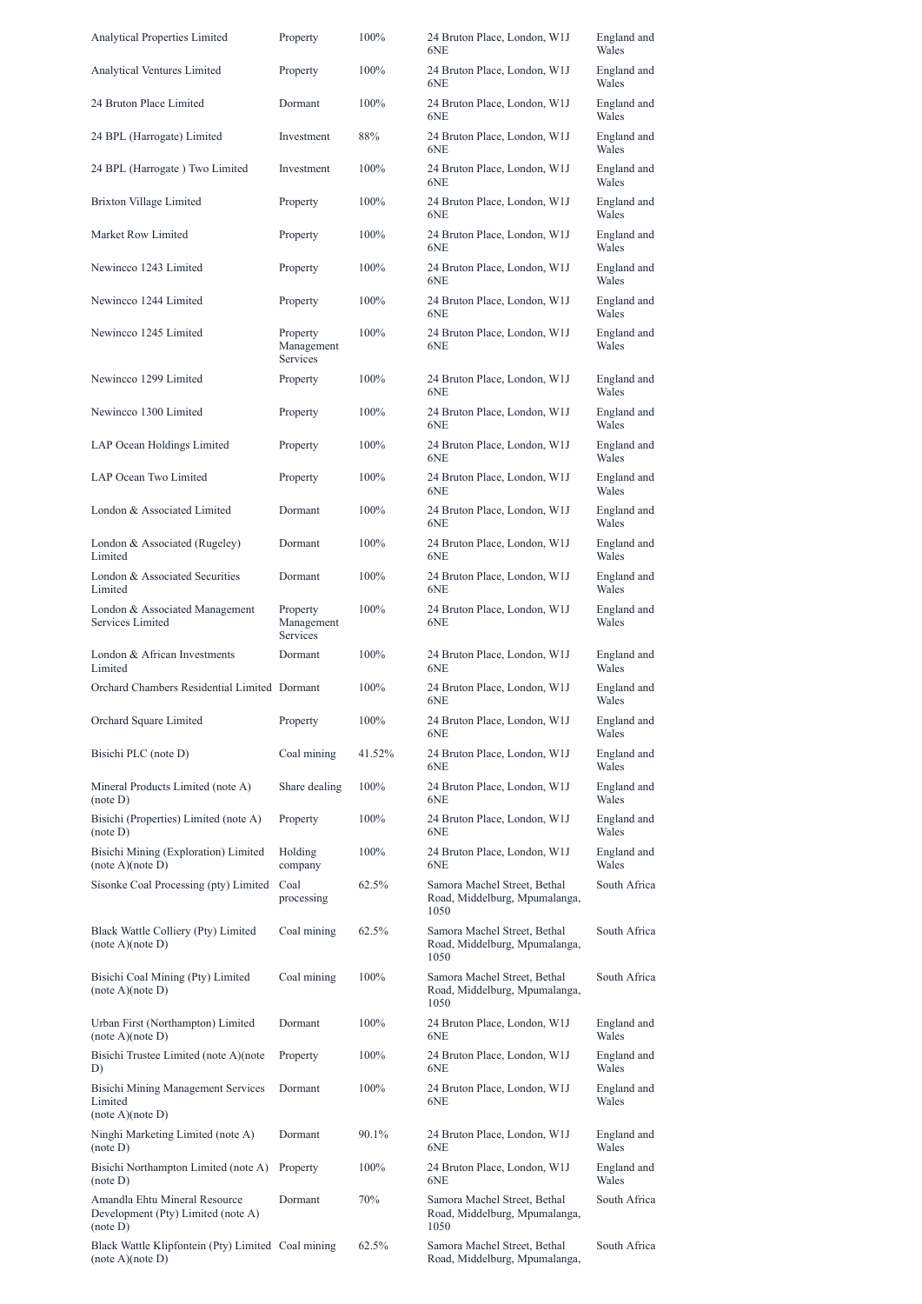| <b>Analytical Properties Limited</b>                      | Property                                  | 100%   | 24 Bruton Place, London, W1J<br>6NE                                   | England and<br>Wales |
|-----------------------------------------------------------|-------------------------------------------|--------|-----------------------------------------------------------------------|----------------------|
| Analytical Ventures Limited                               | Property                                  | 100%   | 24 Bruton Place, London, W1J<br>6NE                                   | England and<br>Wales |
| 24 Bruton Place Limited                                   | Dormant                                   | 100%   | 24 Bruton Place, London, W1J<br>6NE                                   | England and<br>Wales |
| 24 BPL (Harrogate) Limited                                | Investment                                | 88%    | 24 Bruton Place, London, W1J<br>6NE                                   | England and<br>Wales |
| 24 BPL (Harrogate) Two Limited                            | Investment                                | 100%   | 24 Bruton Place, London, W1J<br>6NE                                   | England and<br>Wales |
| <b>Brixton Village Limited</b>                            | Property                                  | 100%   | 24 Bruton Place, London, W1J<br>6NE                                   | England and<br>Wales |
| Market Row Limited                                        | Property                                  | 100%   | 24 Bruton Place, London, W1J<br>6NE                                   | England and<br>Wales |
| Newincco 1243 Limited                                     | Property                                  | 100%   | 24 Bruton Place, London, W1J<br>6NE                                   | England and<br>Wales |
| Newincco 1244 Limited                                     | Property                                  | 100%   | 24 Bruton Place, London, W1J<br>6NE                                   | England and<br>Wales |
| Newincco 1245 Limited                                     | Property<br>Management<br>Services        | 100%   | 24 Bruton Place, London, W1J<br>6NE                                   | England and<br>Wales |
| Newincco 1299 Limited                                     | Property                                  | 100%   | 24 Bruton Place, London, W1J<br>6NE                                   | England and<br>Wales |
| Newincco 1300 Limited                                     | Property                                  | 100%   | 24 Bruton Place, London, W1J<br>6NE                                   | England and<br>Wales |
| LAP Ocean Holdings Limited                                | Property                                  | 100%   | 24 Bruton Place, London, W1J<br>6NE                                   | England and<br>Wales |
| LAP Ocean Two Limited                                     | Property                                  | 100%   | 24 Bruton Place, London, W1J<br>6NE                                   | England and<br>Wales |
| London & Associated Limited                               | Dormant                                   | 100%   | 24 Bruton Place, London, W1J<br>6NE                                   | England and<br>Wales |
| London & Associated (Rugeley)<br>Limited                  | Dormant                                   | 100%   | 24 Bruton Place, London, W1J<br>6NE                                   | England and<br>Wales |
| London & Associated Securities<br>Limited                 | Dormant                                   | 100%   | 24 Bruton Place, London, W1J<br>6NE                                   | England and<br>Wales |
| London & Associated Management<br><b>Services Limited</b> | Property<br>Management<br><b>Services</b> | 100%   | 24 Bruton Place, London, W1J<br>6NE                                   | England and<br>Wales |
| London & African Investments<br>Limited                   | Dormant                                   | 100%   | 24 Bruton Place, London, W1J<br>6NE                                   | England and<br>Wales |
| Orchard Chambers Residential Limited Dormant              |                                           | 100%   | 24 Bruton Place, London, W1J<br>6NE                                   | England and<br>Wales |
| Orchard Square Limited                                    | Property                                  | 100%   | 24 Bruton Place, London, W1J<br>6NE                                   | England and<br>Wales |
| Bisichi PLC (note D)                                      | Coal mining                               | 41.52% | 24 Bruton Place, London, W1J<br>6NE                                   | England and<br>Wales |
| Mineral Products Limited (note A)<br>(note D)             | Share dealing                             | 100%   | 24 Bruton Place, London, W1J<br>6NE                                   | England and<br>Wales |
| Bisichi (Properties) Limited (note A)<br>(note D)         | Property                                  | 100%   | 24 Bruton Place, London, W1J<br>6NE                                   | England and<br>Wales |
| Bisichi Mining (Exploration) Limited<br>(note A)(note D)  | Holding<br>company                        | 100%   | 24 Bruton Place, London, W1J<br>6NE                                   | England and<br>Wales |
| Sisonke Coal Processing (pty) Limited                     | Coal<br>processing                        | 62.5%  | Samora Machel Street, Bethal<br>Road, Middelburg, Mpumalanga,<br>1050 | South Africa         |
| Black Wattle Colliery (Pty) Limited<br>(note A)(note D)   | Coal mining                               | 62.5%  | Samora Machel Street, Bethal<br>Road, Middelburg, Mpumalanga,<br>1050 | South Africa         |
| Bisichi Coal Mining (Pty) Limited                         | Coal mining                               | 100%   | Samora Machel Street, Bethal                                          | South Africa         |

Urban First (Northampton) Limited (note A)(note D) Dormant 100%

Bisichi Trustee Limited (note A)(note D) Property 100%

Bisichi Mining Management Services Limited (note A)(note D) Dormant 100%

Ninghi Marketing Limited (note A) (note D)  $Dormant$  90.1%

Bisichi Northampton Limited (note A) Property (note D)

100% 24 Bruton Place, London, W1J 6NE England and Wales Dormant 70% Samora Machel Street, Bethal Road, Middelburg, Mpumalanga, South Africa

> 62.5% Samora Machel Street, Bethal Road, Middelburg, Mpumalanga, South Africa

(note A)(note D)

Road, Middelburg, Mpumalanga, 1050

| 24 Bruton Place, London, W1J | England and |
|------------------------------|-------------|
| 6NE                          | Wales       |
| 24 Bruton Place, London, W1J | England and |
| 6NE                          | Wales       |
| 24 Bruton Place, London, W1J | England and |
| 6NE                          | Wales       |
| 24 Bruton Place, London, W1J | England and |
| 6NE.                         | Wales       |

Amandla Ehtu Mineral Resource Development (Pty) Limited (note A) (note D)

1050

Black Wattle Klipfontein (Pty) Limited (note A)(note D)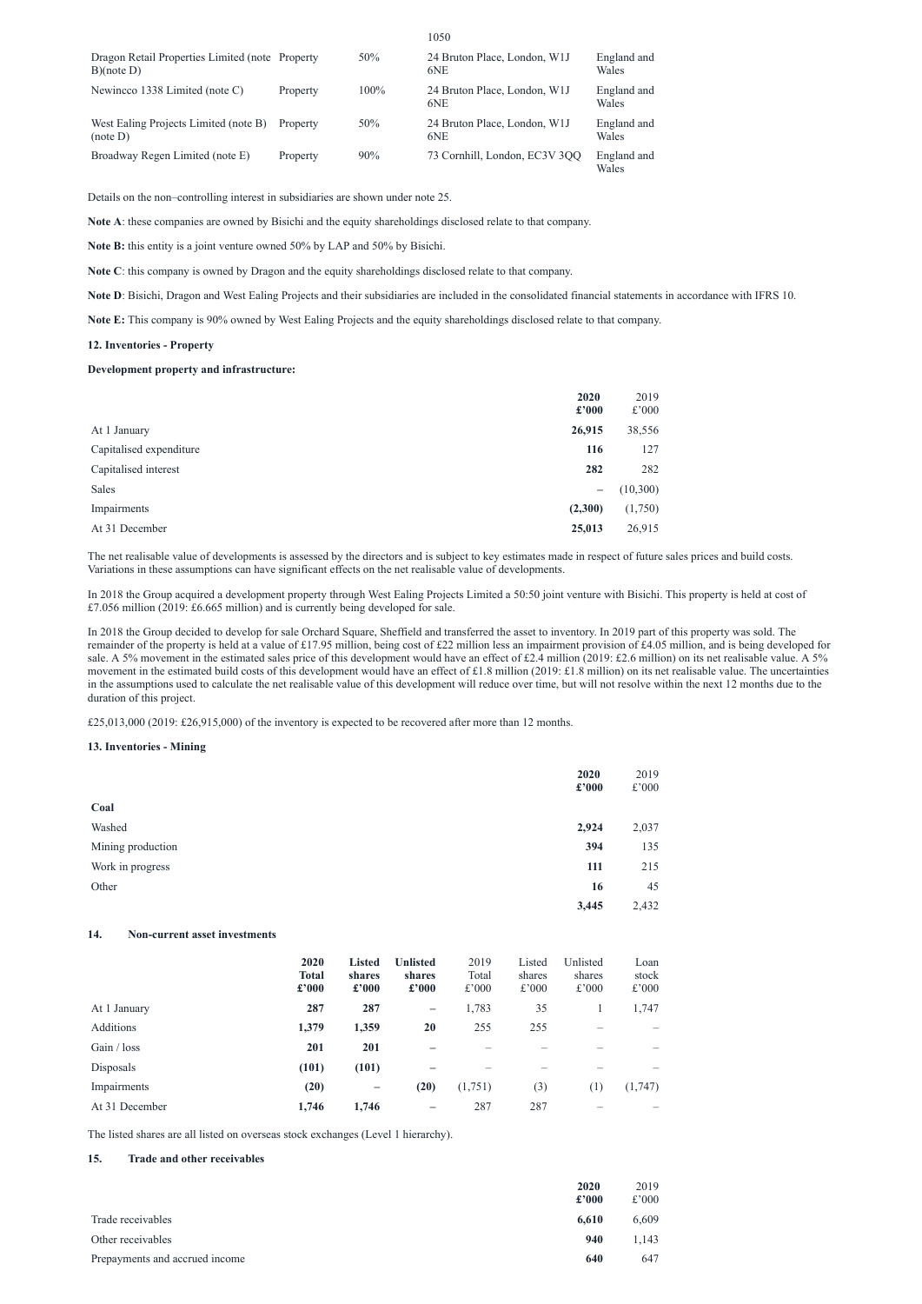|                                                               |          |         | 1050                                |                      |
|---------------------------------------------------------------|----------|---------|-------------------------------------|----------------------|
| Dragon Retail Properties Limited (note Property<br>B)(note D) |          | 50%     | 24 Bruton Place, London, W1J<br>6NE | England and<br>Wales |
| Newincco 1338 Limited (note C)                                | Property | $100\%$ | 24 Bruton Place, London, W1J<br>6NE | England and<br>Wales |
| West Ealing Projects Limited (note B)<br>(note D)             | Property | 50%     | 24 Bruton Place, London, W1J<br>6NE | England and<br>Wales |
| Broadway Regen Limited (note E)                               | Property | 90%     | 73 Cornhill, London, EC3V 3QQ       | England and<br>Wales |

Details on the non–controlling interest in subsidiaries are shown under note 25.

**Note A**: these companies are owned by Bisichi and the equity shareholdings disclosed relate to that company.

**Note B:** this entity is a joint venture owned 50% by LAP and 50% by Bisichi.

**Note C**: this company is owned by Dragon and the equity shareholdings disclosed relate to that company.

**Note D**: Bisichi, Dragon and West Ealing Projects and their subsidiaries are included in the consolidated financial statements in accordance with IFRS 10.

**Note E:** This company is 90% owned by West Ealing Projects and the equity shareholdings disclosed relate to that company.

#### **12. Inventories - Property**

**Development property and infrastructure:**

|                         | 2020<br>£'000     | 2019<br>£'000 |
|-------------------------|-------------------|---------------|
| At 1 January            | 26,915            | 38,556        |
| Capitalised expenditure | 116               | 127           |
| Capitalised interest    | 282               | 282           |
| Sales                   | $\qquad \qquad -$ | (10,300)      |
| Impairments             | (2,300)           | (1,750)       |
| At 31 December          | 25,013            | 26,915        |

The net realisable value of developments is assessed by the directors and is subject to key estimates made in respect of future sales prices and build costs. Variations in these assumptions can have significant effects on the net realisable value of developments.

In 2018 the Group acquired a development property through West Ealing Projects Limited a 50:50 joint venture with Bisichi. This property is held at cost of £7.056 million (2019: £6.665 million) and is currently being developed for sale.

In 2018 the Group decided to develop for sale Orchard Square, Sheffield and transferred the asset to inventory. In 2019 part of this property was sold. The remainder of the property is held at a value of £17.95 million, being cost of £22 million less an impairment provision of £4.05 million, and is being developed for sale. A 5% movement in the estimated sales price of this development would have an effect of £2.4 million (2019: £2.6 million) on its net realisable value. A 5% movement in the estimated build costs of this development would have an effect of £1.8 million (2019: £1.8 million) on its net realisable value. The uncertainties in the assumptions used to calculate the net realisable value of this development will reduce over time, but will not resolve within the next 12 months due to the duration of this project.

£25,013,000 (2019: £26,915,000) of the inventory is expected to be recovered after more than 12 months.

#### **13. Inventories - Mining**

|                   | 2020<br>£'000 | 2019<br>£'000 |
|-------------------|---------------|---------------|
| Coal              |               |               |
| Washed            | 2,924         | 2,037         |
| Mining production | 394           | 135           |
| Work in progress  | 111           | 215           |
| Other             | 16            | 45            |
|                   | 3,445         | 2,432         |

#### **14. Non-current asset investments**

| 2020         | Listed        | <b>Unlisted</b> | 2019  | Listed | <b>Unlisted</b> | Loan  |
|--------------|---------------|-----------------|-------|--------|-----------------|-------|
| <b>Total</b> | <b>shares</b> | shares          | Total | shares | shares          | stock |

|                | £'000 | £'000                    | $\pounds$ '000           | £'000   | £'000 | £'000                    | £'000   |
|----------------|-------|--------------------------|--------------------------|---------|-------|--------------------------|---------|
| At 1 January   | 287   | 287                      | —                        | 1,783   | 35    |                          | 1,747   |
| Additions      | 1,379 | 1,359                    | 20                       | 255     | 255   | $\overline{\phantom{0}}$ |         |
| Gain / loss    | 201   | 201                      | $\overline{\phantom{0}}$ |         |       |                          |         |
| Disposals      | (101) | (101)                    | -                        |         |       |                          |         |
| Impairments    | (20)  | $\overline{\phantom{m}}$ | (20)                     | (1,751) | (3)   | (1)                      | (1,747) |
| At 31 December | 1,746 | 1,746                    | —                        | 287     | 287   |                          |         |

The listed shares are all listed on overseas stock exchanges (Level 1 hierarchy).

#### **15. Trade and other receivables**

|                                | 2020           | 2019  |
|--------------------------------|----------------|-------|
|                                | $\pounds$ '000 | £'000 |
| Trade receivables              | 6.610          | 6,609 |
| Other receivables              | 940            | 1.143 |
| Prepayments and accrued income | 640            | 647   |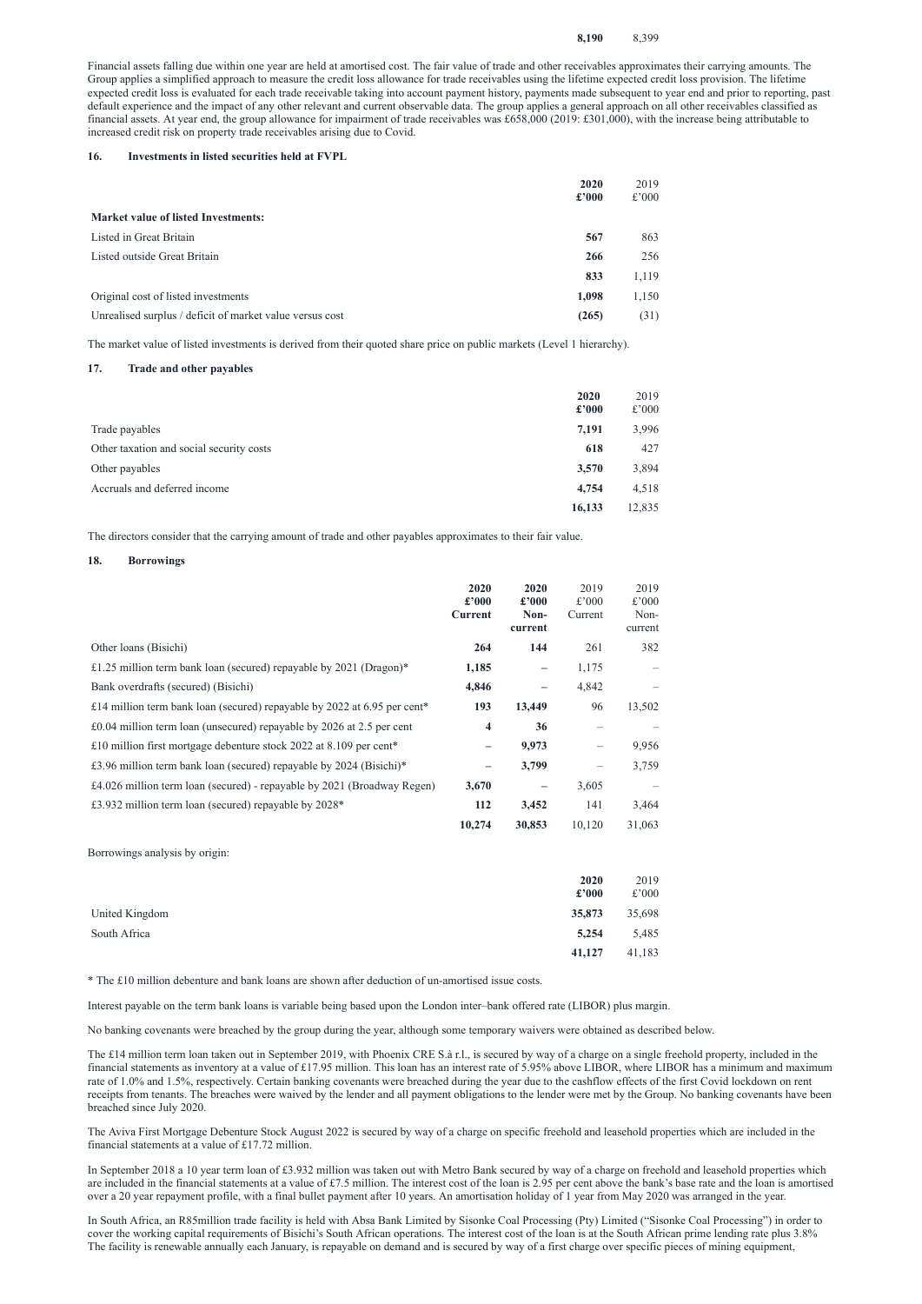#### **8,190** 8,399

Financial assets falling due within one year are held at amortised cost. The fair value of trade and other receivables approximates their carrying amounts. The Group applies a simplified approach to measure the credit loss allowance for trade receivables using the lifetime expected credit loss provision. The lifetime expected credit loss is evaluated for each trade receivable taking into account payment history, payments made subsequent to year end and prior to reporting, past default experience and the impact of any other relevant and current observable data. The group applies a general approach on all other receivables classified as financial assets. At year end, the group allowance for impairment of trade receivables was £658,000 (2019: £301,000), with the increase being attributable to increased credit risk on property trade receivables arising due to Covid.

#### **16. Investments in listed securities held at FVPL**

|                                                          | 2020  | 2019  |
|----------------------------------------------------------|-------|-------|
|                                                          | £'000 | £'000 |
| <b>Market value of listed Investments:</b>               |       |       |
| Listed in Great Britain                                  | 567   | 863   |
| Listed outside Great Britain                             | 266   | 256   |
|                                                          | 833   | 1,119 |
| Original cost of listed investments                      | 1,098 | 1,150 |
| Unrealised surplus / deficit of market value versus cost | (265) | (31)  |

The market value of listed investments is derived from their quoted share price on public markets (Level 1 hierarchy).

#### **17. Trade and other payables**

|                                          | 2020<br>£'000 | 2019<br>£'000 |
|------------------------------------------|---------------|---------------|
| Trade payables                           | 7,191         | 3,996         |
| Other taxation and social security costs | 618           | 427           |
| Other payables                           | 3,570         | 3,894         |
| Accruals and deferred income             | 4,754         | 4,518         |
|                                          | 16,133        | 12,835        |

The directors consider that the carrying amount of trade and other payables approximates to their fair value.

#### **18. Borrowings**

|                                                                          | 2020<br>£'000<br>Current | 2020<br>£'000<br>Non-<br>current | 2019<br>£'000<br>Current       | 2019<br>£'000<br>Non-<br>current |
|--------------------------------------------------------------------------|--------------------------|----------------------------------|--------------------------------|----------------------------------|
| Other loans (Bisichi)                                                    | 264                      | 144                              | 261                            | 382                              |
| £1.25 million term bank loan (secured) repayable by 2021 (Dragon)*       | 1,185                    | $\qquad \qquad -$                | 1,175                          |                                  |
| Bank overdrafts (secured) (Bisichi)                                      | 4,846                    |                                  | 4,842                          |                                  |
| £14 million term bank loan (secured) repayable by 2022 at 6.95 per cent* | 193                      | 13,449                           | 96                             | 13,502                           |
| £0.04 million term loan (unsecured) repayable by $2026$ at 2.5 per cent  | $\overline{\mathbf{4}}$  | 36                               | $\qquad \qquad \longleftarrow$ |                                  |
| £10 million first mortgage debenture stock 2022 at 8.109 per cent*       | -                        | 9,973                            |                                | 9,956                            |
| £3.96 million term bank loan (secured) repayable by 2024 (Bisichi)*      |                          | 3,799                            | $\qquad \qquad \longleftarrow$ | 3,759                            |
| £4.026 million term loan (secured) - repayable by 2021 (Broadway Regen)  | 3,670                    |                                  | 3,605                          |                                  |
| £3.932 million term loan (secured) repayable by 2028*                    | 112                      | 3,452                            | 141                            | 3,464                            |
|                                                                          | 10,274                   | 30,853                           | 10,120                         | 31,063                           |
| Borrowings analysis by origin:                                           |                          |                                  |                                |                                  |
|                                                                          |                          |                                  | 2020<br>£'000                  | 2019<br>£'000                    |
| United Kingdom                                                           |                          |                                  | 35,873                         | 35,698                           |
| South Africa                                                             |                          |                                  | 5,254                          | 5,485                            |
|                                                                          |                          |                                  | 41,127                         | 41,183                           |

In September 2018 a 10 year term loan of £3.932 million was taken out with Metro Bank secured by way of a charge on freehold and leasehold properties which are included in the financial statements at a value of £7.5 million. The interest cost of the loan is 2.95 per cent above the bank's base rate and the loan is amortised over a 20 year repayment profile, with a final bullet payment after 10 years. An amortisation holiday of 1 year from May 2020 was arranged in the year.

\* The £10 million debenture and bank loans are shown after deduction of un-amortised issue costs.

Interest payable on the term bank loans is variable being based upon the London inter–bank offered rate (LIBOR) plus margin.

No banking covenants were breached by the group during the year, although some temporary waivers were obtained as described below.

The £14 million term loan taken out in September 2019, with Phoenix CRE S.à r.l., is secured by way of a charge on a single freehold property, included in the financial statements as inventory at a value of £17.95 million. This loan has an interest rate of 5.95% above LIBOR, where LIBOR has a minimum and maximum rate of 1.0% and 1.5%, respectively. Certain banking covenants were breached during the year due to the cashflow effects of the first Covid lockdown on rent receipts from tenants. The breaches were waived by the lender and all payment obligations to the lender were met by the Group. No banking covenants have been breached since July 2020.

The Aviva First Mortgage Debenture Stock August 2022 is secured by way of a charge on specific freehold and leasehold properties which are included in the financial statements at a value of £17.72 million.

In South Africa, an R85million trade facility is held with Absa Bank Limited by Sisonke Coal Processing (Pty) Limited ("Sisonke Coal Processing") in order to cover the working capital requirements of Bisichi's South African operations. The interest cost of the loan is at the South African prime lending rate plus 3.8% The facility is renewable annually each January, is repayable on demand and is secured by way of a first charge over specific pieces of mining equipment,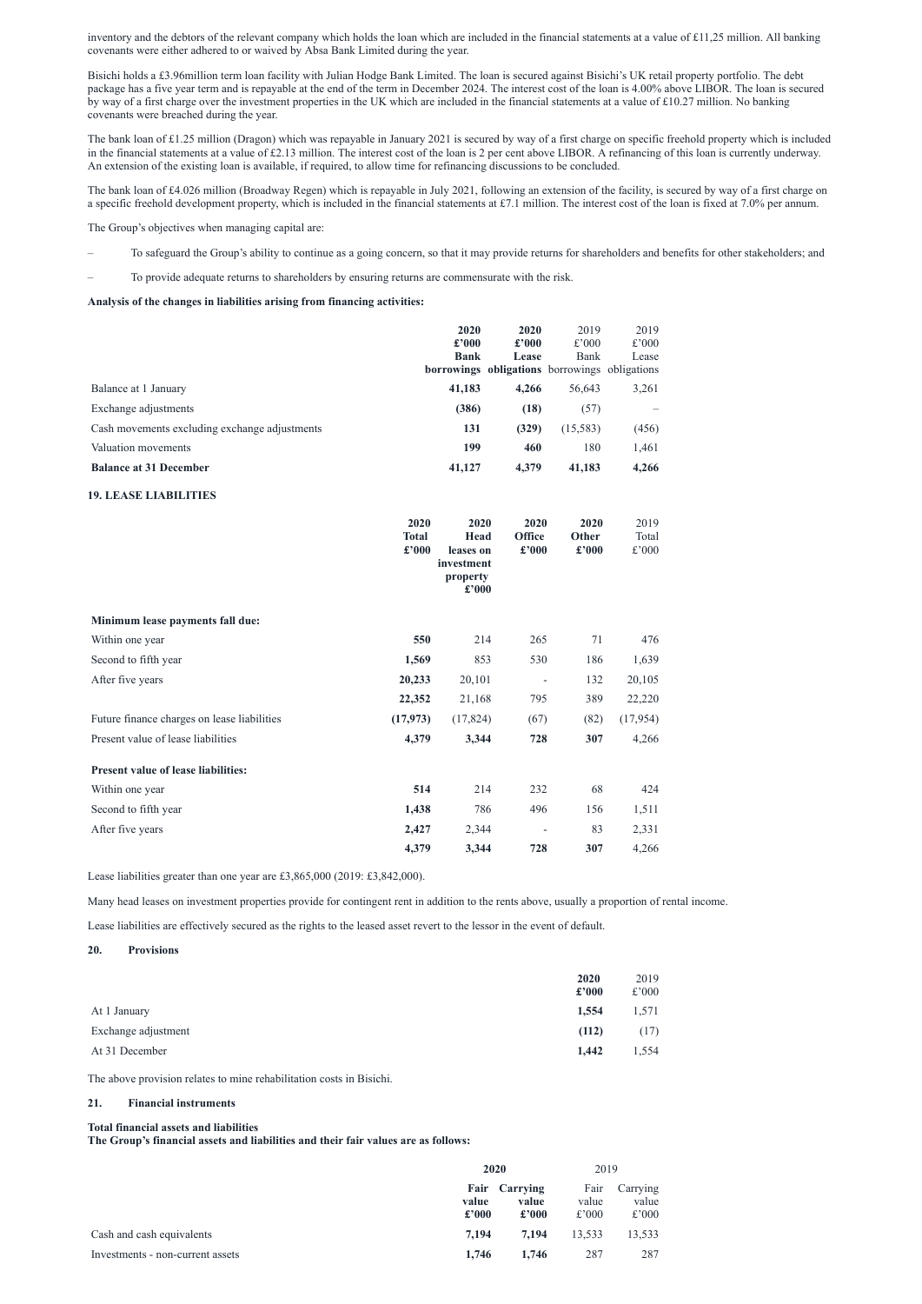inventory and the debtors of the relevant company which holds the loan which are included in the financial statements at a value of £11,25 million. All banking covenants were either adhered to or waived by Absa Bank Limited during the year.

Bisichi holds a £3.96million term loan facility with Julian Hodge Bank Limited. The loan is secured against Bisichi's UK retail property portfolio. The debt package has a five year term and is repayable at the end of the term in December 2024. The interest cost of the loan is 4.00% above LIBOR. The loan is secured by way of a first charge over the investment properties in the UK which are included in the financial statements at a value of £10.27 million. No banking covenants were breached during the year.

The bank loan of £4.026 million (Broadway Regen) which is repayable in July 2021, following an extension of the facility, is secured by way of a first charge on a specific freehold development property, which is included in the financial statements at £7.1 million. The interest cost of the loan is fixed at 7.0% per annum.

The bank loan of £1.25 million (Dragon) which was repayable in January 2021 is secured by way of a first charge on specific freehold property which is included in the financial statements at a value of £2.13 million. The interest cost of the loan is 2 per cent above LIBOR. A refinancing of this loan is currently underway. An extension of the existing loan is available, if required, to allow time for refinancing discussions to be concluded.

The Group's objectives when managing capital are:

- To safeguard the Group's ability to continue as a going concern, so that it may provide returns for shareholders and benefits for other stakeholders; and
- To provide adequate returns to shareholders by ensuring returns are commensurate with the risk.

#### **Analysis of the changes in liabilities arising from financing activities:**

|                                               | 2020                                                 | 2020           | 2019      | 2019  |
|-----------------------------------------------|------------------------------------------------------|----------------|-----------|-------|
|                                               | $\pounds$ '000                                       | $\pounds$ '000 | £'000     | £'000 |
|                                               | <b>Bank</b>                                          | Lease          | Bank      | Lease |
|                                               | <b>borrowings</b> obligations borrowings obligations |                |           |       |
| Balance at 1 January                          | 41,183                                               | 4,266          | 56,643    | 3,261 |
| Exchange adjustments                          | (386)                                                | (18)           | (57)      |       |
| Cash movements excluding exchange adjustments | 131                                                  | (329)          | (15, 583) | (456) |
| Valuation movements                           | 199                                                  | 460            | 180       | 1,461 |
| <b>Balance at 31 December</b>                 | 41,127                                               | 4,379          | 41,183    | 4,266 |

#### **19. LEASE LIABILITIES**

|                                             | 2020<br><b>Total</b><br>$\pounds$ '000 | 2020<br>Head<br>leases on<br>investment<br>property<br>$\pounds$ '000 | 2020<br><b>Office</b><br>£'000 | 2020<br>Other<br>$\pounds$ '000 | 2019<br>Total<br>£'000 |
|---------------------------------------------|----------------------------------------|-----------------------------------------------------------------------|--------------------------------|---------------------------------|------------------------|
| Minimum lease payments fall due:            |                                        |                                                                       |                                |                                 |                        |
| Within one year                             | 550                                    | 214                                                                   | 265                            | 71                              | 476                    |
| Second to fifth year                        | 1,569                                  | 853                                                                   | 530                            | 186                             | 1,639                  |
| After five years                            | 20,233                                 | 20,101                                                                | ٠                              | 132                             | 20,105                 |
|                                             | 22,352                                 | 21,168                                                                | 795                            | 389                             | 22,220                 |
| Future finance charges on lease liabilities | (17,973)                               | (17, 824)                                                             | (67)                           | (82)                            | (17, 954)              |
| Present value of lease liabilities          | 4,379                                  | 3,344                                                                 | 728                            | 307                             | 4,266                  |
| <b>Present value of lease liabilities:</b>  |                                        |                                                                       |                                |                                 |                        |
| Within one year                             | 514                                    | 214                                                                   | 232                            | 68                              | 424                    |
| Second to fifth year                        | 1,438                                  | 786                                                                   | 496                            | 156                             | 1,511                  |
| After five years                            | 2,427                                  | 2,344                                                                 |                                | 83                              | 2,331                  |
|                                             | 4,379                                  | 3,344                                                                 | 728                            | 307                             | 4,266                  |

Lease liabilities greater than one year are £3,865,000 (2019: £3,842,000).

Many head leases on investment properties provide for contingent rent in addition to the rents above, usually a proportion of rental income.

Lease liabilities are effectively secured as the rights to the leased asset revert to the lessor in the event of default.

**20. Provisions**

|                     | $\pounds$ '000 | £'000 |
|---------------------|----------------|-------|
| At 1 January        | 1,554          | 1,571 |
| Exchange adjustment | (112)          | (17)  |
| At 31 December      | 1,442          | 1,554 |

The above provision relates to mine rehabilitation costs in Bisichi.

#### **21. Financial instruments**

#### **Total financial assets and liabilities The Group's financial assets and liabilities and their fair values are as follows:**

|                                  | 2020           |                                          | 2019                   |                            |
|----------------------------------|----------------|------------------------------------------|------------------------|----------------------------|
|                                  | value<br>£'000 | Fair Carrying<br>value<br>$\pounds$ '000 | Fair<br>value<br>£'000 | Carrying<br>value<br>£'000 |
| Cash and cash equivalents        | 7,194          | 7.194                                    | 13,533                 | 13,533                     |
| Investments - non-current assets | 1,746          | 1,746                                    | 287                    | 287                        |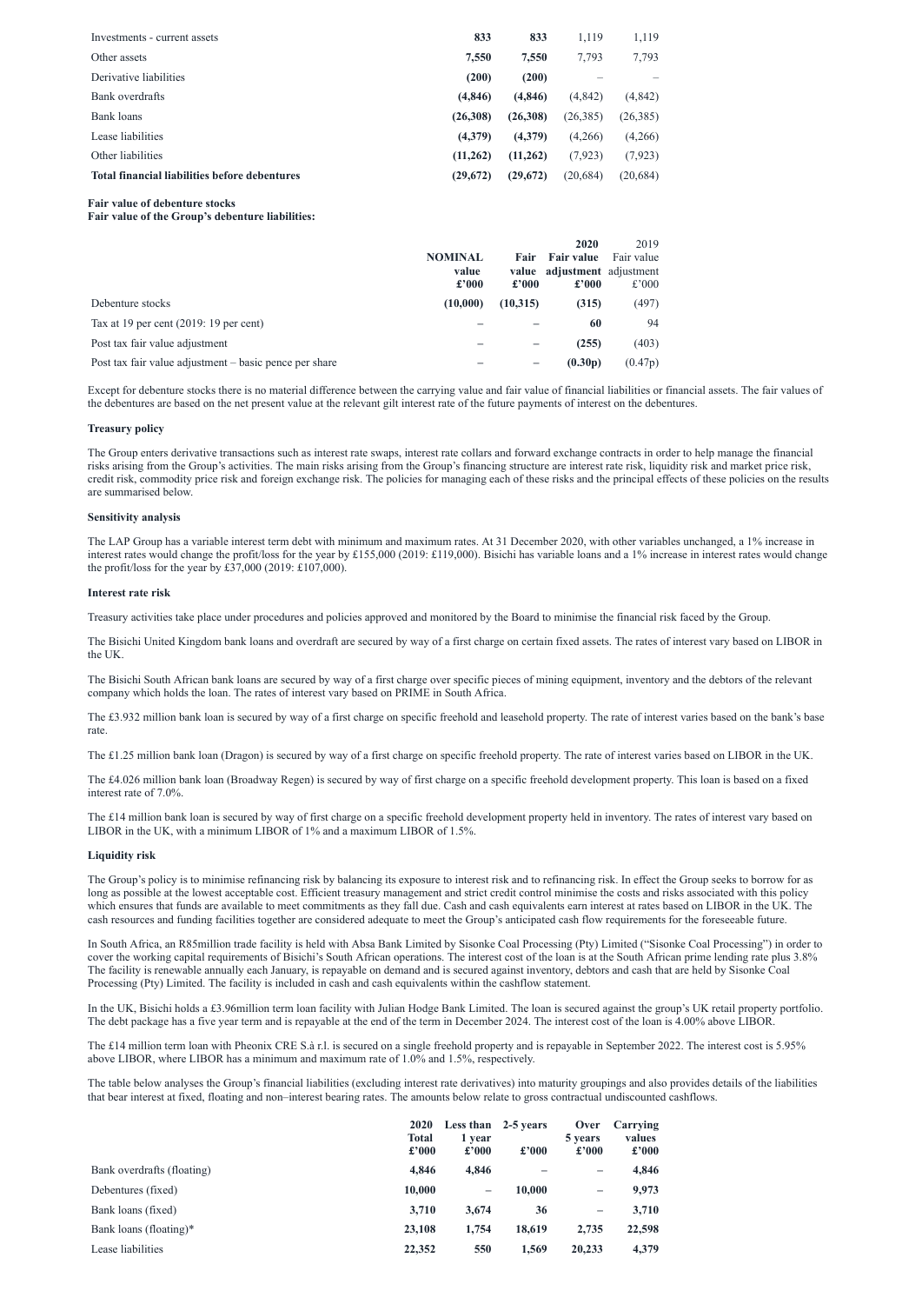| Investments - current assets                         | 833       | 833      | 1,119     | 1,119     |
|------------------------------------------------------|-----------|----------|-----------|-----------|
| Other assets                                         | 7,550     | 7,550    | 7,793     | 7,793     |
| Derivative liabilities                               | (200)     | (200)    |           |           |
| Bank overdrafts                                      | (4, 846)  | (4, 846) | (4,842)   | (4, 842)  |
| Bank loans                                           | (26,308)  | (26,308) | (26, 385) | (26, 385) |
| Lease liabilities                                    | (4,379)   | (4,379)  | (4,266)   | (4,266)   |
| Other liabilities                                    | (11,262)  | (11,262) | (7, 923)  | (7, 923)  |
| <b>Total financial liabilities before debentures</b> | (29, 672) | (29,672) | (20, 684) | (20, 684) |

## **Fair value of debenture stocks**

**Fair value of the Group's debenture liabilities:**

|                                                        | <b>NOMINAL</b><br>value<br>£'000 | Fair<br>$\pounds$ '000 | 2020<br><b>Fair value</b><br>value adjustment adjustment<br>$\pounds$ '000 | 2019<br>Fair value<br>£'000 |
|--------------------------------------------------------|----------------------------------|------------------------|----------------------------------------------------------------------------|-----------------------------|
| Debenture stocks                                       | (10,000)                         | (10,315)               | (315)                                                                      | (497)                       |
| Tax at 19 per cent $(2019: 19$ per cent)               |                                  |                        | 60                                                                         | 94                          |
| Post tax fair value adjustment                         |                                  |                        | (255)                                                                      | (403)                       |
| Post tax fair value adjustment – basic pence per share |                                  | —                      | (0.30p)                                                                    | (0.47p)                     |

The LAP Group has a variable interest term debt with minimum and maximum rates. At 31 December 2020, with other variables unchanged, a 1% increase in interest rates would change the profit/loss for the year by £155,000 (2019: £119,000). Bisichi has variable loans and a 1% increase in interest rates would change the profit/loss for the year by £37,000 (2019: £107,000).

Except for debenture stocks there is no material difference between the carrying value and fair value of financial liabilities or financial assets. The fair values of the debentures are based on the net present value at the relevant gilt interest rate of the future payments of interest on the debentures.

# **Treasury policy**

The Group enters derivative transactions such as interest rate swaps, interest rate collars and forward exchange contracts in order to help manage the financial risks arising from the Group's activities. The main risks arising from the Group's financing structure are interest rate risk, liquidity risk and market price risk, credit risk, commodity price risk and foreign exchange risk. The policies for managing each of these risks and the principal effects of these policies on the results are summarised below.

#### **Sensitivity analysis**

#### **Interest rate risk**

Treasury activities take place under procedures and policies approved and monitored by the Board to minimise the financial risk faced by the Group.

The Bisichi United Kingdom bank loans and overdraft are secured by way of a first charge on certain fixed assets. The rates of interest vary based on LIBOR in the UK.

The Bisichi South African bank loans are secured by way of a first charge over specific pieces of mining equipment, inventory and the debtors of the relevant company which holds the loan. The rates of interest vary based on PRIME in South Africa.

The £14 million term loan with Pheonix CRE S.à r.l. is secured on a single freehold property and is repayable in September 2022. The interest cost is 5.95% above LIBOR, where LIBOR has a minimum and maximum rate of 1.0% and 1.5%, respectively.

The £3.932 million bank loan is secured by way of a first charge on specific freehold and leasehold property. The rate of interest varies based on the bank's base rate.

The £1.25 million bank loan (Dragon) is secured by way of a first charge on specific freehold property. The rate of interest varies based on LIBOR in the UK.

The £4.026 million bank loan (Broadway Regen) is secured by way of first charge on a specific freehold development property. This loan is based on a fixed interest rate of 7.0%.

The £14 million bank loan is secured by way of first charge on a specific freehold development property held in inventory. The rates of interest vary based on LIBOR in the UK, with a minimum LIBOR of 1% and a maximum LIBOR of 1.5%.

#### **Liquidity risk**

The Group's policy is to minimise refinancing risk by balancing its exposure to interest risk and to refinancing risk. In effect the Group seeks to borrow for as long as possible at the lowest acceptable cost. Efficient treasury management and strict credit control minimise the costs and risks associated with this policy which ensures that funds are available to meet commitments as they fall due. Cash and cash equivalents earn interest at rates based on LIBOR in the UK. The cash resources and funding facilities together are considered adequate to meet the Group's anticipated cash flow requirements for the foreseeable future.

In South Africa, an R85million trade facility is held with Absa Bank Limited by Sisonke Coal Processing (Pty) Limited ("Sisonke Coal Processing") in order to cover the working capital requirements of Bisichi's South African operations. The interest cost of the loan is at the South African prime lending rate plus 3.8% The facility is renewable annually each January, is repayable on demand and is secured against inventory, debtors and cash that are held by Sisonke Coal Processing (Pty) Limited. The facility is included in cash and cash equivalents within the cashflow statement.

In the UK, Bisichi holds a £3.96million term loan facility with Julian Hodge Bank Limited. The loan is secured against the group's UK retail property portfolio. The debt package has a five year term and is repayable at the end of the term in December 2024. The interest cost of the loan is 4.00% above LIBOR.

The table below analyses the Group's financial liabilities (excluding interest rate derivatives) into maturity groupings and also provides details of the liabilities that bear interest at fixed, floating and non–interest bearing rates. The amounts below relate to gross contractual undiscounted cashflows.

|                            | 2020<br><b>Total</b><br>£'000 | 1 year<br>$\pounds$ '000 | Less than 2-5 years<br>$\pounds$ '000 | Over<br>5 years<br>£'000 | Carrying<br>values<br>$\pounds$ '000 |
|----------------------------|-------------------------------|--------------------------|---------------------------------------|--------------------------|--------------------------------------|
| Bank overdrafts (floating) | 4,846                         | 4,846                    |                                       | $\overline{\phantom{0}}$ | 4,846                                |
| Debentures (fixed)         | 10,000                        | $\overline{\phantom{m}}$ | 10,000                                | —                        | 9,973                                |
| Bank loans (fixed)         | 3,710                         | 3.674                    | 36                                    | $\qquad \qquad -$        | 3,710                                |
| Bank loans (floating)*     | 23,108                        | 1,754                    | 18,619                                | 2,735                    | 22,598                               |
| Lease liabilities          | 22,352                        | 550                      | 1,569                                 | 20,233                   | 4,379                                |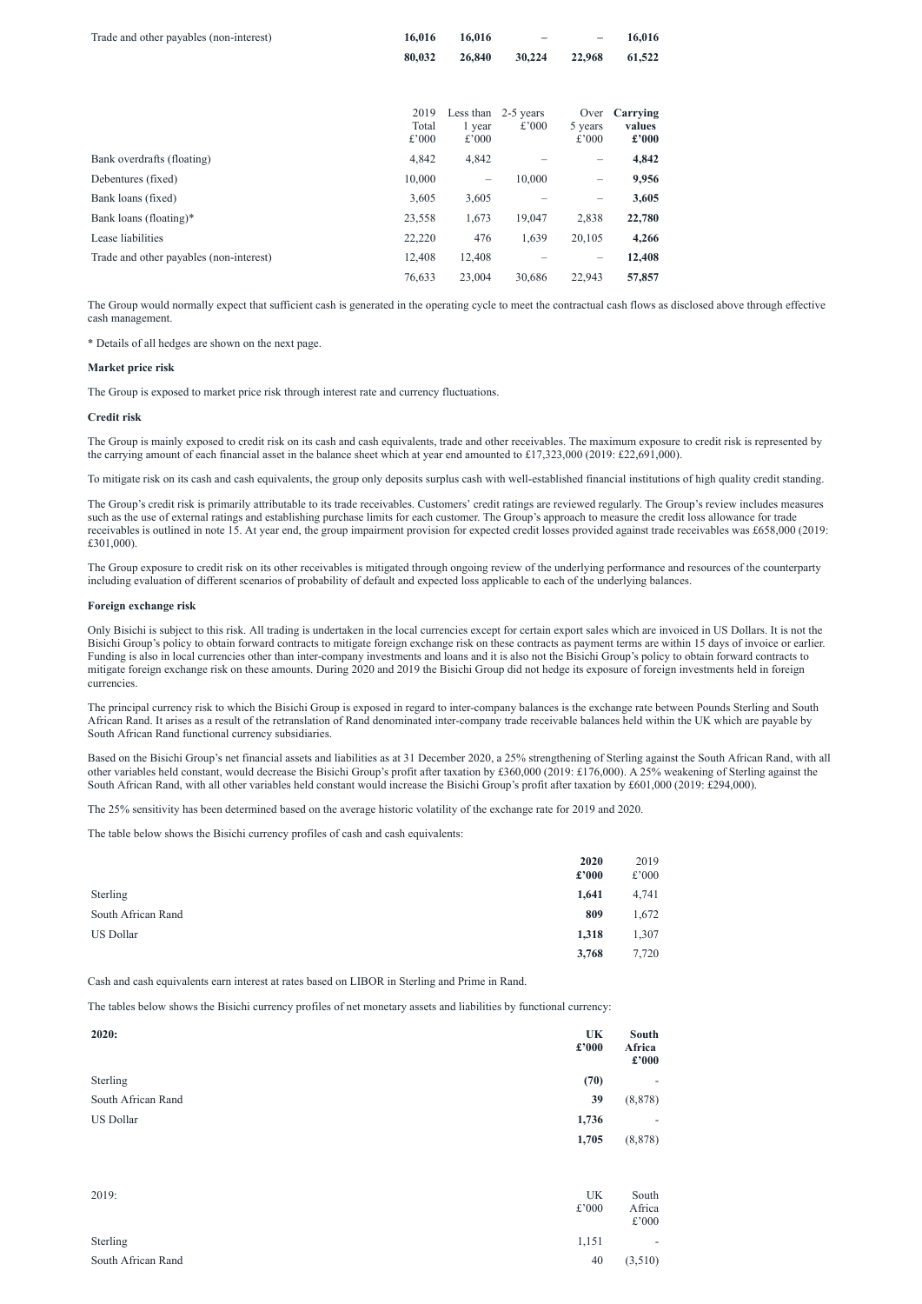| Trade and other payables (non-interest) | 16,016 16,016 |        | $\sim$ $\sim$ | $ -$   | 16,016 |
|-----------------------------------------|---------------|--------|---------------|--------|--------|
|                                         | 80,032        | 26,840 | 30,224        | 22,968 | 61,522 |

|                                         | 2019<br>Total<br>£'000 | Less than<br>1 year<br>£'000 | 2-5 years<br>£'000 | Over<br>5 years<br>£'000       | Carrying<br>values<br>$\pounds$ '000 |
|-----------------------------------------|------------------------|------------------------------|--------------------|--------------------------------|--------------------------------------|
| Bank overdrafts (floating)              | 4,842                  | 4,842                        |                    | $\qquad \qquad$                | 4,842                                |
| Debentures (fixed)                      | 10,000                 | $\qquad \qquad -$            | 10,000             | $\qquad \qquad -$              | 9,956                                |
| Bank loans (fixed)                      | 3,605                  | 3,605                        |                    | $\hspace{0.05cm}$              | 3,605                                |
| Bank loans (floating)*                  | 23,558                 | 1,673                        | 19,047             | 2,838                          | 22,780                               |
| Lease liabilities                       | 22,220                 | 476                          | 1,639              | 20,105                         | 4,266                                |
| Trade and other payables (non-interest) | 12,408                 | 12,408                       |                    | $\qquad \qquad \longleftarrow$ | 12,408                               |
|                                         | 76,633                 | 23,004                       | 30,686             | 22,943                         | 57,857                               |

The Group would normally expect that sufficient cash is generated in the operating cycle to meet the contractual cash flows as disclosed above through effective cash management.

\* Details of all hedges are shown on the next page.

# **Market price risk**

The Group is exposed to market price risk through interest rate and currency fluctuations.

# **Credit risk**

The Group is mainly exposed to credit risk on its cash and cash equivalents, trade and other receivables. The maximum exposure to credit risk is represented by the carrying amount of each financial asset in the balance sheet which at year end amounted to £17,323,000 (2019: £22,691,000).

To mitigate risk on its cash and cash equivalents, the group only deposits surplus cash with well-established financial institutions of high quality credit standing.

The Group's credit risk is primarily attributable to its trade receivables. Customers' credit ratings are reviewed regularly. The Group's review includes measures such as the use of external ratings and establishing purchase limits for each customer. The Group's approach to measure the credit loss allowance for trade receivables is outlined in note 15. At year end, the group impairment provision for expected credit losses provided against trade receivables was £658,000 (2019: £301,000).

The Group exposure to credit risk on its other receivables is mitigated through ongoing review of the underlying performance and resources of the counterparty including evaluation of different scenarios of probability of default and expected loss applicable to each of the underlying balances.

| 2020:              | <b>UK</b><br>£'000 | <b>South</b><br>Africa<br>£'000 |
|--------------------|--------------------|---------------------------------|
| Sterling           | (70)               | $\overline{\phantom{a}}$        |
| South African Rand | 39                 | (8, 878)                        |
| <b>US Dollar</b>   | 1,736              | $\overline{\phantom{a}}$        |
|                    | 1,705              | (8, 878)                        |
| 2019:              | <b>UK</b><br>£'000 | South<br>Africa<br>£'000        |
| Sterling           | 1,151              | $\overline{\phantom{a}}$        |
| South African Rand | 40                 | (3,510)                         |

# **Foreign exchange risk**

Only Bisichi is subject to this risk. All trading is undertaken in the local currencies except for certain export sales which are invoiced in US Dollars. It is not the Bisichi Group's policy to obtain forward contracts to mitigate foreign exchange risk on these contracts as payment terms are within 15 days of invoice or earlier. Funding is also in local currencies other than inter-company investments and loans and it is also not the Bisichi Group's policy to obtain forward contracts to mitigate foreign exchange risk on these amounts. During 2020 and 2019 the Bisichi Group did not hedge its exposure of foreign investments held in foreign currencies.

The principal currency risk to which the Bisichi Group is exposed in regard to inter-company balances is the exchange rate between Pounds Sterling and South African Rand. It arises as a result of the retranslation of Rand denominated inter-company trade receivable balances held within the UK which are payable by South African Rand functional currency subsidiaries.

Based on the Bisichi Group's net financial assets and liabilities as at 31 December 2020, a 25% strengthening of Sterling against the South African Rand, with all other variables held constant, would decrease the Bisichi Group's profit after taxation by £360,000 (2019: £176,000). A 25% weakening of Sterling against the South African Rand, with all other variables held constant would increase the Bisichi Group's profit after taxation by £601,000 (2019: £294,000).

The 25% sensitivity has been determined based on the average historic volatility of the exchange rate for 2019 and 2020.

The table below shows the Bisichi currency profiles of cash and cash equivalents:

|                    | 2020<br>£'000 | 2019<br>£'000 |
|--------------------|---------------|---------------|
| Sterling           | 1,641         | 4,741         |
| South African Rand | 809           | 1,672         |
| US Dollar          | 1,318         | 1,307         |
|                    | 3,768         | 7,720         |

Cash and cash equivalents earn interest at rates based on LIBOR in Sterling and Prime in Rand.

The tables below shows the Bisichi currency profiles of net monetary assets and liabilities by functional currency: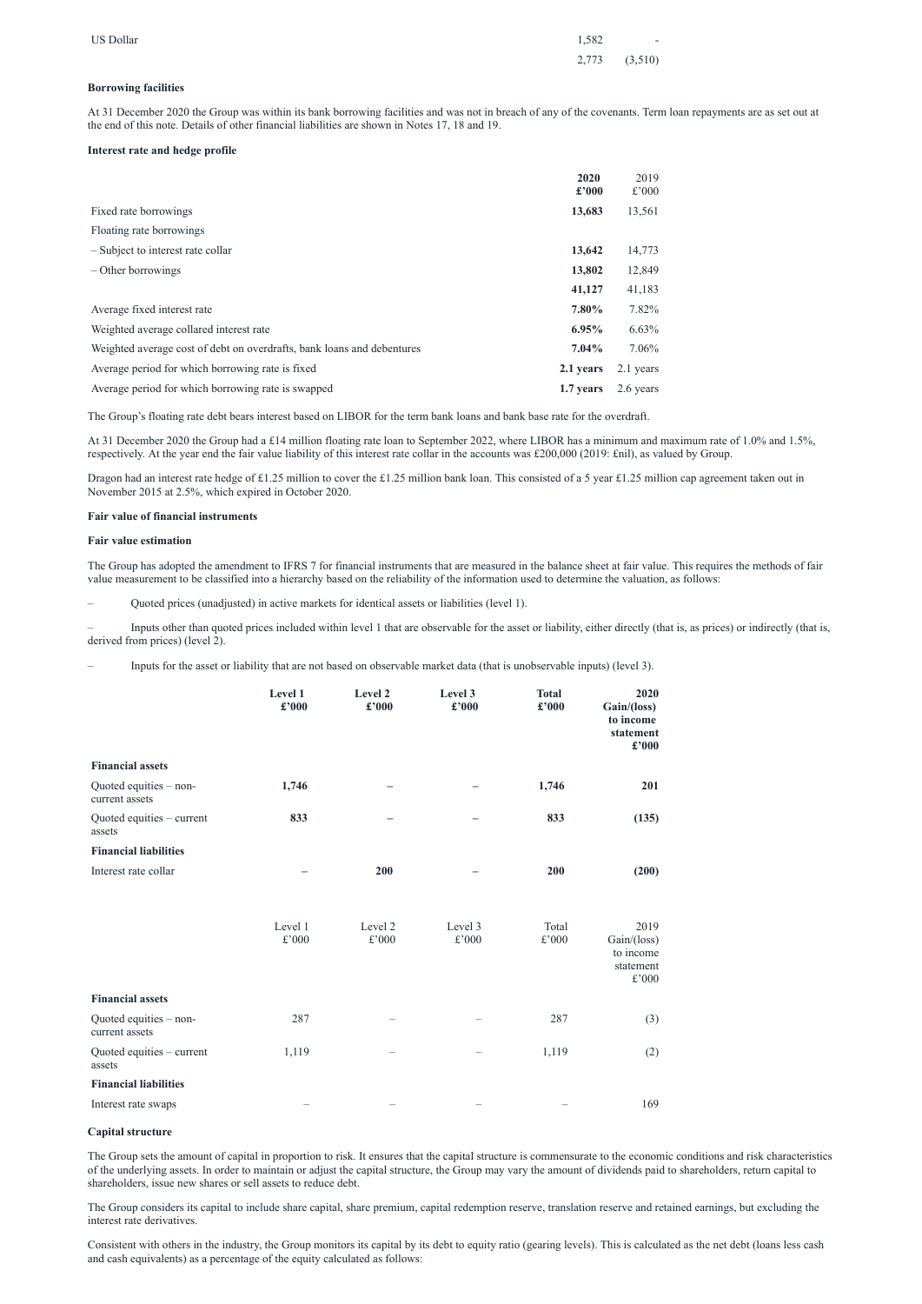| <b>US Dollar</b> | 1,582 | $\sim$            |
|------------------|-------|-------------------|
|                  |       | $2,773$ $(3,510)$ |

# **Borrowing facilities**

At 31 December 2020 the Group was within its bank borrowing facilities and was not in breach of any of the covenants. Term loan repayments are as set out at the end of this note. Details of other financial liabilities are shown in Notes 17, 18 and 19.

#### **Interest rate and hedge profile**

|                                                                        | 2020<br>£'000 | 2019<br>£'000 |
|------------------------------------------------------------------------|---------------|---------------|
| Fixed rate borrowings                                                  | 13,683        | 13,561        |
| Floating rate borrowings                                               |               |               |
| - Subject to interest rate collar                                      | 13,642        | 14,773        |
| – Other borrowings                                                     | 13,802        | 12,849        |
|                                                                        | 41,127        | 41,183        |
| Average fixed interest rate                                            | 7.80%         | 7.82%         |
| Weighted average collared interest rate                                | 6.95%         | $6.63\%$      |
| Weighted average cost of debt on overdrafts, bank loans and debentures | $7.04\%$      | 7.06%         |
| Average period for which borrowing rate is fixed                       | 2.1 years     | 2.1 years     |
| Average period for which borrowing rate is swapped                     | 1.7 years     | 2.6 years     |

Dragon had an interest rate hedge of £1.25 million to cover the £1.25 million bank loan. This consisted of a 5 year £1.25 million cap agreement taken out in November 2015 at 2.5%, which expired in October 2020.

The Group's floating rate debt bears interest based on LIBOR for the term bank loans and bank base rate for the overdraft.

At 31 December 2020 the Group had a £14 million floating rate loan to September 2022, where LIBOR has a minimum and maximum rate of 1.0% and 1.5%, respectively. At the year end the fair value liability of this interest rate collar in the accounts was £200,000 (2019: £nil), as valued by Group.

## **Fair value of financial instruments**

#### **Fair value estimation**

The Group has adopted the amendment to IFRS 7 for financial instruments that are measured in the balance sheet at fair value. This requires the methods of fair value measurement to be classified into a hierarchy based on the reliability of the information used to determine the valuation, as follows:

– Quoted prices (unadjusted) in active markets for identical assets or liabilities (level 1).

– Inputs other than quoted prices included within level 1 that are observable for the asset or liability, either directly (that is, as prices) or indirectly (that is, derived from prices) (level 2).

– Inputs for the asset or liability that are not based on observable market data (that is unobservable inputs) (level 3).

|                                          | Level 1<br>£'000 | Level 2<br>£'000 | Level 3<br>£'000 | <b>Total</b><br>$\pounds$ '000 | 2020<br>Gain/(loss)<br>to income<br>statement<br>$\pounds$ '000 |
|------------------------------------------|------------------|------------------|------------------|--------------------------------|-----------------------------------------------------------------|
| <b>Financial assets</b>                  |                  |                  |                  |                                |                                                                 |
| Quoted equities - non-<br>current assets | 1,746            |                  |                  | 1,746                          | 201                                                             |
| Quoted equities - current<br>assets      | 833              |                  |                  | 833                            | (135)                                                           |
| <b>Financial liabilities</b>             |                  |                  |                  |                                |                                                                 |
| Interest rate collar                     |                  | 200              |                  | 200                            | (200)                                                           |
|                                          | Level 1<br>£'000 | Level 2<br>£'000 | Level 3<br>£'000 | Total<br>£'000                 | 2019<br>Gain/(loss)<br>to income                                |

statement £'000

**Financial assets**

| Quoted equities $-$ non-<br>current assets | 287   | _ | 287   | (3) |
|--------------------------------------------|-------|---|-------|-----|
| Quoted equities – current<br>assets        | 1,119 |   | 1.119 | (2) |
| <b>Financial liabilities</b>               |       |   |       |     |
| Interest rate swaps                        | –     |   |       | 169 |

#### **Capital structure**

The Group sets the amount of capital in proportion to risk. It ensures that the capital structure is commensurate to the economic conditions and risk characteristics of the underlying assets. In order to maintain or adjust the capital structure, the Group may vary the amount of dividends paid to shareholders, return capital to shareholders, issue new shares or sell assets to reduce debt.

The Group considers its capital to include share capital, share premium, capital redemption reserve, translation reserve and retained earnings, but excluding the interest rate derivatives.

Consistent with others in the industry, the Group monitors its capital by its debt to equity ratio (gearing levels). This is calculated as the net debt (loans less cash and cash equivalents) as a percentage of the equity calculated as follows: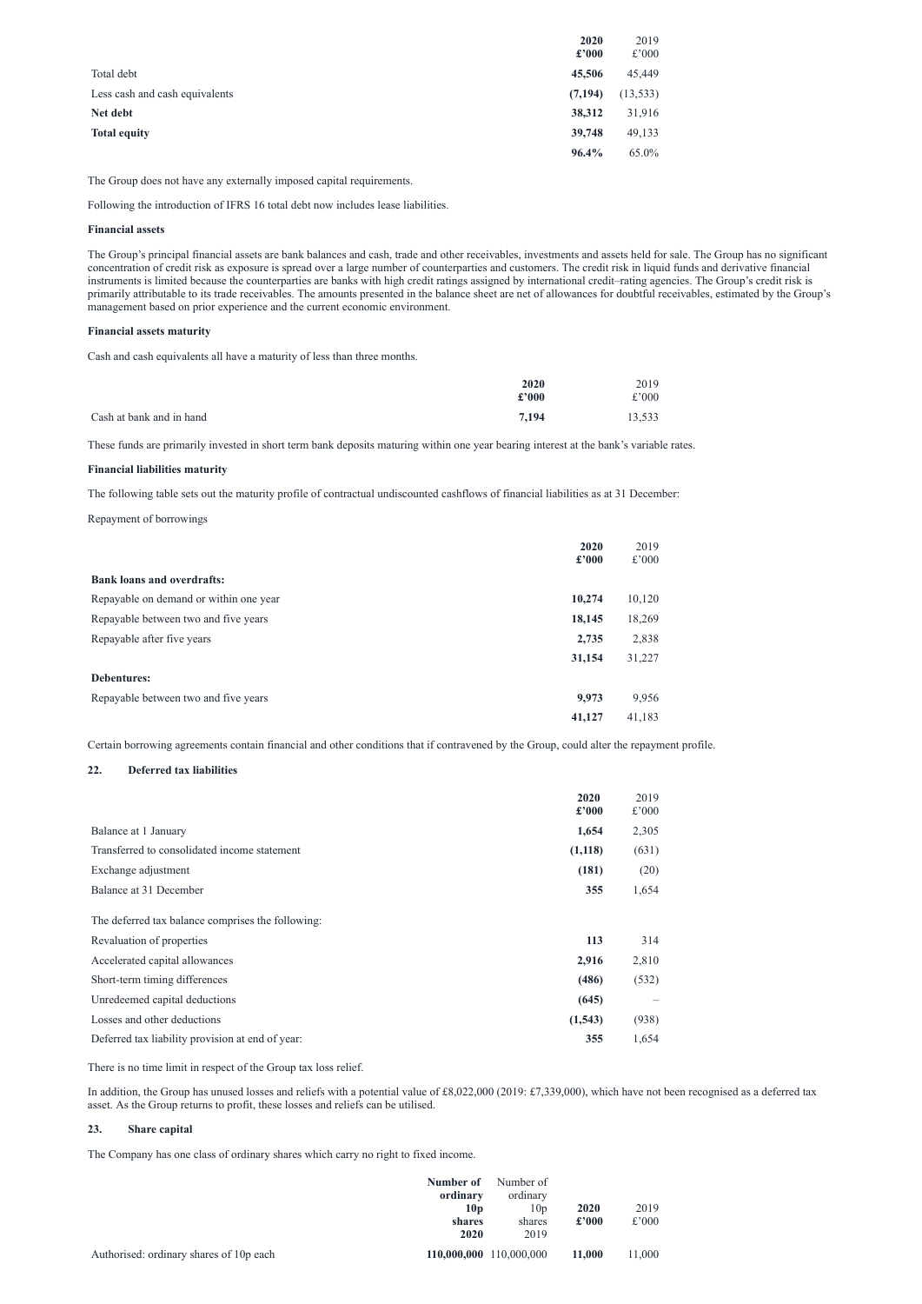|                                | 2020     | 2019      |
|--------------------------------|----------|-----------|
|                                | £'000    | £'000     |
| Total debt                     | 45,506   | 45,449    |
| Less cash and cash equivalents | (7, 194) | (13, 533) |
| Net debt                       | 38,312   | 31,916    |
| <b>Total equity</b>            | 39,748   | 49,133    |
|                                | $96.4\%$ | 65.0%     |

The Group does not have any externally imposed capital requirements.

Following the introduction of IFRS 16 total debt now includes lease liabilities.

# **Financial assets**

The Group's principal financial assets are bank balances and cash, trade and other receivables, investments and assets held for sale. The Group has no significant concentration of credit risk as exposure is spread over a large number of counterparties and customers. The credit risk in liquid funds and derivative financial instruments is limited because the counterparties are banks with high credit ratings assigned by international credit–rating agencies. The Group's credit risk is primarily attributable to its trade receivables. The amounts presented in the balance sheet are net of allowances for doubtful receivables, estimated by the Group's management based on prior experience and the current economic environment.

# **Financial assets maturity**

Cash and cash equivalents all have a maturity of less than three months.

|                          | 2020<br>$\pounds$ '000 | 2019<br>£'000 |
|--------------------------|------------------------|---------------|
| Cash at bank and in hand | 7,194                  | 13,533        |

These funds are primarily invested in short term bank deposits maturing within one year bearing interest at the bank's variable rates.

# **Financial liabilities maturity**

The following table sets out the maturity profile of contractual undiscounted cashflows of financial liabilities as at 31 December:

Repayment of borrowings

|                                        | 2020<br>$\pounds$ '000 | 2019<br>£'000 |
|----------------------------------------|------------------------|---------------|
| <b>Bank loans and overdrafts:</b>      |                        |               |
| Repayable on demand or within one year | 10,274                 | 10,120        |
| Repayable between two and five years   | 18,145                 | 18,269        |
| Repayable after five years             | 2,735                  | 2,838         |
|                                        | 31,154                 | 31,227        |
| <b>Debentures:</b>                     |                        |               |
| Repayable between two and five years   | 9,973                  | 9,956         |
|                                        | 41,127                 | 41,183        |

Certain borrowing agreements contain financial and other conditions that if contravened by the Group, could alter the repayment profile.

#### **22. Deferred tax liabilities**

|                                                   | 2020<br>$\pounds$ '000 | 2019<br>£'000 |
|---------------------------------------------------|------------------------|---------------|
| Balance at 1 January                              | 1,654                  | 2,305         |
| Transferred to consolidated income statement      | (1,118)                | (631)         |
| Exchange adjustment                               | (181)                  | (20)          |
| Balance at 31 December                            | 355                    | 1,654         |
| The deferred tax balance comprises the following: |                        |               |
| Revaluation of properties                         | 113                    | 314           |
| Accelerated capital allowances                    | 2,916                  | 2,810         |
| Short-term timing differences                     | (486)                  | (532)         |

| Unredeemed capital deductions                    | (645)   | $\overline{\phantom{a}}$ |
|--------------------------------------------------|---------|--------------------------|
| Losses and other deductions                      | (1.543) | (938)                    |
| Deferred tax liability provision at end of year: | 355     | 1.654                    |

There is no time limit in respect of the Group tax loss relief.

In addition, the Group has unused losses and reliefs with a potential value of £8,022,000 (2019: £7,339,000), which have not been recognised as a deferred tax asset. As the Group returns to profit, these losses and reliefs can be utilised.

#### **23. Share capital**

The Company has one class of ordinary shares which carry no right to fixed income.

|                 | <b>Number of</b> Number of |        |        |
|-----------------|----------------------------|--------|--------|
| ordinary        | ordinary                   |        |        |
| 10 <sub>p</sub> | 10 <sub>p</sub>            | 2020   | 2019   |
| shares          | shares                     | £'000  | £'000  |
| 2020            | 2019                       |        |        |
|                 | 110,000,000 110,000,000    | 11,000 | 11,000 |

Authorised: ordinary shares of 10p each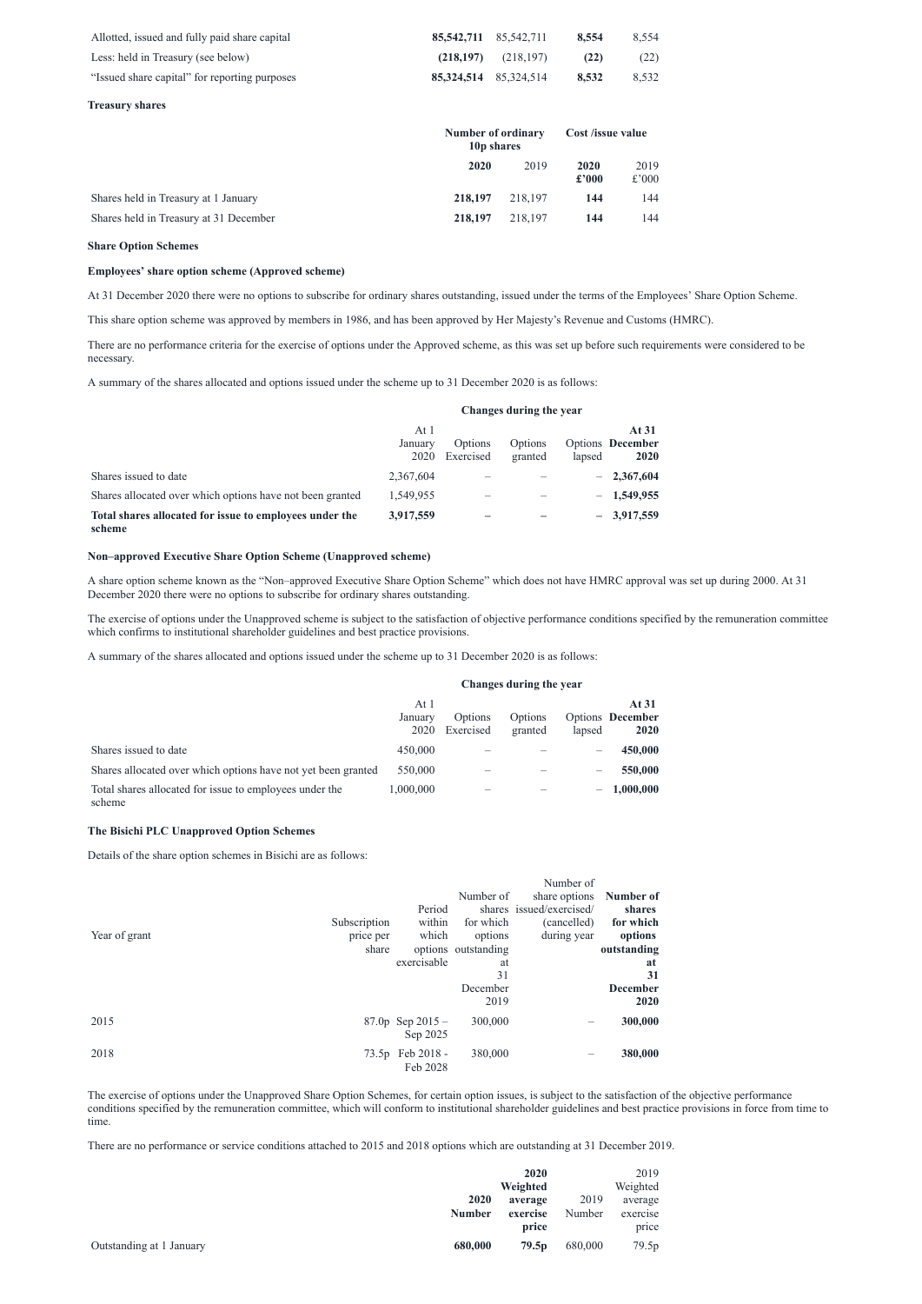| Allotted, issued and fully paid share capital | 85, 542, 711 85, 542, 711 | 8.554 | 8.554 |
|-----------------------------------------------|---------------------------|-------|-------|
| Less: held in Treasury (see below)            | $(218,197)$ $(218,197)$   | (22)  | (22)  |
| "Issued share capital" for reporting purposes | 85, 324, 514 85, 324, 514 | 8.532 | 8.532 |

#### **Treasury shares**

|                                        | <b>Number of ordinary</b><br>10p shares |         | Cost <i>l</i> issue value |               |
|----------------------------------------|-----------------------------------------|---------|---------------------------|---------------|
|                                        | 2020                                    | 2019    | 2020<br>$\pounds$ '000    | 2019<br>£'000 |
| Shares held in Treasury at 1 January   | 218,197                                 | 218,197 | 144                       | 144           |
| Shares held in Treasury at 31 December | 218,197                                 | 218,197 | 144                       | 144           |

#### **Share Option Schemes**

#### **Employees' share option scheme (Approved scheme)**

At 31 December 2020 there were no options to subscribe for ordinary shares outstanding, issued under the terms of the Employees' Share Option Scheme.

This share option scheme was approved by members in 1986, and has been approved by Her Majesty's Revenue and Customs (HMRC).

There are no performance criteria for the exercise of options under the Approved scheme, as this was set up before such requirements were considered to be necessary.

A summary of the shares allocated and options issued under the scheme up to 31 December 2020 is as follows:

|                                                                   | Changes during the year |                      |                    |                                                    |
|-------------------------------------------------------------------|-------------------------|----------------------|--------------------|----------------------------------------------------|
|                                                                   | At 1<br>January<br>2020 | Options<br>Exercised | Options<br>granted | At 31<br>Options December<br><b>2020</b><br>lapsed |
| Shares issued to date                                             | 2,367,604               |                      |                    | 2,367,604<br>$\qquad \qquad -$                     |
| Shares allocated over which options have not been granted         | 1,549,955               |                      |                    | $-1,549,955$                                       |
| Total shares allocated for issue to employees under the<br>scheme | 3,917,559               |                      |                    | 3,917,559<br>$-$                                   |

#### **Non–approved Executive Share Option Scheme (Unapproved scheme)**

A share option scheme known as the "Non–approved Executive Share Option Scheme" which does not have HMRC approval was set up during 2000. At 31 December 2020 there were no options to subscribe for ordinary shares outstanding.

The exercise of options under the Unapproved scheme is subject to the satisfaction of objective performance conditions specified by the remuneration committee which confirms to institutional shareholder guidelines and best practice provisions.

A summary of the shares allocated and options issued under the scheme up to 31 December 2020 is as follows:

|                                                                   | Changes during the year |                      |                    |                          |                                          |
|-------------------------------------------------------------------|-------------------------|----------------------|--------------------|--------------------------|------------------------------------------|
|                                                                   | At 1<br>January<br>2020 | Options<br>Exercised | Options<br>granted | lapsed                   | At 31<br>Options December<br><b>2020</b> |
| Shares issued to date                                             | 450,000                 |                      |                    | $\qquad \qquad -$        | 450,000                                  |
| Shares allocated over which options have not yet been granted     | 550,000                 |                      |                    | $\overline{\phantom{m}}$ | 550,000                                  |
| Total shares allocated for issue to employees under the<br>scheme | 1,000,000               |                      |                    | $\qquad \qquad -$        | 1,000,000                                |

#### **The Bisichi PLC Unapproved Option Schemes**

Details of the share option schemes in Bisichi are as follows:

|               |                              |           | Number of                |             |
|---------------|------------------------------|-----------|--------------------------|-------------|
|               | Number of                    |           | share options Number of  |             |
|               | Period                       |           | shares issued/exercised/ | shares      |
|               | within<br>Subscription       | for which | (cancelled)              | for which   |
| Year of grant | which<br>price per           | options   | during year              | options     |
|               | options outstanding<br>share |           |                          | outstanding |
|               | exercisable                  | at        |                          | at          |
|               |                              | 31        |                          |             |

|      |                                | December<br>2019 | <b>December</b><br>2020             |
|------|--------------------------------|------------------|-------------------------------------|
| 2015 | $87.0p$ Sep 2015 -<br>Sep 2025 | 300,000          | 300,000<br>-                        |
| 2018 | 73.5p Feb 2018 -<br>Feb 2028   | 380,000          | 380,000<br>$\overline{\phantom{m}}$ |

The exercise of options under the Unapproved Share Option Schemes, for certain option issues, is subject to the satisfaction of the objective performance conditions specified by the remuneration committee, which will conform to institutional shareholder guidelines and best practice provisions in force from time to time.

There are no performance or service conditions attached to 2015 and 2018 options which are outstanding at 31 December 2019.

|               | 2020              |         | 2019     |
|---------------|-------------------|---------|----------|
|               | Weighted          |         | Weighted |
| 2020          | average           | 2019    | average  |
| <b>Number</b> | exercise          | Number  | exercise |
|               | price             |         | price    |
| 680,000       | 79.5 <sub>p</sub> | 680,000 | 79.5p    |

Outstanding at 1 January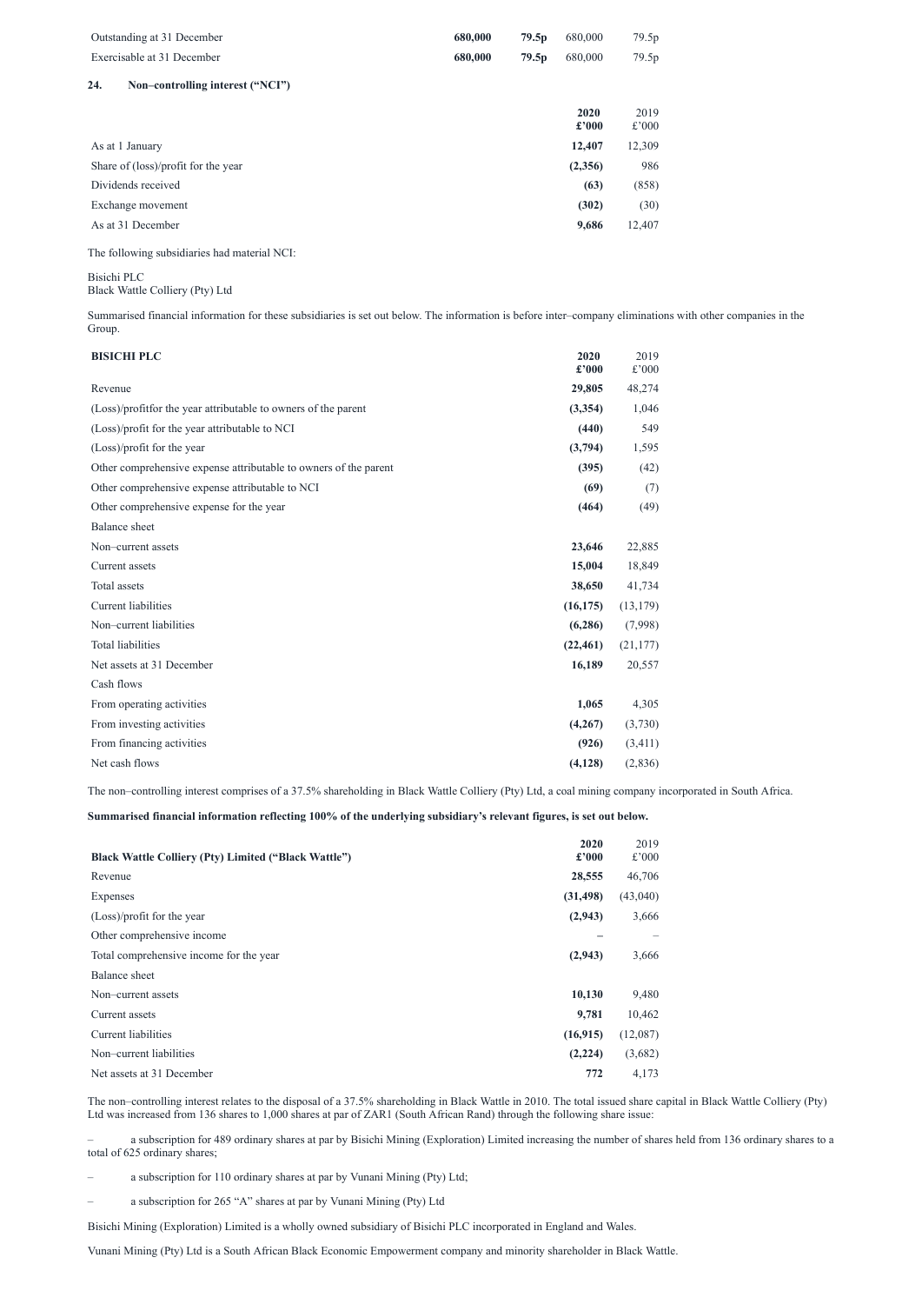| Outstanding at 31 December              | 680,000 | 79.5p | 680,000                | 79.5p         |
|-----------------------------------------|---------|-------|------------------------|---------------|
| Exercisable at 31 December              | 680,000 | 79.5p | 680,000                | 79.5p         |
| 24.<br>Non-controlling interest ("NCI") |         |       |                        |               |
|                                         |         |       | 2020<br>$\pounds$ '000 | 2019<br>£'000 |
| As at 1 January                         |         |       | 12,407                 | 12,309        |
| Share of (loss)/profit for the year     |         |       | (2,356)                | 986           |
| Dividends received                      |         |       | (63)                   | (858)         |
| Exchange movement                       |         |       | (302)                  | (30)          |
| As at 31 December                       |         |       | 9,686                  | 12,407        |

The following subsidiaries had material NCI:

Bisichi PLC Black Wattle Colliery (Pty) Ltd

Summarised financial information for these subsidiaries is set out below. The information is before inter–company eliminations with other companies in the Group.

| <b>BISICHI PLC</b>                                               | 2020<br>£'000 | 2019<br>£'000 |
|------------------------------------------------------------------|---------------|---------------|
| Revenue                                                          | 29,805        | 48,274        |
| (Loss)/profitfor the year attributable to owners of the parent   | (3,354)       | 1,046         |
| (Loss)/profit for the year attributable to NCI                   | (440)         | 549           |
| (Loss)/profit for the year                                       | (3,794)       | 1,595         |
| Other comprehensive expense attributable to owners of the parent | (395)         | (42)          |
| Other comprehensive expense attributable to NCI                  | (69)          | (7)           |
| Other comprehensive expense for the year                         | (464)         | (49)          |
| <b>Balance</b> sheet                                             |               |               |
| Non-current assets                                               | 23,646        | 22,885        |
| Current assets                                                   | 15,004        | 18,849        |
| Total assets                                                     | 38,650        | 41,734        |
| <b>Current liabilities</b>                                       | (16, 175)     | (13, 179)     |
| Non-current liabilities                                          | (6, 286)      | (7,998)       |
| <b>Total liabilities</b>                                         | (22, 461)     | (21, 177)     |
| Net assets at 31 December                                        | 16,189        | 20,557        |
| Cash flows                                                       |               |               |
| From operating activities                                        | 1,065         | 4,305         |
| From investing activities                                        | (4,267)       | (3,730)       |
| From financing activities                                        | (926)         | (3,411)       |
| Net cash flows                                                   | (4,128)       | (2,836)       |

The non–controlling interest comprises of a 37.5% shareholding in Black Wattle Colliery (Pty) Ltd, a coal mining company incorporated in South Africa.

# **Summarised financial information reflecting 100% of the underlying subsidiary's relevant figures, is set out below.**

| <b>Black Wattle Colliery (Pty) Limited ("Black Wattle")</b> | 2020<br>$\pounds$ '000 | 2019<br>£'000 |
|-------------------------------------------------------------|------------------------|---------------|
| Revenue                                                     | 28,555                 | 46,706        |
| <b>Expenses</b>                                             | (31, 498)              | (43,040)      |
| (Loss)/profit for the year                                  | (2,943)                | 3,666         |
| Other comprehensive income                                  |                        |               |
| Total comprehensive income for the year                     | (2,943)                | 3,666         |
| Balance sheet                                               |                        |               |

| Non-current assets        | 10,130   | 9.480    |
|---------------------------|----------|----------|
| Current assets            | 9.781    | 10.462   |
| Current liabilities       | (16,915) | (12,087) |
| Non–current liabilities   | (2,224)  | (3,682)  |
| Net assets at 31 December | 772      | 4.173    |

The non–controlling interest relates to the disposal of a 37.5% shareholding in Black Wattle in 2010. The total issued share capital in Black Wattle Colliery (Pty) Ltd was increased from 136 shares to 1,000 shares at par of ZAR1 (South African Rand) through the following share issue:

– a subscription for 489 ordinary shares at par by Bisichi Mining (Exploration) Limited increasing the number of shares held from 136 ordinary shares to a total of 625 ordinary shares;

- a subscription for 110 ordinary shares at par by Vunani Mining (Pty) Ltd;
- a subscription for 265 "A" shares at par by Vunani Mining (Pty) Ltd

Bisichi Mining (Exploration) Limited is a wholly owned subsidiary of Bisichi PLC incorporated in England and Wales.

Vunani Mining (Pty) Ltd is a South African Black Economic Empowerment company and minority shareholder in Black Wattle.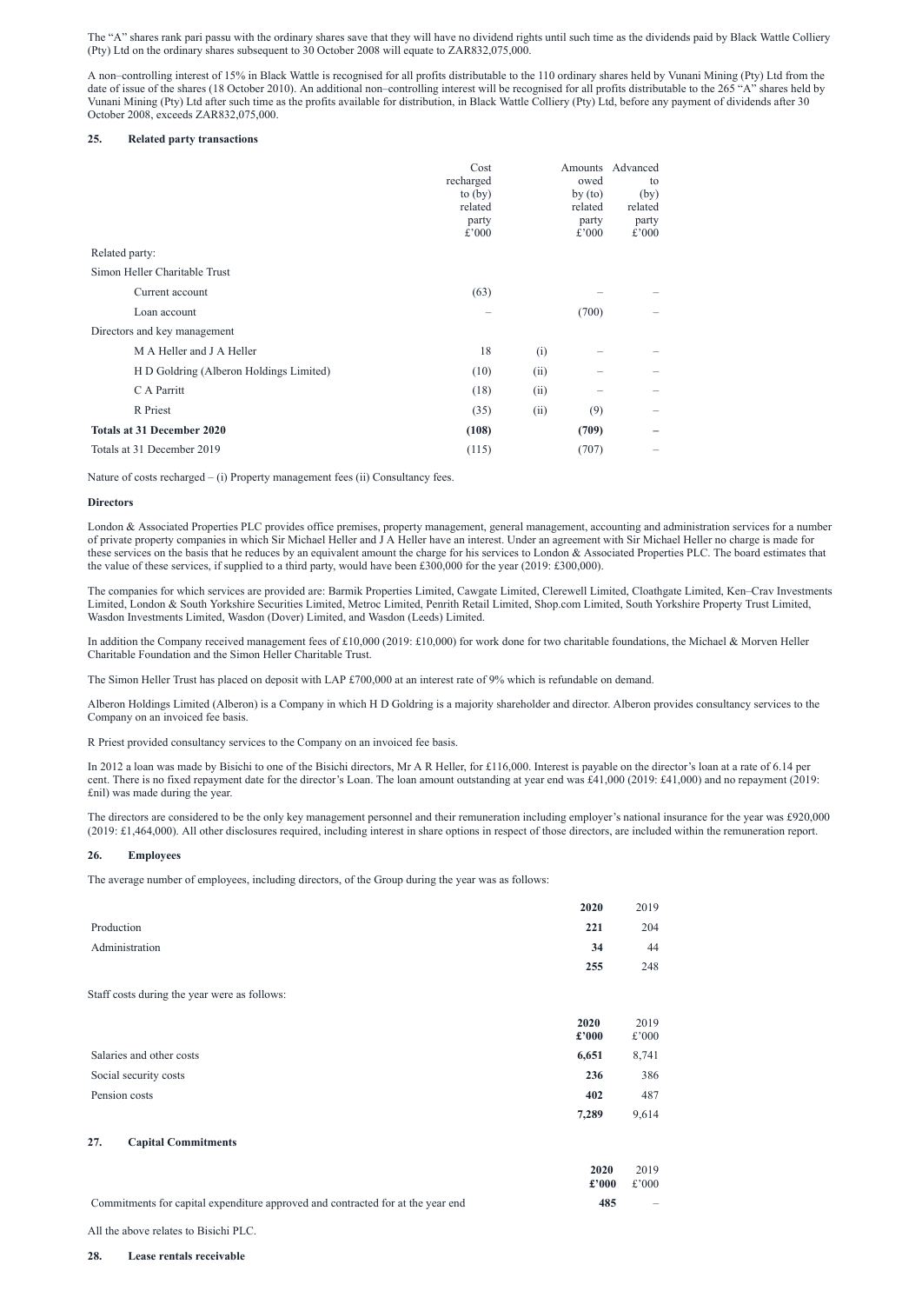The "A" shares rank pari passu with the ordinary shares save that they will have no dividend rights until such time as the dividends paid by Black Wattle Colliery (Pty) Ltd on the ordinary shares subsequent to 30 October 2008 will equate to ZAR832,075,000.

A non–controlling interest of 15% in Black Wattle is recognised for all profits distributable to the 110 ordinary shares held by Vunani Mining (Pty) Ltd from the date of issue of the shares (18 October 2010). An additional non–controlling interest will be recognised for all profits distributable to the 265 "A" shares held by Vunani Mining (Pty) Ltd after such time as the profits available for distribution, in Black Wattle Colliery (Pty) Ltd, before any payment of dividends after 30 October 2008, exceeds ZAR832,075,000.

## **25. Related party transactions**

London & Associated Properties PLC provides office premises, property management, general management, accounting and administration services for a number of private property companies in which Sir Michael Heller and J A Heller have an interest. Under an agreement with Sir Michael Heller no charge is made for these services on the basis that he reduces by an equivalent amount the charge for his services to London & Associated Properties PLC. The board estimates that the value of these services, if supplied to a third party, would have been £300,000 for the year (2019: £300,000).

|                                         | Cost      |      | Amounts | Advanced |
|-----------------------------------------|-----------|------|---------|----------|
|                                         | recharged |      | owed    | to       |
|                                         | to $(by)$ |      | by (to) | (by)     |
|                                         | related   |      | related | related  |
|                                         | party     |      | party   | party    |
|                                         | £'000     |      | £'000   | £'000    |
| Related party:                          |           |      |         |          |
| Simon Heller Charitable Trust           |           |      |         |          |
| Current account                         | (63)      |      |         |          |
| Loan account                            |           |      | (700)   |          |
| Directors and key management            |           |      |         |          |
| M A Heller and J A Heller               | 18        | (i)  |         |          |
| H D Goldring (Alberon Holdings Limited) | (10)      | (ii) |         |          |
| C A Parritt                             | (18)      | (ii) |         |          |
| R Priest                                | (35)      | (ii) | (9)     |          |
| <b>Totals at 31 December 2020</b>       | (108)     |      | (709)   |          |
| Totals at 31 December 2019              | (115)     |      | (707)   |          |

In addition the Company received management fees of £10,000 (2019: £10,000) for work done for two charitable foundations, the Michael & Morven Heller Charitable Foundation and the Simon Heller Charitable Trust.

The Simon Heller Trust has placed on deposit with LAP £700,000 at an interest rate of 9% which is refundable on demand.

Nature of costs recharged – (i) Property management fees (ii) Consultancy fees.

# **Directors**

The companies for which services are provided are: Barmik Properties Limited, Cawgate Limited, Clerewell Limited, Cloathgate Limited, Ken–Crav Investments Limited, London & South Yorkshire Securities Limited, Metroc Limited, Penrith Retail Limited, Shop.com Limited, South Yorkshire Property Trust Limited, Wasdon Investments Limited, Wasdon (Dover) Limited, and Wasdon (Leeds) Limited.

Alberon Holdings Limited (Alberon) is a Company in which H D Goldring is a majority shareholder and director. Alberon provides consultancy services to the Company on an invoiced fee basis.

R Priest provided consultancy services to the Company on an invoiced fee basis.

In 2012 a loan was made by Bisichi to one of the Bisichi directors, Mr A R Heller, for £116,000. Interest is payable on the director's loan at a rate of 6.14 per cent. There is no fixed repayment date for the director's Loan. The loan amount outstanding at year end was £41,000 (2019: £41,000) and no repayment (2019: £nil) was made during the year.

The directors are considered to be the only key management personnel and their remuneration including employer's national insurance for the year was £920,000 (2019: £1,464,000). All other disclosures required, including interest in share options in respect of those directors, are included within the remuneration report.

# **26. Employees**

The average number of employees, including directors, of the Group during the year was as follows:

|                | 2020 | 2019 |
|----------------|------|------|
| Production     | 221  | 204  |
| Administration | 34   | 44   |
|                | 255  | 248  |

|                          | 2020<br>£'000 | 2019<br>£'000 |
|--------------------------|---------------|---------------|
| Salaries and other costs | 6,651         | 8,741         |
| Social security costs    | 236           | 386           |
| Pension costs            | 402           | 487           |
|                          | 7,289         | 9,614         |

# **27. Capital Commitments**

|                                                                                 | 2020<br>$\pounds$ '000 | 2019<br>£'000 |
|---------------------------------------------------------------------------------|------------------------|---------------|
| Commitments for capital expenditure approved and contracted for at the year end | 485                    | $\sim$        |

All the above relates to Bisichi PLC.

#### **28. Lease rentals receivable**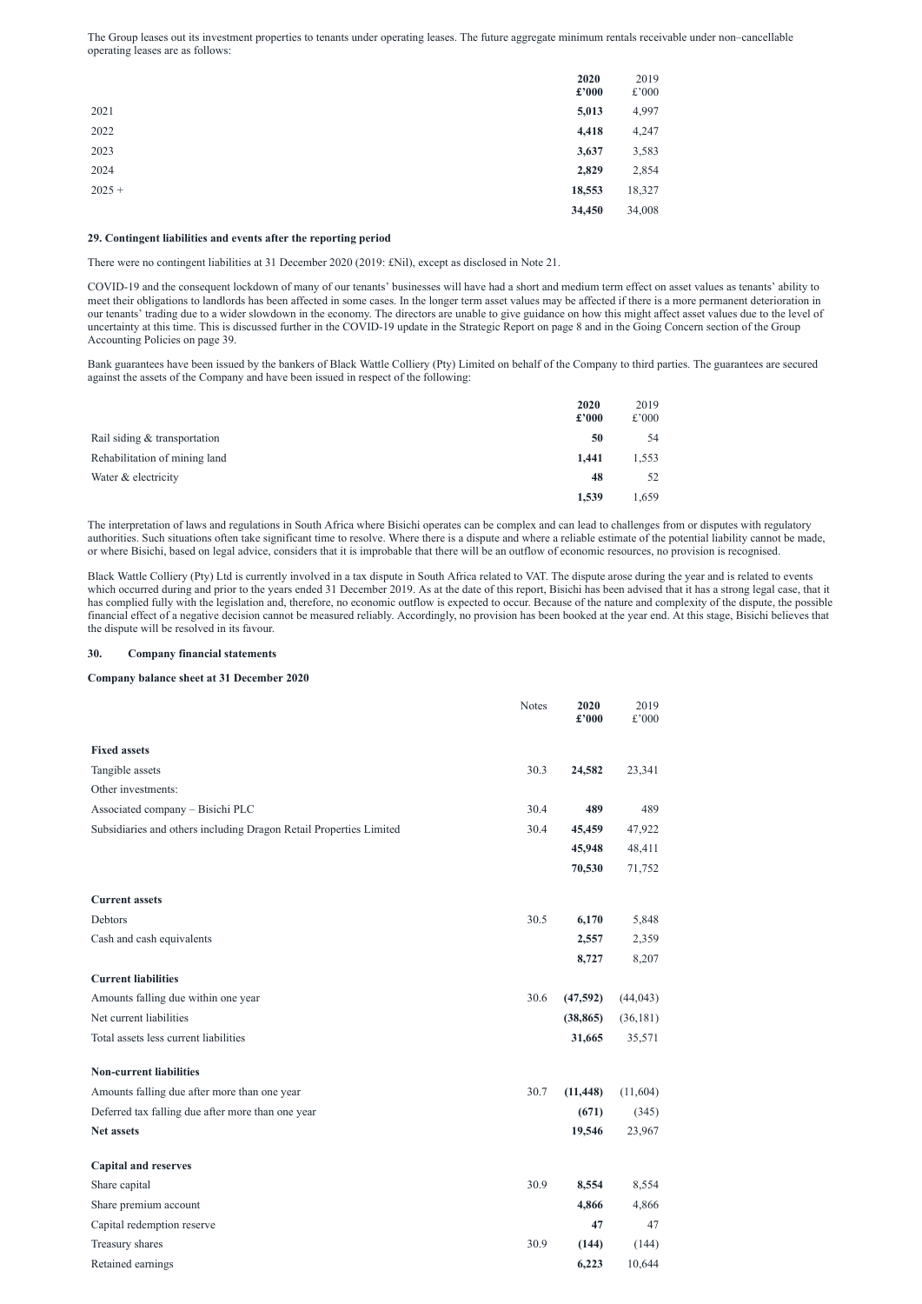The Group leases out its investment properties to tenants under operating leases. The future aggregate minimum rentals receivable under non–cancellable operating leases are as follows:

|          | 2020<br>$\pounds$ '000 | 2019<br>£'000 |
|----------|------------------------|---------------|
| 2021     | 5,013                  | 4,997         |
| 2022     | 4,418                  | 4,247         |
| 2023     | 3,637                  | 3,583         |
| 2024     | 2,829                  | 2,854         |
| $2025 +$ | 18,553                 | 18,327        |
|          | 34,450                 | 34,008        |

#### **29. Contingent liabilities and events after the reporting period**

There were no contingent liabilities at 31 December 2020 (2019: £Nil), except as disclosed in Note 21.

COVID-19 and the consequent lockdown of many of our tenants' businesses will have had a short and medium term effect on asset values as tenants' ability to meet their obligations to landlords has been affected in some cases. In the longer term asset values may be affected if there is a more permanent deterioration in our tenants' trading due to a wider slowdown in the economy. The directors are unable to give guidance on how this might affect asset values due to the level of uncertainty at this time. This is discussed further in the COVID-19 update in the Strategic Report on page 8 and in the Going Concern section of the Group Accounting Policies on page 39.

Bank guarantees have been issued by the bankers of Black Wattle Colliery (Pty) Limited on behalf of the Company to third parties. The guarantees are secured against the assets of the Company and have been issued in respect of the following:

|                               | 2020<br>£'000 | 2019<br>£'000 |
|-------------------------------|---------------|---------------|
| Rail siding & transportation  | 50            | 54            |
| Rehabilitation of mining land | 1,441         | 1,553         |
| Water & electricity           | 48            | 52            |
|                               | 1,539         | 1,659         |

The interpretation of laws and regulations in South Africa where Bisichi operates can be complex and can lead to challenges from or disputes with regulatory authorities. Such situations often take significant time to resolve. Where there is a dispute and where a reliable estimate of the potential liability cannot be made, or where Bisichi, based on legal advice, considers that it is improbable that there will be an outflow of economic resources, no provision is recognised.

Black Wattle Colliery (Pty) Ltd is currently involved in a tax dispute in South Africa related to VAT. The dispute arose during the year and is related to events which occurred during and prior to the years ended 31 December 2019. As at the date of this report, Bisichi has been advised that it has a strong legal case, that it has complied fully with the legislation and, therefore, no economic outflow is expected to occur. Because of the nature and complexity of the dispute, the possible financial effect of a negative decision cannot be measured reliably. Accordingly, no provision has been booked at the year end. At this stage, Bisichi believes that the dispute will be resolved in its favour.

## **30. Company financial statements**

#### **Company balance sheet at 31 December 2020**

|                                                                    | <b>Notes</b> | 2020<br>£'000 | 2019<br>£'000 |
|--------------------------------------------------------------------|--------------|---------------|---------------|
| <b>Fixed assets</b>                                                |              |               |               |
| Tangible assets                                                    | 30.3         | 24,582        | 23,341        |
| Other investments:                                                 |              |               |               |
| Associated company - Bisichi PLC                                   | 30.4         | 489           | 489           |
| Subsidiaries and others including Dragon Retail Properties Limited | 30.4         | 45,459        | 47,922        |
|                                                                    |              | 45,948        | 48,411        |
|                                                                    |              | 70,530        | 71,752        |
| <b>Current assets</b>                                              |              |               |               |
| Debtors                                                            | 30.5         | 6,170         | 5,848         |
| Cash and cash equivalents                                          |              | 2,557         | 2,359         |
|                                                                    |              | 8,727         | 8,207         |
| <b>Current liabilities</b>                                         |              |               |               |

| Amounts falling due within one year               | 30.6 | (47,592)  | (44, 043) |
|---------------------------------------------------|------|-----------|-----------|
| Net current liabilities                           |      | (38, 865) | (36, 181) |
| Total assets less current liabilities             |      | 31,665    | 35,571    |
| <b>Non-current liabilities</b>                    |      |           |           |
| Amounts falling due after more than one year      | 30.7 | (11, 448) | (11, 604) |
| Deferred tax falling due after more than one year |      | (671)     | (345)     |
| <b>Net assets</b>                                 |      | 19,546    | 23,967    |
| <b>Capital and reserves</b>                       |      |           |           |
| Share capital                                     | 30.9 | 8,554     | 8,554     |
| Share premium account                             |      | 4,866     | 4,866     |
| Capital redemption reserve                        |      | 47        | 47        |
| Treasury shares                                   | 30.9 | (144)     | (144)     |
| Retained earnings                                 |      | 6,223     | 10,644    |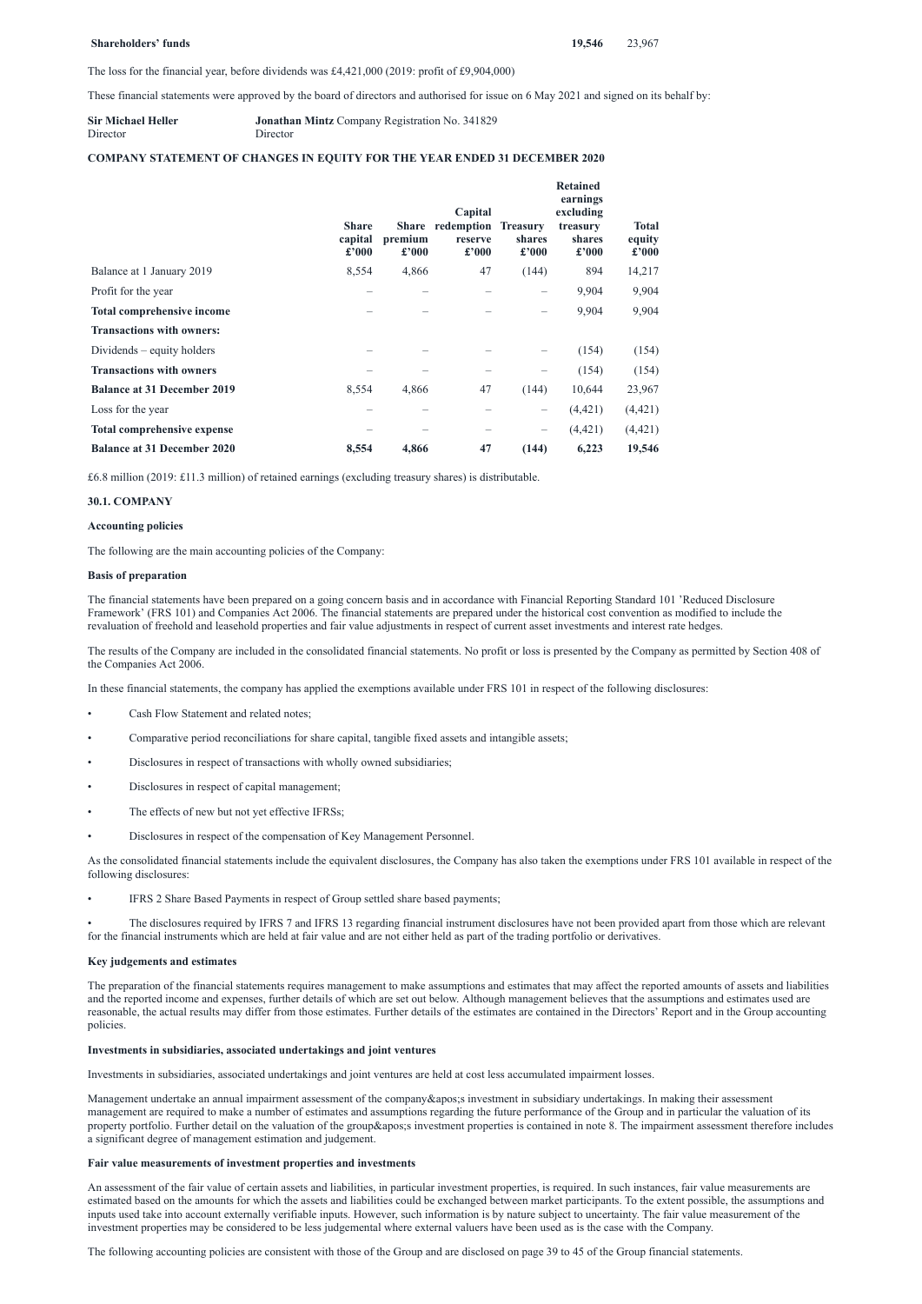The loss for the financial year, before dividends was £4,421,000 (2019: profit of £9,904,000)

These financial statements were approved by the board of directors and authorised for issue on 6 May 2021 and signed on its behalf by:

Director Director

**Sir Michael Heller Jonathan Mintz** Company Registration No. 341829

# **COMPANY STATEMENT OF CHANGES IN EQUITY FOR THE YEAR ENDED 31 DECEMBER 2020**

|                                    | <b>Share</b><br>capital<br>£'000 | <b>Share</b><br>premium<br>£'000 | Capital<br>redemption<br>reserve<br>£'000 | <b>Treasury</b><br>shares<br>£'000 | <b>Retained</b><br>earnings<br>excluding<br>treasury<br>shares<br>$\pounds$ '000 | <b>Total</b><br>equity<br>£'000 |
|------------------------------------|----------------------------------|----------------------------------|-------------------------------------------|------------------------------------|----------------------------------------------------------------------------------|---------------------------------|
| Balance at 1 January 2019          | 8,554                            | 4,866                            | 47                                        | (144)                              | 894                                                                              | 14,217                          |
| Profit for the year                |                                  |                                  |                                           |                                    | 9,904                                                                            | 9,904                           |
| <b>Total comprehensive income</b>  |                                  |                                  |                                           | $\qquad \qquad$                    | 9,904                                                                            | 9,904                           |
| <b>Transactions with owners:</b>   |                                  |                                  |                                           |                                    |                                                                                  |                                 |
| Dividends – equity holders         |                                  |                                  |                                           |                                    | (154)                                                                            | (154)                           |
| <b>Transactions with owners</b>    |                                  |                                  |                                           |                                    | (154)                                                                            | (154)                           |
| <b>Balance at 31 December 2019</b> | 8,554                            | 4,866                            | 47                                        | (144)                              | 10,644                                                                           | 23,967                          |
| Loss for the year                  |                                  |                                  |                                           | $\qquad \qquad -$                  | (4, 421)                                                                         | (4, 421)                        |
| <b>Total comprehensive expense</b> |                                  |                                  |                                           | $\qquad \qquad$                    | (4, 421)                                                                         | (4, 421)                        |
| <b>Balance at 31 December 2020</b> | 8,554                            | 4,866                            | 47                                        | (144)                              | 6,223                                                                            | 19,546                          |

£6.8 million (2019: £11.3 million) of retained earnings (excluding treasury shares) is distributable.

### **30.1. COMPANY**

#### **Accounting policies**

- Cash Flow Statement and related notes;
- Comparative period reconciliations for share capital, tangible fixed assets and intangible assets;
- Disclosures in respect of transactions with wholly owned subsidiaries;
- Disclosures in respect of capital management;
- The effects of new but not yet effective IFRSs;
- Disclosures in respect of the compensation of Key Management Personnel.

The following are the main accounting policies of the Company:

#### **Basis of preparation**

The financial statements have been prepared on a going concern basis and in accordance with Financial Reporting Standard 101 'Reduced Disclosure Framework' (FRS 101) and Companies Act 2006. The financial statements are prepared under the historical cost convention as modified to include the revaluation of freehold and leasehold properties and fair value adjustments in respect of current asset investments and interest rate hedges.

The results of the Company are included in the consolidated financial statements. No profit or loss is presented by the Company as permitted by Section 408 of the Companies Act 2006.

In these financial statements, the company has applied the exemptions available under FRS 101 in respect of the following disclosures:

Management undertake an annual impairment assessment of the company' investment in subsidiary undertakings. In making their assessment management are required to make a number of estimates and assumptions regarding the future performance of the Group and in particular the valuation of its property portfolio. Further detail on the valuation of the group & apos; sinvestment properties is contained in note 8. The impairment assessment therefore includes a significant degree of management estimation and judgement.

As the consolidated financial statements include the equivalent disclosures, the Company has also taken the exemptions under FRS 101 available in respect of the following disclosures:

• IFRS 2 Share Based Payments in respect of Group settled share based payments;

• The disclosures required by IFRS 7 and IFRS 13 regarding financial instrument disclosures have not been provided apart from those which are relevant for the financial instruments which are held at fair value and are not either held as part of the trading portfolio or derivatives.

#### **Key judgements and estimates**

The preparation of the financial statements requires management to make assumptions and estimates that may affect the reported amounts of assets and liabilities and the reported income and expenses, further details of which are set out below. Although management believes that the assumptions and estimates used are reasonable, the actual results may differ from those estimates. Further details of the estimates are contained in the Directors' Report and in the Group accounting policies.

#### **Investments in subsidiaries, associated undertakings and joint ventures**

Investments in subsidiaries, associated undertakings and joint ventures are held at cost less accumulated impairment losses.

#### **Fair value measurements of investment properties and investments**

An assessment of the fair value of certain assets and liabilities, in particular investment properties, is required. In such instances, fair value measurements are estimated based on the amounts for which the assets and liabilities could be exchanged between market participants. To the extent possible, the assumptions and inputs used take into account externally verifiable inputs. However, such information is by nature subject to uncertainty. The fair value measurement of the investment properties may be considered to be less judgemental where external valuers have been used as is the case with the Company.

The following accounting policies are consistent with those of the Group and are disclosed on page 39 to 45 of the Group financial statements.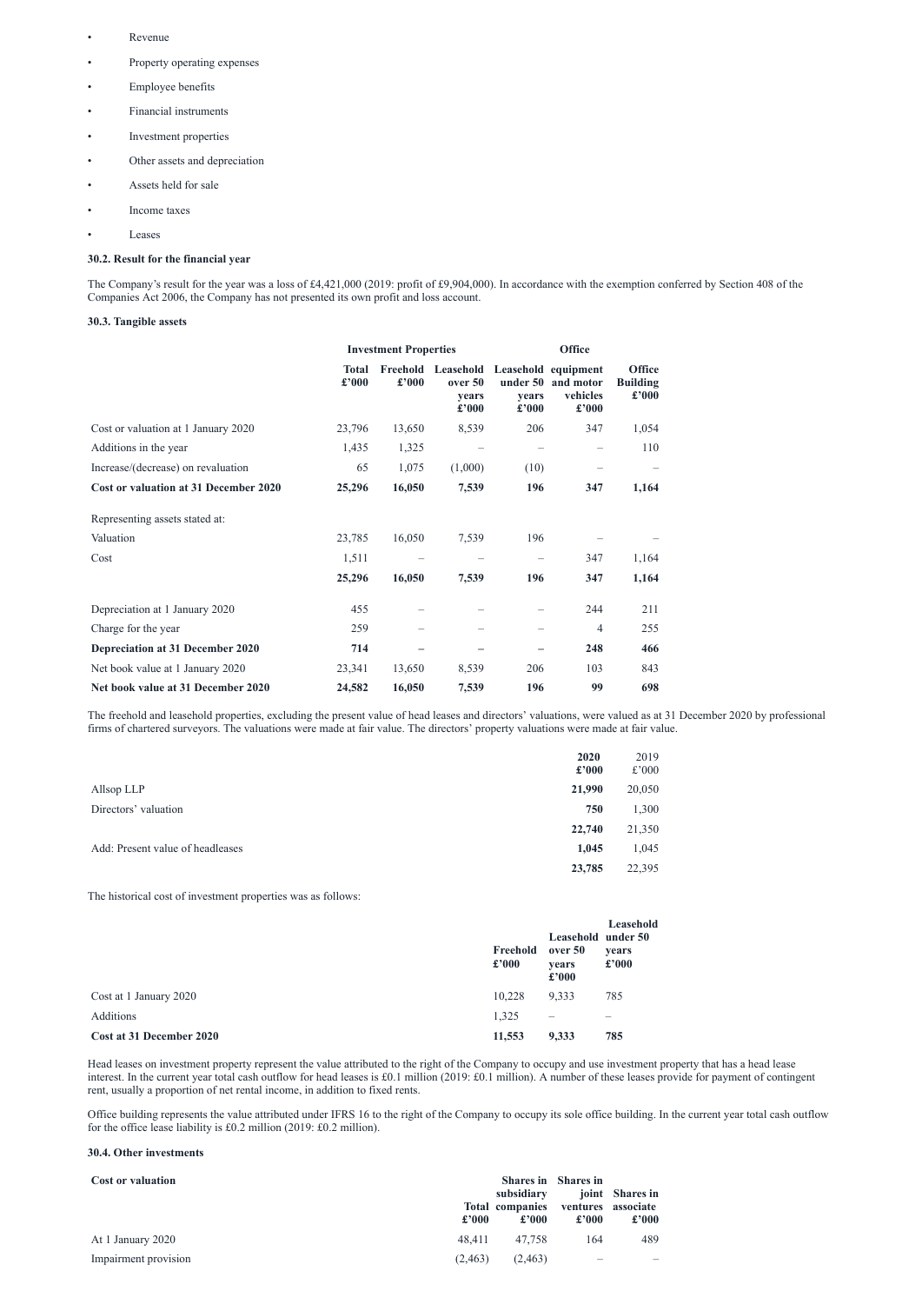- Revenue
- Property operating expenses
- Employee benefits
- Financial instruments
- Investment properties
- Other assets and depreciation
- Assets held for sale
- Income taxes
- Leases

# **30.2. Result for the financial year**

The Company's result for the year was a loss of £4,421,000 (2019: profit of £9,904,000). In accordance with the exemption conferred by Section 408 of the Companies Act 2006, the Company has not presented its own profit and loss account.

# **30.3. Tangible assets**

|                                              | <b>Investment Properties</b> |        |                                                 | <b>Office</b>                       |                                                       |                                                    |
|----------------------------------------------|------------------------------|--------|-------------------------------------------------|-------------------------------------|-------------------------------------------------------|----------------------------------------------------|
|                                              | <b>Total</b><br>£'000        | £'000  | Freehold Leasehold<br>over 50<br>vears<br>£'000 | under 50<br>vears<br>$\pounds$ '000 | Leasehold equipment<br>and motor<br>vehicles<br>£'000 | <b>Office</b><br><b>Building</b><br>$\pounds$ '000 |
| Cost or valuation at 1 January 2020          | 23,796                       | 13,650 | 8,539                                           | 206                                 | 347                                                   | 1,054                                              |
| Additions in the year                        | 1,435                        | 1,325  | $\qquad \qquad$                                 | $\overline{\phantom{m}}$            |                                                       | 110                                                |
| Increase/(decrease) on revaluation           | 65                           | 1,075  | (1,000)                                         | (10)                                | $\qquad \qquad \longleftarrow$                        |                                                    |
| <b>Cost or valuation at 31 December 2020</b> | 25,296                       | 16,050 | 7,539                                           | 196                                 | 347                                                   | 1,164                                              |
| Representing assets stated at:               |                              |        |                                                 |                                     |                                                       |                                                    |
| Valuation                                    | 23,785                       | 16,050 | 7,539                                           | 196                                 |                                                       |                                                    |
| Cost                                         | 1,511                        |        |                                                 | $\overline{\phantom{m}}$            | 347                                                   | 1,164                                              |
|                                              | 25,296                       | 16,050 | 7,539                                           | 196                                 | 347                                                   | 1,164                                              |
| Depreciation at 1 January 2020               | 455                          |        |                                                 | $\qquad \qquad$                     | 244                                                   | 211                                                |
| Charge for the year                          | 259                          |        |                                                 | $\qquad \qquad -$                   | 4                                                     | 255                                                |
| <b>Depreciation at 31 December 2020</b>      | 714                          |        |                                                 | -                                   | 248                                                   | 466                                                |
| Net book value at 1 January 2020             | 23,341                       | 13,650 | 8,539                                           | 206                                 | 103                                                   | 843                                                |
| Net book value at 31 December 2020           | 24,582                       | 16,050 | 7,539                                           | 196                                 | 99                                                    | 698                                                |

The freehold and leasehold properties, excluding the present value of head leases and directors' valuations, were valued as at 31 December 2020 by professional firms of chartered surveyors. The valuations were made at fair value. The directors' property valuations were made at fair value.

|                                  | 2020<br>£'000 | 2019<br>£'000 |
|----------------------------------|---------------|---------------|
| Allsop LLP                       | 21,990        | 20,050        |
| Directors' valuation             | 750           | 1,300         |
|                                  | 22,740        | 21,350        |
| Add: Present value of headleases | 1,045         | 1,045         |
|                                  | 23,785        | 22,395        |

The historical cost of investment properties was as follows:

|          |                    | Leasehold |
|----------|--------------------|-----------|
|          | Leasehold under 50 |           |
| Freehold | over 50            | years     |
| £2000    | <b>vears</b>       | £2000     |
|          | £2000              |           |

| Cost at 1 January 2020          | 10,228 9,333 |             | 785 |
|---------------------------------|--------------|-------------|-----|
| Additions                       |              | $1.325 - -$ |     |
| <b>Cost at 31 December 2020</b> | 11,553       | 9.333       | 785 |

Head leases on investment property represent the value attributed to the right of the Company to occupy and use investment property that has a head lease interest. In the current year total cash outflow for head leases is £0.1 million (2019: £0.1 million). A number of these leases provide for payment of contingent rent, usually a proportion of net rental income, in addition to fixed rents.

Office building represents the value attributed under IFRS 16 to the right of the Company to occupy its sole office building. In the current year total cash outflow for the office lease liability is £0.2 million (2019: £0.2 million).

#### **30.4. Other investments**

| <b>Cost or valuation</b> | $\pounds 000$ | subsidiary<br>Total companies ventures associate<br>$\pounds$ '000 | <b>Shares in</b> Shares in<br>$\pounds 000$ | joint Shares in<br>$\pounds$ '000 |
|--------------------------|---------------|--------------------------------------------------------------------|---------------------------------------------|-----------------------------------|
| At 1 January 2020        | 48.411        | 47.758                                                             | 164                                         | 489                               |
| Impairment provision     | (2, 463)      | (2, 463)                                                           | $\longrightarrow$                           | $\sim$                            |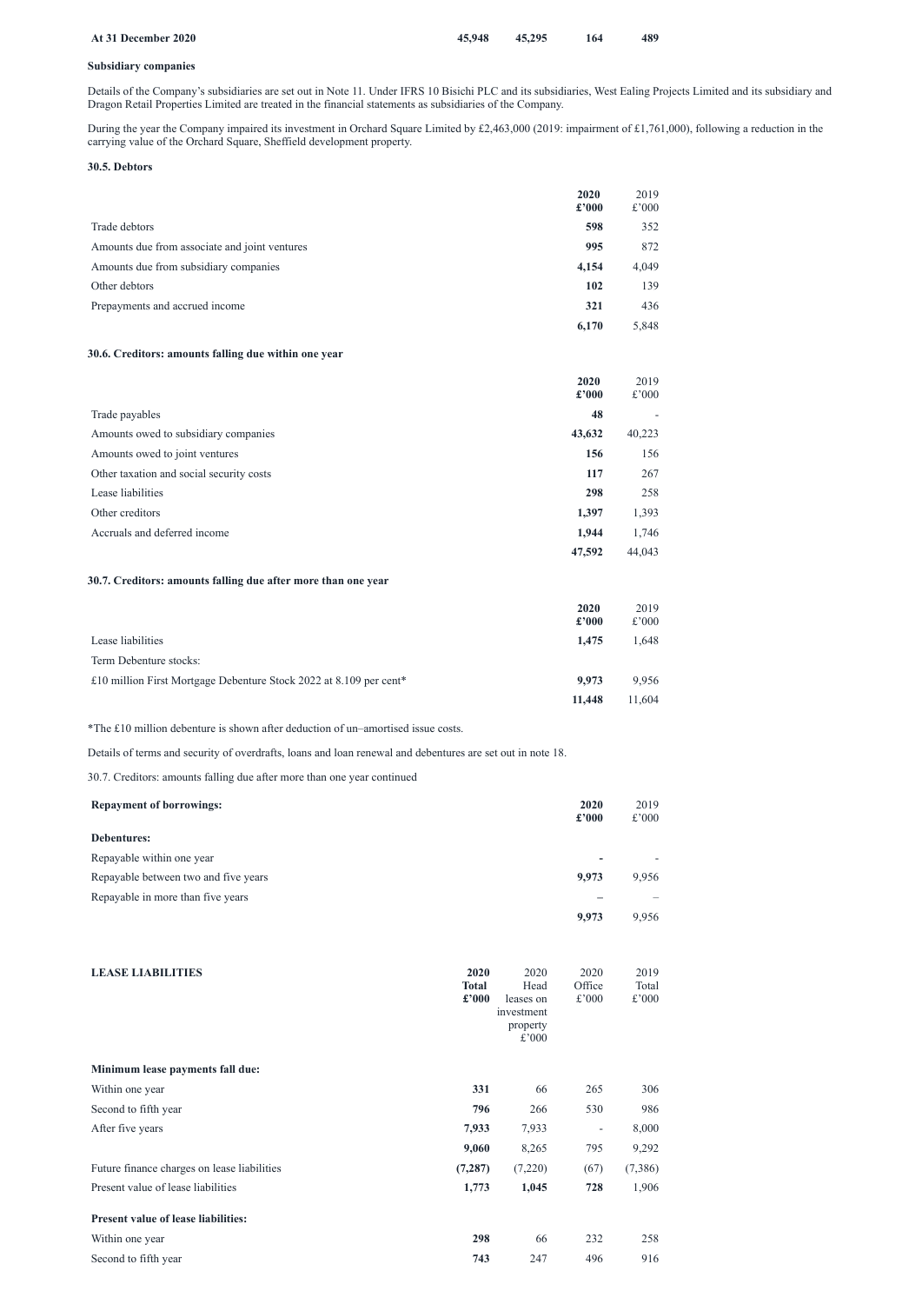| At 31 December 2020 | 45,948 45,295 164 | 489 |
|---------------------|-------------------|-----|
|                     |                   |     |

# **Subsidiary companies**

Details of the Company's subsidiaries are set out in Note 11. Under IFRS 10 Bisichi PLC and its subsidiaries, West Ealing Projects Limited and its subsidiary and Dragon Retail Properties Limited are treated in the financial statements as subsidiaries of the Company.

During the year the Company impaired its investment in Orchard Square Limited by £2,463,000 (2019: impairment of £1,761,000), following a reduction in the carrying value of the Orchard Square, Sheffield development property.

#### **30.5. Debtors**

|                                               | 2020<br>£'000 | 2019<br>£'000 |
|-----------------------------------------------|---------------|---------------|
| Trade debtors                                 | 598           | 352           |
| Amounts due from associate and joint ventures | 995           | 872           |
| Amounts due from subsidiary companies         | 4,154         | 4,049         |
| Other debtors                                 | 102           | 139           |
| Prepayments and accrued income                | 321           | 436           |
|                                               | 6,170         | 5,848         |

#### **30.6. Creditors: amounts falling due within one year**

|                                          | 2020<br>£'000 | 2019<br>£'000 |
|------------------------------------------|---------------|---------------|
| Trade payables                           | 48            |               |
| Amounts owed to subsidiary companies     | 43,632        | 40,223        |
| Amounts owed to joint ventures           | 156           | 156           |
| Other taxation and social security costs | 117           | 267           |
| Lease liabilities                        | 298           | 258           |
| Other creditors                          | 1,397         | 1,393         |
| Accruals and deferred income             | 1,944         | 1,746         |
|                                          | 47,592        | 44,043        |

#### **30.7. Creditors: amounts falling due after more than one year**

|                                                                    | 2020<br>$\pounds$ '000 | 2019<br>£'000 |
|--------------------------------------------------------------------|------------------------|---------------|
| Lease liabilities                                                  | 1.475                  | 1,648         |
| Term Debenture stocks:                                             |                        |               |
| £10 million First Mortgage Debenture Stock 2022 at 8.109 per cent* | 9.973                  | 9,956         |
|                                                                    | 11,448                 | 11,604        |

\*The £10 million debenture is shown after deduction of un–amortised issue costs.

Details of terms and security of overdrafts, loans and loan renewal and debentures are set out in note 18.

30.7. Creditors: amounts falling due after more than one year continued

| <b>Repayment of borrowings:</b>      | 2020<br>$\pounds$ '000 | 2019<br>£'000 |
|--------------------------------------|------------------------|---------------|
| <b>Debentures:</b>                   |                        |               |
| Repayable within one year            |                        |               |
| Repayable between two and five years | 9,973                  | 9,956         |
| Repayable in more than five years    |                        |               |
|                                      | 9,973                  | 9,956         |

| <b>LEASE LIABILITIES</b>                    | 2020<br><b>Total</b><br>£'000 | 2020<br>Head<br>leases on<br>investment<br>property<br>£'000 | 2020<br>Office<br>£'000  | 2019<br>Total<br>£'000 |  |
|---------------------------------------------|-------------------------------|--------------------------------------------------------------|--------------------------|------------------------|--|
| Minimum lease payments fall due:            |                               |                                                              |                          |                        |  |
| Within one year                             | 331                           | 66                                                           | 265                      | 306                    |  |
| Second to fifth year                        | 796                           | 266                                                          | 530                      | 986                    |  |
| After five years                            | 7,933                         | 7,933                                                        | $\overline{\phantom{a}}$ | 8,000                  |  |
|                                             | 9,060                         | 8,265                                                        | 795                      | 9,292                  |  |
| Future finance charges on lease liabilities | (7, 287)                      | (7,220)                                                      | (67)                     | (7,386)                |  |
| Present value of lease liabilities          | 1,773                         | 1,045                                                        | 728                      | 1,906                  |  |
| <b>Present value of lease liabilities:</b>  |                               |                                                              |                          |                        |  |
| Within one year                             | 298                           | 66                                                           | 232                      | 258                    |  |
| Second to fifth year                        | 743                           | 247                                                          | 496                      | 916                    |  |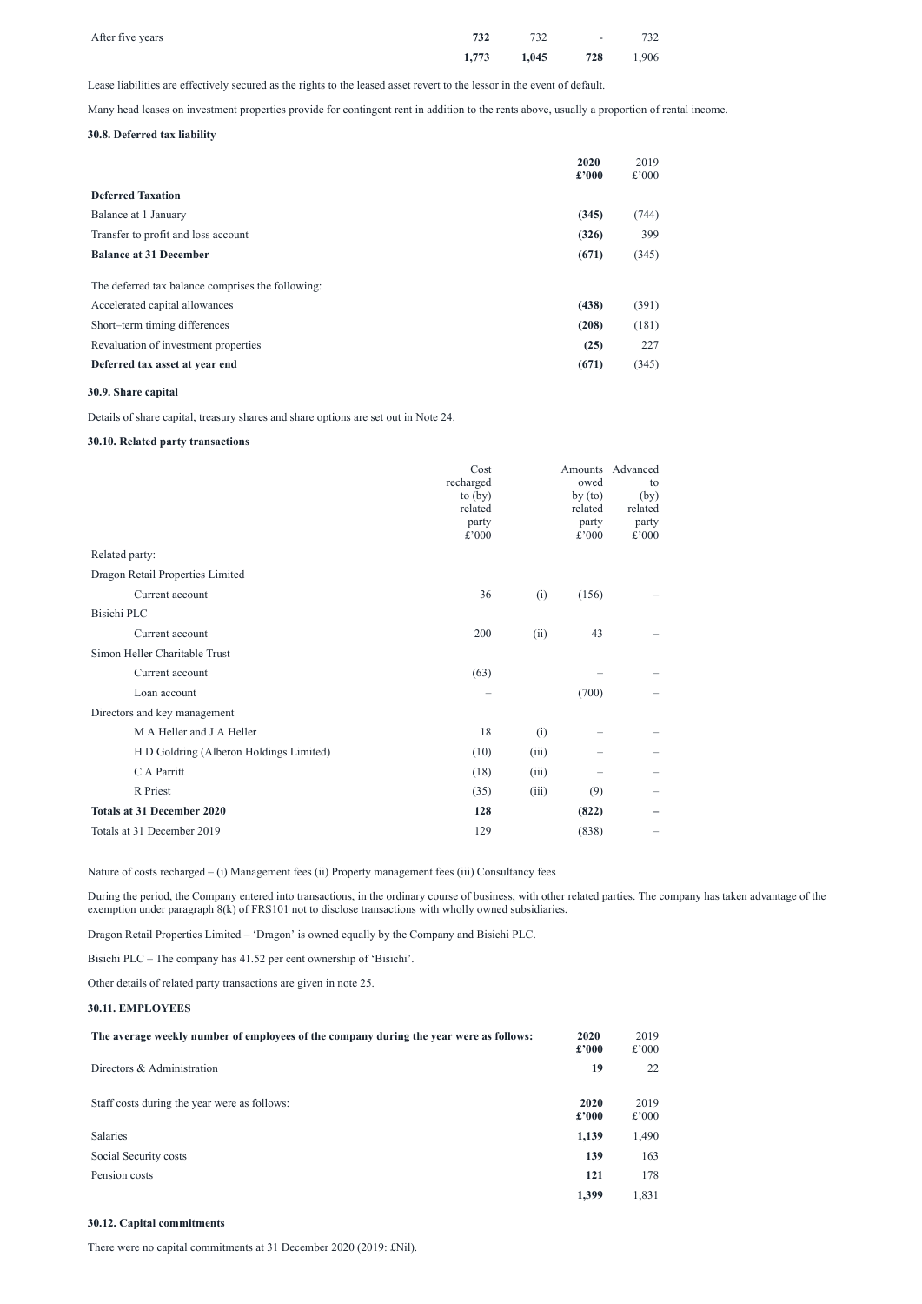| After five years | 732 |                       | 732 - 732 |  |
|------------------|-----|-----------------------|-----------|--|
|                  |     | 1,773 1,045 728 1,906 |           |  |

Lease liabilities are effectively secured as the rights to the leased asset revert to the lessor in the event of default.

Many head leases on investment properties provide for contingent rent in addition to the rents above, usually a proportion of rental income.

# **30.8. Deferred tax liability**

|                                                   | 2020<br>$\pounds$ '000 | 2019<br>£'000 |
|---------------------------------------------------|------------------------|---------------|
| <b>Deferred Taxation</b>                          |                        |               |
| Balance at 1 January                              | (345)                  | (744)         |
| Transfer to profit and loss account               | (326)                  | 399           |
| <b>Balance at 31 December</b>                     | (671)                  | (345)         |
| The deferred tax balance comprises the following: |                        |               |
| Accelerated capital allowances                    | (438)                  | (391)         |
| Short-term timing differences                     | (208)                  | (181)         |
| Revaluation of investment properties              | (25)                   | 227           |
| Deferred tax asset at year end                    | (671)                  | (345)         |

# **30.9. Share capital**

Details of share capital, treasury shares and share options are set out in Note 24.

# **30.10. Related party transactions**

|                                         | Cost<br>recharged<br>to $(by)$<br>related<br>party |       | Amounts<br>owed<br>by $(to)$<br>related<br>party | Advanced<br>to<br>(by)<br>related<br>party |
|-----------------------------------------|----------------------------------------------------|-------|--------------------------------------------------|--------------------------------------------|
|                                         | £'000                                              |       | £'000                                            | £'000                                      |
| Related party:                          |                                                    |       |                                                  |                                            |
| Dragon Retail Properties Limited        |                                                    |       |                                                  |                                            |
| Current account                         | 36                                                 | (i)   | (156)                                            |                                            |
| Bisichi PLC                             |                                                    |       |                                                  |                                            |
| Current account                         | 200                                                | (ii)  | 43                                               |                                            |
| Simon Heller Charitable Trust           |                                                    |       |                                                  |                                            |
| Current account                         | (63)                                               |       |                                                  |                                            |
| Loan account                            |                                                    |       | (700)                                            |                                            |
| Directors and key management            |                                                    |       |                                                  |                                            |
| M A Heller and J A Heller               | 18                                                 | (i)   |                                                  |                                            |
| H D Goldring (Alberon Holdings Limited) | (10)                                               | (iii) |                                                  |                                            |
| C A Parritt                             | (18)                                               | (iii) |                                                  |                                            |
| R Priest                                | (35)                                               | (iii) | (9)                                              |                                            |
| <b>Totals at 31 December 2020</b>       | 128                                                |       | (822)                                            |                                            |
| Totals at 31 December 2019              | 129                                                |       | (838)                                            |                                            |

Nature of costs recharged – (i) Management fees (ii) Property management fees (iii) Consultancy fees

During the period, the Company entered into transactions, in the ordinary course of business, with other related parties. The company has taken advantage of the exemption under paragraph 8(k) of FRS101 not to disclose transactions with wholly owned subsidiaries.

Dragon Retail Properties Limited – 'Dragon' is owned equally by the Company and Bisichi PLC.

Bisichi PLC – The company has 41.52 per cent ownership of 'Bisichi'.

Other details of related party transactions are given in note 25.

# **30.11. EMPLOYEES**

| The average weekly number of employees of the company during the year were as follows: | 2020<br>$\pounds$ '000 | 2019<br>£'000 |
|----------------------------------------------------------------------------------------|------------------------|---------------|
| Directors & Administration                                                             | 19                     | 22            |
| Staff costs during the year were as follows:                                           | 2020<br>$\pounds$ '000 | 2019<br>£'000 |
| Salaries                                                                               | 1,139                  | 1,490         |
| Social Security costs                                                                  | 139                    | 163           |
| Pension costs                                                                          | 121                    | 178           |
|                                                                                        | 1,399                  | 1,831         |

# **30.12. Capital commitments**

There were no capital commitments at 31 December 2020 (2019: £Nil).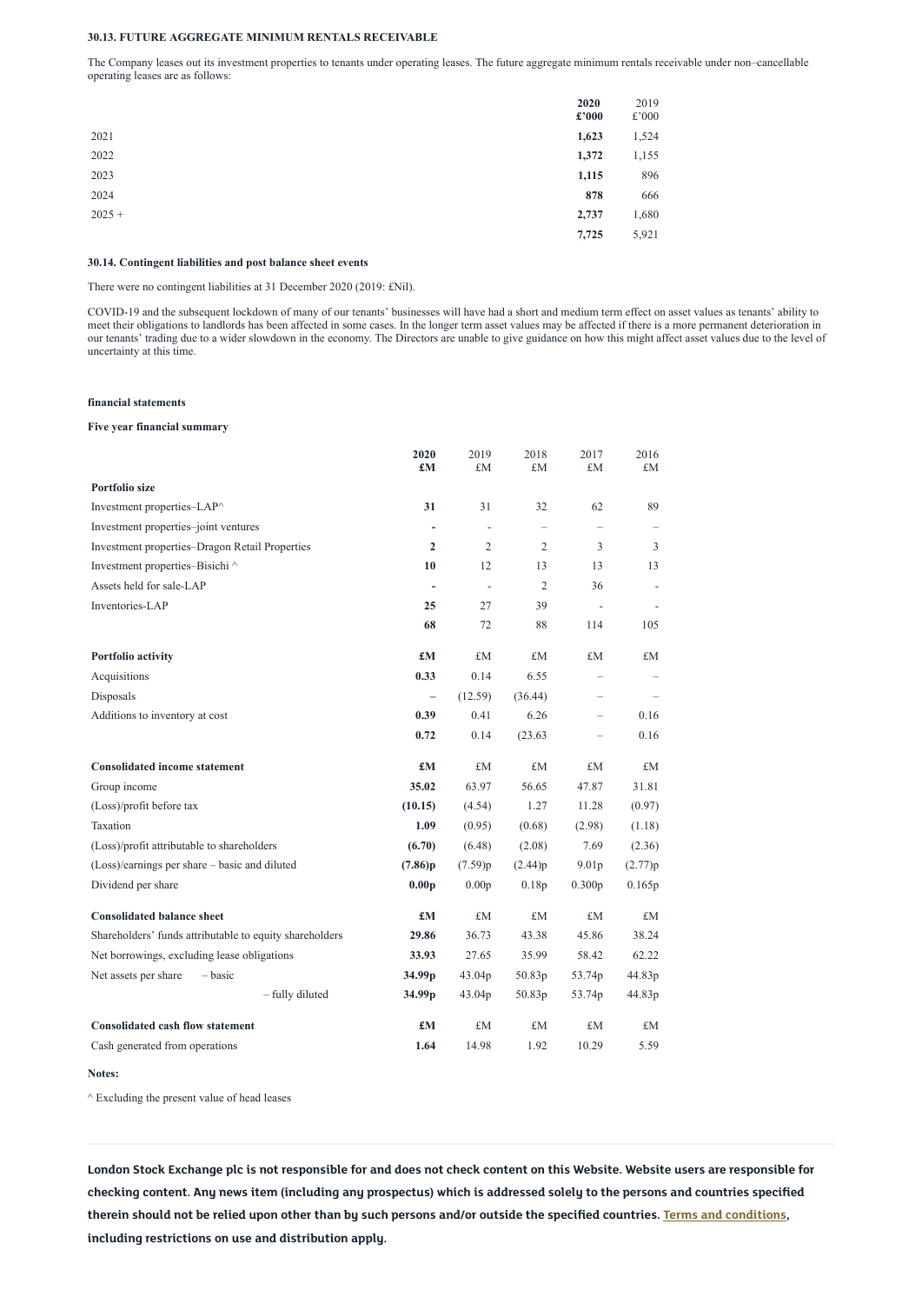# **30.13. FUTURE AGGREGATE MINIMUM RENTALS RECEIVABLE**

The Company leases out its investment properties to tenants under operating leases. The future aggregate minimum rentals receivable under non–cancellable operating leases are as follows:

|          | 2020<br>£'000 | 2019<br>£'000 |
|----------|---------------|---------------|
| 2021     | 1,623         | 1,524         |
| 2022     | 1,372         | 1,155         |
| 2023     | 1,115         | 896           |
| 2024     | 878           | 666           |
| $2025 +$ | 2,737         | 1,680         |
|          | 7,725         | 5,921         |

# **30.14. Contingent liabilities and post balance sheet events**

There were no contingent liabilities at 31 December 2020 (2019: £Nil).

COVID-19 and the subsequent lockdown of many of our tenants' businesses will have had a short and medium term effect on asset values as tenants' ability to meet their obligations to landlords has been affected in some cases. In the longer term asset values may be affected if there is a more permanent deterioration in our tenants' trading due to a wider slowdown in the economy. The Directors are unable to give guidance on how this might affect asset values due to the level of uncertainty at this time.

#### **financial statements**

# **Five year financial summary**

London Stock Exchange plc is not responsible for and does not check content on this Website. Website users are responsible for checking content. Any news item (including any prospectus) which is addressed solely to the persons and countries specified therein should not be relied upon other than by such persons and/or outside the specified countries. Terms and [conditions](https://www.londonstockexchange.com/disclaimer), **including restrictions on use and distribution apply.**

|                                                         | 2020<br>£M         | 2019<br>$\pounds M$          | 2018<br>$\pounds M$ | 2017<br>$\pounds M$      | 2016<br>$\pounds M$ |
|---------------------------------------------------------|--------------------|------------------------------|---------------------|--------------------------|---------------------|
| <b>Portfolio size</b>                                   |                    |                              |                     |                          |                     |
| Investment properties-LAP^                              | 31                 | 31                           | 32                  | 62                       | 89                  |
| Investment properties-joint ventures                    | $\overline{a}$     | $\qquad \qquad \blacksquare$ | $\equiv$            | $\overline{\phantom{m}}$ |                     |
| Investment properties-Dragon Retail Properties          | $\mathbf{2}$       | 2                            | $\overline{2}$      | 3                        | 3                   |
| Investment properties-Bisichi ^                         | 10                 | 12                           | 13                  | 13                       | 13                  |
| Assets held for sale-LAP                                | $\overline{a}$     | $\overline{\phantom{a}}$     | $\overline{2}$      | 36                       |                     |
| Inventories-LAP                                         | 25                 | 27                           | 39                  |                          |                     |
|                                                         | 68                 | 72                           | 88                  | 114                      | 105                 |
| Portfolio activity                                      | £M                 | $\pounds M$                  | $\pounds M$         | $\pounds M$              | $\pounds M$         |
| Acquisitions                                            | 0.33               | 0.14                         | 6.55                |                          |                     |
| Disposals                                               | $\qquad \qquad -$  | (12.59)                      | (36.44)             | $\equiv$                 |                     |
| Additions to inventory at cost                          | 0.39               | 0.41                         | 6.26                |                          | 0.16                |
|                                                         | 0.72               | 0.14                         | (23.63)             |                          | 0.16                |
| <b>Consolidated income statement</b>                    | £M                 | $\pounds M$                  | $\pounds M$         | $\pounds M$              | $\pounds M$         |
| Group income                                            | 35.02              | 63.97                        | 56.65               | 47.87                    | 31.81               |
| (Loss)/profit before tax                                | (10.15)            | (4.54)                       | 1.27                | 11.28                    | (0.97)              |
| Taxation                                                | 1.09               | (0.95)                       | (0.68)              | (2.98)                   | (1.18)              |
| (Loss)/profit attributable to shareholders              | (6.70)             | (6.48)                       | (2.08)              | 7.69                     | (2.36)              |
| (Loss)/earnings per share - basic and diluted           | (7.86)p            | (7.59)p                      | (2.44)p             | 9.01p                    | (2.77)p             |
| Dividend per share                                      | 0.00 <sub>p</sub>  | 0.00 <sub>p</sub>            | 0.18p               | 0.300p                   | 0.165p              |
| <b>Consolidated balance sheet</b>                       | $\mathbf{f}$ M     | $\pounds M$                  | $\pounds M$         | $\pounds M$              | $\pounds M$         |
| Shareholders' funds attributable to equity shareholders | 29.86              | 36.73                        | 43.38               | 45.86                    | 38.24               |
| Net borrowings, excluding lease obligations             | 33.93              | 27.65                        | 35.99               | 58.42                    | 62.22               |
| Net assets per share<br>- basic                         | 34.99 <sub>p</sub> | 43.04p                       | 50.83p              | 53.74p                   | 44.83p              |

|                                  | - fully diluted | 34.99 <sub>p</sub> | 43.04 <sub>p</sub> | 50.83p | 53.74 <sub>p</sub> | 44.83p |
|----------------------------------|-----------------|--------------------|--------------------|--------|--------------------|--------|
| Consolidated cash flow statement |                 | £M                 | £M                 | £М     | £M                 | £M     |
| Cash generated from operations   |                 | 1.64               | 14.98              | 1.92   | 10.29              | 5.59   |

**Notes:**

^ Excluding the present value of head leases